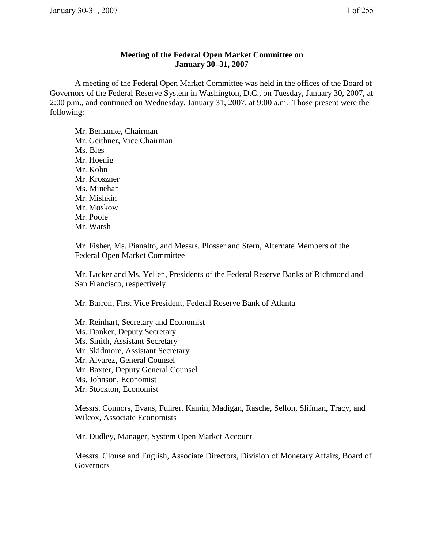## **Meeting of the Federal Open Market Committee on January 30–31, 2007**

A meeting of the Federal Open Market Committee was held in the offices of the Board of Governors of the Federal Reserve System in Washington, D.C., on Tuesday, January 30, 2007, at 2:00 p.m., and continued on Wednesday, January 31, 2007, at 9:00 a.m. Those present were the following:

Mr. Bernanke, Chairman Mr. Geithner, Vice Chairman Ms. Bies Mr. Hoenig Mr. Kohn Mr. Kroszner Ms. Minehan Mr. Mishkin Mr. Moskow Mr. Poole Mr. Warsh

Mr. Fisher, Ms. Pianalto, and Messrs. Plosser and Stern, Alternate Members of the Federal Open Market Committee

Mr. Lacker and Ms. Yellen, Presidents of the Federal Reserve Banks of Richmond and San Francisco, respectively

Mr. Barron, First Vice President, Federal Reserve Bank of Atlanta

Mr. Reinhart, Secretary and Economist Ms. Danker, Deputy Secretary Ms. Smith, Assistant Secretary Mr. Skidmore, Assistant Secretary Mr. Alvarez, General Counsel Mr. Baxter, Deputy General Counsel Ms. Johnson, Economist Mr. Stockton, Economist

Messrs. Connors, Evans, Fuhrer, Kamin, Madigan, Rasche, Sellon, Slifman, Tracy, and Wilcox, Associate Economists

Mr. Dudley, Manager, System Open Market Account

Messrs. Clouse and English, Associate Directors, Division of Monetary Affairs, Board of **Governors**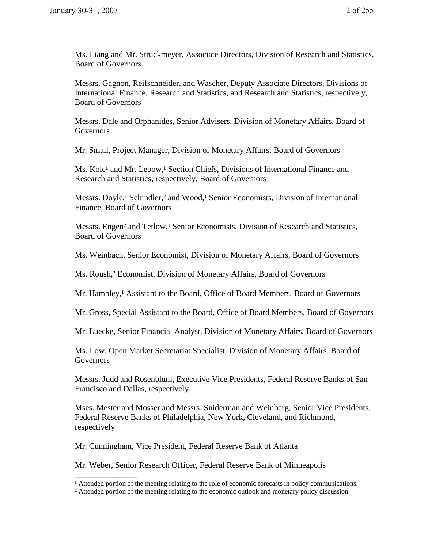Ms. Liang and Mr. Struckmeyer, Associate Directors, Division of Research and Statistics, Board of Governors

Messrs. Gagnon, Reifschneider, and Wascher, Deputy Associate Directors, Divisions of International Finance, Research and Statistics, and Research and Statistics, respectively, Board of Governors

Messrs. Dale and Orphanides, Senior Advisers, Division of Monetary Affairs, Board of Governors

Mr. Small, Project Manager, Division of Monetary Affairs, Board of Governors

Ms. Kole<sup>1</sup> and Mr. Lebow,<sup>1</sup> Section Chiefs, Divisions of International Finance and Research and Statistics, respectively, Board of Governors

Messrs. Doyle,<sup>1</sup> Schindler,<sup>2</sup> and Wood,<sup>1</sup> Senior Economists, Division of International Finance, Board of Governors

Messrs. Engen<sup>2</sup> and Tetlow,<sup>1</sup> Senior Economists, Division of Research and Statistics, Board of Governors

Ms. Weinbach, Senior Economist, Division of Monetary Affairs, Board of Governors

Ms. Roush,² Economist, Division of Monetary Affairs, Board of Governors

Mr. Hambley,<sup>1</sup> Assistant to the Board, Office of Board Members, Board of Governors

Mr. Gross, Special Assistant to the Board, Office of Board Members, Board of Governors

Mr. Luecke, Senior Financial Analyst, Division of Monetary Affairs, Board of Governors

Ms. Low, Open Market Secretariat Specialist, Division of Monetary Affairs, Board of Governors

Messrs. Judd and Rosenblum, Executive Vice Presidents, Federal Reserve Banks of San Francisco and Dallas, respectively

Mses. Mester and Mosser and Messrs. Sniderman and Weinberg, Senior Vice Presidents, Federal Reserve Banks of Philadelphia, New York, Cleveland, and Richmond, respectively

Mr. Cunningham, Vice President, Federal Reserve Bank of Atlanta

\_\_\_\_\_\_\_\_\_\_\_\_\_\_\_

Mr. Weber, Senior Research Officer, Federal Reserve Bank of Minneapolis

<sup>&</sup>lt;sup>1</sup> Attended portion of the meeting relating to the role of economic forecasts in policy communications.

² Attended portion of the meeting relating to the economic outlook and monetary policy discussion.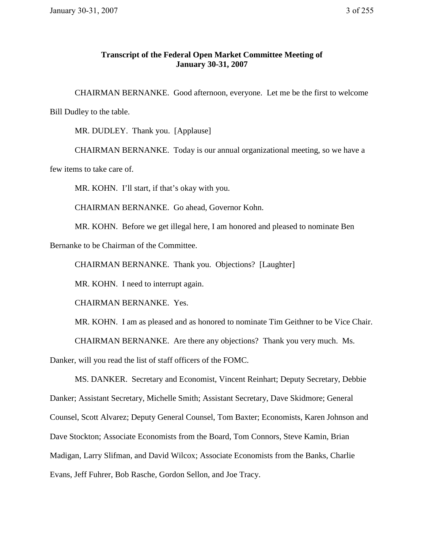## **Transcript of the Federal Open Market Committee Meeting of January 30-31, 2007**

CHAIRMAN BERNANKE. Good afternoon, everyone. Let me be the first to welcome Bill Dudley to the table.

MR. DUDLEY. Thank you. [Applause]

CHAIRMAN BERNANKE. Today is our annual organizational meeting, so we have a few items to take care of.

MR. KOHN. I'll start, if that's okay with you.

CHAIRMAN BERNANKE. Go ahead, Governor Kohn.

MR. KOHN. Before we get illegal here, I am honored and pleased to nominate Ben

Bernanke to be Chairman of the Committee.

CHAIRMAN BERNANKE. Thank you. Objections? [Laughter]

MR. KOHN. I need to interrupt again.

CHAIRMAN BERNANKE. Yes.

MR. KOHN. I am as pleased and as honored to nominate Tim Geithner to be Vice Chair.

CHAIRMAN BERNANKE. Are there any objections? Thank you very much. Ms.

Danker, will you read the list of staff officers of the FOMC.

 MS. DANKER. Secretary and Economist, Vincent Reinhart; Deputy Secretary, Debbie Danker; Assistant Secretary, Michelle Smith; Assistant Secretary, Dave Skidmore; General Counsel, Scott Alvarez; Deputy General Counsel, Tom Baxter; Economists, Karen Johnson and Dave Stockton; Associate Economists from the Board, Tom Connors, Steve Kamin, Brian Madigan, Larry Slifman, and David Wilcox; Associate Economists from the Banks, Charlie Evans, Jeff Fuhrer, Bob Rasche, Gordon Sellon, and Joe Tracy.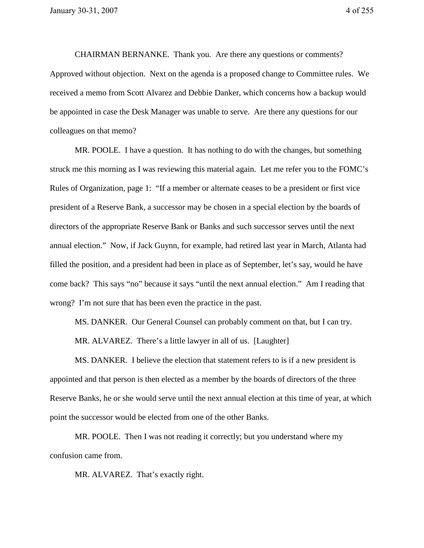CHAIRMAN BERNANKE. Thank you. Are there any questions or comments? Approved without objection. Next on the agenda is a proposed change to Committee rules. We received a memo from Scott Alvarez and Debbie Danker, which concerns how a backup would be appointed in case the Desk Manager was unable to serve. Are there any questions for our colleagues on that memo?

 MR. POOLE. I have a question. It has nothing to do with the changes, but something struck me this morning as I was reviewing this material again. Let me refer you to the FOMC's Rules of Organization, page 1: "If a member or alternate ceases to be a president or first vice president of a Reserve Bank, a successor may be chosen in a special election by the boards of directors of the appropriate Reserve Bank or Banks and such successor serves until the next annual election." Now, if Jack Guynn, for example, had retired last year in March, Atlanta had filled the position, and a president had been in place as of September, let's say, would he have come back? This says "no" because it says "until the next annual election." Am I reading that wrong? I'm not sure that has been even the practice in the past.

MS. DANKER. Our General Counsel can probably comment on that, but I can try.

MR. ALVAREZ. There's a little lawyer in all of us. [Laughter]

MS. DANKER. I believe the election that statement refers to is if a new president is appointed and that person is then elected as a member by the boards of directors of the three Reserve Banks, he or she would serve until the next annual election at this time of year, at which point the successor would be elected from one of the other Banks.

 MR. POOLE. Then I was not reading it correctly; but you understand where my confusion came from.

MR. ALVAREZ. That's exactly right.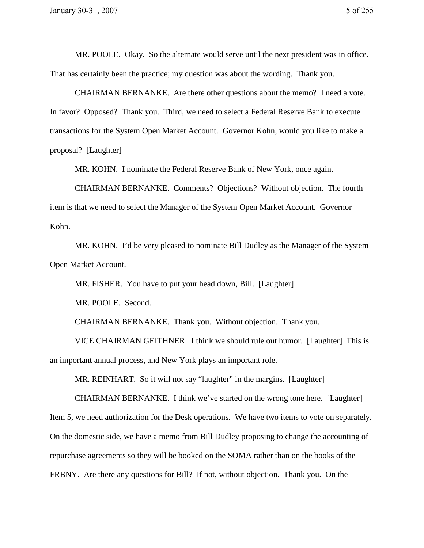MR. POOLE. Okay. So the alternate would serve until the next president was in office. That has certainly been the practice; my question was about the wording. Thank you.

CHAIRMAN BERNANKE. Are there other questions about the memo? I need a vote. In favor? Opposed? Thank you. Third, we need to select a Federal Reserve Bank to execute transactions for the System Open Market Account. Governor Kohn, would you like to make a proposal? [Laughter]

MR. KOHN. I nominate the Federal Reserve Bank of New York, once again.

 CHAIRMAN BERNANKE. Comments? Objections? Without objection. The fourth item is that we need to select the Manager of the System Open Market Account. Governor Kohn.

 MR. KOHN. I'd be very pleased to nominate Bill Dudley as the Manager of the System Open Market Account.

MR. FISHER. You have to put your head down, Bill. [Laughter]

MR. POOLE. Second.

CHAIRMAN BERNANKE. Thank you. Without objection. Thank you.

VICE CHAIRMAN GEITHNER. I think we should rule out humor. [Laughter] This is an important annual process, and New York plays an important role.

MR. REINHART. So it will not say "laughter" in the margins. [Laughter]

 CHAIRMAN BERNANKE. I think we've started on the wrong tone here. [Laughter] Item 5, we need authorization for the Desk operations. We have two items to vote on separately. On the domestic side, we have a memo from Bill Dudley proposing to change the accounting of repurchase agreements so they will be booked on the SOMA rather than on the books of the FRBNY. Are there any questions for Bill? If not, without objection. Thank you. On the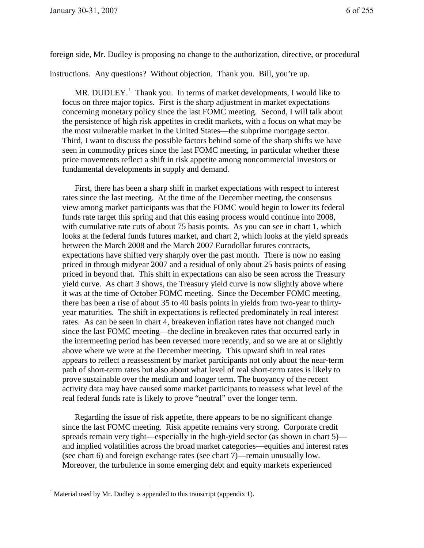foreign side, Mr. Dudley is proposing no change to the authorization, directive, or procedural

instructions. Any questions? Without objection. Thank you. Bill, you're up.

MR. DUDLEY.<sup>1</sup> Thank you. In terms of market developments, I would like to focus on three major topics. First is the sharp adjustment in market expectations concerning monetary policy since the last FOMC meeting. Second, I will talk about the persistence of high risk appetites in credit markets, with a focus on what may be the most vulnerable market in the United States—the subprime mortgage sector. Third, I want to discuss the possible factors behind some of the sharp shifts we have seen in commodity prices since the last FOMC meeting, in particular whether these price movements reflect a shift in risk appetite among noncommercial investors or fundamental developments in supply and demand.

First, there has been a sharp shift in market expectations with respect to interest rates since the last meeting. At the time of the December meeting, the consensus view among market participants was that the FOMC would begin to lower its federal funds rate target this spring and that this easing process would continue into 2008, with cumulative rate cuts of about 75 basis points. As you can see in chart 1, which looks at the federal funds futures market, and chart 2, which looks at the yield spreads between the March 2008 and the March 2007 Eurodollar futures contracts, expectations have shifted very sharply over the past month. There is now no easing priced in through midyear 2007 and a residual of only about 25 basis points of easing priced in beyond that. This shift in expectations can also be seen across the Treasury yield curve. As chart 3 shows, the Treasury yield curve is now slightly above where it was at the time of October FOMC meeting. Since the December FOMC meeting, there has been a rise of about 35 to 40 basis points in yields from two-year to thirtyyear maturities. The shift in expectations is reflected predominately in real interest rates. As can be seen in chart 4, breakeven inflation rates have not changed much since the last FOMC meeting—the decline in breakeven rates that occurred early in the intermeeting period has been reversed more recently, and so we are at or slightly above where we were at the December meeting. This upward shift in real rates appears to reflect a reassessment by market participants not only about the near-term path of short-term rates but also about what level of real short-term rates is likely to prove sustainable over the medium and longer term. The buoyancy of the recent activity data may have caused some market participants to reassess what level of the real federal funds rate is likely to prove "neutral" over the longer term.

Regarding the issue of risk appetite, there appears to be no significant change since the last FOMC meeting. Risk appetite remains very strong. Corporate credit spreads remain very tight—especially in the high-yield sector (as shown in chart 5) and implied volatilities across the broad market categories—equities and interest rates (see chart 6) and foreign exchange rates (see chart 7)—remain unusually low. Moreover, the turbulence in some emerging debt and equity markets experienced

 $\overline{a}$ 

<sup>&</sup>lt;sup>1</sup> Material used by Mr. Dudley is appended to this transcript (appendix 1).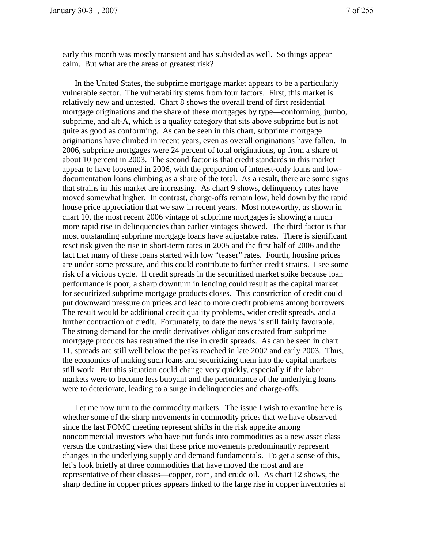early this month was mostly transient and has subsided as well. So things appear calm. But what are the areas of greatest risk?

In the United States, the subprime mortgage market appears to be a particularly vulnerable sector. The vulnerability stems from four factors. First, this market is relatively new and untested. Chart 8 shows the overall trend of first residential mortgage originations and the share of these mortgages by type—conforming, jumbo, subprime, and alt-A, which is a quality category that sits above subprime but is not quite as good as conforming. As can be seen in this chart, subprime mortgage originations have climbed in recent years, even as overall originations have fallen. In 2006, subprime mortgages were 24 percent of total originations, up from a share of about 10 percent in 2003. The second factor is that credit standards in this market appear to have loosened in 2006, with the proportion of interest-only loans and lowdocumentation loans climbing as a share of the total. As a result, there are some signs that strains in this market are increasing. As chart 9 shows, delinquency rates have moved somewhat higher. In contrast, charge-offs remain low, held down by the rapid house price appreciation that we saw in recent years. Most noteworthy, as shown in chart 10, the most recent 2006 vintage of subprime mortgages is showing a much more rapid rise in delinquencies than earlier vintages showed. The third factor is that most outstanding subprime mortgage loans have adjustable rates. There is significant reset risk given the rise in short-term rates in 2005 and the first half of 2006 and the fact that many of these loans started with low "teaser" rates. Fourth, housing prices are under some pressure, and this could contribute to further credit strains. I see some risk of a vicious cycle. If credit spreads in the securitized market spike because loan performance is poor, a sharp downturn in lending could result as the capital market for securitized subprime mortgage products closes. This constriction of credit could put downward pressure on prices and lead to more credit problems among borrowers. The result would be additional credit quality problems, wider credit spreads, and a further contraction of credit. Fortunately, to date the news is still fairly favorable. The strong demand for the credit derivatives obligations created from subprime mortgage products has restrained the rise in credit spreads. As can be seen in chart 11, spreads are still well below the peaks reached in late 2002 and early 2003. Thus, the economics of making such loans and securitizing them into the capital markets still work. But this situation could change very quickly, especially if the labor markets were to become less buoyant and the performance of the underlying loans were to deteriorate, leading to a surge in delinquencies and charge-offs.

Let me now turn to the commodity markets. The issue I wish to examine here is whether some of the sharp movements in commodity prices that we have observed since the last FOMC meeting represent shifts in the risk appetite among noncommercial investors who have put funds into commodities as a new asset class versus the contrasting view that these price movements predominantly represent changes in the underlying supply and demand fundamentals. To get a sense of this, let's look briefly at three commodities that have moved the most and are representative of their classes—copper, corn, and crude oil. As chart 12 shows, the sharp decline in copper prices appears linked to the large rise in copper inventories at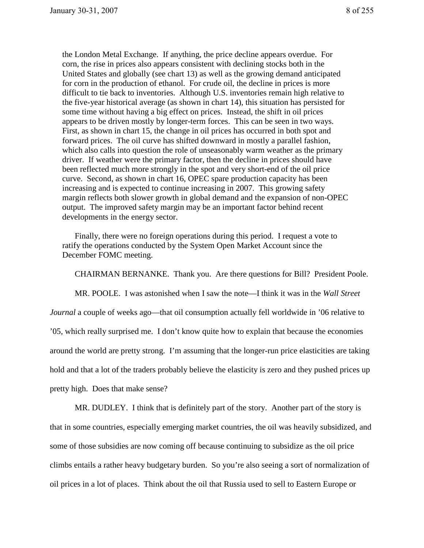the London Metal Exchange. If anything, the price decline appears overdue. For corn, the rise in prices also appears consistent with declining stocks both in the United States and globally (see chart 13) as well as the growing demand anticipated for corn in the production of ethanol. For crude oil, the decline in prices is more difficult to tie back to inventories. Although U.S. inventories remain high relative to the five-year historical average (as shown in chart 14), this situation has persisted for some time without having a big effect on prices. Instead, the shift in oil prices appears to be driven mostly by longer-term forces. This can be seen in two ways. First, as shown in chart 15, the change in oil prices has occurred in both spot and forward prices. The oil curve has shifted downward in mostly a parallel fashion, which also calls into question the role of unseasonably warm weather as the primary driver. If weather were the primary factor, then the decline in prices should have been reflected much more strongly in the spot and very short-end of the oil price curve. Second, as shown in chart 16, OPEC spare production capacity has been increasing and is expected to continue increasing in 2007. This growing safety margin reflects both slower growth in global demand and the expansion of non-OPEC output. The improved safety margin may be an important factor behind recent developments in the energy sector.

Finally, there were no foreign operations during this period. I request a vote to ratify the operations conducted by the System Open Market Account since the December FOMC meeting.

CHAIRMAN BERNANKE. Thank you. Are there questions for Bill? President Poole.

 MR. POOLE. I was astonished when I saw the note—I think it was in the *Wall Street Journal* a couple of weeks ago—that oil consumption actually fell worldwide in '06 relative to '05, which really surprised me. I don't know quite how to explain that because the economies around the world are pretty strong. I'm assuming that the longer-run price elasticities are taking hold and that a lot of the traders probably believe the elasticity is zero and they pushed prices up pretty high. Does that make sense?

 MR. DUDLEY. I think that is definitely part of the story. Another part of the story is that in some countries, especially emerging market countries, the oil was heavily subsidized, and some of those subsidies are now coming off because continuing to subsidize as the oil price climbs entails a rather heavy budgetary burden. So you're also seeing a sort of normalization of oil prices in a lot of places. Think about the oil that Russia used to sell to Eastern Europe or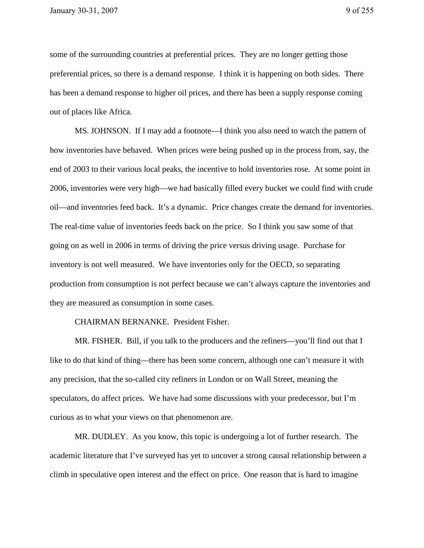some of the surrounding countries at preferential prices. They are no longer getting those preferential prices, so there is a demand response. I think it is happening on both sides. There has been a demand response to higher oil prices, and there has been a supply response coming out of places like Africa.

MS. JOHNSON. If I may add a footnote—I think you also need to watch the pattern of how inventories have behaved. When prices were being pushed up in the process from, say, the end of 2003 to their various local peaks, the incentive to hold inventories rose. At some point in 2006, inventories were very high—we had basically filled every bucket we could find with crude oil—and inventories feed back. It's a dynamic. Price changes create the demand for inventories. The real-time value of inventories feeds back on the price. So I think you saw some of that going on as well in 2006 in terms of driving the price versus driving usage. Purchase for inventory is not well measured. We have inventories only for the OECD, so separating production from consumption is not perfect because we can't always capture the inventories and they are measured as consumption in some cases.

## CHAIRMAN BERNANKE. President Fisher.

MR. FISHER. Bill, if you talk to the producers and the refiners—you'll find out that I like to do that kind of thing—there has been some concern, although one can't measure it with any precision, that the so-called city refiners in London or on Wall Street, meaning the speculators, do affect prices. We have had some discussions with your predecessor, but I'm curious as to what your views on that phenomenon are.

MR. DUDLEY. As you know, this topic is undergoing a lot of further research. The academic literature that I've surveyed has yet to uncover a strong causal relationship between a climb in speculative open interest and the effect on price. One reason that is hard to imagine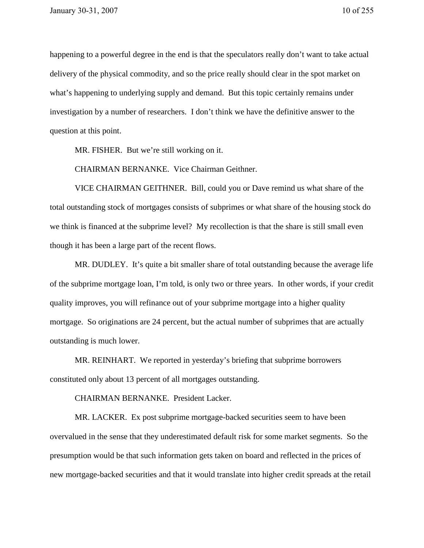happening to a powerful degree in the end is that the speculators really don't want to take actual delivery of the physical commodity, and so the price really should clear in the spot market on what's happening to underlying supply and demand. But this topic certainly remains under investigation by a number of researchers. I don't think we have the definitive answer to the question at this point.

MR. FISHER. But we're still working on it.

CHAIRMAN BERNANKE. Vice Chairman Geithner.

VICE CHAIRMAN GEITHNER. Bill, could you or Dave remind us what share of the total outstanding stock of mortgages consists of subprimes or what share of the housing stock do we think is financed at the subprime level? My recollection is that the share is still small even though it has been a large part of the recent flows.

MR. DUDLEY. It's quite a bit smaller share of total outstanding because the average life of the subprime mortgage loan, I'm told, is only two or three years. In other words, if your credit quality improves, you will refinance out of your subprime mortgage into a higher quality mortgage. So originations are 24 percent, but the actual number of subprimes that are actually outstanding is much lower.

MR. REINHART. We reported in yesterday's briefing that subprime borrowers constituted only about 13 percent of all mortgages outstanding.

CHAIRMAN BERNANKE. President Lacker.

 MR. LACKER. Ex post subprime mortgage-backed securities seem to have been overvalued in the sense that they underestimated default risk for some market segments. So the presumption would be that such information gets taken on board and reflected in the prices of new mortgage-backed securities and that it would translate into higher credit spreads at the retail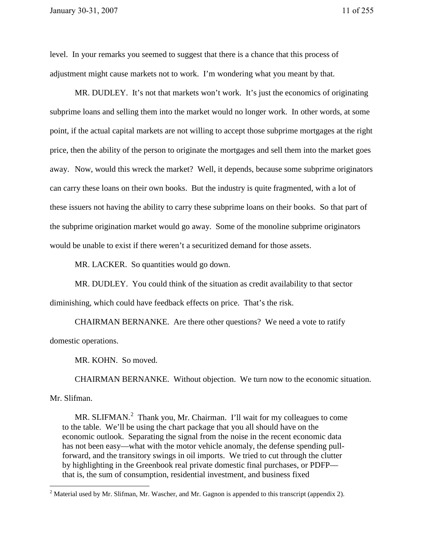level. In your remarks you seemed to suggest that there is a chance that this process of adjustment might cause markets not to work. I'm wondering what you meant by that.

 MR. DUDLEY. It's not that markets won't work. It's just the economics of originating subprime loans and selling them into the market would no longer work. In other words, at some point, if the actual capital markets are not willing to accept those subprime mortgages at the right price, then the ability of the person to originate the mortgages and sell them into the market goes away. Now, would this wreck the market? Well, it depends, because some subprime originators can carry these loans on their own books. But the industry is quite fragmented, with a lot of these issuers not having the ability to carry these subprime loans on their books. So that part of the subprime origination market would go away. Some of the monoline subprime originators would be unable to exist if there weren't a securitized demand for those assets.

MR. LACKER. So quantities would go down.

MR. DUDLEY. You could think of the situation as credit availability to that sector diminishing, which could have feedback effects on price. That's the risk.

CHAIRMAN BERNANKE. Are there other questions? We need a vote to ratify domestic operations.

MR. KOHN. So moved.

CHAIRMAN BERNANKE. Without objection. We turn now to the economic situation.

Mr. Slifman.

 $\overline{a}$ 

MR. SLIFMAN.<sup>2</sup> Thank you, Mr. Chairman. I'll wait for my colleagues to come to the table. We'll be using the chart package that you all should have on the economic outlook. Separating the signal from the noise in the recent economic data has not been easy—what with the motor vehicle anomaly, the defense spending pullforward, and the transitory swings in oil imports. We tried to cut through the clutter by highlighting in the Greenbook real private domestic final purchases, or PDFP that is, the sum of consumption, residential investment, and business fixed

 $2$  Material used by Mr. Slifman, Mr. Wascher, and Mr. Gagnon is appended to this transcript (appendix 2).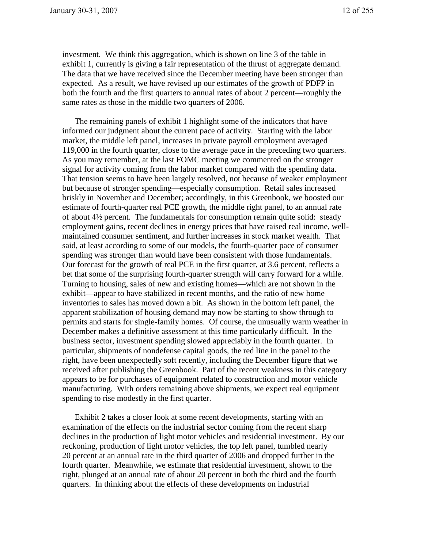investment. We think this aggregation, which is shown on line 3 of the table in exhibit 1, currently is giving a fair representation of the thrust of aggregate demand. The data that we have received since the December meeting have been stronger than expected. As a result, we have revised up our estimates of the growth of PDFP in both the fourth and the first quarters to annual rates of about 2 percent—roughly the same rates as those in the middle two quarters of 2006.

The remaining panels of exhibit 1 highlight some of the indicators that have informed our judgment about the current pace of activity. Starting with the labor market, the middle left panel, increases in private payroll employment averaged 119,000 in the fourth quarter, close to the average pace in the preceding two quarters. As you may remember, at the last FOMC meeting we commented on the stronger signal for activity coming from the labor market compared with the spending data. That tension seems to have been largely resolved, not because of weaker employment but because of stronger spending—especially consumption. Retail sales increased briskly in November and December; accordingly, in this Greenbook, we boosted our estimate of fourth-quarter real PCE growth, the middle right panel, to an annual rate of about 4½ percent. The fundamentals for consumption remain quite solid: steady employment gains, recent declines in energy prices that have raised real income, wellmaintained consumer sentiment, and further increases in stock market wealth. That said, at least according to some of our models, the fourth-quarter pace of consumer spending was stronger than would have been consistent with those fundamentals. Our forecast for the growth of real PCE in the first quarter, at 3.6 percent, reflects a bet that some of the surprising fourth-quarter strength will carry forward for a while. Turning to housing, sales of new and existing homes—which are not shown in the exhibit—appear to have stabilized in recent months, and the ratio of new home inventories to sales has moved down a bit. As shown in the bottom left panel, the apparent stabilization of housing demand may now be starting to show through to permits and starts for single-family homes. Of course, the unusually warm weather in December makes a definitive assessment at this time particularly difficult. In the business sector, investment spending slowed appreciably in the fourth quarter. In particular, shipments of nondefense capital goods, the red line in the panel to the right, have been unexpectedly soft recently, including the December figure that we received after publishing the Greenbook. Part of the recent weakness in this category appears to be for purchases of equipment related to construction and motor vehicle manufacturing. With orders remaining above shipments, we expect real equipment spending to rise modestly in the first quarter.

Exhibit 2 takes a closer look at some recent developments, starting with an examination of the effects on the industrial sector coming from the recent sharp declines in the production of light motor vehicles and residential investment. By our reckoning, production of light motor vehicles, the top left panel, tumbled nearly 20 percent at an annual rate in the third quarter of 2006 and dropped further in the fourth quarter. Meanwhile, we estimate that residential investment, shown to the right, plunged at an annual rate of about 20 percent in both the third and the fourth quarters. In thinking about the effects of these developments on industrial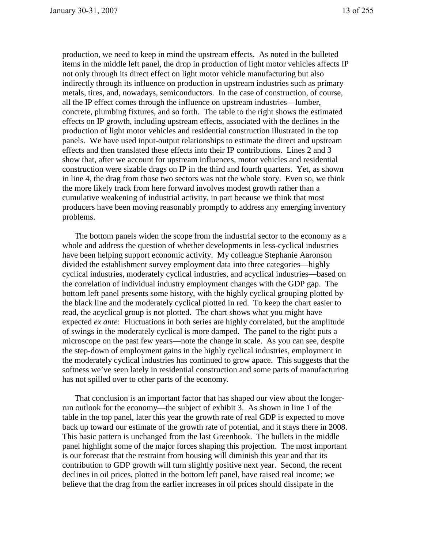production, we need to keep in mind the upstream effects. As noted in the bulleted items in the middle left panel, the drop in production of light motor vehicles affects IP not only through its direct effect on light motor vehicle manufacturing but also indirectly through its influence on production in upstream industries such as primary metals, tires, and, nowadays, semiconductors. In the case of construction, of course, all the IP effect comes through the influence on upstream industries—lumber, concrete, plumbing fixtures, and so forth. The table to the right shows the estimated effects on IP growth, including upstream effects, associated with the declines in the production of light motor vehicles and residential construction illustrated in the top panels. We have used input-output relationships to estimate the direct and upstream effects and then translated these effects into their IP contributions. Lines 2 and 3 show that, after we account for upstream influences, motor vehicles and residential construction were sizable drags on IP in the third and fourth quarters. Yet, as shown in line 4, the drag from those two sectors was not the whole story. Even so, we think the more likely track from here forward involves modest growth rather than a cumulative weakening of industrial activity, in part because we think that most producers have been moving reasonably promptly to address any emerging inventory problems.

The bottom panels widen the scope from the industrial sector to the economy as a whole and address the question of whether developments in less-cyclical industries have been helping support economic activity. My colleague Stephanie Aaronson divided the establishment survey employment data into three categories—highly cyclical industries, moderately cyclical industries, and acyclical industries—based on the correlation of individual industry employment changes with the GDP gap. The bottom left panel presents some history, with the highly cyclical grouping plotted by the black line and the moderately cyclical plotted in red. To keep the chart easier to read, the acyclical group is not plotted. The chart shows what you might have expected *ex ante*: Fluctuations in both series are highly correlated, but the amplitude of swings in the moderately cyclical is more damped. The panel to the right puts a microscope on the past few years—note the change in scale. As you can see, despite the step-down of employment gains in the highly cyclical industries, employment in the moderately cyclical industries has continued to grow apace. This suggests that the softness we've seen lately in residential construction and some parts of manufacturing has not spilled over to other parts of the economy.

That conclusion is an important factor that has shaped our view about the longerrun outlook for the economy—the subject of exhibit 3. As shown in line 1 of the table in the top panel, later this year the growth rate of real GDP is expected to move back up toward our estimate of the growth rate of potential, and it stays there in 2008. This basic pattern is unchanged from the last Greenbook. The bullets in the middle panel highlight some of the major forces shaping this projection. The most important is our forecast that the restraint from housing will diminish this year and that its contribution to GDP growth will turn slightly positive next year. Second, the recent declines in oil prices, plotted in the bottom left panel, have raised real income; we believe that the drag from the earlier increases in oil prices should dissipate in the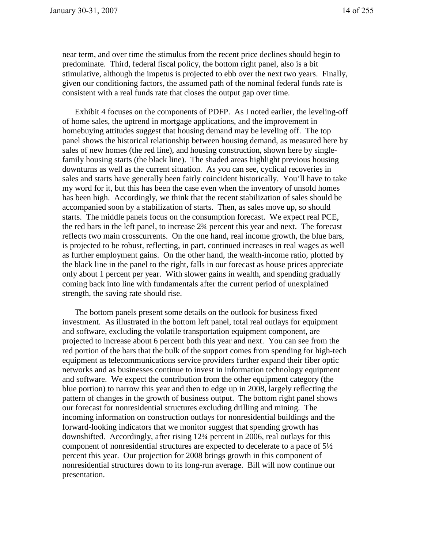near term, and over time the stimulus from the recent price declines should begin to predominate. Third, federal fiscal policy, the bottom right panel, also is a bit stimulative, although the impetus is projected to ebb over the next two years. Finally, given our conditioning factors, the assumed path of the nominal federal funds rate is consistent with a real funds rate that closes the output gap over time.

Exhibit 4 focuses on the components of PDFP. As I noted earlier, the leveling-off of home sales, the uptrend in mortgage applications, and the improvement in homebuying attitudes suggest that housing demand may be leveling off. The top panel shows the historical relationship between housing demand, as measured here by sales of new homes (the red line), and housing construction, shown here by singlefamily housing starts (the black line). The shaded areas highlight previous housing downturns as well as the current situation. As you can see, cyclical recoveries in sales and starts have generally been fairly coincident historically. You'll have to take my word for it, but this has been the case even when the inventory of unsold homes has been high. Accordingly, we think that the recent stabilization of sales should be accompanied soon by a stabilization of starts. Then, as sales move up, so should starts. The middle panels focus on the consumption forecast. We expect real PCE, the red bars in the left panel, to increase 2¾ percent this year and next. The forecast reflects two main crosscurrents. On the one hand, real income growth, the blue bars, is projected to be robust, reflecting, in part, continued increases in real wages as well as further employment gains. On the other hand, the wealth-income ratio, plotted by the black line in the panel to the right, falls in our forecast as house prices appreciate only about 1 percent per year. With slower gains in wealth, and spending gradually coming back into line with fundamentals after the current period of unexplained strength, the saving rate should rise.

The bottom panels present some details on the outlook for business fixed investment. As illustrated in the bottom left panel, total real outlays for equipment and software, excluding the volatile transportation equipment component, are projected to increase about 6 percent both this year and next. You can see from the red portion of the bars that the bulk of the support comes from spending for high-tech equipment as telecommunications service providers further expand their fiber optic networks and as businesses continue to invest in information technology equipment and software. We expect the contribution from the other equipment category (the blue portion) to narrow this year and then to edge up in 2008, largely reflecting the pattern of changes in the growth of business output. The bottom right panel shows our forecast for nonresidential structures excluding drilling and mining. The incoming information on construction outlays for nonresidential buildings and the forward-looking indicators that we monitor suggest that spending growth has downshifted. Accordingly, after rising 12¾ percent in 2006, real outlays for this component of nonresidential structures are expected to decelerate to a pace of 5½ percent this year. Our projection for 2008 brings growth in this component of nonresidential structures down to its long-run average. Bill will now continue our presentation.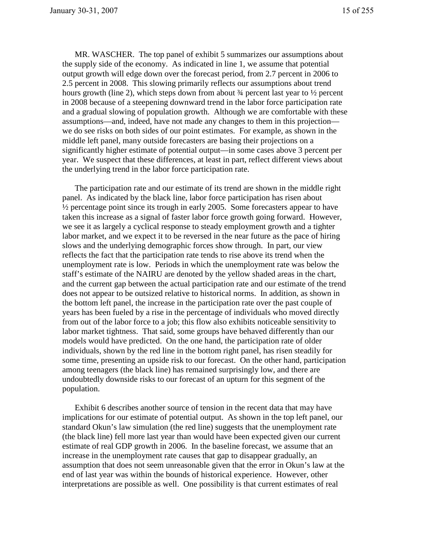MR. WASCHER. The top panel of exhibit 5 summarizes our assumptions about the supply side of the economy. As indicated in line 1, we assume that potential output growth will edge down over the forecast period, from 2.7 percent in 2006 to 2.5 percent in 2008. This slowing primarily reflects our assumptions about trend hours growth (line 2), which steps down from about  $\frac{3}{4}$  percent last year to  $\frac{1}{2}$  percent in 2008 because of a steepening downward trend in the labor force participation rate and a gradual slowing of population growth. Although we are comfortable with these assumptions—and, indeed, have not made any changes to them in this projection we do see risks on both sides of our point estimates. For example, as shown in the middle left panel, many outside forecasters are basing their projections on a significantly higher estimate of potential output—in some cases above 3 percent per year. We suspect that these differences, at least in part, reflect different views about the underlying trend in the labor force participation rate.

The participation rate and our estimate of its trend are shown in the middle right panel. As indicated by the black line, labor force participation has risen about  $\frac{1}{2}$  percentage point since its trough in early 2005. Some forecasters appear to have taken this increase as a signal of faster labor force growth going forward. However, we see it as largely a cyclical response to steady employment growth and a tighter labor market, and we expect it to be reversed in the near future as the pace of hiring slows and the underlying demographic forces show through. In part, our view reflects the fact that the participation rate tends to rise above its trend when the unemployment rate is low. Periods in which the unemployment rate was below the staff's estimate of the NAIRU are denoted by the yellow shaded areas in the chart, and the current gap between the actual participation rate and our estimate of the trend does not appear to be outsized relative to historical norms. In addition, as shown in the bottom left panel, the increase in the participation rate over the past couple of years has been fueled by a rise in the percentage of individuals who moved directly from out of the labor force to a job; this flow also exhibits noticeable sensitivity to labor market tightness. That said, some groups have behaved differently than our models would have predicted. On the one hand, the participation rate of older individuals, shown by the red line in the bottom right panel, has risen steadily for some time, presenting an upside risk to our forecast. On the other hand, participation among teenagers (the black line) has remained surprisingly low, and there are undoubtedly downside risks to our forecast of an upturn for this segment of the population.

Exhibit 6 describes another source of tension in the recent data that may have implications for our estimate of potential output. As shown in the top left panel, our standard Okun's law simulation (the red line) suggests that the unemployment rate (the black line) fell more last year than would have been expected given our current estimate of real GDP growth in 2006. In the baseline forecast, we assume that an increase in the unemployment rate causes that gap to disappear gradually, an assumption that does not seem unreasonable given that the error in Okun's law at the end of last year was within the bounds of historical experience. However, other interpretations are possible as well. One possibility is that current estimates of real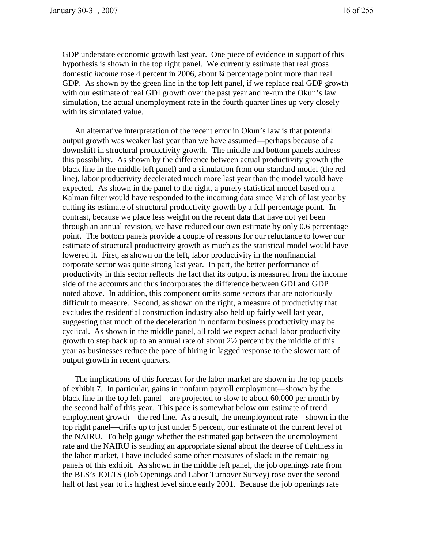GDP understate economic growth last year. One piece of evidence in support of this hypothesis is shown in the top right panel. We currently estimate that real gross domestic *income* rose 4 percent in 2006, about ¾ percentage point more than real GDP. As shown by the green line in the top left panel, if we replace real GDP growth with our estimate of real GDI growth over the past year and re-run the Okun's law simulation, the actual unemployment rate in the fourth quarter lines up very closely with its simulated value.

An alternative interpretation of the recent error in Okun's law is that potential output growth was weaker last year than we have assumed—perhaps because of a downshift in structural productivity growth. The middle and bottom panels address this possibility. As shown by the difference between actual productivity growth (the black line in the middle left panel) and a simulation from our standard model (the red line), labor productivity decelerated much more last year than the model would have expected. As shown in the panel to the right, a purely statistical model based on a Kalman filter would have responded to the incoming data since March of last year by cutting its estimate of structural productivity growth by a full percentage point. In contrast, because we place less weight on the recent data that have not yet been through an annual revision, we have reduced our own estimate by only 0.6 percentage point. The bottom panels provide a couple of reasons for our reluctance to lower our estimate of structural productivity growth as much as the statistical model would have lowered it. First, as shown on the left, labor productivity in the nonfinancial corporate sector was quite strong last year. In part, the better performance of productivity in this sector reflects the fact that its output is measured from the income side of the accounts and thus incorporates the difference between GDI and GDP noted above. In addition, this component omits some sectors that are notoriously difficult to measure. Second, as shown on the right, a measure of productivity that excludes the residential construction industry also held up fairly well last year, suggesting that much of the deceleration in nonfarm business productivity may be cyclical. As shown in the middle panel, all told we expect actual labor productivity growth to step back up to an annual rate of about 2½ percent by the middle of this year as businesses reduce the pace of hiring in lagged response to the slower rate of output growth in recent quarters.

The implications of this forecast for the labor market are shown in the top panels of exhibit 7. In particular, gains in nonfarm payroll employment—shown by the black line in the top left panel—are projected to slow to about 60,000 per month by the second half of this year. This pace is somewhat below our estimate of trend employment growth—the red line. As a result, the unemployment rate—shown in the top right panel—drifts up to just under 5 percent, our estimate of the current level of the NAIRU. To help gauge whether the estimated gap between the unemployment rate and the NAIRU is sending an appropriate signal about the degree of tightness in the labor market, I have included some other measures of slack in the remaining panels of this exhibit. As shown in the middle left panel, the job openings rate from the BLS's JOLTS (Job Openings and Labor Turnover Survey) rose over the second half of last year to its highest level since early 2001. Because the job openings rate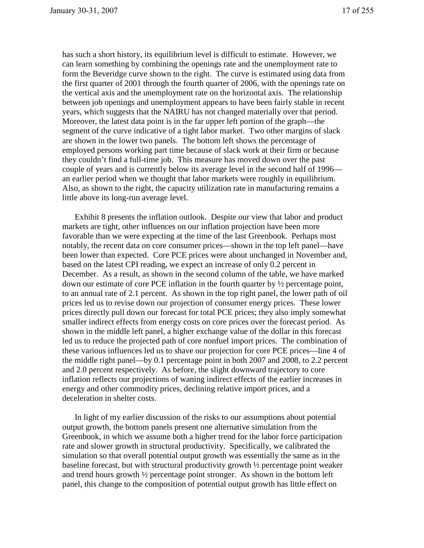has such a short history, its equilibrium level is difficult to estimate. However, we can learn something by combining the openings rate and the unemployment rate to form the Beveridge curve shown to the right. The curve is estimated using data from the first quarter of 2001 through the fourth quarter of 2006, with the openings rate on the vertical axis and the unemployment rate on the horizontal axis. The relationship between job openings and unemployment appears to have been fairly stable in recent years, which suggests that the NAIRU has not changed materially over that period. Moreover, the latest data point is in the far upper left portion of the graph—the segment of the curve indicative of a tight labor market. Two other margins of slack are shown in the lower two panels. The bottom left shows the percentage of employed persons working part time because of slack work at their firm or because they couldn't find a full-time job. This measure has moved down over the past couple of years and is currently below its average level in the second half of 1996 an earlier period when we thought that labor markets were roughly in equilibrium. Also, as shown to the right, the capacity utilization rate in manufacturing remains a little above its long-run average level.

Exhibit 8 presents the inflation outlook. Despite our view that labor and product markets are tight, other influences on our inflation projection have been more favorable than we were expecting at the time of the last Greenbook. Perhaps most notably, the recent data on core consumer prices—shown in the top left panel—have been lower than expected. Core PCE prices were about unchanged in November and, based on the latest CPI reading, we expect an increase of only 0.2 percent in December. As a result, as shown in the second column of the table, we have marked down our estimate of core PCE inflation in the fourth quarter by  $\frac{1}{2}$  percentage point, to an annual rate of 2.1 percent. As shown in the top right panel, the lower path of oil prices led us to revise down our projection of consumer energy prices. These lower prices directly pull down our forecast for total PCE prices; they also imply somewhat smaller indirect effects from energy costs on core prices over the forecast period. As shown in the middle left panel, a higher exchange value of the dollar in this forecast led us to reduce the projected path of core nonfuel import prices. The combination of these various influences led us to shave our projection for core PCE prices—line 4 of the middle right panel—by 0.1 percentage point in both 2007 and 2008, to 2.2 percent and 2.0 percent respectively. As before, the slight downward trajectory to core inflation reflects our projections of waning indirect effects of the earlier increases in energy and other commodity prices, declining relative import prices, and a deceleration in shelter costs.

In light of my earlier discussion of the risks to our assumptions about potential output growth, the bottom panels present one alternative simulation from the Greenbook, in which we assume both a higher trend for the labor force participation rate and slower growth in structural productivity. Specifically, we calibrated the simulation so that overall potential output growth was essentially the same as in the baseline forecast, but with structural productivity growth ½ percentage point weaker and trend hours growth  $\frac{1}{2}$  percentage point stronger. As shown in the bottom left panel, this change to the composition of potential output growth has little effect on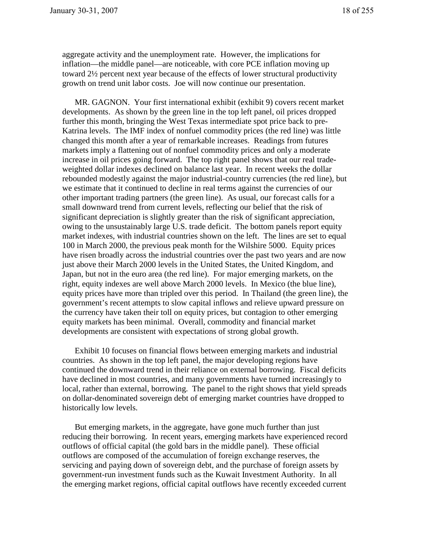aggregate activity and the unemployment rate. However, the implications for inflation—the middle panel—are noticeable, with core PCE inflation moving up toward 2½ percent next year because of the effects of lower structural productivity growth on trend unit labor costs. Joe will now continue our presentation.

MR. GAGNON. Your first international exhibit (exhibit 9) covers recent market developments. As shown by the green line in the top left panel, oil prices dropped further this month, bringing the West Texas intermediate spot price back to pre-Katrina levels. The IMF index of nonfuel commodity prices (the red line) was little changed this month after a year of remarkable increases. Readings from futures markets imply a flattening out of nonfuel commodity prices and only a moderate increase in oil prices going forward. The top right panel shows that our real tradeweighted dollar indexes declined on balance last year. In recent weeks the dollar rebounded modestly against the major industrial-country currencies (the red line), but we estimate that it continued to decline in real terms against the currencies of our other important trading partners (the green line). As usual, our forecast calls for a small downward trend from current levels, reflecting our belief that the risk of significant depreciation is slightly greater than the risk of significant appreciation, owing to the unsustainably large U.S. trade deficit. The bottom panels report equity market indexes, with industrial countries shown on the left. The lines are set to equal 100 in March 2000, the previous peak month for the Wilshire 5000. Equity prices have risen broadly across the industrial countries over the past two years and are now just above their March 2000 levels in the United States, the United Kingdom, and Japan, but not in the euro area (the red line). For major emerging markets, on the right, equity indexes are well above March 2000 levels. In Mexico (the blue line), equity prices have more than tripled over this period. In Thailand (the green line), the government's recent attempts to slow capital inflows and relieve upward pressure on the currency have taken their toll on equity prices, but contagion to other emerging equity markets has been minimal. Overall, commodity and financial market developments are consistent with expectations of strong global growth.

Exhibit 10 focuses on financial flows between emerging markets and industrial countries. As shown in the top left panel, the major developing regions have continued the downward trend in their reliance on external borrowing. Fiscal deficits have declined in most countries, and many governments have turned increasingly to local, rather than external, borrowing. The panel to the right shows that yield spreads on dollar-denominated sovereign debt of emerging market countries have dropped to historically low levels.

But emerging markets, in the aggregate, have gone much further than just reducing their borrowing. In recent years, emerging markets have experienced record outflows of official capital (the gold bars in the middle panel). These official outflows are composed of the accumulation of foreign exchange reserves, the servicing and paying down of sovereign debt, and the purchase of foreign assets by government-run investment funds such as the Kuwait Investment Authority. In all the emerging market regions, official capital outflows have recently exceeded current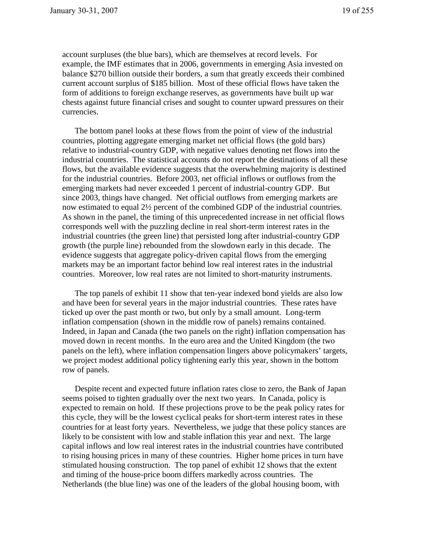account surpluses (the blue bars), which are themselves at record levels. For example, the IMF estimates that in 2006, governments in emerging Asia invested on balance \$270 billion outside their borders, a sum that greatly exceeds their combined current account surplus of \$185 billion. Most of these official flows have taken the form of additions to foreign exchange reserves, as governments have built up war chests against future financial crises and sought to counter upward pressures on their currencies.

The bottom panel looks at these flows from the point of view of the industrial countries, plotting aggregate emerging market net official flows (the gold bars) relative to industrial-country GDP, with negative values denoting net flows into the industrial countries. The statistical accounts do not report the destinations of all these flows, but the available evidence suggests that the overwhelming majority is destined for the industrial countries. Before 2003, net official inflows or outflows from the emerging markets had never exceeded 1 percent of industrial-country GDP. But since 2003, things have changed. Net official outflows from emerging markets are now estimated to equal 2½ percent of the combined GDP of the industrial countries. As shown in the panel, the timing of this unprecedented increase in net official flows corresponds well with the puzzling decline in real short-term interest rates in the industrial countries (the green line) that persisted long after industrial-country GDP growth (the purple line) rebounded from the slowdown early in this decade. The evidence suggests that aggregate policy-driven capital flows from the emerging markets may be an important factor behind low real interest rates in the industrial countries. Moreover, low real rates are not limited to short-maturity instruments.

The top panels of exhibit 11 show that ten-year indexed bond yields are also low and have been for several years in the major industrial countries. These rates have ticked up over the past month or two, but only by a small amount. Long-term inflation compensation (shown in the middle row of panels) remains contained. Indeed, in Japan and Canada (the two panels on the right) inflation compensation has moved down in recent months. In the euro area and the United Kingdom (the two panels on the left), where inflation compensation lingers above policymakers' targets, we project modest additional policy tightening early this year, shown in the bottom row of panels.

Despite recent and expected future inflation rates close to zero, the Bank of Japan seems poised to tighten gradually over the next two years. In Canada, policy is expected to remain on hold. If these projections prove to be the peak policy rates for this cycle, they will be the lowest cyclical peaks for short-term interest rates in these countries for at least forty years. Nevertheless, we judge that these policy stances are likely to be consistent with low and stable inflation this year and next. The large capital inflows and low real interest rates in the industrial countries have contributed to rising housing prices in many of these countries. Higher home prices in turn have stimulated housing construction. The top panel of exhibit 12 shows that the extent and timing of the house-price boom differs markedly across countries. The Netherlands (the blue line) was one of the leaders of the global housing boom, with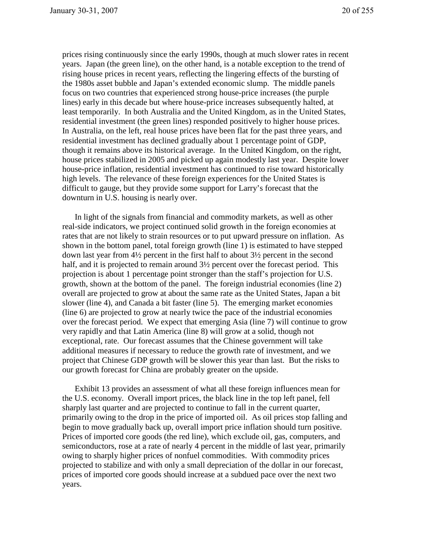prices rising continuously since the early 1990s, though at much slower rates in recent years. Japan (the green line), on the other hand, is a notable exception to the trend of rising house prices in recent years, reflecting the lingering effects of the bursting of the 1980s asset bubble and Japan's extended economic slump. The middle panels focus on two countries that experienced strong house-price increases (the purple lines) early in this decade but where house-price increases subsequently halted, at least temporarily. In both Australia and the United Kingdom, as in the United States, residential investment (the green lines) responded positively to higher house prices. In Australia, on the left, real house prices have been flat for the past three years, and residential investment has declined gradually about 1 percentage point of GDP, though it remains above its historical average. In the United Kingdom, on the right, house prices stabilized in 2005 and picked up again modestly last year. Despite lower house-price inflation, residential investment has continued to rise toward historically high levels. The relevance of these foreign experiences for the United States is difficult to gauge, but they provide some support for Larry's forecast that the downturn in U.S. housing is nearly over.

In light of the signals from financial and commodity markets, as well as other real-side indicators, we project continued solid growth in the foreign economies at rates that are not likely to strain resources or to put upward pressure on inflation. As shown in the bottom panel, total foreign growth (line 1) is estimated to have stepped down last year from 4½ percent in the first half to about 3½ percent in the second half, and it is projected to remain around  $3\frac{1}{2}$  percent over the forecast period. This projection is about 1 percentage point stronger than the staff's projection for U.S. growth, shown at the bottom of the panel. The foreign industrial economies (line 2) overall are projected to grow at about the same rate as the United States, Japan a bit slower (line 4), and Canada a bit faster (line 5). The emerging market economies (line 6) are projected to grow at nearly twice the pace of the industrial economies over the forecast period. We expect that emerging Asia (line 7) will continue to grow very rapidly and that Latin America (line 8) will grow at a solid, though not exceptional, rate. Our forecast assumes that the Chinese government will take additional measures if necessary to reduce the growth rate of investment, and we project that Chinese GDP growth will be slower this year than last. But the risks to our growth forecast for China are probably greater on the upside.

Exhibit 13 provides an assessment of what all these foreign influences mean for the U.S. economy. Overall import prices, the black line in the top left panel, fell sharply last quarter and are projected to continue to fall in the current quarter, primarily owing to the drop in the price of imported oil. As oil prices stop falling and begin to move gradually back up, overall import price inflation should turn positive. Prices of imported core goods (the red line), which exclude oil, gas, computers, and semiconductors, rose at a rate of nearly 4 percent in the middle of last year, primarily owing to sharply higher prices of nonfuel commodities. With commodity prices projected to stabilize and with only a small depreciation of the dollar in our forecast, prices of imported core goods should increase at a subdued pace over the next two years.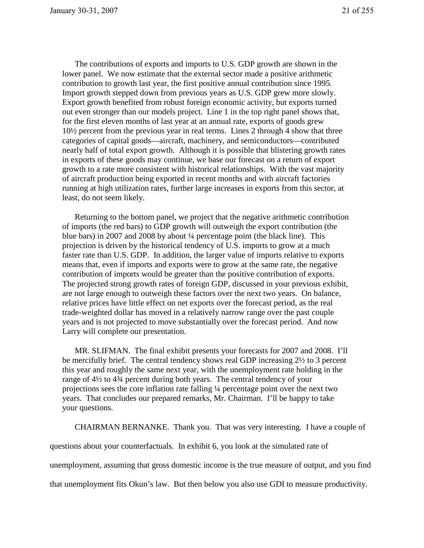The contributions of exports and imports to U.S. GDP growth are shown in the lower panel. We now estimate that the external sector made a positive arithmetic contribution to growth last year, the first positive annual contribution since 1995. Import growth stepped down from previous years as U.S. GDP grew more slowly. Export growth benefited from robust foreign economic activity, but exports turned out even stronger than our models project. Line 1 in the top right panel shows that, for the first eleven months of last year at an annual rate, exports of goods grew 10½ percent from the previous year in real terms. Lines 2 through 4 show that three categories of capital goods—aircraft, machinery, and semiconductors—contributed nearly half of total export growth. Although it is possible that blistering growth rates in exports of these goods may continue, we base our forecast on a return of export growth to a rate more consistent with historical relationships. With the vast majority of aircraft production being exported in recent months and with aircraft factories running at high utilization rates, further large increases in exports from this sector, at least, do not seem likely.

Returning to the bottom panel, we project that the negative arithmetic contribution of imports (the red bars) to GDP growth will outweigh the export contribution (the blue bars) in 2007 and 2008 by about ¼ percentage point (the black line). This projection is driven by the historical tendency of U.S. imports to grow at a much faster rate than U.S. GDP. In addition, the larger value of imports relative to exports means that, even if imports and exports were to grow at the same rate, the negative contribution of imports would be greater than the positive contribution of exports. The projected strong growth rates of foreign GDP, discussed in your previous exhibit, are not large enough to outweigh these factors over the next two years. On balance, relative prices have little effect on net exports over the forecast period, as the real trade-weighted dollar has moved in a relatively narrow range over the past couple years and is not projected to move substantially over the forecast period. And now Larry will complete our presentation.

MR. SLIFMAN. The final exhibit presents your forecasts for 2007 and 2008. I'll be mercifully brief. The central tendency shows real GDP increasing 2½ to 3 percent this year and roughly the same next year, with the unemployment rate holding in the range of 4½ to 4¾ percent during both years. The central tendency of your projections sees the core inflation rate falling ¼ percentage point over the next two years. That concludes our prepared remarks, Mr. Chairman. I'll be happy to take your questions.

CHAIRMAN BERNANKE. Thank you. That was very interesting. I have a couple of

questions about your counterfactuals. In exhibit 6, you look at the simulated rate of

unemployment, assuming that gross domestic income is the true measure of output, and you find

that unemployment fits Okun's law. But then below you also use GDI to measure productivity.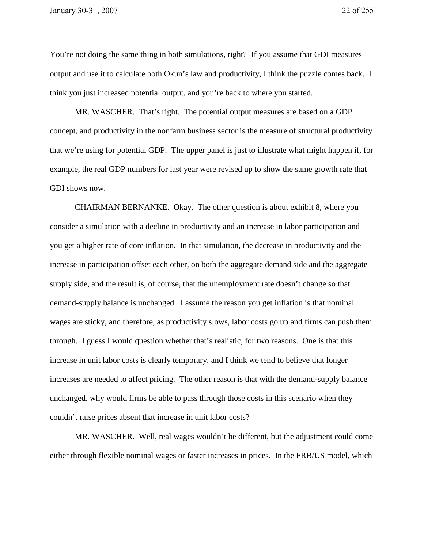You're not doing the same thing in both simulations, right? If you assume that GDI measures output and use it to calculate both Okun's law and productivity, I think the puzzle comes back. I think you just increased potential output, and you're back to where you started.

MR. WASCHER. That's right. The potential output measures are based on a GDP concept, and productivity in the nonfarm business sector is the measure of structural productivity that we're using for potential GDP. The upper panel is just to illustrate what might happen if, for example, the real GDP numbers for last year were revised up to show the same growth rate that GDI shows now.

CHAIRMAN BERNANKE. Okay. The other question is about exhibit 8, where you consider a simulation with a decline in productivity and an increase in labor participation and you get a higher rate of core inflation. In that simulation, the decrease in productivity and the increase in participation offset each other, on both the aggregate demand side and the aggregate supply side, and the result is, of course, that the unemployment rate doesn't change so that demand-supply balance is unchanged. I assume the reason you get inflation is that nominal wages are sticky, and therefore, as productivity slows, labor costs go up and firms can push them through. I guess I would question whether that's realistic, for two reasons. One is that this increase in unit labor costs is clearly temporary, and I think we tend to believe that longer increases are needed to affect pricing. The other reason is that with the demand-supply balance unchanged, why would firms be able to pass through those costs in this scenario when they couldn't raise prices absent that increase in unit labor costs?

MR. WASCHER. Well, real wages wouldn't be different, but the adjustment could come either through flexible nominal wages or faster increases in prices. In the FRB/US model, which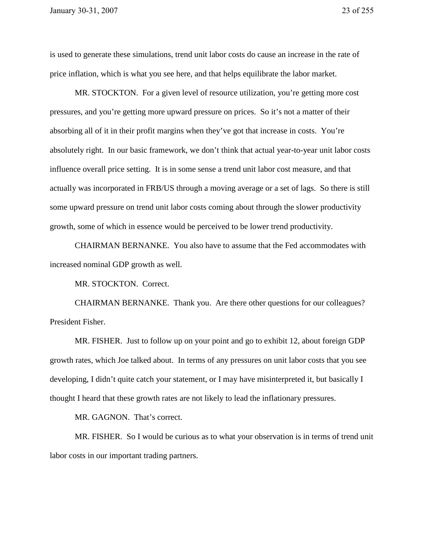is used to generate these simulations, trend unit labor costs do cause an increase in the rate of price inflation, which is what you see here, and that helps equilibrate the labor market.

MR. STOCKTON. For a given level of resource utilization, you're getting more cost pressures, and you're getting more upward pressure on prices. So it's not a matter of their absorbing all of it in their profit margins when they've got that increase in costs. You're absolutely right. In our basic framework, we don't think that actual year-to-year unit labor costs influence overall price setting. It is in some sense a trend unit labor cost measure, and that actually was incorporated in FRB/US through a moving average or a set of lags. So there is still some upward pressure on trend unit labor costs coming about through the slower productivity growth, some of which in essence would be perceived to be lower trend productivity.

CHAIRMAN BERNANKE. You also have to assume that the Fed accommodates with increased nominal GDP growth as well.

MR. STOCKTON. Correct.

 CHAIRMAN BERNANKE. Thank you. Are there other questions for our colleagues? President Fisher.

 MR. FISHER. Just to follow up on your point and go to exhibit 12, about foreign GDP growth rates, which Joe talked about. In terms of any pressures on unit labor costs that you see developing, I didn't quite catch your statement, or I may have misinterpreted it, but basically I thought I heard that these growth rates are not likely to lead the inflationary pressures.

MR. GAGNON. That's correct.

 MR. FISHER. So I would be curious as to what your observation is in terms of trend unit labor costs in our important trading partners.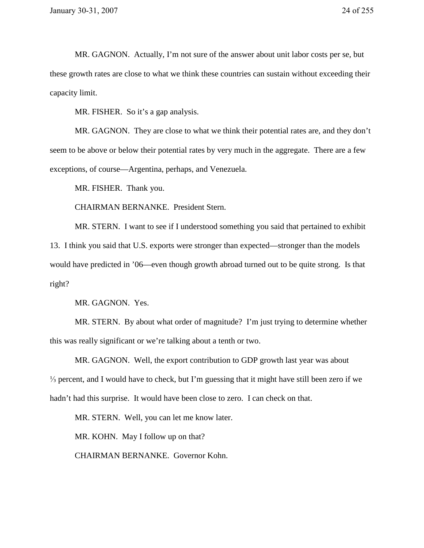MR. GAGNON. Actually, I'm not sure of the answer about unit labor costs per se, but these growth rates are close to what we think these countries can sustain without exceeding their capacity limit.

MR. FISHER. So it's a gap analysis.

MR. GAGNON. They are close to what we think their potential rates are, and they don't seem to be above or below their potential rates by very much in the aggregate. There are a few exceptions, of course—Argentina, perhaps, and Venezuela.

MR. FISHER. Thank you.

CHAIRMAN BERNANKE. President Stern.

MR. STERN. I want to see if I understood something you said that pertained to exhibit 13. I think you said that U.S. exports were stronger than expected—stronger than the models would have predicted in '06—even though growth abroad turned out to be quite strong. Is that right?

MR. GAGNON. Yes.

MR. STERN. By about what order of magnitude? I'm just trying to determine whether this was really significant or we're talking about a tenth or two.

MR. GAGNON. Well, the export contribution to GDP growth last year was about ⅓ percent, and I would have to check, but I'm guessing that it might have still been zero if we hadn't had this surprise. It would have been close to zero. I can check on that.

MR. STERN. Well, you can let me know later.

MR. KOHN. May I follow up on that?

CHAIRMAN BERNANKE. Governor Kohn.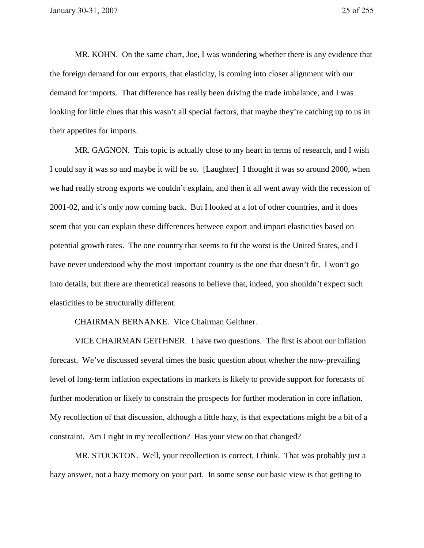MR. KOHN. On the same chart, Joe, I was wondering whether there is any evidence that the foreign demand for our exports, that elasticity, is coming into closer alignment with our demand for imports. That difference has really been driving the trade imbalance, and I was looking for little clues that this wasn't all special factors, that maybe they're catching up to us in their appetites for imports.

MR. GAGNON. This topic is actually close to my heart in terms of research, and I wish I could say it was so and maybe it will be so. [Laughter] I thought it was so around 2000, when we had really strong exports we couldn't explain, and then it all went away with the recession of 2001-02, and it's only now coming back. But I looked at a lot of other countries, and it does seem that you can explain these differences between export and import elasticities based on potential growth rates. The one country that seems to fit the worst is the United States, and I have never understood why the most important country is the one that doesn't fit. I won't go into details, but there are theoretical reasons to believe that, indeed, you shouldn't expect such elasticities to be structurally different.

## CHAIRMAN BERNANKE. Vice Chairman Geithner.

VICE CHAIRMAN GEITHNER. I have two questions. The first is about our inflation forecast. We've discussed several times the basic question about whether the now-prevailing level of long-term inflation expectations in markets is likely to provide support for forecasts of further moderation or likely to constrain the prospects for further moderation in core inflation. My recollection of that discussion, although a little hazy, is that expectations might be a bit of a constraint. Am I right in my recollection? Has your view on that changed?

MR. STOCKTON. Well, your recollection is correct, I think. That was probably just a hazy answer, not a hazy memory on your part. In some sense our basic view is that getting to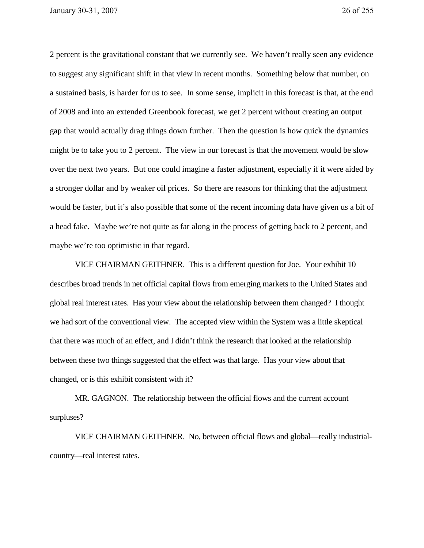2 percent is the gravitational constant that we currently see. We haven't really seen any evidence to suggest any significant shift in that view in recent months. Something below that number, on a sustained basis, is harder for us to see. In some sense, implicit in this forecast is that, at the end of 2008 and into an extended Greenbook forecast, we get 2 percent without creating an output gap that would actually drag things down further. Then the question is how quick the dynamics might be to take you to 2 percent. The view in our forecast is that the movement would be slow over the next two years. But one could imagine a faster adjustment, especially if it were aided by a stronger dollar and by weaker oil prices. So there are reasons for thinking that the adjustment would be faster, but it's also possible that some of the recent incoming data have given us a bit of a head fake. Maybe we're not quite as far along in the process of getting back to 2 percent, and maybe we're too optimistic in that regard.

VICE CHAIRMAN GEITHNER. This is a different question for Joe. Your exhibit 10 describes broad trends in net official capital flows from emerging markets to the United States and global real interest rates. Has your view about the relationship between them changed? I thought we had sort of the conventional view. The accepted view within the System was a little skeptical that there was much of an effect, and I didn't think the research that looked at the relationship between these two things suggested that the effect was that large. Has your view about that changed, or is this exhibit consistent with it?

MR. GAGNON. The relationship between the official flows and the current account surpluses?

VICE CHAIRMAN GEITHNER. No, between official flows and global—really industrialcountry—real interest rates.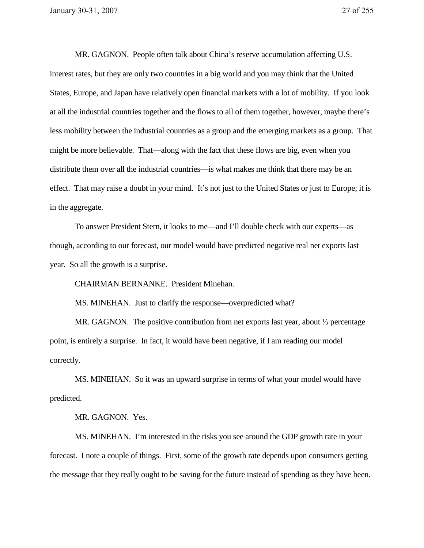MR. GAGNON. People often talk about China's reserve accumulation affecting U.S. interest rates, but they are only two countries in a big world and you may think that the United States, Europe, and Japan have relatively open financial markets with a lot of mobility. If you look at all the industrial countries together and the flows to all of them together, however, maybe there's less mobility between the industrial countries as a group and the emerging markets as a group. That might be more believable. That—along with the fact that these flows are big, even when you distribute them over all the industrial countries—is what makes me think that there may be an effect. That may raise a doubt in your mind. It's not just to the United States or just to Europe; it is in the aggregate.

To answer President Stern, it looks to me—and I'll double check with our experts—as though, according to our forecast, our model would have predicted negative real net exports last year. So all the growth is a surprise.

CHAIRMAN BERNANKE. President Minehan.

MS. MINEHAN. Just to clarify the response—overpredicted what?

MR. GAGNON. The positive contribution from net exports last year, about <sup>1</sup>/<sub>3</sub> percentage point, is entirely a surprise. In fact, it would have been negative, if I am reading our model correctly.

MS. MINEHAN. So it was an upward surprise in terms of what your model would have predicted.

MR. GAGNON. Yes.

MS. MINEHAN. I'm interested in the risks you see around the GDP growth rate in your forecast. I note a couple of things. First, some of the growth rate depends upon consumers getting the message that they really ought to be saving for the future instead of spending as they have been.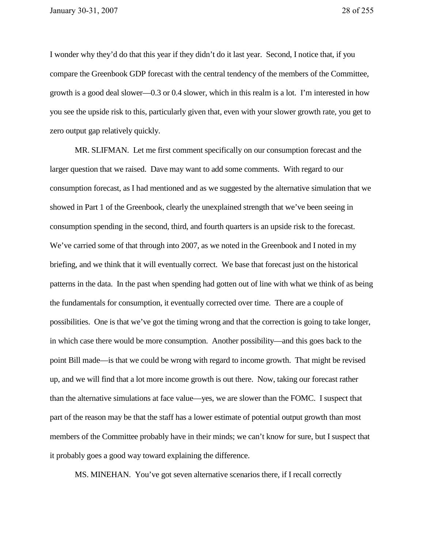I wonder why they'd do that this year if they didn't do it last year. Second, I notice that, if you compare the Greenbook GDP forecast with the central tendency of the members of the Committee, growth is a good deal slower—0.3 or 0.4 slower, which in this realm is a lot. I'm interested in how you see the upside risk to this, particularly given that, even with your slower growth rate, you get to zero output gap relatively quickly.

MR. SLIFMAN. Let me first comment specifically on our consumption forecast and the larger question that we raised. Dave may want to add some comments. With regard to our consumption forecast, as I had mentioned and as we suggested by the alternative simulation that we showed in Part 1 of the Greenbook, clearly the unexplained strength that we've been seeing in consumption spending in the second, third, and fourth quarters is an upside risk to the forecast. We've carried some of that through into 2007, as we noted in the Greenbook and I noted in my briefing, and we think that it will eventually correct. We base that forecast just on the historical patterns in the data. In the past when spending had gotten out of line with what we think of as being the fundamentals for consumption, it eventually corrected over time. There are a couple of possibilities. One is that we've got the timing wrong and that the correction is going to take longer, in which case there would be more consumption. Another possibility—and this goes back to the point Bill made—is that we could be wrong with regard to income growth. That might be revised up, and we will find that a lot more income growth is out there. Now, taking our forecast rather than the alternative simulations at face value—yes, we are slower than the FOMC. I suspect that part of the reason may be that the staff has a lower estimate of potential output growth than most members of the Committee probably have in their minds; we can't know for sure, but I suspect that it probably goes a good way toward explaining the difference.

MS. MINEHAN. You've got seven alternative scenarios there, if I recall correctly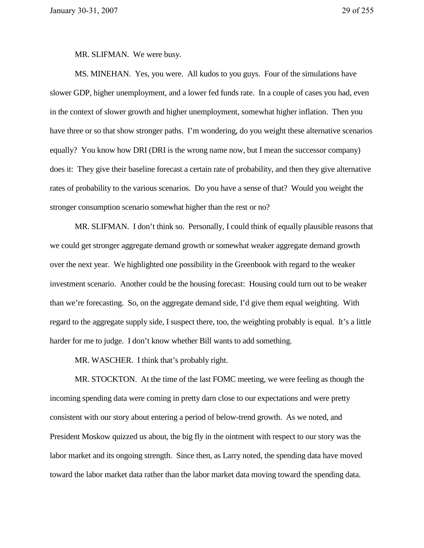MR. SLIFMAN. We were busy.

MS. MINEHAN. Yes, you were. All kudos to you guys. Four of the simulations have slower GDP, higher unemployment, and a lower fed funds rate. In a couple of cases you had, even in the context of slower growth and higher unemployment, somewhat higher inflation. Then you have three or so that show stronger paths. I'm wondering, do you weight these alternative scenarios equally? You know how DRI (DRI is the wrong name now, but I mean the successor company) does it: They give their baseline forecast a certain rate of probability, and then they give alternative rates of probability to the various scenarios. Do you have a sense of that? Would you weight the stronger consumption scenario somewhat higher than the rest or no?

MR. SLIFMAN. I don't think so. Personally, I could think of equally plausible reasons that we could get stronger aggregate demand growth or somewhat weaker aggregate demand growth over the next year. We highlighted one possibility in the Greenbook with regard to the weaker investment scenario. Another could be the housing forecast: Housing could turn out to be weaker than we're forecasting. So, on the aggregate demand side, I'd give them equal weighting. With regard to the aggregate supply side, I suspect there, too, the weighting probably is equal. It's a little harder for me to judge. I don't know whether Bill wants to add something.

MR. WASCHER. I think that's probably right.

MR. STOCKTON. At the time of the last FOMC meeting, we were feeling as though the incoming spending data were coming in pretty darn close to our expectations and were pretty consistent with our story about entering a period of below-trend growth. As we noted, and President Moskow quizzed us about, the big fly in the ointment with respect to our story was the labor market and its ongoing strength. Since then, as Larry noted, the spending data have moved toward the labor market data rather than the labor market data moving toward the spending data.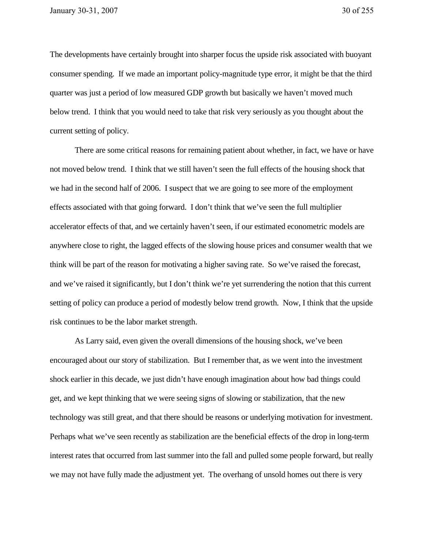The developments have certainly brought into sharper focus the upside risk associated with buoyant consumer spending. If we made an important policy-magnitude type error, it might be that the third quarter was just a period of low measured GDP growth but basically we haven't moved much below trend. I think that you would need to take that risk very seriously as you thought about the current setting of policy.

There are some critical reasons for remaining patient about whether, in fact, we have or have not moved below trend. I think that we still haven't seen the full effects of the housing shock that we had in the second half of 2006. I suspect that we are going to see more of the employment effects associated with that going forward. I don't think that we've seen the full multiplier accelerator effects of that, and we certainly haven't seen, if our estimated econometric models are anywhere close to right, the lagged effects of the slowing house prices and consumer wealth that we think will be part of the reason for motivating a higher saving rate. So we've raised the forecast, and we've raised it significantly, but I don't think we're yet surrendering the notion that this current setting of policy can produce a period of modestly below trend growth. Now, I think that the upside risk continues to be the labor market strength.

As Larry said, even given the overall dimensions of the housing shock, we've been encouraged about our story of stabilization. But I remember that, as we went into the investment shock earlier in this decade, we just didn't have enough imagination about how bad things could get, and we kept thinking that we were seeing signs of slowing or stabilization, that the new technology was still great, and that there should be reasons or underlying motivation for investment. Perhaps what we've seen recently as stabilization are the beneficial effects of the drop in long-term interest rates that occurred from last summer into the fall and pulled some people forward, but really we may not have fully made the adjustment yet. The overhang of unsold homes out there is very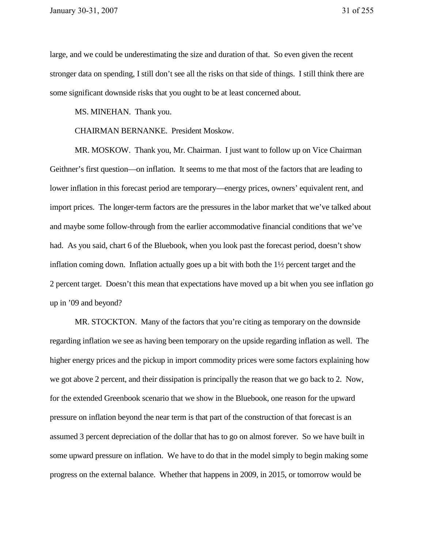large, and we could be underestimating the size and duration of that. So even given the recent stronger data on spending, I still don't see all the risks on that side of things. I still think there are some significant downside risks that you ought to be at least concerned about.

MS. MINEHAN. Thank you.

CHAIRMAN BERNANKE. President Moskow.

MR. MOSKOW. Thank you, Mr. Chairman. I just want to follow up on Vice Chairman Geithner's first question—on inflation. It seems to me that most of the factors that are leading to lower inflation in this forecast period are temporary—energy prices, owners' equivalent rent, and import prices. The longer-term factors are the pressures in the labor market that we've talked about and maybe some follow-through from the earlier accommodative financial conditions that we've had. As you said, chart 6 of the Bluebook, when you look past the forecast period, doesn't show inflation coming down. Inflation actually goes up a bit with both the 1½ percent target and the 2 percent target. Doesn't this mean that expectations have moved up a bit when you see inflation go up in '09 and beyond?

MR. STOCKTON. Many of the factors that you're citing as temporary on the downside regarding inflation we see as having been temporary on the upside regarding inflation as well. The higher energy prices and the pickup in import commodity prices were some factors explaining how we got above 2 percent, and their dissipation is principally the reason that we go back to 2. Now, for the extended Greenbook scenario that we show in the Bluebook, one reason for the upward pressure on inflation beyond the near term is that part of the construction of that forecast is an assumed 3 percent depreciation of the dollar that has to go on almost forever. So we have built in some upward pressure on inflation. We have to do that in the model simply to begin making some progress on the external balance. Whether that happens in 2009, in 2015, or tomorrow would be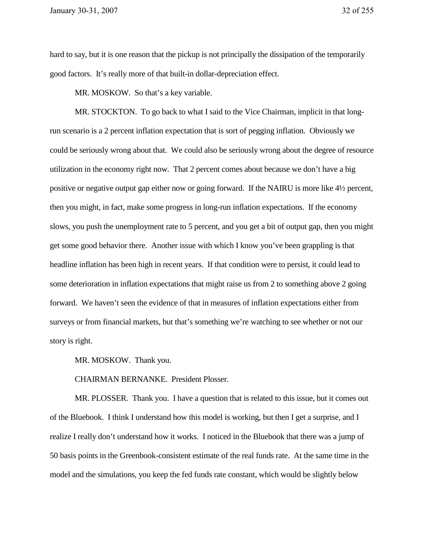hard to say, but it is one reason that the pickup is not principally the dissipation of the temporarily good factors. It's really more of that built-in dollar-depreciation effect.

MR. MOSKOW. So that's a key variable.

MR. STOCKTON. To go back to what I said to the Vice Chairman, implicit in that longrun scenario is a 2 percent inflation expectation that is sort of pegging inflation. Obviously we could be seriously wrong about that. We could also be seriously wrong about the degree of resource utilization in the economy right now. That 2 percent comes about because we don't have a big positive or negative output gap either now or going forward. If the NAIRU is more like 4½ percent, then you might, in fact, make some progress in long-run inflation expectations. If the economy slows, you push the unemployment rate to 5 percent, and you get a bit of output gap, then you might get some good behavior there. Another issue with which I know you've been grappling is that headline inflation has been high in recent years. If that condition were to persist, it could lead to some deterioration in inflation expectations that might raise us from 2 to something above 2 going forward. We haven't seen the evidence of that in measures of inflation expectations either from surveys or from financial markets, but that's something we're watching to see whether or not our story is right.

MR. MOSKOW. Thank you.

CHAIRMAN BERNANKE. President Plosser.

MR. PLOSSER. Thank you. I have a question that is related to this issue, but it comes out of the Bluebook. I think I understand how this model is working, but then I get a surprise, and I realize I really don't understand how it works. I noticed in the Bluebook that there was a jump of 50 basis points in the Greenbook-consistent estimate of the real funds rate. At the same time in the model and the simulations, you keep the fed funds rate constant, which would be slightly below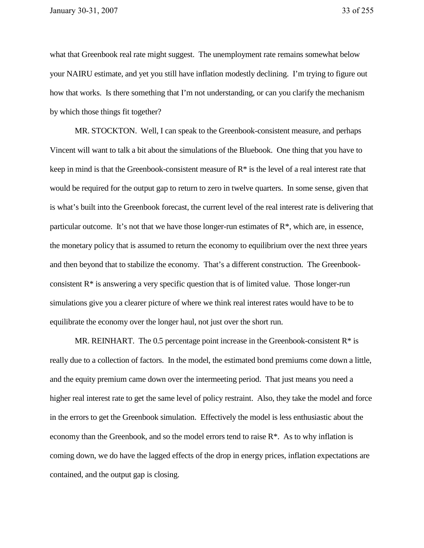what that Greenbook real rate might suggest. The unemployment rate remains somewhat below your NAIRU estimate, and yet you still have inflation modestly declining. I'm trying to figure out how that works. Is there something that I'm not understanding, or can you clarify the mechanism by which those things fit together?

MR. STOCKTON. Well, I can speak to the Greenbook-consistent measure, and perhaps Vincent will want to talk a bit about the simulations of the Bluebook. One thing that you have to keep in mind is that the Greenbook-consistent measure of  $R^*$  is the level of a real interest rate that would be required for the output gap to return to zero in twelve quarters. In some sense, given that is what's built into the Greenbook forecast, the current level of the real interest rate is delivering that particular outcome. It's not that we have those longer-run estimates of  $\mathbb{R}^*$ , which are, in essence, the monetary policy that is assumed to return the economy to equilibrium over the next three years and then beyond that to stabilize the economy. That's a different construction. The Greenbookconsistent  $R^*$  is answering a very specific question that is of limited value. Those longer-run simulations give you a clearer picture of where we think real interest rates would have to be to equilibrate the economy over the longer haul, not just over the short run.

MR. REINHART. The 0.5 percentage point increase in the Greenbook-consistent  $R^*$  is really due to a collection of factors. In the model, the estimated bond premiums come down a little, and the equity premium came down over the intermeeting period. That just means you need a higher real interest rate to get the same level of policy restraint. Also, they take the model and force in the errors to get the Greenbook simulation. Effectively the model is less enthusiastic about the economy than the Greenbook, and so the model errors tend to raise  $\mathbb{R}^*$ . As to why inflation is coming down, we do have the lagged effects of the drop in energy prices, inflation expectations are contained, and the output gap is closing.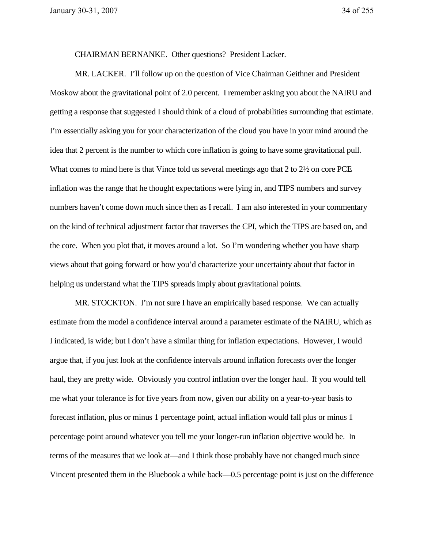CHAIRMAN BERNANKE. Other questions? President Lacker.

MR. LACKER. I'll follow up on the question of Vice Chairman Geithner and President Moskow about the gravitational point of 2.0 percent. I remember asking you about the NAIRU and getting a response that suggested I should think of a cloud of probabilities surrounding that estimate. I'm essentially asking you for your characterization of the cloud you have in your mind around the idea that 2 percent is the number to which core inflation is going to have some gravitational pull. What comes to mind here is that Vince told us several meetings ago that 2 to 2½ on core PCE inflation was the range that he thought expectations were lying in, and TIPS numbers and survey numbers haven't come down much since then as I recall. I am also interested in your commentary on the kind of technical adjustment factor that traverses the CPI, which the TIPS are based on, and the core. When you plot that, it moves around a lot. So I'm wondering whether you have sharp views about that going forward or how you'd characterize your uncertainty about that factor in helping us understand what the TIPS spreads imply about gravitational points.

MR. STOCKTON. I'm not sure I have an empirically based response. We can actually estimate from the model a confidence interval around a parameter estimate of the NAIRU, which as I indicated, is wide; but I don't have a similar thing for inflation expectations. However, I would argue that, if you just look at the confidence intervals around inflation forecasts over the longer haul, they are pretty wide. Obviously you control inflation over the longer haul. If you would tell me what your tolerance is for five years from now, given our ability on a year-to-year basis to forecast inflation, plus or minus 1 percentage point, actual inflation would fall plus or minus 1 percentage point around whatever you tell me your longer-run inflation objective would be. In terms of the measures that we look at—and I think those probably have not changed much since Vincent presented them in the Bluebook a while back—0.5 percentage point is just on the difference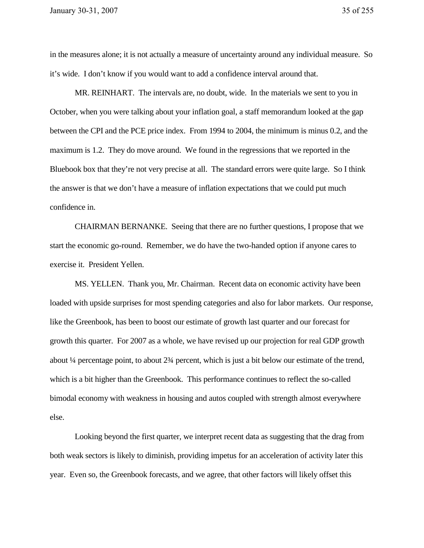in the measures alone; it is not actually a measure of uncertainty around any individual measure. So it's wide. I don't know if you would want to add a confidence interval around that.

MR. REINHART. The intervals are, no doubt, wide. In the materials we sent to you in October, when you were talking about your inflation goal, a staff memorandum looked at the gap between the CPI and the PCE price index. From 1994 to 2004, the minimum is minus 0.2, and the maximum is 1.2. They do move around. We found in the regressions that we reported in the Bluebook box that they're not very precise at all. The standard errors were quite large. So I think the answer is that we don't have a measure of inflation expectations that we could put much confidence in.

CHAIRMAN BERNANKE. Seeing that there are no further questions, I propose that we start the economic go-round. Remember, we do have the two-handed option if anyone cares to exercise it. President Yellen.

MS. YELLEN. Thank you, Mr. Chairman. Recent data on economic activity have been loaded with upside surprises for most spending categories and also for labor markets. Our response, like the Greenbook, has been to boost our estimate of growth last quarter and our forecast for growth this quarter. For 2007 as a whole, we have revised up our projection for real GDP growth about ¼ percentage point, to about 2¾ percent, which is just a bit below our estimate of the trend, which is a bit higher than the Greenbook. This performance continues to reflect the so-called bimodal economy with weakness in housing and autos coupled with strength almost everywhere else.

Looking beyond the first quarter, we interpret recent data as suggesting that the drag from both weak sectors is likely to diminish, providing impetus for an acceleration of activity later this year. Even so, the Greenbook forecasts, and we agree, that other factors will likely offset this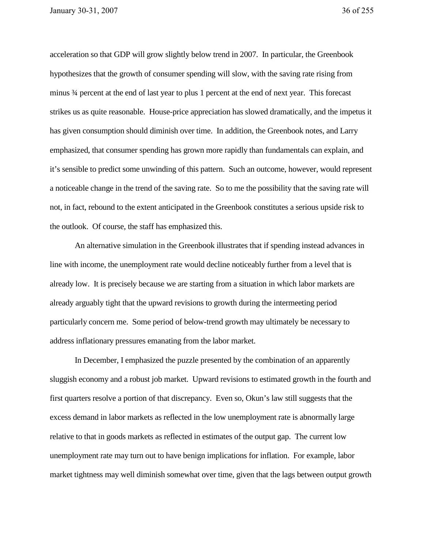acceleration so that GDP will grow slightly below trend in 2007. In particular, the Greenbook hypothesizes that the growth of consumer spending will slow, with the saving rate rising from minus ¾ percent at the end of last year to plus 1 percent at the end of next year. This forecast strikes us as quite reasonable. House-price appreciation has slowed dramatically, and the impetus it has given consumption should diminish over time. In addition, the Greenbook notes, and Larry emphasized, that consumer spending has grown more rapidly than fundamentals can explain, and it's sensible to predict some unwinding of this pattern. Such an outcome, however, would represent a noticeable change in the trend of the saving rate. So to me the possibility that the saving rate will not, in fact, rebound to the extent anticipated in the Greenbook constitutes a serious upside risk to the outlook. Of course, the staff has emphasized this.

An alternative simulation in the Greenbook illustrates that if spending instead advances in line with income, the unemployment rate would decline noticeably further from a level that is already low. It is precisely because we are starting from a situation in which labor markets are already arguably tight that the upward revisions to growth during the intermeeting period particularly concern me. Some period of below-trend growth may ultimately be necessary to address inflationary pressures emanating from the labor market.

In December, I emphasized the puzzle presented by the combination of an apparently sluggish economy and a robust job market. Upward revisions to estimated growth in the fourth and first quarters resolve a portion of that discrepancy. Even so, Okun's law still suggests that the excess demand in labor markets as reflected in the low unemployment rate is abnormally large relative to that in goods markets as reflected in estimates of the output gap. The current low unemployment rate may turn out to have benign implications for inflation. For example, labor market tightness may well diminish somewhat over time, given that the lags between output growth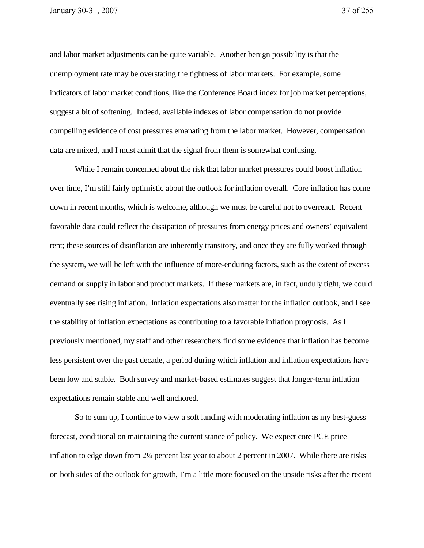and labor market adjustments can be quite variable. Another benign possibility is that the unemployment rate may be overstating the tightness of labor markets. For example, some indicators of labor market conditions, like the Conference Board index for job market perceptions, suggest a bit of softening. Indeed, available indexes of labor compensation do not provide compelling evidence of cost pressures emanating from the labor market. However, compensation data are mixed, and I must admit that the signal from them is somewhat confusing.

While I remain concerned about the risk that labor market pressures could boost inflation over time, I'm still fairly optimistic about the outlook for inflation overall. Core inflation has come down in recent months, which is welcome, although we must be careful not to overreact. Recent favorable data could reflect the dissipation of pressures from energy prices and owners' equivalent rent; these sources of disinflation are inherently transitory, and once they are fully worked through the system, we will be left with the influence of more-enduring factors, such as the extent of excess demand or supply in labor and product markets. If these markets are, in fact, unduly tight, we could eventually see rising inflation. Inflation expectations also matter for the inflation outlook, and I see the stability of inflation expectations as contributing to a favorable inflation prognosis. As I previously mentioned, my staff and other researchers find some evidence that inflation has become less persistent over the past decade, a period during which inflation and inflation expectations have been low and stable. Both survey and market-based estimates suggest that longer-term inflation expectations remain stable and well anchored.

So to sum up, I continue to view a soft landing with moderating inflation as my best-guess forecast, conditional on maintaining the current stance of policy. We expect core PCE price inflation to edge down from 2¼ percent last year to about 2 percent in 2007. While there are risks on both sides of the outlook for growth, I'm a little more focused on the upside risks after the recent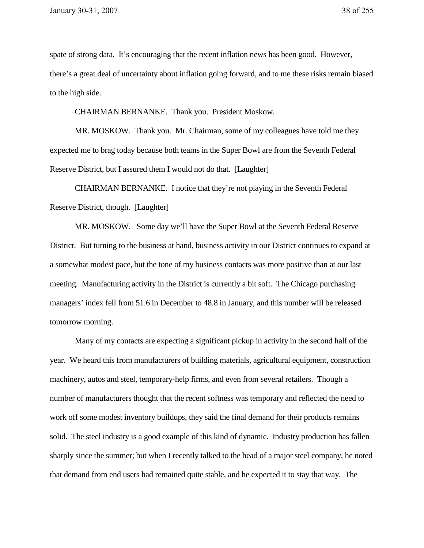spate of strong data. It's encouraging that the recent inflation news has been good. However, there's a great deal of uncertainty about inflation going forward, and to me these risks remain biased to the high side.

CHAIRMAN BERNANKE. Thank you. President Moskow.

MR. MOSKOW. Thank you. Mr. Chairman, some of my colleagues have told me they expected me to brag today because both teams in the Super Bowl are from the Seventh Federal Reserve District, but I assured them I would not do that. [Laughter]

CHAIRMAN BERNANKE. I notice that they're not playing in the Seventh Federal Reserve District, though. [Laughter]

MR. MOSKOW. Some day we'll have the Super Bowl at the Seventh Federal Reserve District. But turning to the business at hand, business activity in our District continues to expand at a somewhat modest pace, but the tone of my business contacts was more positive than at our last meeting. Manufacturing activity in the District is currently a bit soft. The Chicago purchasing managers' index fell from 51.6 in December to 48.8 in January, and this number will be released tomorrow morning.

Many of my contacts are expecting a significant pickup in activity in the second half of the year. We heard this from manufacturers of building materials, agricultural equipment, construction machinery, autos and steel, temporary-help firms, and even from several retailers. Though a number of manufacturers thought that the recent softness was temporary and reflected the need to work off some modest inventory buildups, they said the final demand for their products remains solid. The steel industry is a good example of this kind of dynamic. Industry production has fallen sharply since the summer; but when I recently talked to the head of a major steel company, he noted that demand from end users had remained quite stable, and he expected it to stay that way. The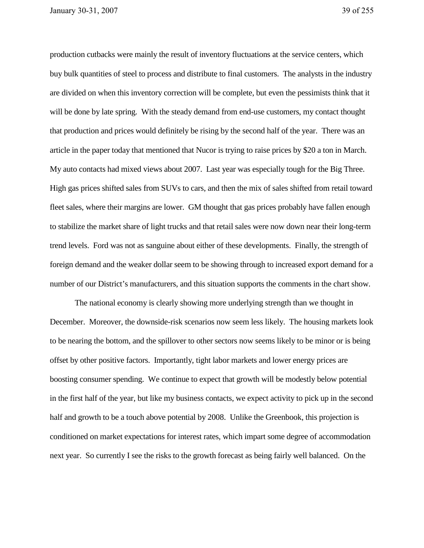production cutbacks were mainly the result of inventory fluctuations at the service centers, which buy bulk quantities of steel to process and distribute to final customers. The analysts in the industry are divided on when this inventory correction will be complete, but even the pessimists think that it will be done by late spring. With the steady demand from end-use customers, my contact thought that production and prices would definitely be rising by the second half of the year. There was an article in the paper today that mentioned that Nucor is trying to raise prices by \$20 a ton in March. My auto contacts had mixed views about 2007. Last year was especially tough for the Big Three. High gas prices shifted sales from SUVs to cars, and then the mix of sales shifted from retail toward fleet sales, where their margins are lower. GM thought that gas prices probably have fallen enough to stabilize the market share of light trucks and that retail sales were now down near their long-term trend levels. Ford was not as sanguine about either of these developments. Finally, the strength of foreign demand and the weaker dollar seem to be showing through to increased export demand for a number of our District's manufacturers, and this situation supports the comments in the chart show.

The national economy is clearly showing more underlying strength than we thought in December. Moreover, the downside-risk scenarios now seem less likely. The housing markets look to be nearing the bottom, and the spillover to other sectors now seems likely to be minor or is being offset by other positive factors. Importantly, tight labor markets and lower energy prices are boosting consumer spending. We continue to expect that growth will be modestly below potential in the first half of the year, but like my business contacts, we expect activity to pick up in the second half and growth to be a touch above potential by 2008. Unlike the Greenbook, this projection is conditioned on market expectations for interest rates, which impart some degree of accommodation next year. So currently I see the risks to the growth forecast as being fairly well balanced. On the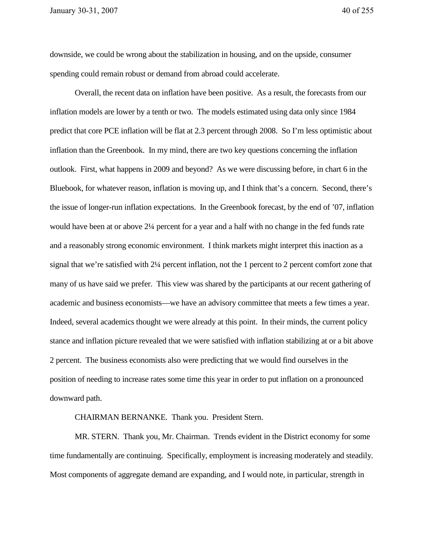downside, we could be wrong about the stabilization in housing, and on the upside, consumer spending could remain robust or demand from abroad could accelerate.

Overall, the recent data on inflation have been positive. As a result, the forecasts from our inflation models are lower by a tenth or two. The models estimated using data only since 1984 predict that core PCE inflation will be flat at 2.3 percent through 2008. So I'm less optimistic about inflation than the Greenbook. In my mind, there are two key questions concerning the inflation outlook. First, what happens in 2009 and beyond? As we were discussing before, in chart 6 in the Bluebook, for whatever reason, inflation is moving up, and I think that's a concern. Second, there's the issue of longer-run inflation expectations. In the Greenbook forecast, by the end of '07, inflation would have been at or above 2¼ percent for a year and a half with no change in the fed funds rate and a reasonably strong economic environment. I think markets might interpret this inaction as a signal that we're satisfied with 2¼ percent inflation, not the 1 percent to 2 percent comfort zone that many of us have said we prefer. This view was shared by the participants at our recent gathering of academic and business economists—we have an advisory committee that meets a few times a year. Indeed, several academics thought we were already at this point. In their minds, the current policy stance and inflation picture revealed that we were satisfied with inflation stabilizing at or a bit above 2 percent. The business economists also were predicting that we would find ourselves in the position of needing to increase rates some time this year in order to put inflation on a pronounced downward path.

CHAIRMAN BERNANKE. Thank you. President Stern.

MR. STERN. Thank you, Mr. Chairman. Trends evident in the District economy for some time fundamentally are continuing. Specifically, employment is increasing moderately and steadily. Most components of aggregate demand are expanding, and I would note, in particular, strength in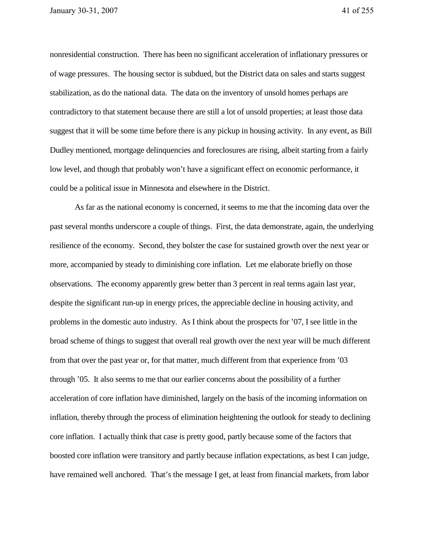nonresidential construction. There has been no significant acceleration of inflationary pressures or of wage pressures. The housing sector is subdued, but the District data on sales and starts suggest stabilization, as do the national data. The data on the inventory of unsold homes perhaps are contradictory to that statement because there are still a lot of unsold properties; at least those data suggest that it will be some time before there is any pickup in housing activity. In any event, as Bill Dudley mentioned, mortgage delinquencies and foreclosures are rising, albeit starting from a fairly low level, and though that probably won't have a significant effect on economic performance, it could be a political issue in Minnesota and elsewhere in the District.

As far as the national economy is concerned, it seems to me that the incoming data over the past several months underscore a couple of things. First, the data demonstrate, again, the underlying resilience of the economy. Second, they bolster the case for sustained growth over the next year or more, accompanied by steady to diminishing core inflation. Let me elaborate briefly on those observations. The economy apparently grew better than 3 percent in real terms again last year, despite the significant run-up in energy prices, the appreciable decline in housing activity, and problems in the domestic auto industry. As I think about the prospects for '07, I see little in the broad scheme of things to suggest that overall real growth over the next year will be much different from that over the past year or, for that matter, much different from that experience from '03 through '05. It also seems to me that our earlier concerns about the possibility of a further acceleration of core inflation have diminished, largely on the basis of the incoming information on inflation, thereby through the process of elimination heightening the outlook for steady to declining core inflation. I actually think that case is pretty good, partly because some of the factors that boosted core inflation were transitory and partly because inflation expectations, as best I can judge, have remained well anchored. That's the message I get, at least from financial markets, from labor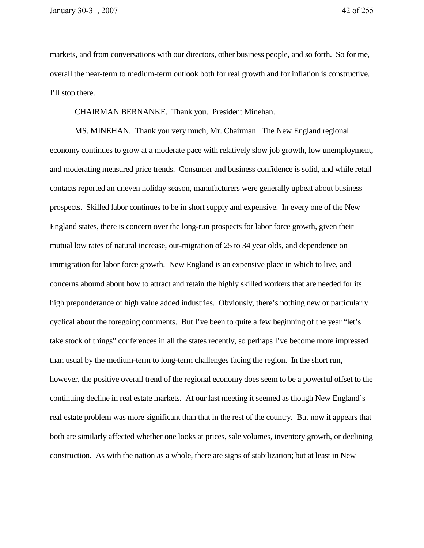markets, and from conversations with our directors, other business people, and so forth. So for me, overall the near-term to medium-term outlook both for real growth and for inflation is constructive. I'll stop there.

CHAIRMAN BERNANKE. Thank you. President Minehan.

MS. MINEHAN. Thank you very much, Mr. Chairman. The New England regional economy continues to grow at a moderate pace with relatively slow job growth, low unemployment, and moderating measured price trends. Consumer and business confidence is solid, and while retail contacts reported an uneven holiday season, manufacturers were generally upbeat about business prospects. Skilled labor continues to be in short supply and expensive. In every one of the New England states, there is concern over the long-run prospects for labor force growth, given their mutual low rates of natural increase, out-migration of 25 to 34 year olds, and dependence on immigration for labor force growth. New England is an expensive place in which to live, and concerns abound about how to attract and retain the highly skilled workers that are needed for its high preponderance of high value added industries. Obviously, there's nothing new or particularly cyclical about the foregoing comments. But I've been to quite a few beginning of the year "let's take stock of things" conferences in all the states recently, so perhaps I've become more impressed than usual by the medium-term to long-term challenges facing the region. In the short run, however, the positive overall trend of the regional economy does seem to be a powerful offset to the continuing decline in real estate markets. At our last meeting it seemed as though New England's real estate problem was more significant than that in the rest of the country. But now it appears that both are similarly affected whether one looks at prices, sale volumes, inventory growth, or declining construction. As with the nation as a whole, there are signs of stabilization; but at least in New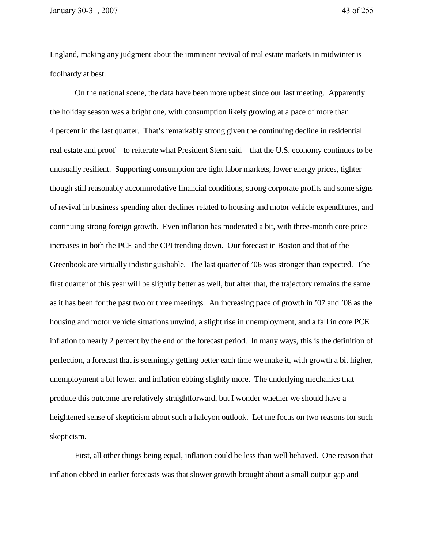England, making any judgment about the imminent revival of real estate markets in midwinter is foolhardy at best.

On the national scene, the data have been more upbeat since our last meeting. Apparently the holiday season was a bright one, with consumption likely growing at a pace of more than 4 percent in the last quarter. That's remarkably strong given the continuing decline in residential real estate and proof—to reiterate what President Stern said—that the U.S. economy continues to be unusually resilient. Supporting consumption are tight labor markets, lower energy prices, tighter though still reasonably accommodative financial conditions, strong corporate profits and some signs of revival in business spending after declines related to housing and motor vehicle expenditures, and continuing strong foreign growth. Even inflation has moderated a bit, with three-month core price increases in both the PCE and the CPI trending down. Our forecast in Boston and that of the Greenbook are virtually indistinguishable. The last quarter of '06 was stronger than expected. The first quarter of this year will be slightly better as well, but after that, the trajectory remains the same as it has been for the past two or three meetings. An increasing pace of growth in '07 and '08 as the housing and motor vehicle situations unwind, a slight rise in unemployment, and a fall in core PCE inflation to nearly 2 percent by the end of the forecast period. In many ways, this is the definition of perfection, a forecast that is seemingly getting better each time we make it, with growth a bit higher, unemployment a bit lower, and inflation ebbing slightly more. The underlying mechanics that produce this outcome are relatively straightforward, but I wonder whether we should have a heightened sense of skepticism about such a halcyon outlook. Let me focus on two reasons for such skepticism.

First, all other things being equal, inflation could be less than well behaved. One reason that inflation ebbed in earlier forecasts was that slower growth brought about a small output gap and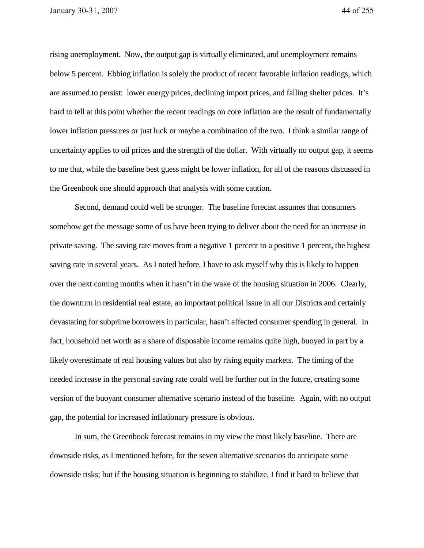rising unemployment. Now, the output gap is virtually eliminated, and unemployment remains below 5 percent. Ebbing inflation is solely the product of recent favorable inflation readings, which are assumed to persist: lower energy prices, declining import prices, and falling shelter prices. It's hard to tell at this point whether the recent readings on core inflation are the result of fundamentally lower inflation pressures or just luck or maybe a combination of the two. I think a similar range of uncertainty applies to oil prices and the strength of the dollar. With virtually no output gap, it seems to me that, while the baseline best guess might be lower inflation, for all of the reasons discussed in the Greenbook one should approach that analysis with some caution.

Second, demand could well be stronger. The baseline forecast assumes that consumers somehow get the message some of us have been trying to deliver about the need for an increase in private saving. The saving rate moves from a negative 1 percent to a positive 1 percent, the highest saving rate in several years. As I noted before, I have to ask myself why this is likely to happen over the next coming months when it hasn't in the wake of the housing situation in 2006. Clearly, the downturn in residential real estate, an important political issue in all our Districts and certainly devastating for subprime borrowers in particular, hasn't affected consumer spending in general. In fact, household net worth as a share of disposable income remains quite high, buoyed in part by a likely overestimate of real housing values but also by rising equity markets. The timing of the needed increase in the personal saving rate could well be further out in the future, creating some version of the buoyant consumer alternative scenario instead of the baseline. Again, with no output gap, the potential for increased inflationary pressure is obvious.

In sum, the Greenbook forecast remains in my view the most likely baseline. There are downside risks, as I mentioned before, for the seven alternative scenarios do anticipate some downside risks; but if the housing situation is beginning to stabilize, I find it hard to believe that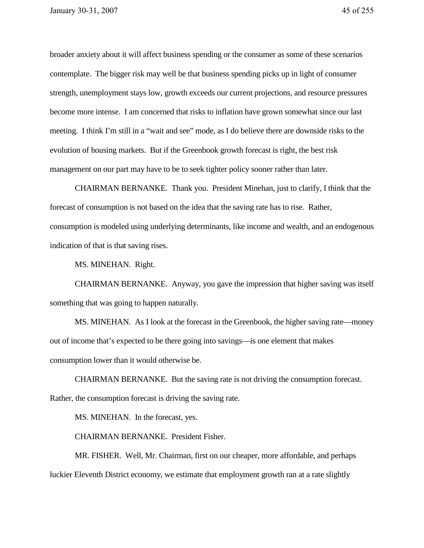broader anxiety about it will affect business spending or the consumer as some of these scenarios contemplate. The bigger risk may well be that business spending picks up in light of consumer strength, unemployment stays low, growth exceeds our current projections, and resource pressures become more intense. I am concerned that risks to inflation have grown somewhat since our last meeting. I think I'm still in a "wait and see" mode, as I do believe there are downside risks to the evolution of housing markets. But if the Greenbook growth forecast is right, the best risk management on our part may have to be to seek tighter policy sooner rather than later.

CHAIRMAN BERNANKE. Thank you. President Minehan, just to clarify, I think that the forecast of consumption is not based on the idea that the saving rate has to rise. Rather, consumption is modeled using underlying determinants, like income and wealth, and an endogenous indication of that is that saving rises.

MS. MINEHAN. Right.

CHAIRMAN BERNANKE. Anyway, you gave the impression that higher saving was itself something that was going to happen naturally.

MS. MINEHAN. As I look at the forecast in the Greenbook, the higher saving rate—money out of income that's expected to be there going into savings—is one element that makes consumption lower than it would otherwise be.

CHAIRMAN BERNANKE. But the saving rate is not driving the consumption forecast. Rather, the consumption forecast is driving the saving rate.

MS. MINEHAN. In the forecast, yes.

CHAIRMAN BERNANKE. President Fisher.

MR. FISHER. Well, Mr. Chairman, first on our cheaper, more affordable, and perhaps luckier Eleventh District economy, we estimate that employment growth ran at a rate slightly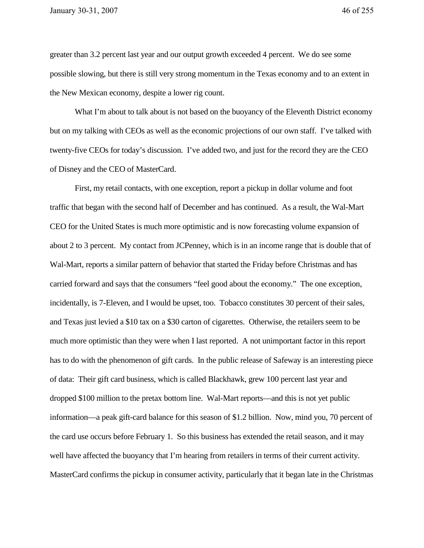greater than 3.2 percent last year and our output growth exceeded 4 percent. We do see some possible slowing, but there is still very strong momentum in the Texas economy and to an extent in the New Mexican economy, despite a lower rig count.

What I'm about to talk about is not based on the buoyancy of the Eleventh District economy but on my talking with CEOs as well as the economic projections of our own staff. I've talked with twenty-five CEOs for today's discussion. I've added two, and just for the record they are the CEO of Disney and the CEO of MasterCard.

First, my retail contacts, with one exception, report a pickup in dollar volume and foot traffic that began with the second half of December and has continued. As a result, the Wal-Mart CEO for the United States is much more optimistic and is now forecasting volume expansion of about 2 to 3 percent. My contact from JCPenney, which is in an income range that is double that of Wal-Mart, reports a similar pattern of behavior that started the Friday before Christmas and has carried forward and says that the consumers "feel good about the economy." The one exception, incidentally, is 7-Eleven, and I would be upset, too. Tobacco constitutes 30 percent of their sales, and Texas just levied a \$10 tax on a \$30 carton of cigarettes. Otherwise, the retailers seem to be much more optimistic than they were when I last reported. A not unimportant factor in this report has to do with the phenomenon of gift cards. In the public release of Safeway is an interesting piece of data: Their gift card business, which is called Blackhawk, grew 100 percent last year and dropped \$100 million to the pretax bottom line. Wal-Mart reports—and this is not yet public information—a peak gift-card balance for this season of \$1.2 billion. Now, mind you, 70 percent of the card use occurs before February 1. So this business has extended the retail season, and it may well have affected the buoyancy that I'm hearing from retailers in terms of their current activity. MasterCard confirms the pickup in consumer activity, particularly that it began late in the Christmas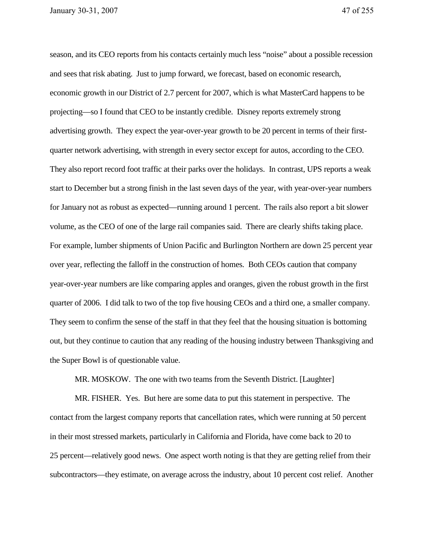season, and its CEO reports from his contacts certainly much less "noise" about a possible recession and sees that risk abating. Just to jump forward, we forecast, based on economic research, economic growth in our District of 2.7 percent for 2007, which is what MasterCard happens to be projecting—so I found that CEO to be instantly credible. Disney reports extremely strong advertising growth. They expect the year-over-year growth to be 20 percent in terms of their firstquarter network advertising, with strength in every sector except for autos, according to the CEO. They also report record foot traffic at their parks over the holidays. In contrast, UPS reports a weak start to December but a strong finish in the last seven days of the year, with year-over-year numbers for January not as robust as expected—running around 1 percent. The rails also report a bit slower volume, as the CEO of one of the large rail companies said. There are clearly shifts taking place. For example, lumber shipments of Union Pacific and Burlington Northern are down 25 percent year over year, reflecting the falloff in the construction of homes. Both CEOs caution that company year-over-year numbers are like comparing apples and oranges, given the robust growth in the first quarter of 2006. I did talk to two of the top five housing CEOs and a third one, a smaller company. They seem to confirm the sense of the staff in that they feel that the housing situation is bottoming out, but they continue to caution that any reading of the housing industry between Thanksgiving and the Super Bowl is of questionable value.

MR. MOSKOW. The one with two teams from the Seventh District. [Laughter]

MR. FISHER. Yes. But here are some data to put this statement in perspective. The contact from the largest company reports that cancellation rates, which were running at 50 percent in their most stressed markets, particularly in California and Florida, have come back to 20 to 25 percent—relatively good news. One aspect worth noting is that they are getting relief from their subcontractors—they estimate, on average across the industry, about 10 percent cost relief. Another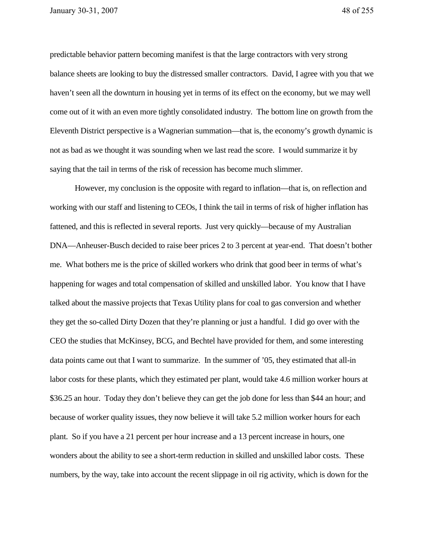predictable behavior pattern becoming manifest is that the large contractors with very strong balance sheets are looking to buy the distressed smaller contractors. David, I agree with you that we haven't seen all the downturn in housing yet in terms of its effect on the economy, but we may well come out of it with an even more tightly consolidated industry. The bottom line on growth from the Eleventh District perspective is a Wagnerian summation—that is, the economy's growth dynamic is not as bad as we thought it was sounding when we last read the score. I would summarize it by saying that the tail in terms of the risk of recession has become much slimmer.

However, my conclusion is the opposite with regard to inflation—that is, on reflection and working with our staff and listening to CEOs, I think the tail in terms of risk of higher inflation has fattened, and this is reflected in several reports. Just very quickly—because of my Australian DNA—Anheuser-Busch decided to raise beer prices 2 to 3 percent at year-end. That doesn't bother me. What bothers me is the price of skilled workers who drink that good beer in terms of what's happening for wages and total compensation of skilled and unskilled labor. You know that I have talked about the massive projects that Texas Utility plans for coal to gas conversion and whether they get the so-called Dirty Dozen that they're planning or just a handful. I did go over with the CEO the studies that McKinsey, BCG, and Bechtel have provided for them, and some interesting data points came out that I want to summarize. In the summer of '05, they estimated that all-in labor costs for these plants, which they estimated per plant, would take 4.6 million worker hours at \$36.25 an hour. Today they don't believe they can get the job done for less than \$44 an hour; and because of worker quality issues, they now believe it will take 5.2 million worker hours for each plant. So if you have a 21 percent per hour increase and a 13 percent increase in hours, one wonders about the ability to see a short-term reduction in skilled and unskilled labor costs. These numbers, by the way, take into account the recent slippage in oil rig activity, which is down for the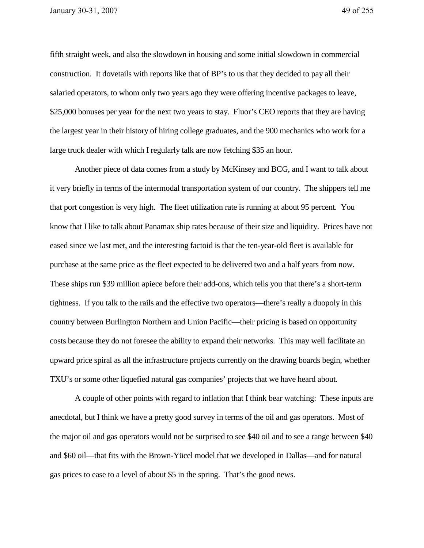fifth straight week, and also the slowdown in housing and some initial slowdown in commercial construction. It dovetails with reports like that of BP's to us that they decided to pay all their salaried operators, to whom only two years ago they were offering incentive packages to leave, \$25,000 bonuses per year for the next two years to stay. Fluor's CEO reports that they are having the largest year in their history of hiring college graduates, and the 900 mechanics who work for a large truck dealer with which I regularly talk are now fetching \$35 an hour.

Another piece of data comes from a study by McKinsey and BCG, and I want to talk about it very briefly in terms of the intermodal transportation system of our country. The shippers tell me that port congestion is very high. The fleet utilization rate is running at about 95 percent. You know that I like to talk about Panamax ship rates because of their size and liquidity. Prices have not eased since we last met, and the interesting factoid is that the ten-year-old fleet is available for purchase at the same price as the fleet expected to be delivered two and a half years from now. These ships run \$39 million apiece before their add-ons, which tells you that there's a short-term tightness. If you talk to the rails and the effective two operators—there's really a duopoly in this country between Burlington Northern and Union Pacific—their pricing is based on opportunity costs because they do not foresee the ability to expand their networks. This may well facilitate an upward price spiral as all the infrastructure projects currently on the drawing boards begin, whether TXU's or some other liquefied natural gas companies' projects that we have heard about.

A couple of other points with regard to inflation that I think bear watching: These inputs are anecdotal, but I think we have a pretty good survey in terms of the oil and gas operators. Most of the major oil and gas operators would not be surprised to see \$40 oil and to see a range between \$40 and \$60 oil—that fits with the Brown-Yücel model that we developed in Dallas—and for natural gas prices to ease to a level of about \$5 in the spring. That's the good news.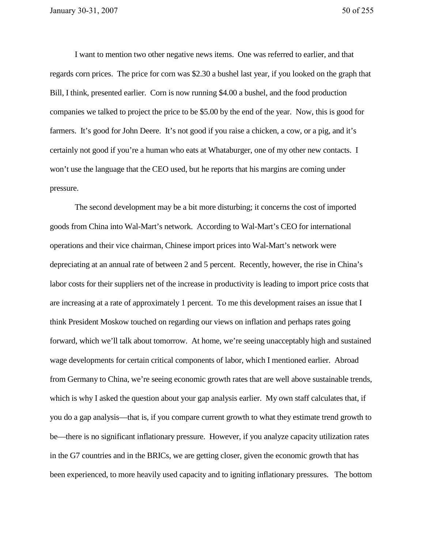I want to mention two other negative news items. One was referred to earlier, and that regards corn prices. The price for corn was \$2.30 a bushel last year, if you looked on the graph that Bill, I think, presented earlier. Corn is now running \$4.00 a bushel, and the food production companies we talked to project the price to be \$5.00 by the end of the year. Now, this is good for farmers. It's good for John Deere. It's not good if you raise a chicken, a cow, or a pig, and it's certainly not good if you're a human who eats at Whataburger, one of my other new contacts. I won't use the language that the CEO used, but he reports that his margins are coming under pressure.

The second development may be a bit more disturbing; it concerns the cost of imported goods from China into Wal-Mart's network. According to Wal-Mart's CEO for international operations and their vice chairman, Chinese import prices into Wal-Mart's network were depreciating at an annual rate of between 2 and 5 percent. Recently, however, the rise in China's labor costs for their suppliers net of the increase in productivity is leading to import price costs that are increasing at a rate of approximately 1 percent. To me this development raises an issue that I think President Moskow touched on regarding our views on inflation and perhaps rates going forward, which we'll talk about tomorrow. At home, we're seeing unacceptably high and sustained wage developments for certain critical components of labor, which I mentioned earlier. Abroad from Germany to China, we're seeing economic growth rates that are well above sustainable trends, which is why I asked the question about your gap analysis earlier. My own staff calculates that, if you do a gap analysis—that is, if you compare current growth to what they estimate trend growth to be—there is no significant inflationary pressure. However, if you analyze capacity utilization rates in the G7 countries and in the BRICs, we are getting closer, given the economic growth that has been experienced, to more heavily used capacity and to igniting inflationary pressures. The bottom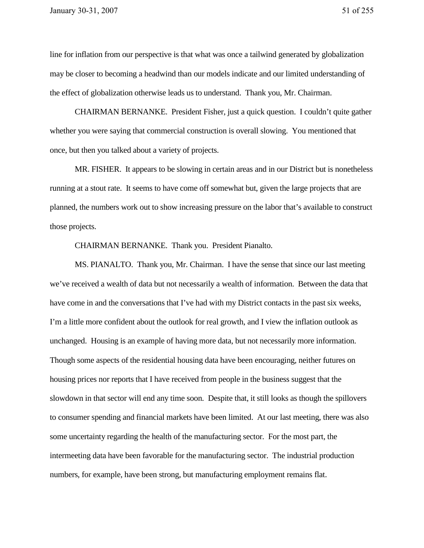line for inflation from our perspective is that what was once a tailwind generated by globalization may be closer to becoming a headwind than our models indicate and our limited understanding of the effect of globalization otherwise leads us to understand. Thank you, Mr. Chairman.

CHAIRMAN BERNANKE. President Fisher, just a quick question. I couldn't quite gather whether you were saying that commercial construction is overall slowing. You mentioned that once, but then you talked about a variety of projects.

MR. FISHER. It appears to be slowing in certain areas and in our District but is nonetheless running at a stout rate. It seems to have come off somewhat but, given the large projects that are planned, the numbers work out to show increasing pressure on the labor that's available to construct those projects.

CHAIRMAN BERNANKE. Thank you. President Pianalto.

MS. PIANALTO. Thank you, Mr. Chairman. I have the sense that since our last meeting we've received a wealth of data but not necessarily a wealth of information. Between the data that have come in and the conversations that I've had with my District contacts in the past six weeks, I'm a little more confident about the outlook for real growth, and I view the inflation outlook as unchanged. Housing is an example of having more data, but not necessarily more information. Though some aspects of the residential housing data have been encouraging, neither futures on housing prices nor reports that I have received from people in the business suggest that the slowdown in that sector will end any time soon. Despite that, it still looks as though the spillovers to consumer spending and financial markets have been limited. At our last meeting, there was also some uncertainty regarding the health of the manufacturing sector. For the most part, the intermeeting data have been favorable for the manufacturing sector. The industrial production numbers, for example, have been strong, but manufacturing employment remains flat.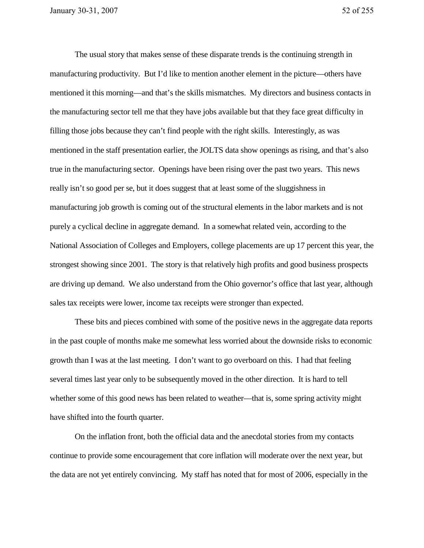The usual story that makes sense of these disparate trends is the continuing strength in manufacturing productivity. But I'd like to mention another element in the picture—others have mentioned it this morning—and that's the skills mismatches. My directors and business contacts in the manufacturing sector tell me that they have jobs available but that they face great difficulty in filling those jobs because they can't find people with the right skills. Interestingly, as was mentioned in the staff presentation earlier, the JOLTS data show openings as rising, and that's also true in the manufacturing sector. Openings have been rising over the past two years. This news really isn't so good per se, but it does suggest that at least some of the sluggishness in manufacturing job growth is coming out of the structural elements in the labor markets and is not purely a cyclical decline in aggregate demand. In a somewhat related vein, according to the National Association of Colleges and Employers, college placements are up 17 percent this year, the strongest showing since 2001. The story is that relatively high profits and good business prospects are driving up demand. We also understand from the Ohio governor's office that last year, although sales tax receipts were lower, income tax receipts were stronger than expected.

These bits and pieces combined with some of the positive news in the aggregate data reports in the past couple of months make me somewhat less worried about the downside risks to economic growth than I was at the last meeting. I don't want to go overboard on this. I had that feeling several times last year only to be subsequently moved in the other direction. It is hard to tell whether some of this good news has been related to weather—that is, some spring activity might have shifted into the fourth quarter.

On the inflation front, both the official data and the anecdotal stories from my contacts continue to provide some encouragement that core inflation will moderate over the next year, but the data are not yet entirely convincing. My staff has noted that for most of 2006, especially in the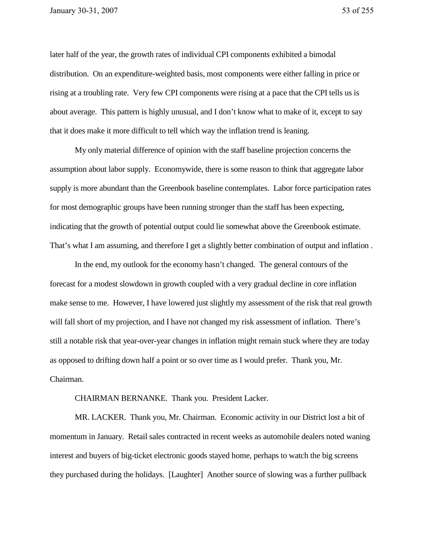later half of the year, the growth rates of individual CPI components exhibited a bimodal distribution. On an expenditure-weighted basis, most components were either falling in price or rising at a troubling rate. Very few CPI components were rising at a pace that the CPI tells us is about average. This pattern is highly unusual, and I don't know what to make of it, except to say that it does make it more difficult to tell which way the inflation trend is leaning.

My only material difference of opinion with the staff baseline projection concerns the assumption about labor supply. Economywide, there is some reason to think that aggregate labor supply is more abundant than the Greenbook baseline contemplates. Labor force participation rates for most demographic groups have been running stronger than the staff has been expecting, indicating that the growth of potential output could lie somewhat above the Greenbook estimate. That's what I am assuming, and therefore I get a slightly better combination of output and inflation .

In the end, my outlook for the economy hasn't changed. The general contours of the forecast for a modest slowdown in growth coupled with a very gradual decline in core inflation make sense to me. However, I have lowered just slightly my assessment of the risk that real growth will fall short of my projection, and I have not changed my risk assessment of inflation. There's still a notable risk that year-over-year changes in inflation might remain stuck where they are today as opposed to drifting down half a point or so over time as I would prefer. Thank you, Mr. Chairman.

CHAIRMAN BERNANKE. Thank you. President Lacker.

MR. LACKER. Thank you, Mr. Chairman. Economic activity in our District lost a bit of momentum in January. Retail sales contracted in recent weeks as automobile dealers noted waning interest and buyers of big-ticket electronic goods stayed home, perhaps to watch the big screens they purchased during the holidays. [Laughter] Another source of slowing was a further pullback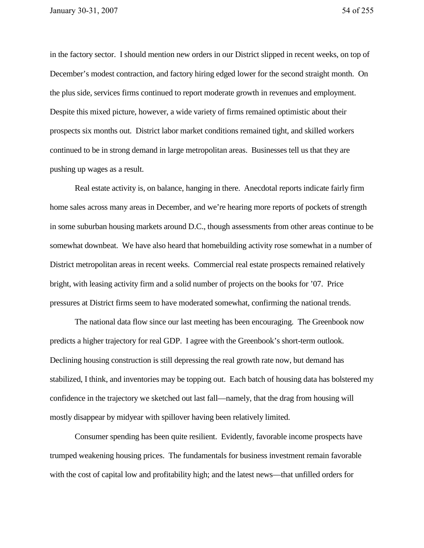in the factory sector. I should mention new orders in our District slipped in recent weeks, on top of December's modest contraction, and factory hiring edged lower for the second straight month. On the plus side, services firms continued to report moderate growth in revenues and employment. Despite this mixed picture, however, a wide variety of firms remained optimistic about their prospects six months out. District labor market conditions remained tight, and skilled workers continued to be in strong demand in large metropolitan areas. Businesses tell us that they are pushing up wages as a result.

Real estate activity is, on balance, hanging in there. Anecdotal reports indicate fairly firm home sales across many areas in December, and we're hearing more reports of pockets of strength in some suburban housing markets around D.C., though assessments from other areas continue to be somewhat downbeat. We have also heard that homebuilding activity rose somewhat in a number of District metropolitan areas in recent weeks. Commercial real estate prospects remained relatively bright, with leasing activity firm and a solid number of projects on the books for '07. Price pressures at District firms seem to have moderated somewhat, confirming the national trends.

The national data flow since our last meeting has been encouraging. The Greenbook now predicts a higher trajectory for real GDP. I agree with the Greenbook's short-term outlook. Declining housing construction is still depressing the real growth rate now, but demand has stabilized, I think, and inventories may be topping out. Each batch of housing data has bolstered my confidence in the trajectory we sketched out last fall—namely, that the drag from housing will mostly disappear by midyear with spillover having been relatively limited.

Consumer spending has been quite resilient. Evidently, favorable income prospects have trumped weakening housing prices. The fundamentals for business investment remain favorable with the cost of capital low and profitability high; and the latest news—that unfilled orders for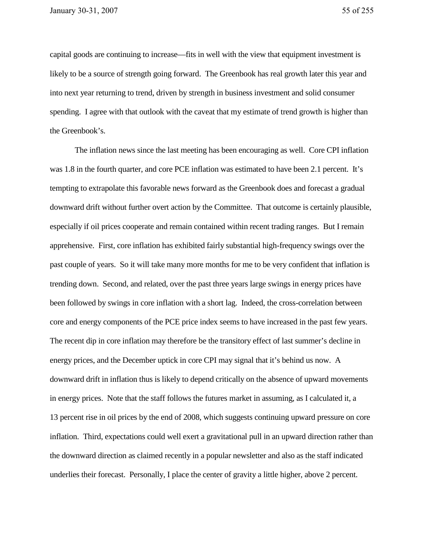capital goods are continuing to increase—fits in well with the view that equipment investment is likely to be a source of strength going forward. The Greenbook has real growth later this year and into next year returning to trend, driven by strength in business investment and solid consumer spending. I agree with that outlook with the caveat that my estimate of trend growth is higher than the Greenbook's.

The inflation news since the last meeting has been encouraging as well. Core CPI inflation was 1.8 in the fourth quarter, and core PCE inflation was estimated to have been 2.1 percent. It's tempting to extrapolate this favorable news forward as the Greenbook does and forecast a gradual downward drift without further overt action by the Committee. That outcome is certainly plausible, especially if oil prices cooperate and remain contained within recent trading ranges. But I remain apprehensive. First, core inflation has exhibited fairly substantial high-frequency swings over the past couple of years. So it will take many more months for me to be very confident that inflation is trending down. Second, and related, over the past three years large swings in energy prices have been followed by swings in core inflation with a short lag. Indeed, the cross-correlation between core and energy components of the PCE price index seems to have increased in the past few years. The recent dip in core inflation may therefore be the transitory effect of last summer's decline in energy prices, and the December uptick in core CPI may signal that it's behind us now. A downward drift in inflation thus is likely to depend critically on the absence of upward movements in energy prices. Note that the staff follows the futures market in assuming, as I calculated it, a 13 percent rise in oil prices by the end of 2008, which suggests continuing upward pressure on core inflation. Third, expectations could well exert a gravitational pull in an upward direction rather than the downward direction as claimed recently in a popular newsletter and also as the staff indicated underlies their forecast. Personally, I place the center of gravity a little higher, above 2 percent.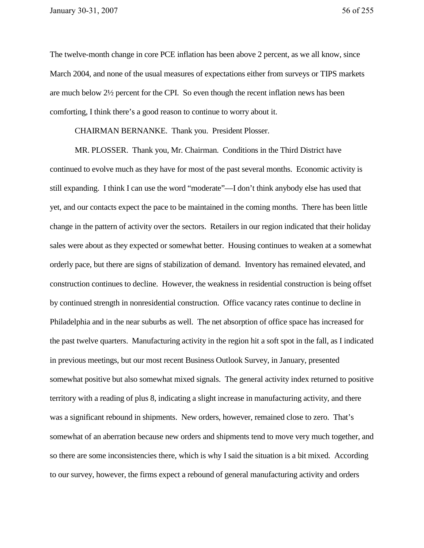The twelve-month change in core PCE inflation has been above 2 percent, as we all know, since March 2004, and none of the usual measures of expectations either from surveys or TIPS markets are much below 2½ percent for the CPI. So even though the recent inflation news has been comforting, I think there's a good reason to continue to worry about it.

CHAIRMAN BERNANKE. Thank you. President Plosser.

MR. PLOSSER. Thank you, Mr. Chairman. Conditions in the Third District have continued to evolve much as they have for most of the past several months. Economic activity is still expanding. I think I can use the word "moderate"—I don't think anybody else has used that yet, and our contacts expect the pace to be maintained in the coming months. There has been little change in the pattern of activity over the sectors. Retailers in our region indicated that their holiday sales were about as they expected or somewhat better. Housing continues to weaken at a somewhat orderly pace, but there are signs of stabilization of demand. Inventory has remained elevated, and construction continues to decline. However, the weakness in residential construction is being offset by continued strength in nonresidential construction. Office vacancy rates continue to decline in Philadelphia and in the near suburbs as well. The net absorption of office space has increased for the past twelve quarters. Manufacturing activity in the region hit a soft spot in the fall, as I indicated in previous meetings, but our most recent Business Outlook Survey, in January, presented somewhat positive but also somewhat mixed signals. The general activity index returned to positive territory with a reading of plus 8, indicating a slight increase in manufacturing activity, and there was a significant rebound in shipments. New orders, however, remained close to zero. That's somewhat of an aberration because new orders and shipments tend to move very much together, and so there are some inconsistencies there, which is why I said the situation is a bit mixed. According to our survey, however, the firms expect a rebound of general manufacturing activity and orders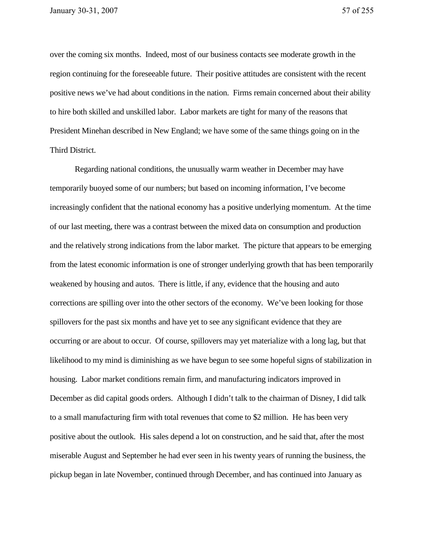over the coming six months. Indeed, most of our business contacts see moderate growth in the region continuing for the foreseeable future. Their positive attitudes are consistent with the recent positive news we've had about conditions in the nation. Firms remain concerned about their ability to hire both skilled and unskilled labor. Labor markets are tight for many of the reasons that President Minehan described in New England; we have some of the same things going on in the Third District.

Regarding national conditions, the unusually warm weather in December may have temporarily buoyed some of our numbers; but based on incoming information, I've become increasingly confident that the national economy has a positive underlying momentum. At the time of our last meeting, there was a contrast between the mixed data on consumption and production and the relatively strong indications from the labor market. The picture that appears to be emerging from the latest economic information is one of stronger underlying growth that has been temporarily weakened by housing and autos. There is little, if any, evidence that the housing and auto corrections are spilling over into the other sectors of the economy. We've been looking for those spillovers for the past six months and have yet to see any significant evidence that they are occurring or are about to occur. Of course, spillovers may yet materialize with a long lag, but that likelihood to my mind is diminishing as we have begun to see some hopeful signs of stabilization in housing. Labor market conditions remain firm, and manufacturing indicators improved in December as did capital goods orders. Although I didn't talk to the chairman of Disney, I did talk to a small manufacturing firm with total revenues that come to \$2 million. He has been very positive about the outlook. His sales depend a lot on construction, and he said that, after the most miserable August and September he had ever seen in his twenty years of running the business, the pickup began in late November, continued through December, and has continued into January as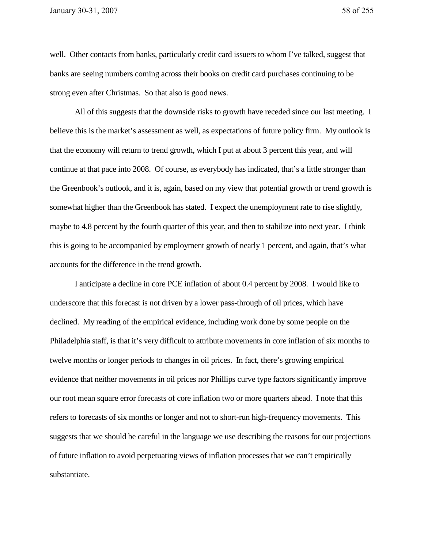well. Other contacts from banks, particularly credit card issuers to whom I've talked, suggest that banks are seeing numbers coming across their books on credit card purchases continuing to be strong even after Christmas. So that also is good news.

All of this suggests that the downside risks to growth have receded since our last meeting. I believe this is the market's assessment as well, as expectations of future policy firm. My outlook is that the economy will return to trend growth, which I put at about 3 percent this year, and will continue at that pace into 2008. Of course, as everybody has indicated, that's a little stronger than the Greenbook's outlook, and it is, again, based on my view that potential growth or trend growth is somewhat higher than the Greenbook has stated. I expect the unemployment rate to rise slightly, maybe to 4.8 percent by the fourth quarter of this year, and then to stabilize into next year. I think this is going to be accompanied by employment growth of nearly 1 percent, and again, that's what accounts for the difference in the trend growth.

I anticipate a decline in core PCE inflation of about 0.4 percent by 2008. I would like to underscore that this forecast is not driven by a lower pass-through of oil prices, which have declined. My reading of the empirical evidence, including work done by some people on the Philadelphia staff, is that it's very difficult to attribute movements in core inflation of six months to twelve months or longer periods to changes in oil prices. In fact, there's growing empirical evidence that neither movements in oil prices nor Phillips curve type factors significantly improve our root mean square error forecasts of core inflation two or more quarters ahead. I note that this refers to forecasts of six months or longer and not to short-run high-frequency movements. This suggests that we should be careful in the language we use describing the reasons for our projections of future inflation to avoid perpetuating views of inflation processes that we can't empirically substantiate.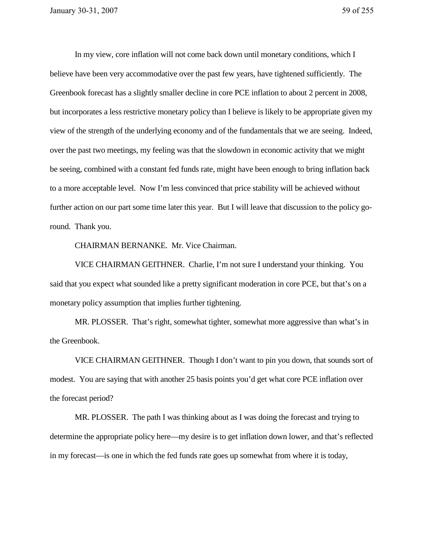In my view, core inflation will not come back down until monetary conditions, which I believe have been very accommodative over the past few years, have tightened sufficiently. The Greenbook forecast has a slightly smaller decline in core PCE inflation to about 2 percent in 2008, but incorporates a less restrictive monetary policy than I believe is likely to be appropriate given my view of the strength of the underlying economy and of the fundamentals that we are seeing. Indeed, over the past two meetings, my feeling was that the slowdown in economic activity that we might be seeing, combined with a constant fed funds rate, might have been enough to bring inflation back to a more acceptable level. Now I'm less convinced that price stability will be achieved without further action on our part some time later this year. But I will leave that discussion to the policy goround. Thank you.

CHAIRMAN BERNANKE. Mr. Vice Chairman.

VICE CHAIRMAN GEITHNER. Charlie, I'm not sure I understand your thinking. You said that you expect what sounded like a pretty significant moderation in core PCE, but that's on a monetary policy assumption that implies further tightening.

MR. PLOSSER. That's right, somewhat tighter, somewhat more aggressive than what's in the Greenbook.

VICE CHAIRMAN GEITHNER. Though I don't want to pin you down, that sounds sort of modest. You are saying that with another 25 basis points you'd get what core PCE inflation over the forecast period?

MR. PLOSSER. The path I was thinking about as I was doing the forecast and trying to determine the appropriate policy here—my desire is to get inflation down lower, and that's reflected in my forecast—is one in which the fed funds rate goes up somewhat from where it is today,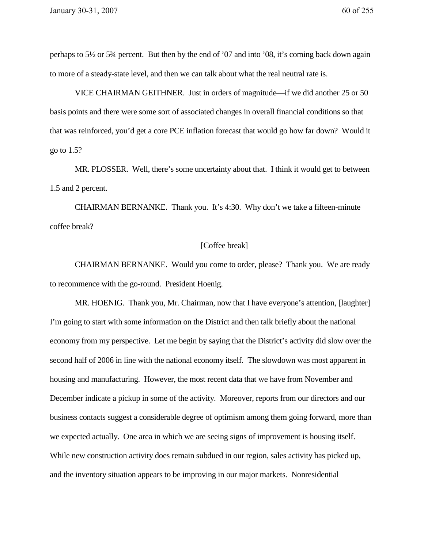perhaps to 5½ or 5¾ percent. But then by the end of '07 and into '08, it's coming back down again to more of a steady-state level, and then we can talk about what the real neutral rate is.

VICE CHAIRMAN GEITHNER. Just in orders of magnitude—if we did another 25 or 50 basis points and there were some sort of associated changes in overall financial conditions so that that was reinforced, you'd get a core PCE inflation forecast that would go how far down? Would it go to 1.5?

MR. PLOSSER. Well, there's some uncertainty about that. I think it would get to between 1.5 and 2 percent.

CHAIRMAN BERNANKE. Thank you. It's 4:30. Why don't we take a fifteen-minute coffee break?

## [Coffee break]

CHAIRMAN BERNANKE. Would you come to order, please? Thank you. We are ready to recommence with the go-round. President Hoenig.

MR. HOENIG. Thank you, Mr. Chairman, now that I have everyone's attention, [laughter] I'm going to start with some information on the District and then talk briefly about the national economy from my perspective. Let me begin by saying that the District's activity did slow over the second half of 2006 in line with the national economy itself. The slowdown was most apparent in housing and manufacturing. However, the most recent data that we have from November and December indicate a pickup in some of the activity. Moreover, reports from our directors and our business contacts suggest a considerable degree of optimism among them going forward, more than we expected actually. One area in which we are seeing signs of improvement is housing itself. While new construction activity does remain subdued in our region, sales activity has picked up, and the inventory situation appears to be improving in our major markets. Nonresidential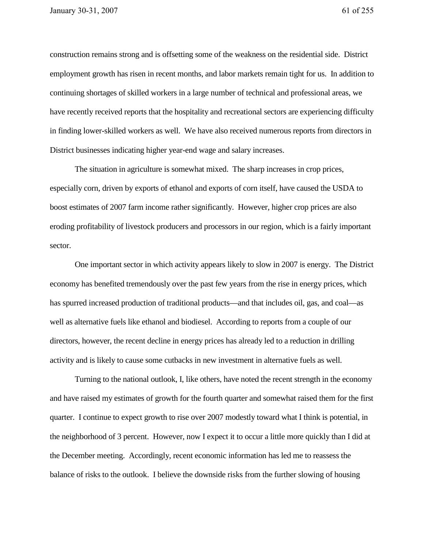construction remains strong and is offsetting some of the weakness on the residential side. District employment growth has risen in recent months, and labor markets remain tight for us. In addition to continuing shortages of skilled workers in a large number of technical and professional areas, we have recently received reports that the hospitality and recreational sectors are experiencing difficulty in finding lower-skilled workers as well. We have also received numerous reports from directors in District businesses indicating higher year-end wage and salary increases.

The situation in agriculture is somewhat mixed. The sharp increases in crop prices, especially corn, driven by exports of ethanol and exports of corn itself, have caused the USDA to boost estimates of 2007 farm income rather significantly. However, higher crop prices are also eroding profitability of livestock producers and processors in our region, which is a fairly important sector.

One important sector in which activity appears likely to slow in 2007 is energy. The District economy has benefited tremendously over the past few years from the rise in energy prices, which has spurred increased production of traditional products—and that includes oil, gas, and coal—as well as alternative fuels like ethanol and biodiesel. According to reports from a couple of our directors, however, the recent decline in energy prices has already led to a reduction in drilling activity and is likely to cause some cutbacks in new investment in alternative fuels as well.

Turning to the national outlook, I, like others, have noted the recent strength in the economy and have raised my estimates of growth for the fourth quarter and somewhat raised them for the first quarter. I continue to expect growth to rise over 2007 modestly toward what I think is potential, in the neighborhood of 3 percent. However, now I expect it to occur a little more quickly than I did at the December meeting. Accordingly, recent economic information has led me to reassess the balance of risks to the outlook. I believe the downside risks from the further slowing of housing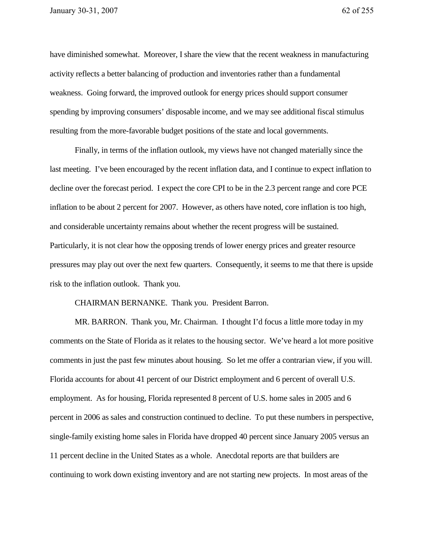have diminished somewhat. Moreover, I share the view that the recent weakness in manufacturing activity reflects a better balancing of production and inventories rather than a fundamental weakness. Going forward, the improved outlook for energy prices should support consumer spending by improving consumers' disposable income, and we may see additional fiscal stimulus resulting from the more-favorable budget positions of the state and local governments.

Finally, in terms of the inflation outlook, my views have not changed materially since the last meeting. I've been encouraged by the recent inflation data, and I continue to expect inflation to decline over the forecast period. I expect the core CPI to be in the 2.3 percent range and core PCE inflation to be about 2 percent for 2007. However, as others have noted, core inflation is too high, and considerable uncertainty remains about whether the recent progress will be sustained. Particularly, it is not clear how the opposing trends of lower energy prices and greater resource pressures may play out over the next few quarters. Consequently, it seems to me that there is upside risk to the inflation outlook. Thank you.

CHAIRMAN BERNANKE. Thank you. President Barron.

MR. BARRON. Thank you, Mr. Chairman. I thought I'd focus a little more today in my comments on the State of Florida as it relates to the housing sector. We've heard a lot more positive comments in just the past few minutes about housing. So let me offer a contrarian view, if you will. Florida accounts for about 41 percent of our District employment and 6 percent of overall U.S. employment. As for housing, Florida represented 8 percent of U.S. home sales in 2005 and 6 percent in 2006 as sales and construction continued to decline. To put these numbers in perspective, single-family existing home sales in Florida have dropped 40 percent since January 2005 versus an 11 percent decline in the United States as a whole. Anecdotal reports are that builders are continuing to work down existing inventory and are not starting new projects. In most areas of the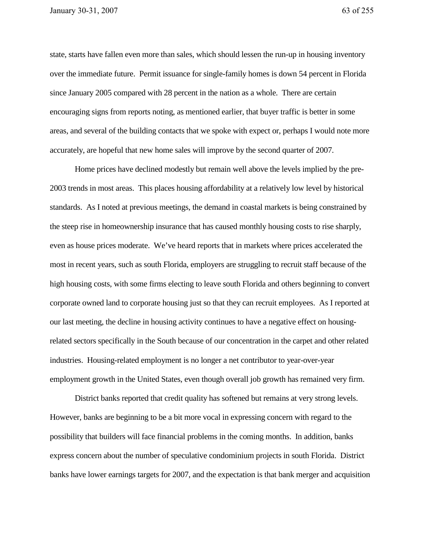state, starts have fallen even more than sales, which should lessen the run-up in housing inventory over the immediate future. Permit issuance for single-family homes is down 54 percent in Florida since January 2005 compared with 28 percent in the nation as a whole. There are certain encouraging signs from reports noting, as mentioned earlier, that buyer traffic is better in some areas, and several of the building contacts that we spoke with expect or, perhaps I would note more accurately, are hopeful that new home sales will improve by the second quarter of 2007.

Home prices have declined modestly but remain well above the levels implied by the pre-2003 trends in most areas. This places housing affordability at a relatively low level by historical standards. As I noted at previous meetings, the demand in coastal markets is being constrained by the steep rise in homeownership insurance that has caused monthly housing costs to rise sharply, even as house prices moderate. We've heard reports that in markets where prices accelerated the most in recent years, such as south Florida, employers are struggling to recruit staff because of the high housing costs, with some firms electing to leave south Florida and others beginning to convert corporate owned land to corporate housing just so that they can recruit employees. As I reported at our last meeting, the decline in housing activity continues to have a negative effect on housingrelated sectors specifically in the South because of our concentration in the carpet and other related industries. Housing-related employment is no longer a net contributor to year-over-year employment growth in the United States, even though overall job growth has remained very firm.

District banks reported that credit quality has softened but remains at very strong levels. However, banks are beginning to be a bit more vocal in expressing concern with regard to the possibility that builders will face financial problems in the coming months. In addition, banks express concern about the number of speculative condominium projects in south Florida. District banks have lower earnings targets for 2007, and the expectation is that bank merger and acquisition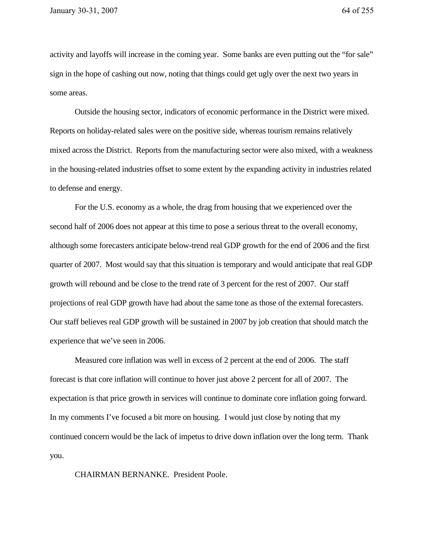activity and layoffs will increase in the coming year. Some banks are even putting out the "for sale" sign in the hope of cashing out now, noting that things could get ugly over the next two years in some areas.

Outside the housing sector, indicators of economic performance in the District were mixed. Reports on holiday-related sales were on the positive side, whereas tourism remains relatively mixed across the District. Reports from the manufacturing sector were also mixed, with a weakness in the housing-related industries offset to some extent by the expanding activity in industries related to defense and energy.

For the U.S. economy as a whole, the drag from housing that we experienced over the second half of 2006 does not appear at this time to pose a serious threat to the overall economy, although some forecasters anticipate below-trend real GDP growth for the end of 2006 and the first quarter of 2007. Most would say that this situation is temporary and would anticipate that real GDP growth will rebound and be close to the trend rate of 3 percent for the rest of 2007. Our staff projections of real GDP growth have had about the same tone as those of the external forecasters. Our staff believes real GDP growth will be sustained in 2007 by job creation that should match the experience that we've seen in 2006.

Measured core inflation was well in excess of 2 percent at the end of 2006. The staff forecast is that core inflation will continue to hover just above 2 percent for all of 2007. The expectation is that price growth in services will continue to dominate core inflation going forward. In my comments I've focused a bit more on housing. I would just close by noting that my continued concern would be the lack of impetus to drive down inflation over the long term. Thank you.

CHAIRMAN BERNANKE. President Poole.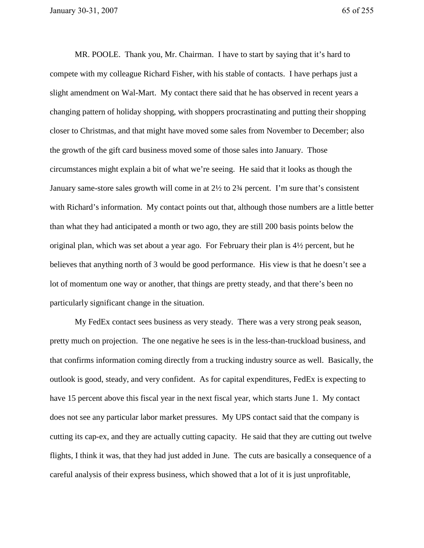MR. POOLE. Thank you, Mr. Chairman. I have to start by saying that it's hard to compete with my colleague Richard Fisher, with his stable of contacts. I have perhaps just a slight amendment on Wal-Mart. My contact there said that he has observed in recent years a changing pattern of holiday shopping, with shoppers procrastinating and putting their shopping closer to Christmas, and that might have moved some sales from November to December; also the growth of the gift card business moved some of those sales into January. Those circumstances might explain a bit of what we're seeing. He said that it looks as though the January same-store sales growth will come in at 2½ to 2¾ percent. I'm sure that's consistent with Richard's information. My contact points out that, although those numbers are a little better than what they had anticipated a month or two ago, they are still 200 basis points below the original plan, which was set about a year ago. For February their plan is 4½ percent, but he believes that anything north of 3 would be good performance. His view is that he doesn't see a lot of momentum one way or another, that things are pretty steady, and that there's been no particularly significant change in the situation.

My FedEx contact sees business as very steady. There was a very strong peak season, pretty much on projection. The one negative he sees is in the less-than-truckload business, and that confirms information coming directly from a trucking industry source as well. Basically, the outlook is good, steady, and very confident. As for capital expenditures, FedEx is expecting to have 15 percent above this fiscal year in the next fiscal year, which starts June 1. My contact does not see any particular labor market pressures. My UPS contact said that the company is cutting its cap-ex, and they are actually cutting capacity. He said that they are cutting out twelve flights, I think it was, that they had just added in June. The cuts are basically a consequence of a careful analysis of their express business, which showed that a lot of it is just unprofitable,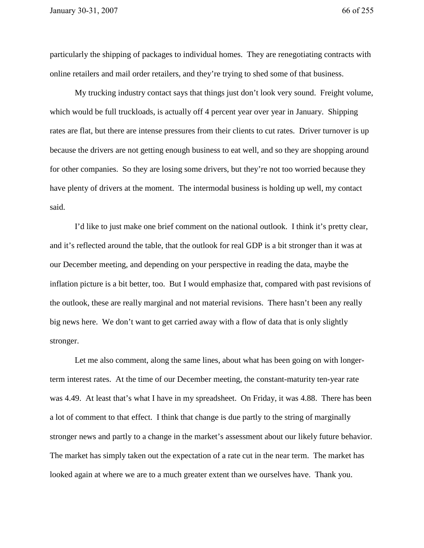particularly the shipping of packages to individual homes. They are renegotiating contracts with online retailers and mail order retailers, and they're trying to shed some of that business.

My trucking industry contact says that things just don't look very sound. Freight volume, which would be full truckloads, is actually off 4 percent year over year in January. Shipping rates are flat, but there are intense pressures from their clients to cut rates. Driver turnover is up because the drivers are not getting enough business to eat well, and so they are shopping around for other companies. So they are losing some drivers, but they're not too worried because they have plenty of drivers at the moment. The intermodal business is holding up well, my contact said.

 I'd like to just make one brief comment on the national outlook. I think it's pretty clear, and it's reflected around the table, that the outlook for real GDP is a bit stronger than it was at our December meeting, and depending on your perspective in reading the data, maybe the inflation picture is a bit better, too. But I would emphasize that, compared with past revisions of the outlook, these are really marginal and not material revisions. There hasn't been any really big news here. We don't want to get carried away with a flow of data that is only slightly stronger.

 Let me also comment, along the same lines, about what has been going on with longerterm interest rates. At the time of our December meeting, the constant-maturity ten-year rate was 4.49. At least that's what I have in my spreadsheet. On Friday, it was 4.88. There has been a lot of comment to that effect. I think that change is due partly to the string of marginally stronger news and partly to a change in the market's assessment about our likely future behavior. The market has simply taken out the expectation of a rate cut in the near term. The market has looked again at where we are to a much greater extent than we ourselves have. Thank you.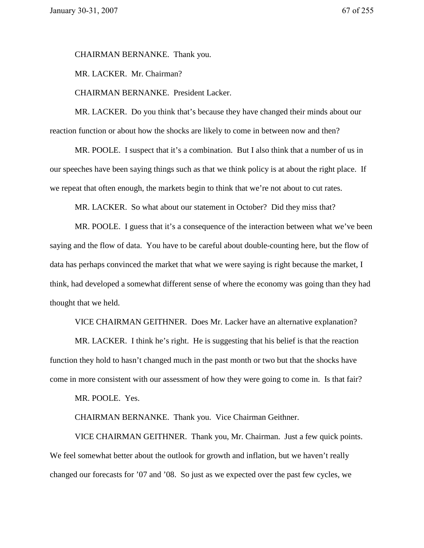CHAIRMAN BERNANKE. Thank you.

MR. LACKER. Mr. Chairman?

CHAIRMAN BERNANKE. President Lacker.

 MR. LACKER. Do you think that's because they have changed their minds about our reaction function or about how the shocks are likely to come in between now and then?

 MR. POOLE. I suspect that it's a combination. But I also think that a number of us in our speeches have been saying things such as that we think policy is at about the right place. If we repeat that often enough, the markets begin to think that we're not about to cut rates.

MR. LACKER. So what about our statement in October? Did they miss that?

MR. POOLE. I guess that it's a consequence of the interaction between what we've been saying and the flow of data. You have to be careful about double-counting here, but the flow of data has perhaps convinced the market that what we were saying is right because the market, I think, had developed a somewhat different sense of where the economy was going than they had thought that we held.

VICE CHAIRMAN GEITHNER. Does Mr. Lacker have an alternative explanation?

 MR. LACKER. I think he's right. He is suggesting that his belief is that the reaction function they hold to hasn't changed much in the past month or two but that the shocks have come in more consistent with our assessment of how they were going to come in. Is that fair?

MR. POOLE. Yes.

CHAIRMAN BERNANKE. Thank you. Vice Chairman Geithner.

 VICE CHAIRMAN GEITHNER. Thank you, Mr. Chairman. Just a few quick points. We feel somewhat better about the outlook for growth and inflation, but we haven't really changed our forecasts for '07 and '08. So just as we expected over the past few cycles, we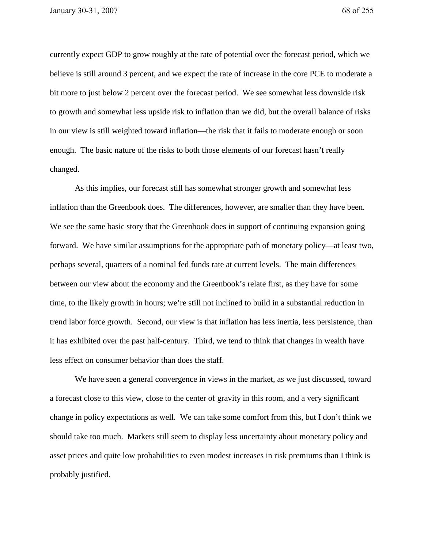currently expect GDP to grow roughly at the rate of potential over the forecast period, which we believe is still around 3 percent, and we expect the rate of increase in the core PCE to moderate a bit more to just below 2 percent over the forecast period. We see somewhat less downside risk to growth and somewhat less upside risk to inflation than we did, but the overall balance of risks in our view is still weighted toward inflation—the risk that it fails to moderate enough or soon enough. The basic nature of the risks to both those elements of our forecast hasn't really changed.

As this implies, our forecast still has somewhat stronger growth and somewhat less inflation than the Greenbook does. The differences, however, are smaller than they have been. We see the same basic story that the Greenbook does in support of continuing expansion going forward. We have similar assumptions for the appropriate path of monetary policy—at least two, perhaps several, quarters of a nominal fed funds rate at current levels. The main differences between our view about the economy and the Greenbook's relate first, as they have for some time, to the likely growth in hours; we're still not inclined to build in a substantial reduction in trend labor force growth. Second, our view is that inflation has less inertia, less persistence, than it has exhibited over the past half-century. Third, we tend to think that changes in wealth have less effect on consumer behavior than does the staff.

 We have seen a general convergence in views in the market, as we just discussed, toward a forecast close to this view, close to the center of gravity in this room, and a very significant change in policy expectations as well. We can take some comfort from this, but I don't think we should take too much. Markets still seem to display less uncertainty about monetary policy and asset prices and quite low probabilities to even modest increases in risk premiums than I think is probably justified.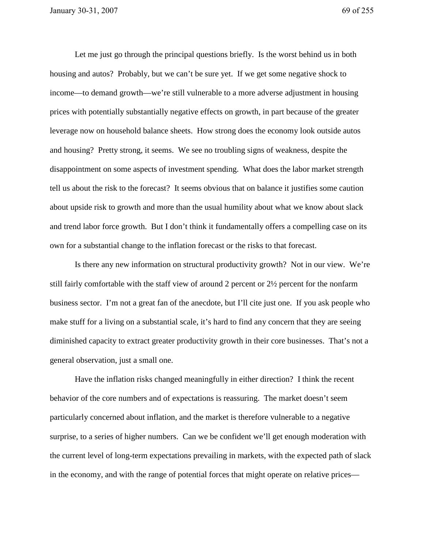Let me just go through the principal questions briefly. Is the worst behind us in both housing and autos? Probably, but we can't be sure yet. If we get some negative shock to income—to demand growth—we're still vulnerable to a more adverse adjustment in housing prices with potentially substantially negative effects on growth, in part because of the greater leverage now on household balance sheets. How strong does the economy look outside autos and housing? Pretty strong, it seems. We see no troubling signs of weakness, despite the disappointment on some aspects of investment spending. What does the labor market strength tell us about the risk to the forecast? It seems obvious that on balance it justifies some caution about upside risk to growth and more than the usual humility about what we know about slack and trend labor force growth. But I don't think it fundamentally offers a compelling case on its own for a substantial change to the inflation forecast or the risks to that forecast.

Is there any new information on structural productivity growth? Not in our view. We're still fairly comfortable with the staff view of around 2 percent or 2½ percent for the nonfarm business sector. I'm not a great fan of the anecdote, but I'll cite just one. If you ask people who make stuff for a living on a substantial scale, it's hard to find any concern that they are seeing diminished capacity to extract greater productivity growth in their core businesses. That's not a general observation, just a small one.

 Have the inflation risks changed meaningfully in either direction? I think the recent behavior of the core numbers and of expectations is reassuring. The market doesn't seem particularly concerned about inflation, and the market is therefore vulnerable to a negative surprise, to a series of higher numbers. Can we be confident we'll get enough moderation with the current level of long-term expectations prevailing in markets, with the expected path of slack in the economy, and with the range of potential forces that might operate on relative prices—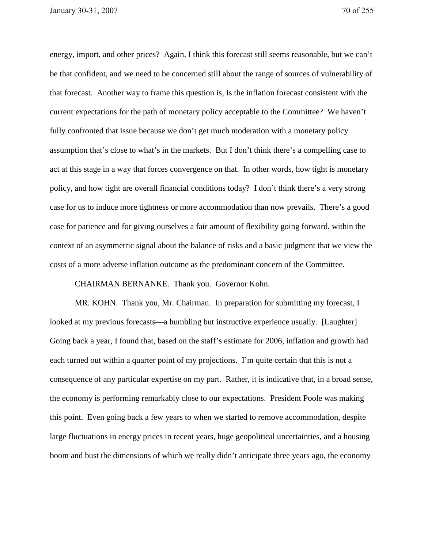energy, import, and other prices? Again, I think this forecast still seems reasonable, but we can't be that confident, and we need to be concerned still about the range of sources of vulnerability of that forecast. Another way to frame this question is, Is the inflation forecast consistent with the current expectations for the path of monetary policy acceptable to the Committee? We haven't fully confronted that issue because we don't get much moderation with a monetary policy assumption that's close to what's in the markets. But I don't think there's a compelling case to act at this stage in a way that forces convergence on that. In other words, how tight is monetary policy, and how tight are overall financial conditions today? I don't think there's a very strong case for us to induce more tightness or more accommodation than now prevails. There's a good case for patience and for giving ourselves a fair amount of flexibility going forward, within the context of an asymmetric signal about the balance of risks and a basic judgment that we view the costs of a more adverse inflation outcome as the predominant concern of the Committee.

## CHAIRMAN BERNANKE. Thank you. Governor Kohn.

 MR. KOHN. Thank you, Mr. Chairman. In preparation for submitting my forecast, I looked at my previous forecasts—a humbling but instructive experience usually. [Laughter] Going back a year, I found that, based on the staff's estimate for 2006, inflation and growth had each turned out within a quarter point of my projections. I'm quite certain that this is not a consequence of any particular expertise on my part. Rather, it is indicative that, in a broad sense, the economy is performing remarkably close to our expectations. President Poole was making this point. Even going back a few years to when we started to remove accommodation, despite large fluctuations in energy prices in recent years, huge geopolitical uncertainties, and a housing boom and bust the dimensions of which we really didn't anticipate three years ago, the economy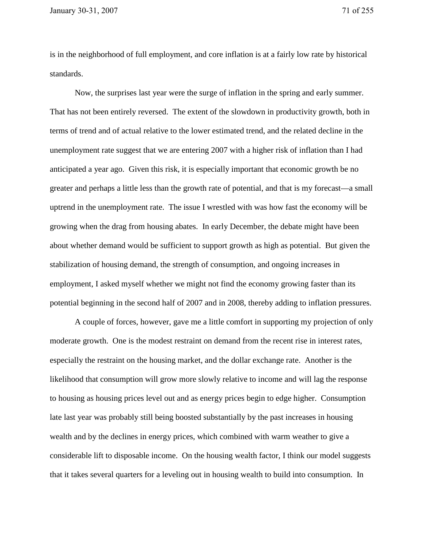is in the neighborhood of full employment, and core inflation is at a fairly low rate by historical standards.

Now, the surprises last year were the surge of inflation in the spring and early summer. That has not been entirely reversed. The extent of the slowdown in productivity growth, both in terms of trend and of actual relative to the lower estimated trend, and the related decline in the unemployment rate suggest that we are entering 2007 with a higher risk of inflation than I had anticipated a year ago. Given this risk, it is especially important that economic growth be no greater and perhaps a little less than the growth rate of potential, and that is my forecast—a small uptrend in the unemployment rate. The issue I wrestled with was how fast the economy will be growing when the drag from housing abates. In early December, the debate might have been about whether demand would be sufficient to support growth as high as potential. But given the stabilization of housing demand, the strength of consumption, and ongoing increases in employment, I asked myself whether we might not find the economy growing faster than its potential beginning in the second half of 2007 and in 2008, thereby adding to inflation pressures.

 A couple of forces, however, gave me a little comfort in supporting my projection of only moderate growth. One is the modest restraint on demand from the recent rise in interest rates, especially the restraint on the housing market, and the dollar exchange rate. Another is the likelihood that consumption will grow more slowly relative to income and will lag the response to housing as housing prices level out and as energy prices begin to edge higher. Consumption late last year was probably still being boosted substantially by the past increases in housing wealth and by the declines in energy prices, which combined with warm weather to give a considerable lift to disposable income. On the housing wealth factor, I think our model suggests that it takes several quarters for a leveling out in housing wealth to build into consumption. In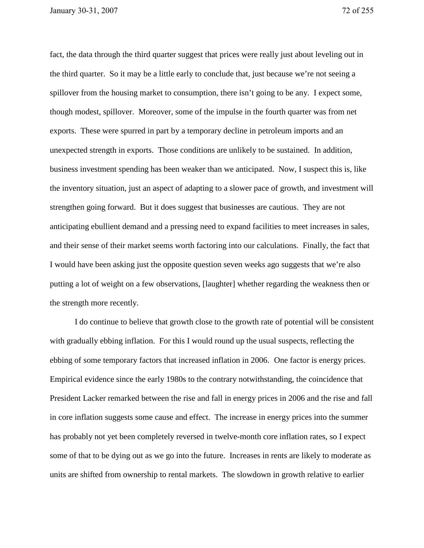fact, the data through the third quarter suggest that prices were really just about leveling out in the third quarter. So it may be a little early to conclude that, just because we're not seeing a spillover from the housing market to consumption, there isn't going to be any. I expect some, though modest, spillover. Moreover, some of the impulse in the fourth quarter was from net exports. These were spurred in part by a temporary decline in petroleum imports and an unexpected strength in exports. Those conditions are unlikely to be sustained. In addition, business investment spending has been weaker than we anticipated. Now, I suspect this is, like the inventory situation, just an aspect of adapting to a slower pace of growth, and investment will strengthen going forward. But it does suggest that businesses are cautious. They are not anticipating ebullient demand and a pressing need to expand facilities to meet increases in sales, and their sense of their market seems worth factoring into our calculations. Finally, the fact that I would have been asking just the opposite question seven weeks ago suggests that we're also putting a lot of weight on a few observations, [laughter] whether regarding the weakness then or the strength more recently.

 I do continue to believe that growth close to the growth rate of potential will be consistent with gradually ebbing inflation. For this I would round up the usual suspects, reflecting the ebbing of some temporary factors that increased inflation in 2006. One factor is energy prices. Empirical evidence since the early 1980s to the contrary notwithstanding, the coincidence that President Lacker remarked between the rise and fall in energy prices in 2006 and the rise and fall in core inflation suggests some cause and effect. The increase in energy prices into the summer has probably not yet been completely reversed in twelve-month core inflation rates, so I expect some of that to be dying out as we go into the future. Increases in rents are likely to moderate as units are shifted from ownership to rental markets. The slowdown in growth relative to earlier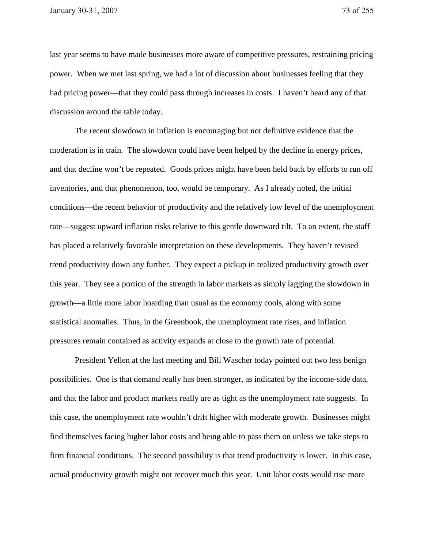last year seems to have made businesses more aware of competitive pressures, restraining pricing power. When we met last spring, we had a lot of discussion about businesses feeling that they had pricing power—that they could pass through increases in costs. I haven't heard any of that discussion around the table today.

 The recent slowdown in inflation is encouraging but not definitive evidence that the moderation is in train. The slowdown could have been helped by the decline in energy prices, and that decline won't be repeated. Goods prices might have been held back by efforts to run off inventories, and that phenomenon, too, would be temporary. As I already noted, the initial conditions—the recent behavior of productivity and the relatively low level of the unemployment rate—suggest upward inflation risks relative to this gentle downward tilt. To an extent, the staff has placed a relatively favorable interpretation on these developments. They haven't revised trend productivity down any further. They expect a pickup in realized productivity growth over this year. They see a portion of the strength in labor markets as simply lagging the slowdown in growth—a little more labor hoarding than usual as the economy cools, along with some statistical anomalies. Thus, in the Greenbook, the unemployment rate rises, and inflation pressures remain contained as activity expands at close to the growth rate of potential.

President Yellen at the last meeting and Bill Wascher today pointed out two less benign possibilities. One is that demand really has been stronger, as indicated by the income-side data, and that the labor and product markets really are as tight as the unemployment rate suggests. In this case, the unemployment rate wouldn't drift higher with moderate growth. Businesses might find themselves facing higher labor costs and being able to pass them on unless we take steps to firm financial conditions. The second possibility is that trend productivity is lower. In this case, actual productivity growth might not recover much this year. Unit labor costs would rise more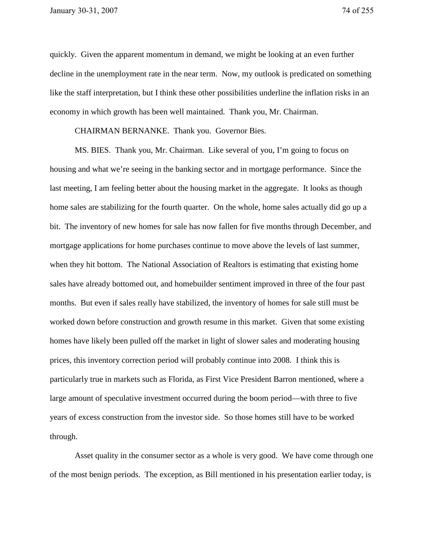quickly. Given the apparent momentum in demand, we might be looking at an even further decline in the unemployment rate in the near term. Now, my outlook is predicated on something like the staff interpretation, but I think these other possibilities underline the inflation risks in an economy in which growth has been well maintained. Thank you, Mr. Chairman.

CHAIRMAN BERNANKE. Thank you. Governor Bies.

 MS. BIES. Thank you, Mr. Chairman. Like several of you, I'm going to focus on housing and what we're seeing in the banking sector and in mortgage performance. Since the last meeting, I am feeling better about the housing market in the aggregate. It looks as though home sales are stabilizing for the fourth quarter. On the whole, home sales actually did go up a bit. The inventory of new homes for sale has now fallen for five months through December, and mortgage applications for home purchases continue to move above the levels of last summer, when they hit bottom. The National Association of Realtors is estimating that existing home sales have already bottomed out, and homebuilder sentiment improved in three of the four past months. But even if sales really have stabilized, the inventory of homes for sale still must be worked down before construction and growth resume in this market. Given that some existing homes have likely been pulled off the market in light of slower sales and moderating housing prices, this inventory correction period will probably continue into 2008. I think this is particularly true in markets such as Florida, as First Vice President Barron mentioned, where a large amount of speculative investment occurred during the boom period—with three to five years of excess construction from the investor side. So those homes still have to be worked through.

 Asset quality in the consumer sector as a whole is very good. We have come through one of the most benign periods. The exception, as Bill mentioned in his presentation earlier today, is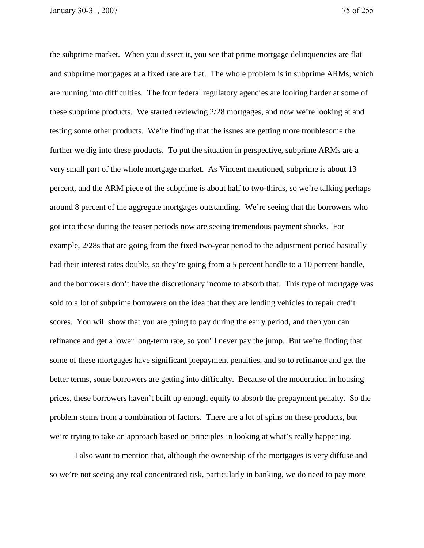the subprime market. When you dissect it, you see that prime mortgage delinquencies are flat and subprime mortgages at a fixed rate are flat. The whole problem is in subprime ARMs, which are running into difficulties. The four federal regulatory agencies are looking harder at some of these subprime products. We started reviewing 2/28 mortgages, and now we're looking at and testing some other products. We're finding that the issues are getting more troublesome the further we dig into these products. To put the situation in perspective, subprime ARMs are a very small part of the whole mortgage market. As Vincent mentioned, subprime is about 13 percent, and the ARM piece of the subprime is about half to two-thirds, so we're talking perhaps around 8 percent of the aggregate mortgages outstanding. We're seeing that the borrowers who got into these during the teaser periods now are seeing tremendous payment shocks. For example, 2/28s that are going from the fixed two-year period to the adjustment period basically had their interest rates double, so they're going from a 5 percent handle to a 10 percent handle, and the borrowers don't have the discretionary income to absorb that. This type of mortgage was sold to a lot of subprime borrowers on the idea that they are lending vehicles to repair credit scores. You will show that you are going to pay during the early period, and then you can refinance and get a lower long-term rate, so you'll never pay the jump. But we're finding that some of these mortgages have significant prepayment penalties, and so to refinance and get the better terms, some borrowers are getting into difficulty. Because of the moderation in housing prices, these borrowers haven't built up enough equity to absorb the prepayment penalty. So the problem stems from a combination of factors. There are a lot of spins on these products, but we're trying to take an approach based on principles in looking at what's really happening.

I also want to mention that, although the ownership of the mortgages is very diffuse and so we're not seeing any real concentrated risk, particularly in banking, we do need to pay more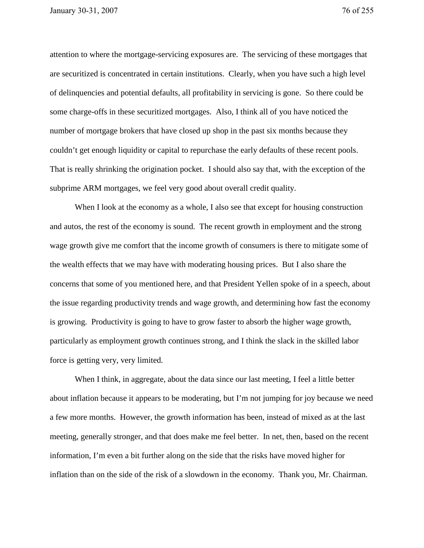attention to where the mortgage-servicing exposures are. The servicing of these mortgages that are securitized is concentrated in certain institutions. Clearly, when you have such a high level of delinquencies and potential defaults, all profitability in servicing is gone. So there could be some charge-offs in these securitized mortgages. Also, I think all of you have noticed the number of mortgage brokers that have closed up shop in the past six months because they couldn't get enough liquidity or capital to repurchase the early defaults of these recent pools. That is really shrinking the origination pocket. I should also say that, with the exception of the subprime ARM mortgages, we feel very good about overall credit quality.

When I look at the economy as a whole, I also see that except for housing construction and autos, the rest of the economy is sound. The recent growth in employment and the strong wage growth give me comfort that the income growth of consumers is there to mitigate some of the wealth effects that we may have with moderating housing prices. But I also share the concerns that some of you mentioned here, and that President Yellen spoke of in a speech, about the issue regarding productivity trends and wage growth, and determining how fast the economy is growing. Productivity is going to have to grow faster to absorb the higher wage growth, particularly as employment growth continues strong, and I think the slack in the skilled labor force is getting very, very limited.

 When I think, in aggregate, about the data since our last meeting, I feel a little better about inflation because it appears to be moderating, but I'm not jumping for joy because we need a few more months. However, the growth information has been, instead of mixed as at the last meeting, generally stronger, and that does make me feel better. In net, then, based on the recent information, I'm even a bit further along on the side that the risks have moved higher for inflation than on the side of the risk of a slowdown in the economy. Thank you, Mr. Chairman.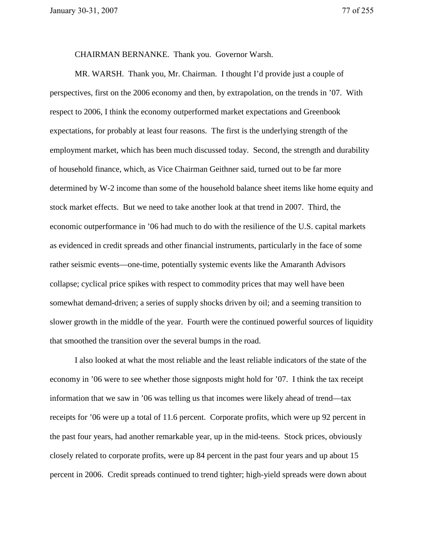CHAIRMAN BERNANKE. Thank you. Governor Warsh.

 MR. WARSH. Thank you, Mr. Chairman. I thought I'd provide just a couple of perspectives, first on the 2006 economy and then, by extrapolation, on the trends in '07. With respect to 2006, I think the economy outperformed market expectations and Greenbook expectations, for probably at least four reasons. The first is the underlying strength of the employment market, which has been much discussed today. Second, the strength and durability of household finance, which, as Vice Chairman Geithner said, turned out to be far more determined by W-2 income than some of the household balance sheet items like home equity and stock market effects. But we need to take another look at that trend in 2007. Third, the economic outperformance in '06 had much to do with the resilience of the U.S. capital markets as evidenced in credit spreads and other financial instruments, particularly in the face of some rather seismic events—one-time, potentially systemic events like the Amaranth Advisors collapse; cyclical price spikes with respect to commodity prices that may well have been somewhat demand-driven; a series of supply shocks driven by oil; and a seeming transition to slower growth in the middle of the year. Fourth were the continued powerful sources of liquidity that smoothed the transition over the several bumps in the road.

 I also looked at what the most reliable and the least reliable indicators of the state of the economy in '06 were to see whether those signposts might hold for '07. I think the tax receipt information that we saw in '06 was telling us that incomes were likely ahead of trend—tax receipts for '06 were up a total of 11.6 percent. Corporate profits, which were up 92 percent in the past four years, had another remarkable year, up in the mid-teens. Stock prices, obviously closely related to corporate profits, were up 84 percent in the past four years and up about 15 percent in 2006. Credit spreads continued to trend tighter; high-yield spreads were down about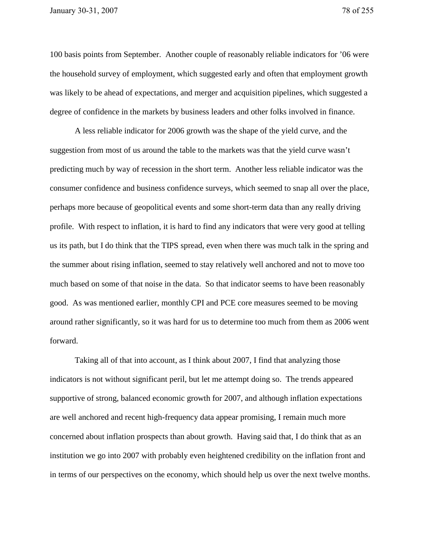100 basis points from September. Another couple of reasonably reliable indicators for '06 were the household survey of employment, which suggested early and often that employment growth was likely to be ahead of expectations, and merger and acquisition pipelines, which suggested a degree of confidence in the markets by business leaders and other folks involved in finance.

 A less reliable indicator for 2006 growth was the shape of the yield curve, and the suggestion from most of us around the table to the markets was that the yield curve wasn't predicting much by way of recession in the short term. Another less reliable indicator was the consumer confidence and business confidence surveys, which seemed to snap all over the place, perhaps more because of geopolitical events and some short-term data than any really driving profile. With respect to inflation, it is hard to find any indicators that were very good at telling us its path, but I do think that the TIPS spread, even when there was much talk in the spring and the summer about rising inflation, seemed to stay relatively well anchored and not to move too much based on some of that noise in the data. So that indicator seems to have been reasonably good. As was mentioned earlier, monthly CPI and PCE core measures seemed to be moving around rather significantly, so it was hard for us to determine too much from them as 2006 went forward.

 Taking all of that into account, as I think about 2007, I find that analyzing those indicators is not without significant peril, but let me attempt doing so. The trends appeared supportive of strong, balanced economic growth for 2007, and although inflation expectations are well anchored and recent high-frequency data appear promising, I remain much more concerned about inflation prospects than about growth. Having said that, I do think that as an institution we go into 2007 with probably even heightened credibility on the inflation front and in terms of our perspectives on the economy, which should help us over the next twelve months.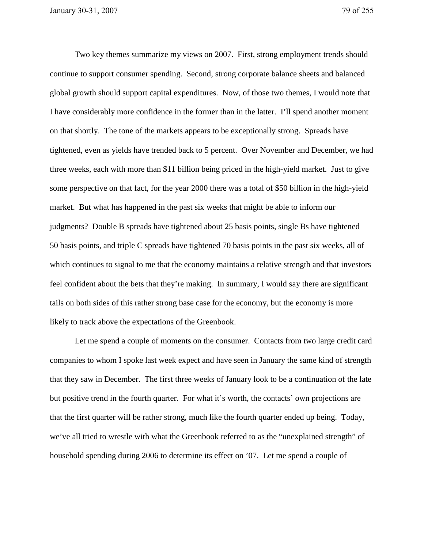Two key themes summarize my views on 2007. First, strong employment trends should continue to support consumer spending. Second, strong corporate balance sheets and balanced global growth should support capital expenditures. Now, of those two themes, I would note that I have considerably more confidence in the former than in the latter. I'll spend another moment on that shortly. The tone of the markets appears to be exceptionally strong. Spreads have tightened, even as yields have trended back to 5 percent. Over November and December, we had three weeks, each with more than \$11 billion being priced in the high-yield market. Just to give some perspective on that fact, for the year 2000 there was a total of \$50 billion in the high-yield market. But what has happened in the past six weeks that might be able to inform our judgments? Double B spreads have tightened about 25 basis points, single Bs have tightened 50 basis points, and triple C spreads have tightened 70 basis points in the past six weeks, all of which continues to signal to me that the economy maintains a relative strength and that investors feel confident about the bets that they're making. In summary, I would say there are significant tails on both sides of this rather strong base case for the economy, but the economy is more likely to track above the expectations of the Greenbook.

 Let me spend a couple of moments on the consumer. Contacts from two large credit card companies to whom I spoke last week expect and have seen in January the same kind of strength that they saw in December. The first three weeks of January look to be a continuation of the late but positive trend in the fourth quarter. For what it's worth, the contacts' own projections are that the first quarter will be rather strong, much like the fourth quarter ended up being. Today, we've all tried to wrestle with what the Greenbook referred to as the "unexplained strength" of household spending during 2006 to determine its effect on '07. Let me spend a couple of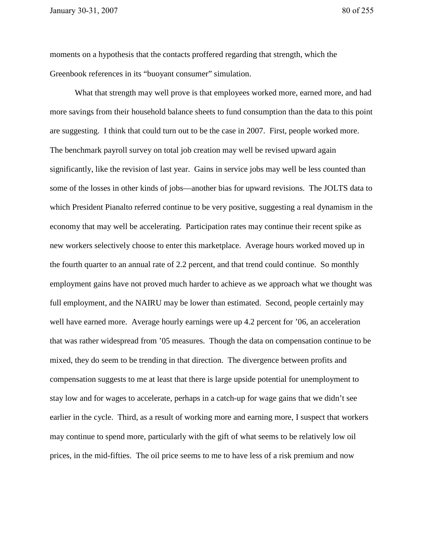moments on a hypothesis that the contacts proffered regarding that strength, which the Greenbook references in its "buoyant consumer" simulation.

What that strength may well prove is that employees worked more, earned more, and had more savings from their household balance sheets to fund consumption than the data to this point are suggesting. I think that could turn out to be the case in 2007. First, people worked more. The benchmark payroll survey on total job creation may well be revised upward again significantly, like the revision of last year. Gains in service jobs may well be less counted than some of the losses in other kinds of jobs—another bias for upward revisions. The JOLTS data to which President Pianalto referred continue to be very positive, suggesting a real dynamism in the economy that may well be accelerating. Participation rates may continue their recent spike as new workers selectively choose to enter this marketplace. Average hours worked moved up in the fourth quarter to an annual rate of 2.2 percent, and that trend could continue. So monthly employment gains have not proved much harder to achieve as we approach what we thought was full employment, and the NAIRU may be lower than estimated. Second, people certainly may well have earned more. Average hourly earnings were up 4.2 percent for '06, an acceleration that was rather widespread from '05 measures. Though the data on compensation continue to be mixed, they do seem to be trending in that direction. The divergence between profits and compensation suggests to me at least that there is large upside potential for unemployment to stay low and for wages to accelerate, perhaps in a catch-up for wage gains that we didn't see earlier in the cycle. Third, as a result of working more and earning more, I suspect that workers may continue to spend more, particularly with the gift of what seems to be relatively low oil prices, in the mid-fifties. The oil price seems to me to have less of a risk premium and now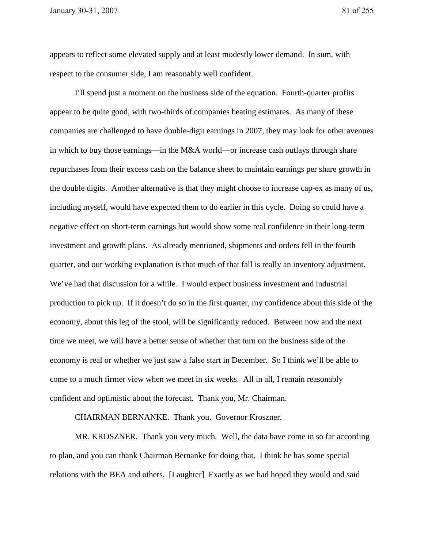appears to reflect some elevated supply and at least modestly lower demand. In sum, with respect to the consumer side, I am reasonably well confident.

 I'll spend just a moment on the business side of the equation. Fourth-quarter profits appear to be quite good, with two-thirds of companies beating estimates. As many of these companies are challenged to have double-digit earnings in 2007, they may look for other avenues in which to buy those earnings—in the M&A world—or increase cash outlays through share repurchases from their excess cash on the balance sheet to maintain earnings per share growth in the double digits. Another alternative is that they might choose to increase cap-ex as many of us, including myself, would have expected them to do earlier in this cycle. Doing so could have a negative effect on short-term earnings but would show some real confidence in their long-term investment and growth plans. As already mentioned, shipments and orders fell in the fourth quarter, and our working explanation is that much of that fall is really an inventory adjustment. We've had that discussion for a while. I would expect business investment and industrial production to pick up. If it doesn't do so in the first quarter, my confidence about this side of the economy, about this leg of the stool, will be significantly reduced. Between now and the next time we meet, we will have a better sense of whether that turn on the business side of the economy is real or whether we just saw a false start in December. So I think we'll be able to come to a much firmer view when we meet in six weeks. All in all, I remain reasonably confident and optimistic about the forecast. Thank you, Mr. Chairman.

CHAIRMAN BERNANKE. Thank you. Governor Kroszner.

 MR. KROSZNER. Thank you very much. Well, the data have come in so far according to plan, and you can thank Chairman Bernanke for doing that. I think he has some special relations with the BEA and others. [Laughter] Exactly as we had hoped they would and said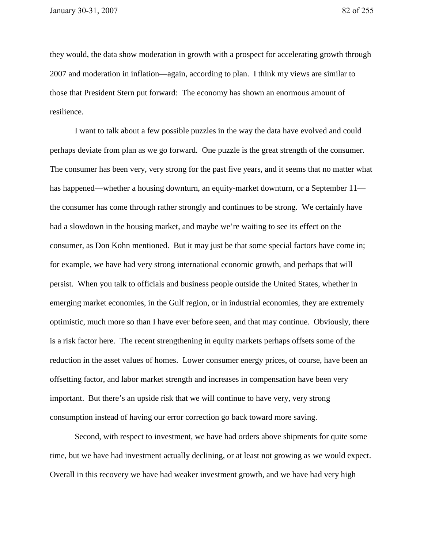they would, the data show moderation in growth with a prospect for accelerating growth through 2007 and moderation in inflation—again, according to plan. I think my views are similar to those that President Stern put forward: The economy has shown an enormous amount of resilience.

 I want to talk about a few possible puzzles in the way the data have evolved and could perhaps deviate from plan as we go forward. One puzzle is the great strength of the consumer. The consumer has been very, very strong for the past five years, and it seems that no matter what has happened—whether a housing downturn, an equity-market downturn, or a September 11 the consumer has come through rather strongly and continues to be strong. We certainly have had a slowdown in the housing market, and maybe we're waiting to see its effect on the consumer, as Don Kohn mentioned. But it may just be that some special factors have come in; for example, we have had very strong international economic growth, and perhaps that will persist. When you talk to officials and business people outside the United States, whether in emerging market economies, in the Gulf region, or in industrial economies, they are extremely optimistic, much more so than I have ever before seen, and that may continue. Obviously, there is a risk factor here. The recent strengthening in equity markets perhaps offsets some of the reduction in the asset values of homes. Lower consumer energy prices, of course, have been an offsetting factor, and labor market strength and increases in compensation have been very important. But there's an upside risk that we will continue to have very, very strong consumption instead of having our error correction go back toward more saving.

 Second, with respect to investment, we have had orders above shipments for quite some time, but we have had investment actually declining, or at least not growing as we would expect. Overall in this recovery we have had weaker investment growth, and we have had very high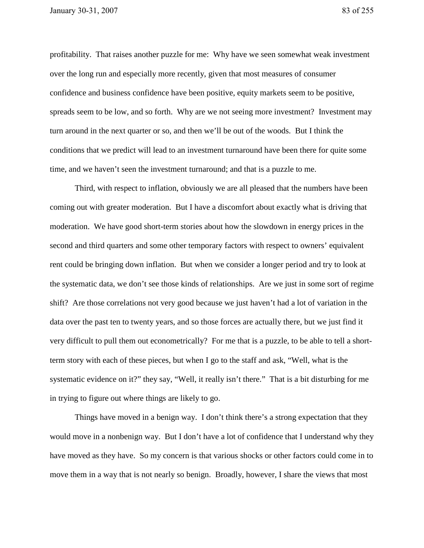profitability. That raises another puzzle for me: Why have we seen somewhat weak investment over the long run and especially more recently, given that most measures of consumer confidence and business confidence have been positive, equity markets seem to be positive, spreads seem to be low, and so forth. Why are we not seeing more investment? Investment may turn around in the next quarter or so, and then we'll be out of the woods. But I think the conditions that we predict will lead to an investment turnaround have been there for quite some time, and we haven't seen the investment turnaround; and that is a puzzle to me.

 Third, with respect to inflation, obviously we are all pleased that the numbers have been coming out with greater moderation. But I have a discomfort about exactly what is driving that moderation. We have good short-term stories about how the slowdown in energy prices in the second and third quarters and some other temporary factors with respect to owners' equivalent rent could be bringing down inflation. But when we consider a longer period and try to look at the systematic data, we don't see those kinds of relationships. Are we just in some sort of regime shift? Are those correlations not very good because we just haven't had a lot of variation in the data over the past ten to twenty years, and so those forces are actually there, but we just find it very difficult to pull them out econometrically? For me that is a puzzle, to be able to tell a shortterm story with each of these pieces, but when I go to the staff and ask, "Well, what is the systematic evidence on it?" they say, "Well, it really isn't there." That is a bit disturbing for me in trying to figure out where things are likely to go.

 Things have moved in a benign way. I don't think there's a strong expectation that they would move in a nonbenign way. But I don't have a lot of confidence that I understand why they have moved as they have. So my concern is that various shocks or other factors could come in to move them in a way that is not nearly so benign. Broadly, however, I share the views that most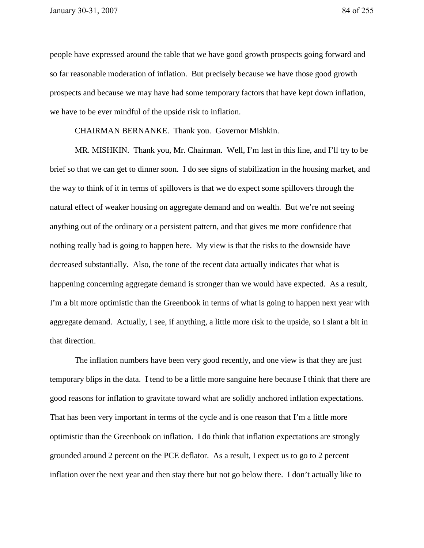people have expressed around the table that we have good growth prospects going forward and so far reasonable moderation of inflation. But precisely because we have those good growth prospects and because we may have had some temporary factors that have kept down inflation, we have to be ever mindful of the upside risk to inflation.

CHAIRMAN BERNANKE. Thank you. Governor Mishkin.

 MR. MISHKIN. Thank you, Mr. Chairman. Well, I'm last in this line, and I'll try to be brief so that we can get to dinner soon. I do see signs of stabilization in the housing market, and the way to think of it in terms of spillovers is that we do expect some spillovers through the natural effect of weaker housing on aggregate demand and on wealth. But we're not seeing anything out of the ordinary or a persistent pattern, and that gives me more confidence that nothing really bad is going to happen here. My view is that the risks to the downside have decreased substantially. Also, the tone of the recent data actually indicates that what is happening concerning aggregate demand is stronger than we would have expected. As a result, I'm a bit more optimistic than the Greenbook in terms of what is going to happen next year with aggregate demand. Actually, I see, if anything, a little more risk to the upside, so I slant a bit in that direction.

 The inflation numbers have been very good recently, and one view is that they are just temporary blips in the data. I tend to be a little more sanguine here because I think that there are good reasons for inflation to gravitate toward what are solidly anchored inflation expectations. That has been very important in terms of the cycle and is one reason that I'm a little more optimistic than the Greenbook on inflation. I do think that inflation expectations are strongly grounded around 2 percent on the PCE deflator. As a result, I expect us to go to 2 percent inflation over the next year and then stay there but not go below there. I don't actually like to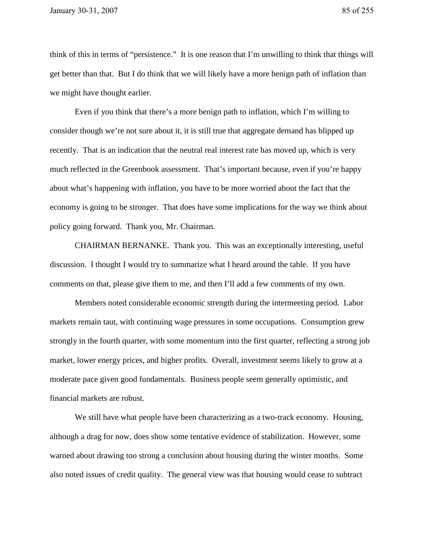think of this in terms of "persistence." It is one reason that I'm unwilling to think that things will get better than that. But I do think that we will likely have a more benign path of inflation than we might have thought earlier.

 Even if you think that there's a more benign path to inflation, which I'm willing to consider though we're not sure about it, it is still true that aggregate demand has blipped up recently. That is an indication that the neutral real interest rate has moved up, which is very much reflected in the Greenbook assessment. That's important because, even if you're happy about what's happening with inflation, you have to be more worried about the fact that the economy is going to be stronger. That does have some implications for the way we think about policy going forward. Thank you, Mr. Chairman.

 CHAIRMAN BERNANKE. Thank you. This was an exceptionally interesting, useful discussion. I thought I would try to summarize what I heard around the table. If you have comments on that, please give them to me, and then I'll add a few comments of my own.

 Members noted considerable economic strength during the intermeeting period. Labor markets remain taut, with continuing wage pressures in some occupations. Consumption grew strongly in the fourth quarter, with some momentum into the first quarter, reflecting a strong job market, lower energy prices, and higher profits. Overall, investment seems likely to grow at a moderate pace given good fundamentals. Business people seem generally optimistic, and financial markets are robust.

We still have what people have been characterizing as a two-track economy. Housing, although a drag for now, does show some tentative evidence of stabilization. However, some warned about drawing too strong a conclusion about housing during the winter months. Some also noted issues of credit quality. The general view was that housing would cease to subtract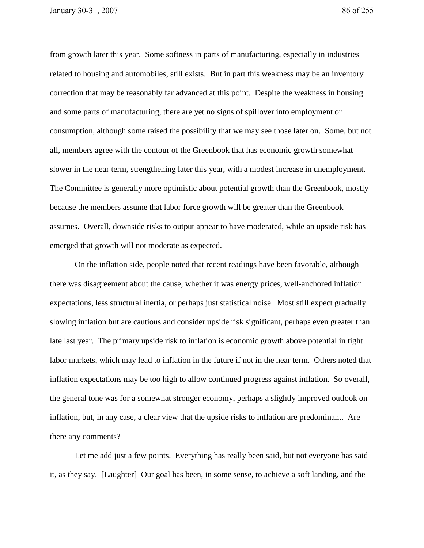from growth later this year. Some softness in parts of manufacturing, especially in industries related to housing and automobiles, still exists. But in part this weakness may be an inventory correction that may be reasonably far advanced at this point. Despite the weakness in housing and some parts of manufacturing, there are yet no signs of spillover into employment or consumption, although some raised the possibility that we may see those later on. Some, but not all, members agree with the contour of the Greenbook that has economic growth somewhat slower in the near term, strengthening later this year, with a modest increase in unemployment. The Committee is generally more optimistic about potential growth than the Greenbook, mostly because the members assume that labor force growth will be greater than the Greenbook assumes. Overall, downside risks to output appear to have moderated, while an upside risk has emerged that growth will not moderate as expected.

 On the inflation side, people noted that recent readings have been favorable, although there was disagreement about the cause, whether it was energy prices, well-anchored inflation expectations, less structural inertia, or perhaps just statistical noise. Most still expect gradually slowing inflation but are cautious and consider upside risk significant, perhaps even greater than late last year. The primary upside risk to inflation is economic growth above potential in tight labor markets, which may lead to inflation in the future if not in the near term. Others noted that inflation expectations may be too high to allow continued progress against inflation. So overall, the general tone was for a somewhat stronger economy, perhaps a slightly improved outlook on inflation, but, in any case, a clear view that the upside risks to inflation are predominant. Are there any comments?

 Let me add just a few points. Everything has really been said, but not everyone has said it, as they say. [Laughter] Our goal has been, in some sense, to achieve a soft landing, and the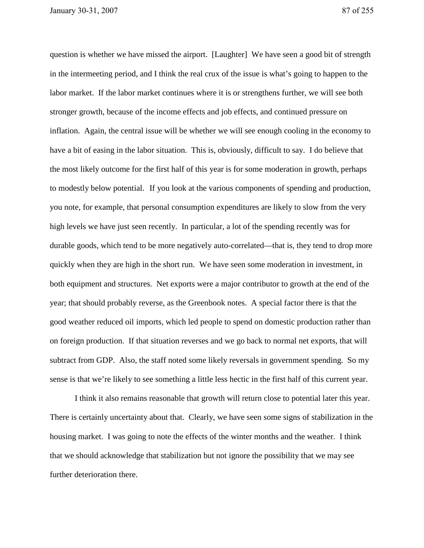question is whether we have missed the airport. [Laughter] We have seen a good bit of strength in the intermeeting period, and I think the real crux of the issue is what's going to happen to the labor market. If the labor market continues where it is or strengthens further, we will see both stronger growth, because of the income effects and job effects, and continued pressure on inflation. Again, the central issue will be whether we will see enough cooling in the economy to have a bit of easing in the labor situation. This is, obviously, difficult to say. I do believe that the most likely outcome for the first half of this year is for some moderation in growth, perhaps to modestly below potential. If you look at the various components of spending and production, you note, for example, that personal consumption expenditures are likely to slow from the very high levels we have just seen recently. In particular, a lot of the spending recently was for durable goods, which tend to be more negatively auto-correlated—that is, they tend to drop more quickly when they are high in the short run. We have seen some moderation in investment, in both equipment and structures. Net exports were a major contributor to growth at the end of the year; that should probably reverse, as the Greenbook notes. A special factor there is that the good weather reduced oil imports, which led people to spend on domestic production rather than on foreign production. If that situation reverses and we go back to normal net exports, that will subtract from GDP. Also, the staff noted some likely reversals in government spending. So my sense is that we're likely to see something a little less hectic in the first half of this current year.

I think it also remains reasonable that growth will return close to potential later this year. There is certainly uncertainty about that. Clearly, we have seen some signs of stabilization in the housing market. I was going to note the effects of the winter months and the weather. I think that we should acknowledge that stabilization but not ignore the possibility that we may see further deterioration there.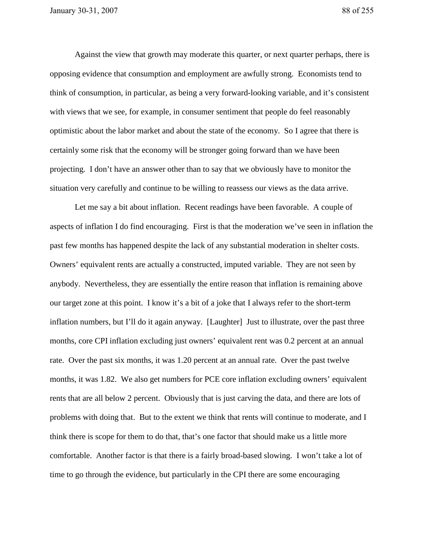Against the view that growth may moderate this quarter, or next quarter perhaps, there is opposing evidence that consumption and employment are awfully strong. Economists tend to think of consumption, in particular, as being a very forward-looking variable, and it's consistent with views that we see, for example, in consumer sentiment that people do feel reasonably optimistic about the labor market and about the state of the economy. So I agree that there is certainly some risk that the economy will be stronger going forward than we have been projecting. I don't have an answer other than to say that we obviously have to monitor the situation very carefully and continue to be willing to reassess our views as the data arrive.

 Let me say a bit about inflation. Recent readings have been favorable. A couple of aspects of inflation I do find encouraging. First is that the moderation we've seen in inflation the past few months has happened despite the lack of any substantial moderation in shelter costs. Owners' equivalent rents are actually a constructed, imputed variable. They are not seen by anybody. Nevertheless, they are essentially the entire reason that inflation is remaining above our target zone at this point. I know it's a bit of a joke that I always refer to the short-term inflation numbers, but I'll do it again anyway. [Laughter] Just to illustrate, over the past three months, core CPI inflation excluding just owners' equivalent rent was 0.2 percent at an annual rate. Over the past six months, it was 1.20 percent at an annual rate. Over the past twelve months, it was 1.82. We also get numbers for PCE core inflation excluding owners' equivalent rents that are all below 2 percent. Obviously that is just carving the data, and there are lots of problems with doing that. But to the extent we think that rents will continue to moderate, and I think there is scope for them to do that, that's one factor that should make us a little more comfortable. Another factor is that there is a fairly broad-based slowing. I won't take a lot of time to go through the evidence, but particularly in the CPI there are some encouraging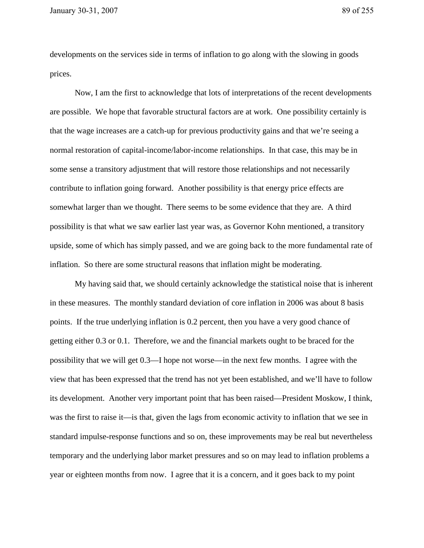developments on the services side in terms of inflation to go along with the slowing in goods prices.

 Now, I am the first to acknowledge that lots of interpretations of the recent developments are possible. We hope that favorable structural factors are at work. One possibility certainly is that the wage increases are a catch-up for previous productivity gains and that we're seeing a normal restoration of capital-income/labor-income relationships. In that case, this may be in some sense a transitory adjustment that will restore those relationships and not necessarily contribute to inflation going forward. Another possibility is that energy price effects are somewhat larger than we thought. There seems to be some evidence that they are. A third possibility is that what we saw earlier last year was, as Governor Kohn mentioned, a transitory upside, some of which has simply passed, and we are going back to the more fundamental rate of inflation. So there are some structural reasons that inflation might be moderating.

My having said that, we should certainly acknowledge the statistical noise that is inherent in these measures. The monthly standard deviation of core inflation in 2006 was about 8 basis points. If the true underlying inflation is 0.2 percent, then you have a very good chance of getting either 0.3 or 0.1. Therefore, we and the financial markets ought to be braced for the possibility that we will get 0.3—I hope not worse—in the next few months. I agree with the view that has been expressed that the trend has not yet been established, and we'll have to follow its development. Another very important point that has been raised—President Moskow, I think, was the first to raise it—is that, given the lags from economic activity to inflation that we see in standard impulse-response functions and so on, these improvements may be real but nevertheless temporary and the underlying labor market pressures and so on may lead to inflation problems a year or eighteen months from now. I agree that it is a concern, and it goes back to my point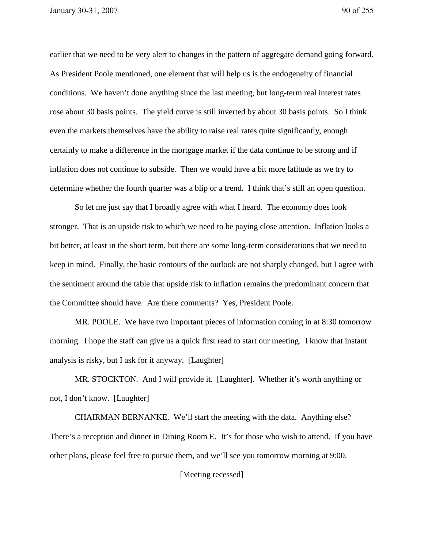earlier that we need to be very alert to changes in the pattern of aggregate demand going forward. As President Poole mentioned, one element that will help us is the endogeneity of financial conditions. We haven't done anything since the last meeting, but long-term real interest rates rose about 30 basis points. The yield curve is still inverted by about 30 basis points. So I think even the markets themselves have the ability to raise real rates quite significantly, enough certainly to make a difference in the mortgage market if the data continue to be strong and if inflation does not continue to subside. Then we would have a bit more latitude as we try to determine whether the fourth quarter was a blip or a trend. I think that's still an open question.

So let me just say that I broadly agree with what I heard. The economy does look stronger. That is an upside risk to which we need to be paying close attention. Inflation looks a bit better, at least in the short term, but there are some long-term considerations that we need to keep in mind. Finally, the basic contours of the outlook are not sharply changed, but I agree with the sentiment around the table that upside risk to inflation remains the predominant concern that the Committee should have. Are there comments? Yes, President Poole.

MR. POOLE. We have two important pieces of information coming in at 8:30 tomorrow morning. I hope the staff can give us a quick first read to start our meeting. I know that instant analysis is risky, but I ask for it anyway. [Laughter]

MR. STOCKTON. And I will provide it. [Laughter]. Whether it's worth anything or not, I don't know. [Laughter]

CHAIRMAN BERNANKE. We'll start the meeting with the data. Anything else? There's a reception and dinner in Dining Room E. It's for those who wish to attend. If you have other plans, please feel free to pursue them, and we'll see you tomorrow morning at 9:00.

[Meeting recessed]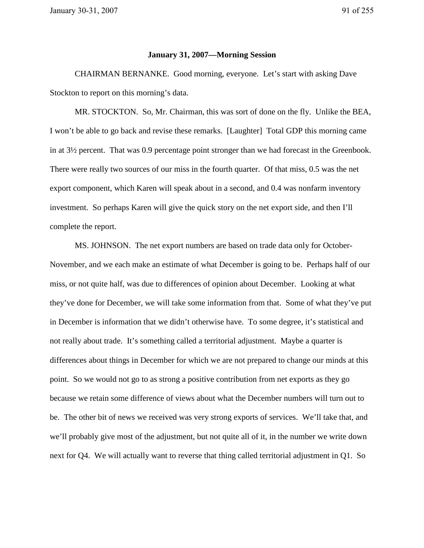## **January 31, 2007—Morning Session**

 CHAIRMAN BERNANKE. Good morning, everyone. Let's start with asking Dave Stockton to report on this morning's data.

 MR. STOCKTON. So, Mr. Chairman, this was sort of done on the fly. Unlike the BEA, I won't be able to go back and revise these remarks. [Laughter] Total GDP this morning came in at 3½ percent. That was 0.9 percentage point stronger than we had forecast in the Greenbook. There were really two sources of our miss in the fourth quarter. Of that miss, 0.5 was the net export component, which Karen will speak about in a second, and 0.4 was nonfarm inventory investment. So perhaps Karen will give the quick story on the net export side, and then I'll complete the report.

 MS. JOHNSON. The net export numbers are based on trade data only for October-November, and we each make an estimate of what December is going to be. Perhaps half of our miss, or not quite half, was due to differences of opinion about December. Looking at what they've done for December, we will take some information from that. Some of what they've put in December is information that we didn't otherwise have. To some degree, it's statistical and not really about trade. It's something called a territorial adjustment. Maybe a quarter is differences about things in December for which we are not prepared to change our minds at this point. So we would not go to as strong a positive contribution from net exports as they go because we retain some difference of views about what the December numbers will turn out to be. The other bit of news we received was very strong exports of services. We'll take that, and we'll probably give most of the adjustment, but not quite all of it, in the number we write down next for Q4. We will actually want to reverse that thing called territorial adjustment in Q1. So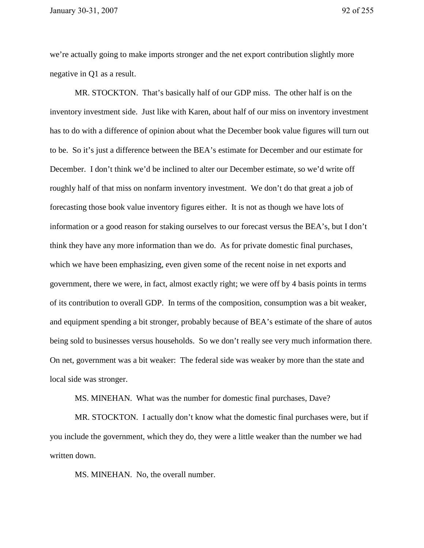we're actually going to make imports stronger and the net export contribution slightly more negative in Q1 as a result.

MR. STOCKTON. That's basically half of our GDP miss. The other half is on the inventory investment side. Just like with Karen, about half of our miss on inventory investment has to do with a difference of opinion about what the December book value figures will turn out to be. So it's just a difference between the BEA's estimate for December and our estimate for December. I don't think we'd be inclined to alter our December estimate, so we'd write off roughly half of that miss on nonfarm inventory investment. We don't do that great a job of forecasting those book value inventory figures either. It is not as though we have lots of information or a good reason for staking ourselves to our forecast versus the BEA's, but I don't think they have any more information than we do. As for private domestic final purchases, which we have been emphasizing, even given some of the recent noise in net exports and government, there we were, in fact, almost exactly right; we were off by 4 basis points in terms of its contribution to overall GDP. In terms of the composition, consumption was a bit weaker, and equipment spending a bit stronger, probably because of BEA's estimate of the share of autos being sold to businesses versus households. So we don't really see very much information there. On net, government was a bit weaker: The federal side was weaker by more than the state and local side was stronger.

MS. MINEHAN. What was the number for domestic final purchases, Dave?

 MR. STOCKTON. I actually don't know what the domestic final purchases were, but if you include the government, which they do, they were a little weaker than the number we had written down.

MS. MINEHAN. No, the overall number.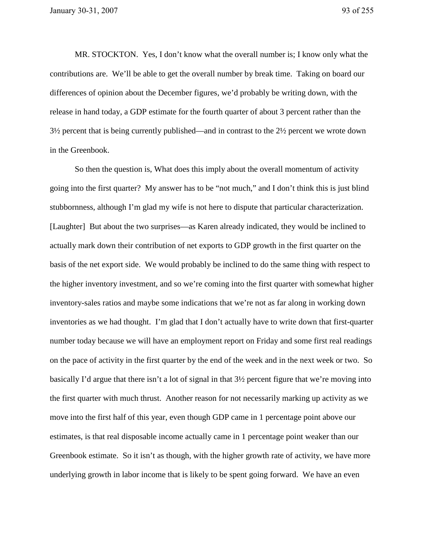MR. STOCKTON. Yes, I don't know what the overall number is; I know only what the contributions are. We'll be able to get the overall number by break time. Taking on board our differences of opinion about the December figures, we'd probably be writing down, with the release in hand today, a GDP estimate for the fourth quarter of about 3 percent rather than the 3½ percent that is being currently published—and in contrast to the 2½ percent we wrote down in the Greenbook.

 So then the question is, What does this imply about the overall momentum of activity going into the first quarter? My answer has to be "not much," and I don't think this is just blind stubbornness, although I'm glad my wife is not here to dispute that particular characterization. [Laughter] But about the two surprises—as Karen already indicated, they would be inclined to actually mark down their contribution of net exports to GDP growth in the first quarter on the basis of the net export side. We would probably be inclined to do the same thing with respect to the higher inventory investment, and so we're coming into the first quarter with somewhat higher inventory-sales ratios and maybe some indications that we're not as far along in working down inventories as we had thought. I'm glad that I don't actually have to write down that first-quarter number today because we will have an employment report on Friday and some first real readings on the pace of activity in the first quarter by the end of the week and in the next week or two. So basically I'd argue that there isn't a lot of signal in that 3½ percent figure that we're moving into the first quarter with much thrust. Another reason for not necessarily marking up activity as we move into the first half of this year, even though GDP came in 1 percentage point above our estimates, is that real disposable income actually came in 1 percentage point weaker than our Greenbook estimate. So it isn't as though, with the higher growth rate of activity, we have more underlying growth in labor income that is likely to be spent going forward. We have an even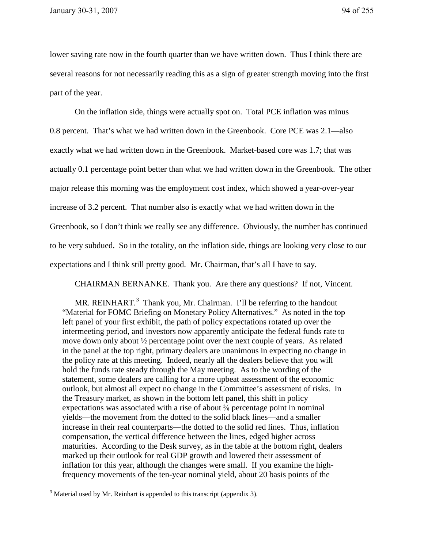lower saving rate now in the fourth quarter than we have written down. Thus I think there are several reasons for not necessarily reading this as a sign of greater strength moving into the first part of the year.

 On the inflation side, things were actually spot on. Total PCE inflation was minus 0.8 percent. That's what we had written down in the Greenbook. Core PCE was 2.1—also exactly what we had written down in the Greenbook. Market-based core was 1.7; that was actually 0.1 percentage point better than what we had written down in the Greenbook. The other major release this morning was the employment cost index, which showed a year-over-year increase of 3.2 percent. That number also is exactly what we had written down in the Greenbook, so I don't think we really see any difference. Obviously, the number has continued to be very subdued. So in the totality, on the inflation side, things are looking very close to our expectations and I think still pretty good. Mr. Chairman, that's all I have to say.

CHAIRMAN BERNANKE. Thank you. Are there any questions? If not, Vincent.

MR. REINHART. $3$  Thank you, Mr. Chairman. I'll be referring to the handout "Material for FOMC Briefing on Monetary Policy Alternatives." As noted in the top left panel of your first exhibit, the path of policy expectations rotated up over the intermeeting period, and investors now apparently anticipate the federal funds rate to move down only about ½ percentage point over the next couple of years. As related in the panel at the top right, primary dealers are unanimous in expecting no change in the policy rate at this meeting. Indeed, nearly all the dealers believe that you will hold the funds rate steady through the May meeting. As to the wording of the statement, some dealers are calling for a more upbeat assessment of the economic outlook, but almost all expect no change in the Committee's assessment of risks. In the Treasury market, as shown in the bottom left panel, this shift in policy expectations was associated with a rise of about  $\frac{3}{8}$  percentage point in nominal yields—the movement from the dotted to the solid black lines—and a smaller increase in their real counterparts—the dotted to the solid red lines. Thus, inflation compensation, the vertical difference between the lines, edged higher across maturities. According to the Desk survey, as in the table at the bottom right, dealers marked up their outlook for real GDP growth and lowered their assessment of inflation for this year, although the changes were small. If you examine the highfrequency movements of the ten-year nominal yield, about 20 basis points of the

 $\overline{a}$ 

<sup>&</sup>lt;sup>3</sup> Material used by Mr. Reinhart is appended to this transcript (appendix 3).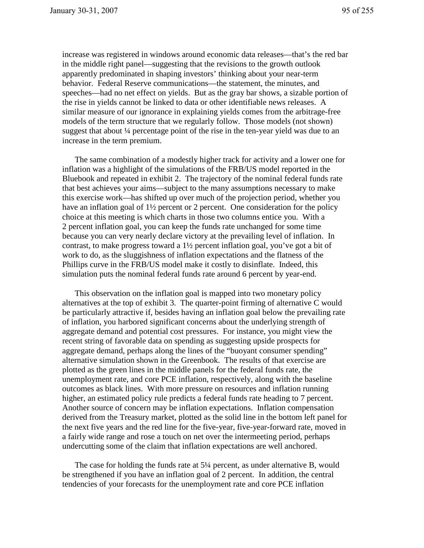increase was registered in windows around economic data releases—that's the red bar in the middle right panel—suggesting that the revisions to the growth outlook apparently predominated in shaping investors' thinking about your near-term behavior. Federal Reserve communications—the statement, the minutes, and speeches—had no net effect on yields. But as the gray bar shows, a sizable portion of the rise in yields cannot be linked to data or other identifiable news releases. A similar measure of our ignorance in explaining yields comes from the arbitrage-free models of the term structure that we regularly follow. Those models (not shown) suggest that about ¼ percentage point of the rise in the ten-year yield was due to an increase in the term premium.

The same combination of a modestly higher track for activity and a lower one for inflation was a highlight of the simulations of the FRB/US model reported in the Bluebook and repeated in exhibit 2. The trajectory of the nominal federal funds rate that best achieves your aims—subject to the many assumptions necessary to make this exercise work—has shifted up over much of the projection period, whether you have an inflation goal of  $1\frac{1}{2}$  percent or 2 percent. One consideration for the policy choice at this meeting is which charts in those two columns entice you. With a 2 percent inflation goal, you can keep the funds rate unchanged for some time because you can very nearly declare victory at the prevailing level of inflation. In contrast, to make progress toward a 1½ percent inflation goal, you've got a bit of work to do, as the sluggishness of inflation expectations and the flatness of the Phillips curve in the FRB/US model make it costly to disinflate. Indeed, this simulation puts the nominal federal funds rate around 6 percent by year-end.

This observation on the inflation goal is mapped into two monetary policy alternatives at the top of exhibit 3. The quarter-point firming of alternative C would be particularly attractive if, besides having an inflation goal below the prevailing rate of inflation, you harbored significant concerns about the underlying strength of aggregate demand and potential cost pressures. For instance, you might view the recent string of favorable data on spending as suggesting upside prospects for aggregate demand, perhaps along the lines of the "buoyant consumer spending" alternative simulation shown in the Greenbook. The results of that exercise are plotted as the green lines in the middle panels for the federal funds rate, the unemployment rate, and core PCE inflation, respectively, along with the baseline outcomes as black lines. With more pressure on resources and inflation running higher, an estimated policy rule predicts a federal funds rate heading to 7 percent. Another source of concern may be inflation expectations. Inflation compensation derived from the Treasury market, plotted as the solid line in the bottom left panel for the next five years and the red line for the five-year, five-year-forward rate, moved in a fairly wide range and rose a touch on net over the intermeeting period, perhaps undercutting some of the claim that inflation expectations are well anchored.

The case for holding the funds rate at 5¼ percent, as under alternative B, would be strengthened if you have an inflation goal of 2 percent. In addition, the central tendencies of your forecasts for the unemployment rate and core PCE inflation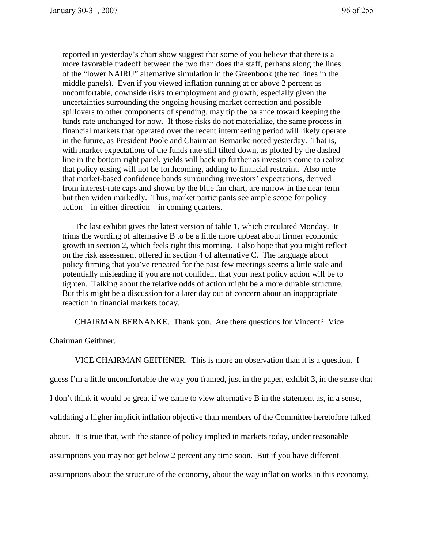reported in yesterday's chart show suggest that some of you believe that there is a more favorable tradeoff between the two than does the staff, perhaps along the lines of the "lower NAIRU" alternative simulation in the Greenbook (the red lines in the middle panels). Even if you viewed inflation running at or above 2 percent as uncomfortable, downside risks to employment and growth, especially given the uncertainties surrounding the ongoing housing market correction and possible spillovers to other components of spending, may tip the balance toward keeping the funds rate unchanged for now. If those risks do not materialize, the same process in financial markets that operated over the recent intermeeting period will likely operate in the future, as President Poole and Chairman Bernanke noted yesterday. That is, with market expectations of the funds rate still tilted down, as plotted by the dashed line in the bottom right panel, yields will back up further as investors come to realize that policy easing will not be forthcoming, adding to financial restraint. Also note that market-based confidence bands surrounding investors' expectations, derived from interest-rate caps and shown by the blue fan chart, are narrow in the near term but then widen markedly. Thus, market participants see ample scope for policy action—in either direction—in coming quarters.

The last exhibit gives the latest version of table 1, which circulated Monday. It trims the wording of alternative B to be a little more upbeat about firmer economic growth in section 2, which feels right this morning. I also hope that you might reflect on the risk assessment offered in section 4 of alternative C. The language about policy firming that you've repeated for the past few meetings seems a little stale and potentially misleading if you are not confident that your next policy action will be to tighten. Talking about the relative odds of action might be a more durable structure. But this might be a discussion for a later day out of concern about an inappropriate reaction in financial markets today.

CHAIRMAN BERNANKE. Thank you. Are there questions for Vincent? Vice

Chairman Geithner.

 VICE CHAIRMAN GEITHNER. This is more an observation than it is a question. I guess I'm a little uncomfortable the way you framed, just in the paper, exhibit 3, in the sense that I don't think it would be great if we came to view alternative B in the statement as, in a sense, validating a higher implicit inflation objective than members of the Committee heretofore talked about. It is true that, with the stance of policy implied in markets today, under reasonable assumptions you may not get below 2 percent any time soon. But if you have different assumptions about the structure of the economy, about the way inflation works in this economy,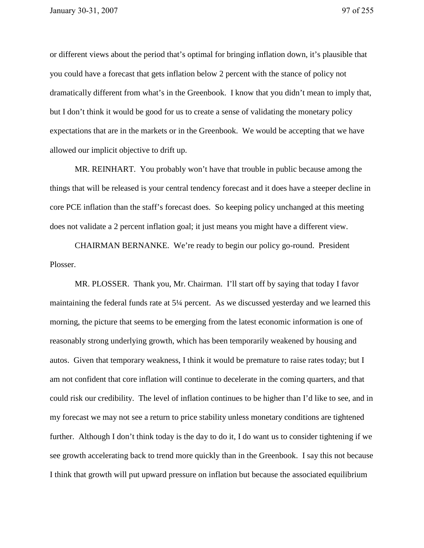or different views about the period that's optimal for bringing inflation down, it's plausible that you could have a forecast that gets inflation below 2 percent with the stance of policy not dramatically different from what's in the Greenbook. I know that you didn't mean to imply that, but I don't think it would be good for us to create a sense of validating the monetary policy expectations that are in the markets or in the Greenbook. We would be accepting that we have allowed our implicit objective to drift up.

MR. REINHART. You probably won't have that trouble in public because among the things that will be released is your central tendency forecast and it does have a steeper decline in core PCE inflation than the staff's forecast does. So keeping policy unchanged at this meeting does not validate a 2 percent inflation goal; it just means you might have a different view.

 CHAIRMAN BERNANKE. We're ready to begin our policy go-round. President Plosser.

 MR. PLOSSER. Thank you, Mr. Chairman. I'll start off by saying that today I favor maintaining the federal funds rate at 5¼ percent. As we discussed yesterday and we learned this morning, the picture that seems to be emerging from the latest economic information is one of reasonably strong underlying growth, which has been temporarily weakened by housing and autos. Given that temporary weakness, I think it would be premature to raise rates today; but I am not confident that core inflation will continue to decelerate in the coming quarters, and that could risk our credibility. The level of inflation continues to be higher than I'd like to see, and in my forecast we may not see a return to price stability unless monetary conditions are tightened further. Although I don't think today is the day to do it, I do want us to consider tightening if we see growth accelerating back to trend more quickly than in the Greenbook. I say this not because I think that growth will put upward pressure on inflation but because the associated equilibrium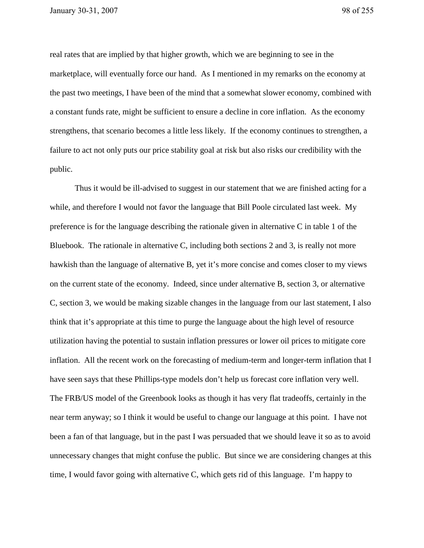real rates that are implied by that higher growth, which we are beginning to see in the marketplace, will eventually force our hand. As I mentioned in my remarks on the economy at the past two meetings, I have been of the mind that a somewhat slower economy, combined with a constant funds rate, might be sufficient to ensure a decline in core inflation. As the economy strengthens, that scenario becomes a little less likely. If the economy continues to strengthen, a failure to act not only puts our price stability goal at risk but also risks our credibility with the public.

 Thus it would be ill-advised to suggest in our statement that we are finished acting for a while, and therefore I would not favor the language that Bill Poole circulated last week. My preference is for the language describing the rationale given in alternative C in table 1 of the Bluebook. The rationale in alternative C, including both sections 2 and 3, is really not more hawkish than the language of alternative B, yet it's more concise and comes closer to my views on the current state of the economy. Indeed, since under alternative B, section 3, or alternative C, section 3, we would be making sizable changes in the language from our last statement, I also think that it's appropriate at this time to purge the language about the high level of resource utilization having the potential to sustain inflation pressures or lower oil prices to mitigate core inflation. All the recent work on the forecasting of medium-term and longer-term inflation that I have seen says that these Phillips-type models don't help us forecast core inflation very well. The FRB/US model of the Greenbook looks as though it has very flat tradeoffs, certainly in the near term anyway; so I think it would be useful to change our language at this point. I have not been a fan of that language, but in the past I was persuaded that we should leave it so as to avoid unnecessary changes that might confuse the public. But since we are considering changes at this time, I would favor going with alternative C, which gets rid of this language. I'm happy to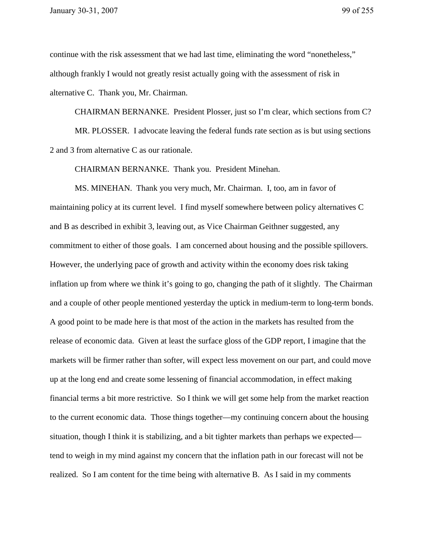continue with the risk assessment that we had last time, eliminating the word "nonetheless," although frankly I would not greatly resist actually going with the assessment of risk in alternative C. Thank you, Mr. Chairman.

CHAIRMAN BERNANKE. President Plosser, just so I'm clear, which sections from C?

MR. PLOSSER. I advocate leaving the federal funds rate section as is but using sections 2 and 3 from alternative C as our rationale.

CHAIRMAN BERNANKE. Thank you. President Minehan.

 MS. MINEHAN. Thank you very much, Mr. Chairman. I, too, am in favor of maintaining policy at its current level. I find myself somewhere between policy alternatives C and B as described in exhibit 3, leaving out, as Vice Chairman Geithner suggested, any commitment to either of those goals. I am concerned about housing and the possible spillovers. However, the underlying pace of growth and activity within the economy does risk taking inflation up from where we think it's going to go, changing the path of it slightly. The Chairman and a couple of other people mentioned yesterday the uptick in medium-term to long-term bonds. A good point to be made here is that most of the action in the markets has resulted from the release of economic data. Given at least the surface gloss of the GDP report, I imagine that the markets will be firmer rather than softer, will expect less movement on our part, and could move up at the long end and create some lessening of financial accommodation, in effect making financial terms a bit more restrictive. So I think we will get some help from the market reaction to the current economic data. Those things together—my continuing concern about the housing situation, though I think it is stabilizing, and a bit tighter markets than perhaps we expected tend to weigh in my mind against my concern that the inflation path in our forecast will not be realized. So I am content for the time being with alternative B. As I said in my comments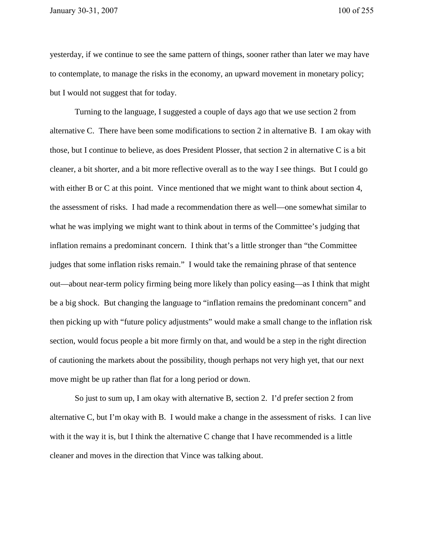yesterday, if we continue to see the same pattern of things, sooner rather than later we may have to contemplate, to manage the risks in the economy, an upward movement in monetary policy; but I would not suggest that for today.

 Turning to the language, I suggested a couple of days ago that we use section 2 from alternative C. There have been some modifications to section 2 in alternative B. I am okay with those, but I continue to believe, as does President Plosser, that section 2 in alternative C is a bit cleaner, a bit shorter, and a bit more reflective overall as to the way I see things. But I could go with either B or C at this point. Vince mentioned that we might want to think about section 4, the assessment of risks. I had made a recommendation there as well—one somewhat similar to what he was implying we might want to think about in terms of the Committee's judging that inflation remains a predominant concern. I think that's a little stronger than "the Committee judges that some inflation risks remain." I would take the remaining phrase of that sentence out—about near-term policy firming being more likely than policy easing—as I think that might be a big shock. But changing the language to "inflation remains the predominant concern" and then picking up with "future policy adjustments" would make a small change to the inflation risk section, would focus people a bit more firmly on that, and would be a step in the right direction of cautioning the markets about the possibility, though perhaps not very high yet, that our next move might be up rather than flat for a long period or down.

 So just to sum up, I am okay with alternative B, section 2. I'd prefer section 2 from alternative C, but I'm okay with B. I would make a change in the assessment of risks. I can live with it the way it is, but I think the alternative C change that I have recommended is a little cleaner and moves in the direction that Vince was talking about.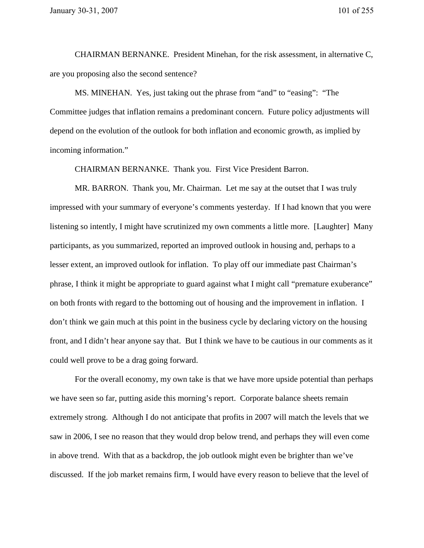CHAIRMAN BERNANKE. President Minehan, for the risk assessment, in alternative C, are you proposing also the second sentence?

MS. MINEHAN. Yes, just taking out the phrase from "and" to "easing": "The Committee judges that inflation remains a predominant concern. Future policy adjustments will depend on the evolution of the outlook for both inflation and economic growth, as implied by incoming information."

CHAIRMAN BERNANKE. Thank you. First Vice President Barron.

 MR. BARRON. Thank you, Mr. Chairman. Let me say at the outset that I was truly impressed with your summary of everyone's comments yesterday. If I had known that you were listening so intently, I might have scrutinized my own comments a little more. [Laughter] Many participants, as you summarized, reported an improved outlook in housing and, perhaps to a lesser extent, an improved outlook for inflation. To play off our immediate past Chairman's phrase, I think it might be appropriate to guard against what I might call "premature exuberance" on both fronts with regard to the bottoming out of housing and the improvement in inflation. I don't think we gain much at this point in the business cycle by declaring victory on the housing front, and I didn't hear anyone say that. But I think we have to be cautious in our comments as it could well prove to be a drag going forward.

 For the overall economy, my own take is that we have more upside potential than perhaps we have seen so far, putting aside this morning's report. Corporate balance sheets remain extremely strong. Although I do not anticipate that profits in 2007 will match the levels that we saw in 2006, I see no reason that they would drop below trend, and perhaps they will even come in above trend. With that as a backdrop, the job outlook might even be brighter than we've discussed. If the job market remains firm, I would have every reason to believe that the level of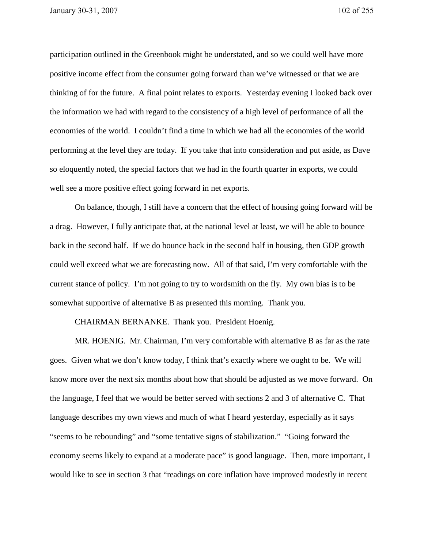participation outlined in the Greenbook might be understated, and so we could well have more positive income effect from the consumer going forward than we've witnessed or that we are thinking of for the future. A final point relates to exports. Yesterday evening I looked back over the information we had with regard to the consistency of a high level of performance of all the economies of the world. I couldn't find a time in which we had all the economies of the world performing at the level they are today. If you take that into consideration and put aside, as Dave so eloquently noted, the special factors that we had in the fourth quarter in exports, we could well see a more positive effect going forward in net exports.

 On balance, though, I still have a concern that the effect of housing going forward will be a drag. However, I fully anticipate that, at the national level at least, we will be able to bounce back in the second half. If we do bounce back in the second half in housing, then GDP growth could well exceed what we are forecasting now. All of that said, I'm very comfortable with the current stance of policy. I'm not going to try to wordsmith on the fly. My own bias is to be somewhat supportive of alternative B as presented this morning. Thank you.

## CHAIRMAN BERNANKE. Thank you. President Hoenig.

 MR. HOENIG. Mr. Chairman, I'm very comfortable with alternative B as far as the rate goes. Given what we don't know today, I think that's exactly where we ought to be. We will know more over the next six months about how that should be adjusted as we move forward. On the language, I feel that we would be better served with sections 2 and 3 of alternative C. That language describes my own views and much of what I heard yesterday, especially as it says "seems to be rebounding" and "some tentative signs of stabilization." "Going forward the economy seems likely to expand at a moderate pace" is good language. Then, more important, I would like to see in section 3 that "readings on core inflation have improved modestly in recent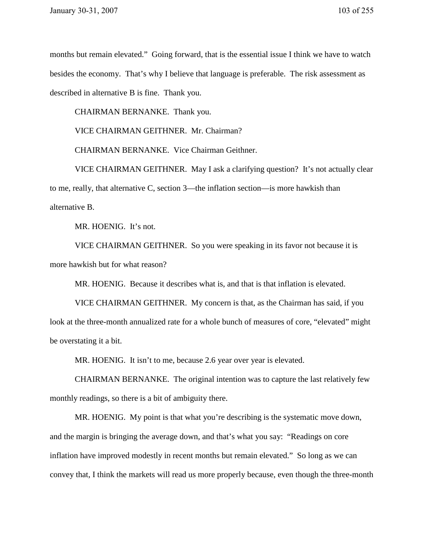months but remain elevated." Going forward, that is the essential issue I think we have to watch besides the economy. That's why I believe that language is preferable. The risk assessment as described in alternative B is fine. Thank you.

CHAIRMAN BERNANKE. Thank you.

VICE CHAIRMAN GEITHNER. Mr. Chairman?

CHAIRMAN BERNANKE. Vice Chairman Geithner.

VICE CHAIRMAN GEITHNER. May I ask a clarifying question? It's not actually clear to me, really, that alternative C, section 3—the inflation section—is more hawkish than alternative B.

MR. HOENIG. It's not.

VICE CHAIRMAN GEITHNER. So you were speaking in its favor not because it is more hawkish but for what reason?

MR. HOENIG. Because it describes what is, and that is that inflation is elevated.

VICE CHAIRMAN GEITHNER. My concern is that, as the Chairman has said, if you look at the three-month annualized rate for a whole bunch of measures of core, "elevated" might be overstating it a bit.

MR. HOENIG. It isn't to me, because 2.6 year over year is elevated.

CHAIRMAN BERNANKE. The original intention was to capture the last relatively few monthly readings, so there is a bit of ambiguity there.

MR. HOENIG. My point is that what you're describing is the systematic move down, and the margin is bringing the average down, and that's what you say: "Readings on core inflation have improved modestly in recent months but remain elevated." So long as we can convey that, I think the markets will read us more properly because, even though the three-month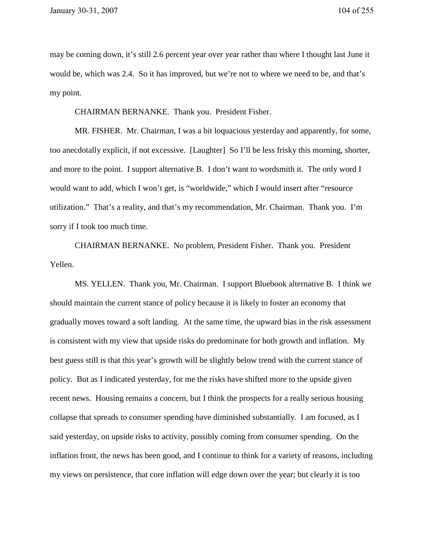may be coming down, it's still 2.6 percent year over year rather than where I thought last June it would be, which was 2.4. So it has improved, but we're not to where we need to be, and that's my point.

CHAIRMAN BERNANKE. Thank you. President Fisher.

 MR. FISHER. Mr. Chairman, I was a bit loquacious yesterday and apparently, for some, too anecdotally explicit, if not excessive. [Laughter] So I'll be less frisky this morning, shorter, and more to the point. I support alternative B. I don't want to wordsmith it. The only word I would want to add, which I won't get, is "worldwide," which I would insert after "resource utilization." That's a reality, and that's my recommendation, Mr. Chairman. Thank you. I'm sorry if I took too much time.

 CHAIRMAN BERNANKE. No problem, President Fisher. Thank you. President Yellen.

 MS. YELLEN. Thank you, Mr. Chairman. I support Bluebook alternative B. I think we should maintain the current stance of policy because it is likely to foster an economy that gradually moves toward a soft landing. At the same time, the upward bias in the risk assessment is consistent with my view that upside risks do predominate for both growth and inflation. My best guess still is that this year's growth will be slightly below trend with the current stance of policy. But as I indicated yesterday, for me the risks have shifted more to the upside given recent news. Housing remains a concern, but I think the prospects for a really serious housing collapse that spreads to consumer spending have diminished substantially. I am focused, as I said yesterday, on upside risks to activity, possibly coming from consumer spending. On the inflation front, the news has been good, and I continue to think for a variety of reasons, including my views on persistence, that core inflation will edge down over the year; but clearly it is too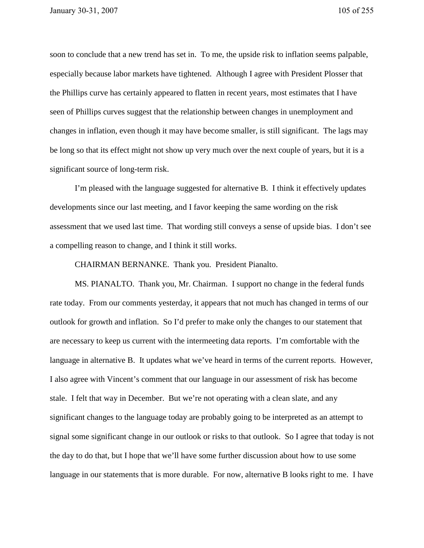soon to conclude that a new trend has set in. To me, the upside risk to inflation seems palpable, especially because labor markets have tightened. Although I agree with President Plosser that the Phillips curve has certainly appeared to flatten in recent years, most estimates that I have seen of Phillips curves suggest that the relationship between changes in unemployment and changes in inflation, even though it may have become smaller, is still significant. The lags may be long so that its effect might not show up very much over the next couple of years, but it is a significant source of long-term risk.

 I'm pleased with the language suggested for alternative B. I think it effectively updates developments since our last meeting, and I favor keeping the same wording on the risk assessment that we used last time. That wording still conveys a sense of upside bias. I don't see a compelling reason to change, and I think it still works.

CHAIRMAN BERNANKE. Thank you. President Pianalto.

 MS. PIANALTO. Thank you, Mr. Chairman. I support no change in the federal funds rate today. From our comments yesterday, it appears that not much has changed in terms of our outlook for growth and inflation. So I'd prefer to make only the changes to our statement that are necessary to keep us current with the intermeeting data reports. I'm comfortable with the language in alternative B. It updates what we've heard in terms of the current reports. However, I also agree with Vincent's comment that our language in our assessment of risk has become stale. I felt that way in December. But we're not operating with a clean slate, and any significant changes to the language today are probably going to be interpreted as an attempt to signal some significant change in our outlook or risks to that outlook. So I agree that today is not the day to do that, but I hope that we'll have some further discussion about how to use some language in our statements that is more durable. For now, alternative B looks right to me. I have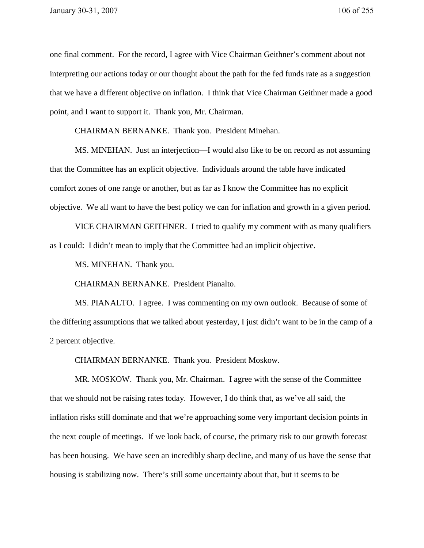one final comment. For the record, I agree with Vice Chairman Geithner's comment about not interpreting our actions today or our thought about the path for the fed funds rate as a suggestion that we have a different objective on inflation. I think that Vice Chairman Geithner made a good point, and I want to support it. Thank you, Mr. Chairman.

CHAIRMAN BERNANKE. Thank you. President Minehan.

MS. MINEHAN. Just an interjection—I would also like to be on record as not assuming that the Committee has an explicit objective. Individuals around the table have indicated comfort zones of one range or another, but as far as I know the Committee has no explicit objective. We all want to have the best policy we can for inflation and growth in a given period.

VICE CHAIRMAN GEITHNER. I tried to qualify my comment with as many qualifiers as I could: I didn't mean to imply that the Committee had an implicit objective.

MS. MINEHAN. Thank you.

CHAIRMAN BERNANKE. President Pianalto.

 MS. PIANALTO. I agree. I was commenting on my own outlook. Because of some of the differing assumptions that we talked about yesterday, I just didn't want to be in the camp of a 2 percent objective.

CHAIRMAN BERNANKE. Thank you. President Moskow.

 MR. MOSKOW. Thank you, Mr. Chairman. I agree with the sense of the Committee that we should not be raising rates today. However, I do think that, as we've all said, the inflation risks still dominate and that we're approaching some very important decision points in the next couple of meetings. If we look back, of course, the primary risk to our growth forecast has been housing. We have seen an incredibly sharp decline, and many of us have the sense that housing is stabilizing now. There's still some uncertainty about that, but it seems to be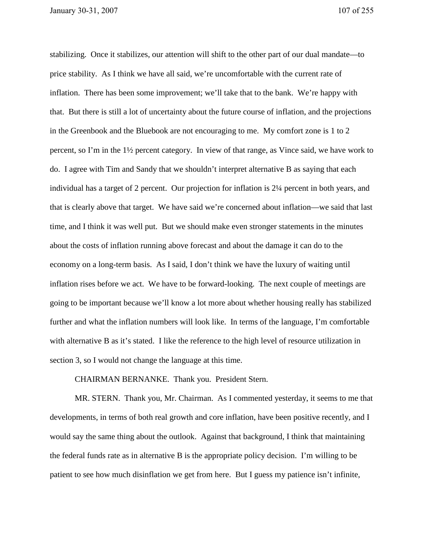stabilizing. Once it stabilizes, our attention will shift to the other part of our dual mandate—to price stability. As I think we have all said, we're uncomfortable with the current rate of inflation. There has been some improvement; we'll take that to the bank. We're happy with that. But there is still a lot of uncertainty about the future course of inflation, and the projections in the Greenbook and the Bluebook are not encouraging to me. My comfort zone is 1 to 2 percent, so I'm in the 1½ percent category. In view of that range, as Vince said, we have work to do. I agree with Tim and Sandy that we shouldn't interpret alternative B as saying that each individual has a target of 2 percent. Our projection for inflation is 2¼ percent in both years, and that is clearly above that target. We have said we're concerned about inflation—we said that last time, and I think it was well put. But we should make even stronger statements in the minutes about the costs of inflation running above forecast and about the damage it can do to the economy on a long-term basis. As I said, I don't think we have the luxury of waiting until inflation rises before we act. We have to be forward-looking. The next couple of meetings are going to be important because we'll know a lot more about whether housing really has stabilized further and what the inflation numbers will look like. In terms of the language, I'm comfortable with alternative B as it's stated. I like the reference to the high level of resource utilization in section 3, so I would not change the language at this time.

CHAIRMAN BERNANKE. Thank you. President Stern.

 MR. STERN. Thank you, Mr. Chairman. As I commented yesterday, it seems to me that developments, in terms of both real growth and core inflation, have been positive recently, and I would say the same thing about the outlook. Against that background, I think that maintaining the federal funds rate as in alternative B is the appropriate policy decision. I'm willing to be patient to see how much disinflation we get from here. But I guess my patience isn't infinite,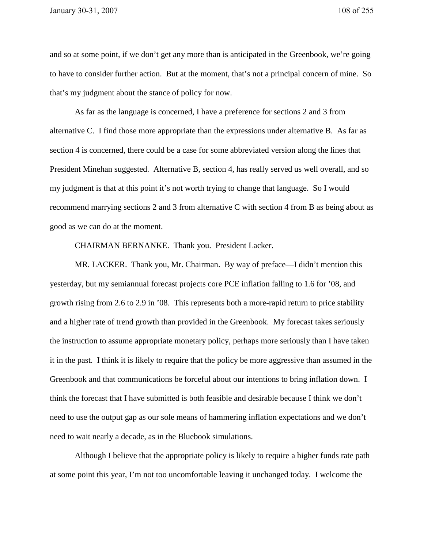and so at some point, if we don't get any more than is anticipated in the Greenbook, we're going to have to consider further action. But at the moment, that's not a principal concern of mine. So that's my judgment about the stance of policy for now.

As far as the language is concerned, I have a preference for sections 2 and 3 from alternative C. I find those more appropriate than the expressions under alternative B. As far as section 4 is concerned, there could be a case for some abbreviated version along the lines that President Minehan suggested. Alternative B, section 4, has really served us well overall, and so my judgment is that at this point it's not worth trying to change that language. So I would recommend marrying sections 2 and 3 from alternative C with section 4 from B as being about as good as we can do at the moment.

CHAIRMAN BERNANKE. Thank you. President Lacker.

 MR. LACKER. Thank you, Mr. Chairman. By way of preface—I didn't mention this yesterday, but my semiannual forecast projects core PCE inflation falling to 1.6 for '08, and growth rising from 2.6 to 2.9 in '08. This represents both a more-rapid return to price stability and a higher rate of trend growth than provided in the Greenbook. My forecast takes seriously the instruction to assume appropriate monetary policy, perhaps more seriously than I have taken it in the past. I think it is likely to require that the policy be more aggressive than assumed in the Greenbook and that communications be forceful about our intentions to bring inflation down. I think the forecast that I have submitted is both feasible and desirable because I think we don't need to use the output gap as our sole means of hammering inflation expectations and we don't need to wait nearly a decade, as in the Bluebook simulations.

 Although I believe that the appropriate policy is likely to require a higher funds rate path at some point this year, I'm not too uncomfortable leaving it unchanged today. I welcome the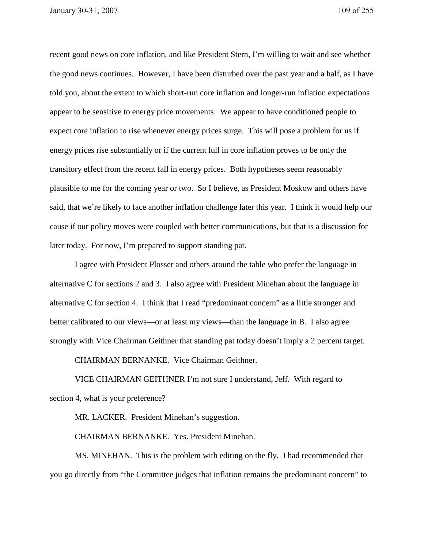recent good news on core inflation, and like President Stern, I'm willing to wait and see whether the good news continues. However, I have been disturbed over the past year and a half, as I have told you, about the extent to which short-run core inflation and longer-run inflation expectations appear to be sensitive to energy price movements. We appear to have conditioned people to expect core inflation to rise whenever energy prices surge. This will pose a problem for us if energy prices rise substantially or if the current lull in core inflation proves to be only the transitory effect from the recent fall in energy prices. Both hypotheses seem reasonably plausible to me for the coming year or two. So I believe, as President Moskow and others have said, that we're likely to face another inflation challenge later this year. I think it would help our cause if our policy moves were coupled with better communications, but that is a discussion for later today. For now, I'm prepared to support standing pat.

I agree with President Plosser and others around the table who prefer the language in alternative C for sections 2 and 3. I also agree with President Minehan about the language in alternative C for section 4. I think that I read "predominant concern" as a little stronger and better calibrated to our views—or at least my views—than the language in B. I also agree strongly with Vice Chairman Geithner that standing pat today doesn't imply a 2 percent target.

CHAIRMAN BERNANKE. Vice Chairman Geithner.

VICE CHAIRMAN GEITHNER I'm not sure I understand, Jeff. With regard to section 4, what is your preference?

MR. LACKER. President Minehan's suggestion.

CHAIRMAN BERNANKE. Yes. President Minehan.

 MS. MINEHAN. This is the problem with editing on the fly. I had recommended that you go directly from "the Committee judges that inflation remains the predominant concern" to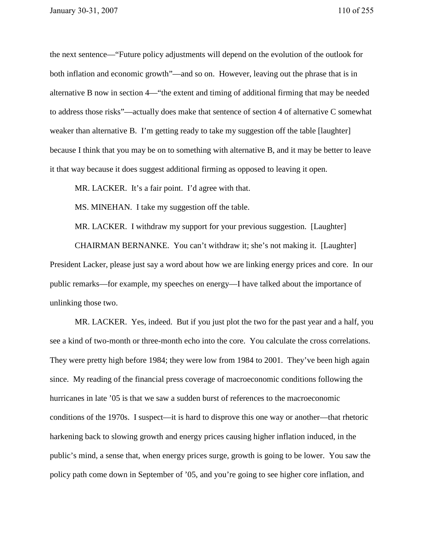the next sentence—"Future policy adjustments will depend on the evolution of the outlook for both inflation and economic growth"—and so on. However, leaving out the phrase that is in alternative B now in section 4—"the extent and timing of additional firming that may be needed to address those risks"—actually does make that sentence of section 4 of alternative C somewhat weaker than alternative B. I'm getting ready to take my suggestion off the table [laughter] because I think that you may be on to something with alternative B, and it may be better to leave it that way because it does suggest additional firming as opposed to leaving it open.

MR. LACKER. It's a fair point. I'd agree with that.

MS. MINEHAN. I take my suggestion off the table.

MR. LACKER. I withdraw my support for your previous suggestion. [Laughter]

 CHAIRMAN BERNANKE. You can't withdraw it; she's not making it. [Laughter] President Lacker, please just say a word about how we are linking energy prices and core. In our public remarks—for example, my speeches on energy—I have talked about the importance of unlinking those two.

MR. LACKER. Yes, indeed. But if you just plot the two for the past year and a half, you see a kind of two-month or three-month echo into the core. You calculate the cross correlations. They were pretty high before 1984; they were low from 1984 to 2001. They've been high again since. My reading of the financial press coverage of macroeconomic conditions following the hurricanes in late '05 is that we saw a sudden burst of references to the macroeconomic conditions of the 1970s. I suspect—it is hard to disprove this one way or another—that rhetoric harkening back to slowing growth and energy prices causing higher inflation induced, in the public's mind, a sense that, when energy prices surge, growth is going to be lower. You saw the policy path come down in September of '05, and you're going to see higher core inflation, and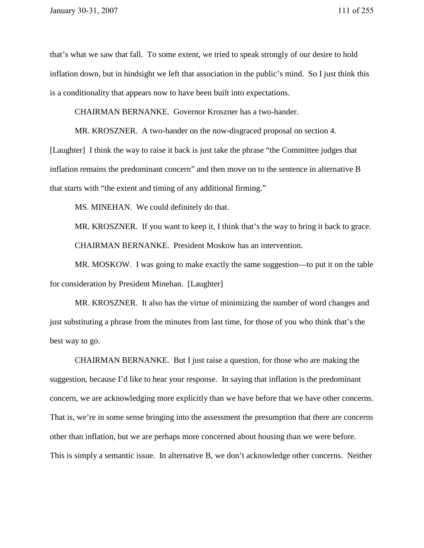that's what we saw that fall. To some extent, we tried to speak strongly of our desire to hold inflation down, but in hindsight we left that association in the public's mind. So I just think this is a conditionality that appears now to have been built into expectations.

CHAIRMAN BERNANKE. Governor Kroszner has a two-hander.

MR. KROSZNER. A two-hander on the now-disgraced proposal on section 4.

[Laughter] I think the way to raise it back is just take the phrase "the Committee judges that inflation remains the predominant concern" and then move on to the sentence in alternative B that starts with "the extent and timing of any additional firming."

MS. MINEHAN. We could definitely do that.

MR. KROSZNER. If you want to keep it, I think that's the way to bring it back to grace. CHAIRMAN BERNANKE. President Moskow has an intervention.

MR. MOSKOW. I was going to make exactly the same suggestion—to put it on the table for consideration by President Minehan. [Laughter]

MR. KROSZNER. It also has the virtue of minimizing the number of word changes and just substituting a phrase from the minutes from last time, for those of you who think that's the best way to go.

 CHAIRMAN BERNANKE. But I just raise a question, for those who are making the suggestion, because I'd like to hear your response. In saying that inflation is the predominant concern, we are acknowledging more explicitly than we have before that we have other concerns. That is, we're in some sense bringing into the assessment the presumption that there are concerns other than inflation, but we are perhaps more concerned about housing than we were before. This is simply a semantic issue. In alternative B, we don't acknowledge other concerns. Neither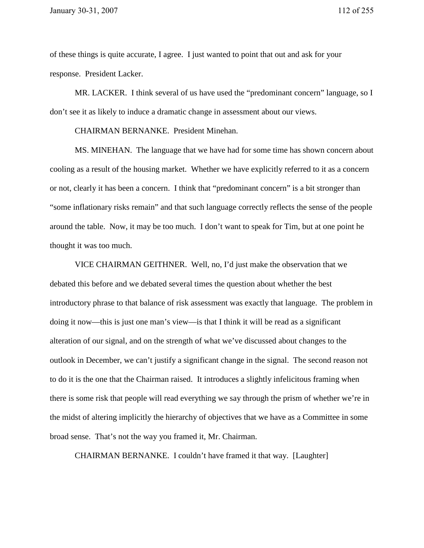of these things is quite accurate, I agree. I just wanted to point that out and ask for your response. President Lacker.

 MR. LACKER. I think several of us have used the "predominant concern" language, so I don't see it as likely to induce a dramatic change in assessment about our views.

CHAIRMAN BERNANKE. President Minehan.

MS. MINEHAN. The language that we have had for some time has shown concern about cooling as a result of the housing market. Whether we have explicitly referred to it as a concern or not, clearly it has been a concern. I think that "predominant concern" is a bit stronger than "some inflationary risks remain" and that such language correctly reflects the sense of the people around the table. Now, it may be too much. I don't want to speak for Tim, but at one point he thought it was too much.

 VICE CHAIRMAN GEITHNER. Well, no, I'd just make the observation that we debated this before and we debated several times the question about whether the best introductory phrase to that balance of risk assessment was exactly that language. The problem in doing it now—this is just one man's view—is that I think it will be read as a significant alteration of our signal, and on the strength of what we've discussed about changes to the outlook in December, we can't justify a significant change in the signal. The second reason not to do it is the one that the Chairman raised. It introduces a slightly infelicitous framing when there is some risk that people will read everything we say through the prism of whether we're in the midst of altering implicitly the hierarchy of objectives that we have as a Committee in some broad sense. That's not the way you framed it, Mr. Chairman.

CHAIRMAN BERNANKE. I couldn't have framed it that way. [Laughter]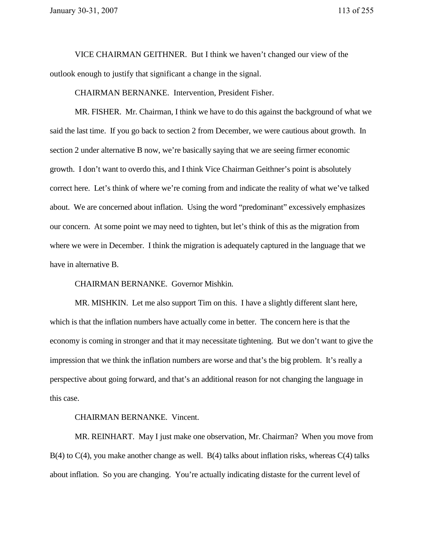VICE CHAIRMAN GEITHNER. But I think we haven't changed our view of the outlook enough to justify that significant a change in the signal.

CHAIRMAN BERNANKE. Intervention, President Fisher.

MR. FISHER. Mr. Chairman, I think we have to do this against the background of what we said the last time. If you go back to section 2 from December, we were cautious about growth. In section 2 under alternative B now, we're basically saying that we are seeing firmer economic growth. I don't want to overdo this, and I think Vice Chairman Geithner's point is absolutely correct here. Let's think of where we're coming from and indicate the reality of what we've talked about. We are concerned about inflation. Using the word "predominant" excessively emphasizes our concern. At some point we may need to tighten, but let's think of this as the migration from where we were in December. I think the migration is adequately captured in the language that we have in alternative B.

CHAIRMAN BERNANKE. Governor Mishkin.

MR. MISHKIN. Let me also support Tim on this. I have a slightly different slant here, which is that the inflation numbers have actually come in better. The concern here is that the economy is coming in stronger and that it may necessitate tightening. But we don't want to give the impression that we think the inflation numbers are worse and that's the big problem. It's really a perspective about going forward, and that's an additional reason for not changing the language in this case.

## CHAIRMAN BERNANKE. Vincent.

MR. REINHART. May I just make one observation, Mr. Chairman? When you move from  $B(4)$  to  $C(4)$ , you make another change as well.  $B(4)$  talks about inflation risks, whereas  $C(4)$  talks about inflation. So you are changing. You're actually indicating distaste for the current level of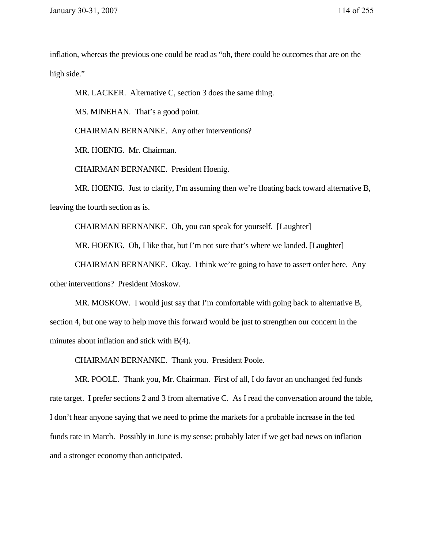inflation, whereas the previous one could be read as "oh, there could be outcomes that are on the high side."

MR. LACKER. Alternative C, section 3 does the same thing.

MS. MINEHAN. That's a good point.

CHAIRMAN BERNANKE. Any other interventions?

MR. HOENIG. Mr. Chairman.

CHAIRMAN BERNANKE. President Hoenig.

MR. HOENIG. Just to clarify, I'm assuming then we're floating back toward alternative B, leaving the fourth section as is.

CHAIRMAN BERNANKE. Oh, you can speak for yourself. [Laughter]

MR. HOENIG. Oh, I like that, but I'm not sure that's where we landed. [Laughter]

CHAIRMAN BERNANKE. Okay. I think we're going to have to assert order here. Any other interventions? President Moskow.

MR. MOSKOW. I would just say that I'm comfortable with going back to alternative B, section 4, but one way to help move this forward would be just to strengthen our concern in the minutes about inflation and stick with B(4).

CHAIRMAN BERNANKE. Thank you. President Poole.

MR. POOLE. Thank you, Mr. Chairman. First of all, I do favor an unchanged fed funds rate target. I prefer sections 2 and 3 from alternative C. As I read the conversation around the table, I don't hear anyone saying that we need to prime the markets for a probable increase in the fed funds rate in March. Possibly in June is my sense; probably later if we get bad news on inflation and a stronger economy than anticipated.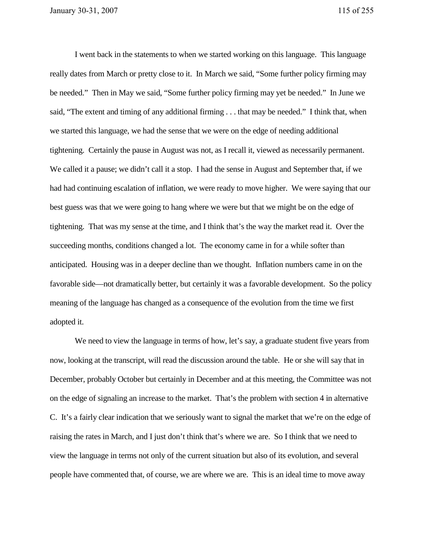I went back in the statements to when we started working on this language. This language really dates from March or pretty close to it. In March we said, "Some further policy firming may be needed." Then in May we said, "Some further policy firming may yet be needed." In June we said, "The extent and timing of any additional firming . . . that may be needed." I think that, when we started this language, we had the sense that we were on the edge of needing additional tightening. Certainly the pause in August was not, as I recall it, viewed as necessarily permanent. We called it a pause; we didn't call it a stop. I had the sense in August and September that, if we had had continuing escalation of inflation, we were ready to move higher. We were saying that our best guess was that we were going to hang where we were but that we might be on the edge of tightening. That was my sense at the time, and I think that's the way the market read it. Over the succeeding months, conditions changed a lot. The economy came in for a while softer than anticipated. Housing was in a deeper decline than we thought. Inflation numbers came in on the favorable side—not dramatically better, but certainly it was a favorable development. So the policy meaning of the language has changed as a consequence of the evolution from the time we first adopted it.

We need to view the language in terms of how, let's say, a graduate student five years from now, looking at the transcript, will read the discussion around the table. He or she will say that in December, probably October but certainly in December and at this meeting, the Committee was not on the edge of signaling an increase to the market. That's the problem with section 4 in alternative C. It's a fairly clear indication that we seriously want to signal the market that we're on the edge of raising the rates in March, and I just don't think that's where we are. So I think that we need to view the language in terms not only of the current situation but also of its evolution, and several people have commented that, of course, we are where we are. This is an ideal time to move away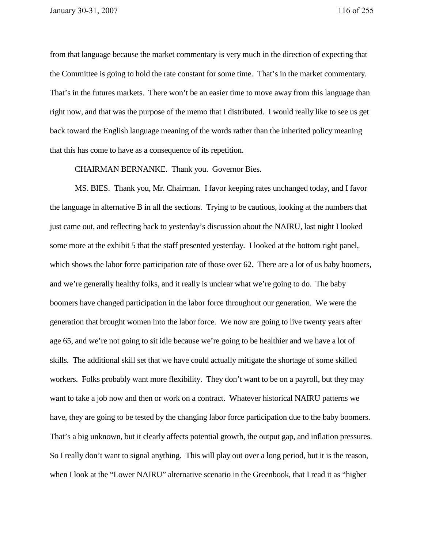from that language because the market commentary is very much in the direction of expecting that the Committee is going to hold the rate constant for some time. That's in the market commentary. That's in the futures markets. There won't be an easier time to move away from this language than right now, and that was the purpose of the memo that I distributed. I would really like to see us get back toward the English language meaning of the words rather than the inherited policy meaning that this has come to have as a consequence of its repetition.

CHAIRMAN BERNANKE. Thank you. Governor Bies.

MS. BIES. Thank you, Mr. Chairman. I favor keeping rates unchanged today, and I favor the language in alternative B in all the sections. Trying to be cautious, looking at the numbers that just came out, and reflecting back to yesterday's discussion about the NAIRU, last night I looked some more at the exhibit 5 that the staff presented yesterday. I looked at the bottom right panel, which shows the labor force participation rate of those over 62. There are a lot of us baby boomers, and we're generally healthy folks, and it really is unclear what we're going to do. The baby boomers have changed participation in the labor force throughout our generation. We were the generation that brought women into the labor force. We now are going to live twenty years after age 65, and we're not going to sit idle because we're going to be healthier and we have a lot of skills. The additional skill set that we have could actually mitigate the shortage of some skilled workers. Folks probably want more flexibility. They don't want to be on a payroll, but they may want to take a job now and then or work on a contract. Whatever historical NAIRU patterns we have, they are going to be tested by the changing labor force participation due to the baby boomers. That's a big unknown, but it clearly affects potential growth, the output gap, and inflation pressures. So I really don't want to signal anything. This will play out over a long period, but it is the reason, when I look at the "Lower NAIRU" alternative scenario in the Greenbook, that I read it as "higher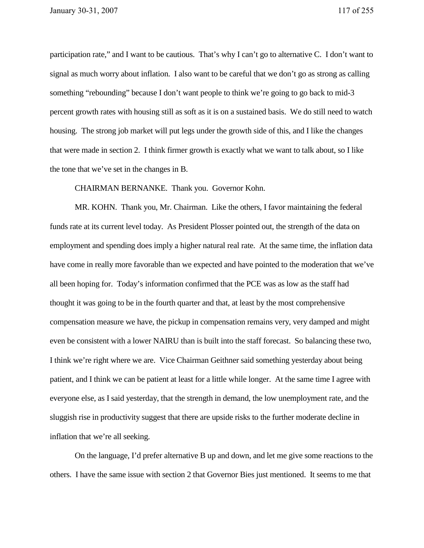participation rate," and I want to be cautious. That's why I can't go to alternative C. I don't want to signal as much worry about inflation. I also want to be careful that we don't go as strong as calling something "rebounding" because I don't want people to think we're going to go back to mid-3 percent growth rates with housing still as soft as it is on a sustained basis. We do still need to watch housing. The strong job market will put legs under the growth side of this, and I like the changes that were made in section 2. I think firmer growth is exactly what we want to talk about, so I like the tone that we've set in the changes in B.

CHAIRMAN BERNANKE. Thank you. Governor Kohn.

MR. KOHN. Thank you, Mr. Chairman. Like the others, I favor maintaining the federal funds rate at its current level today. As President Plosser pointed out, the strength of the data on employment and spending does imply a higher natural real rate. At the same time, the inflation data have come in really more favorable than we expected and have pointed to the moderation that we've all been hoping for. Today's information confirmed that the PCE was as low as the staff had thought it was going to be in the fourth quarter and that, at least by the most comprehensive compensation measure we have, the pickup in compensation remains very, very damped and might even be consistent with a lower NAIRU than is built into the staff forecast. So balancing these two, I think we're right where we are. Vice Chairman Geithner said something yesterday about being patient, and I think we can be patient at least for a little while longer. At the same time I agree with everyone else, as I said yesterday, that the strength in demand, the low unemployment rate, and the sluggish rise in productivity suggest that there are upside risks to the further moderate decline in inflation that we're all seeking.

On the language, I'd prefer alternative B up and down, and let me give some reactions to the others. I have the same issue with section 2 that Governor Bies just mentioned. It seems to me that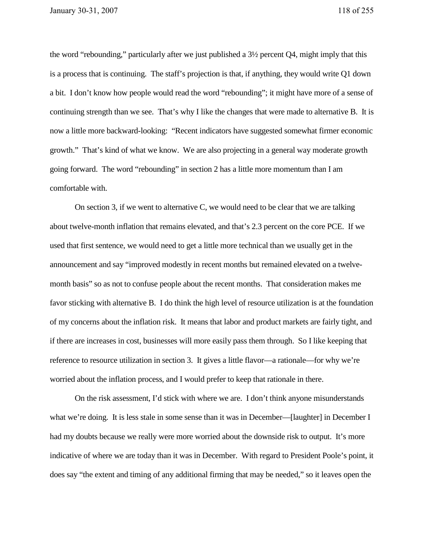the word "rebounding," particularly after we just published a 3½ percent Q4, might imply that this is a process that is continuing. The staff's projection is that, if anything, they would write Q1 down a bit. I don't know how people would read the word "rebounding"; it might have more of a sense of continuing strength than we see. That's why I like the changes that were made to alternative B. It is now a little more backward-looking: "Recent indicators have suggested somewhat firmer economic growth." That's kind of what we know. We are also projecting in a general way moderate growth going forward. The word "rebounding" in section 2 has a little more momentum than I am comfortable with.

On section 3, if we went to alternative C, we would need to be clear that we are talking about twelve-month inflation that remains elevated, and that's 2.3 percent on the core PCE. If we used that first sentence, we would need to get a little more technical than we usually get in the announcement and say "improved modestly in recent months but remained elevated on a twelvemonth basis" so as not to confuse people about the recent months. That consideration makes me favor sticking with alternative B. I do think the high level of resource utilization is at the foundation of my concerns about the inflation risk. It means that labor and product markets are fairly tight, and if there are increases in cost, businesses will more easily pass them through. So I like keeping that reference to resource utilization in section 3. It gives a little flavor—a rationale—for why we're worried about the inflation process, and I would prefer to keep that rationale in there.

On the risk assessment, I'd stick with where we are. I don't think anyone misunderstands what we're doing. It is less stale in some sense than it was in December—[laughter] in December I had my doubts because we really were more worried about the downside risk to output. It's more indicative of where we are today than it was in December. With regard to President Poole's point, it does say "the extent and timing of any additional firming that may be needed," so it leaves open the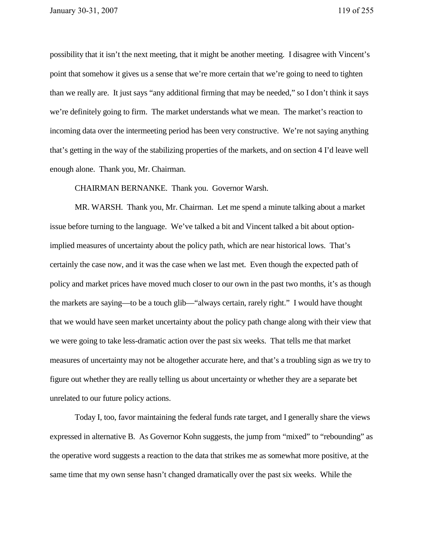possibility that it isn't the next meeting, that it might be another meeting. I disagree with Vincent's point that somehow it gives us a sense that we're more certain that we're going to need to tighten than we really are. It just says "any additional firming that may be needed," so I don't think it says we're definitely going to firm. The market understands what we mean. The market's reaction to incoming data over the intermeeting period has been very constructive. We're not saying anything that's getting in the way of the stabilizing properties of the markets, and on section 4 I'd leave well enough alone. Thank you, Mr. Chairman.

CHAIRMAN BERNANKE. Thank you. Governor Warsh.

MR. WARSH. Thank you, Mr. Chairman. Let me spend a minute talking about a market issue before turning to the language. We've talked a bit and Vincent talked a bit about optionimplied measures of uncertainty about the policy path, which are near historical lows. That's certainly the case now, and it was the case when we last met. Even though the expected path of policy and market prices have moved much closer to our own in the past two months, it's as though the markets are saying—to be a touch glib—"always certain, rarely right." I would have thought that we would have seen market uncertainty about the policy path change along with their view that we were going to take less-dramatic action over the past six weeks. That tells me that market measures of uncertainty may not be altogether accurate here, and that's a troubling sign as we try to figure out whether they are really telling us about uncertainty or whether they are a separate bet unrelated to our future policy actions.

Today I, too, favor maintaining the federal funds rate target, and I generally share the views expressed in alternative B. As Governor Kohn suggests, the jump from "mixed" to "rebounding" as the operative word suggests a reaction to the data that strikes me as somewhat more positive, at the same time that my own sense hasn't changed dramatically over the past six weeks. While the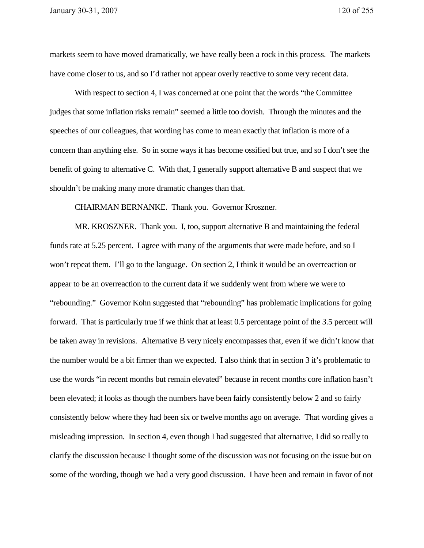markets seem to have moved dramatically, we have really been a rock in this process. The markets have come closer to us, and so I'd rather not appear overly reactive to some very recent data.

With respect to section 4, I was concerned at one point that the words "the Committee judges that some inflation risks remain" seemed a little too dovish. Through the minutes and the speeches of our colleagues, that wording has come to mean exactly that inflation is more of a concern than anything else. So in some ways it has become ossified but true, and so I don't see the benefit of going to alternative C. With that, I generally support alternative B and suspect that we shouldn't be making many more dramatic changes than that.

CHAIRMAN BERNANKE. Thank you. Governor Kroszner.

MR. KROSZNER. Thank you. I, too, support alternative B and maintaining the federal funds rate at 5.25 percent. I agree with many of the arguments that were made before, and so I won't repeat them. I'll go to the language. On section 2, I think it would be an overreaction or appear to be an overreaction to the current data if we suddenly went from where we were to "rebounding." Governor Kohn suggested that "rebounding" has problematic implications for going forward. That is particularly true if we think that at least 0.5 percentage point of the 3.5 percent will be taken away in revisions. Alternative B very nicely encompasses that, even if we didn't know that the number would be a bit firmer than we expected. I also think that in section 3 it's problematic to use the words "in recent months but remain elevated" because in recent months core inflation hasn't been elevated; it looks as though the numbers have been fairly consistently below 2 and so fairly consistently below where they had been six or twelve months ago on average. That wording gives a misleading impression. In section 4, even though I had suggested that alternative, I did so really to clarify the discussion because I thought some of the discussion was not focusing on the issue but on some of the wording, though we had a very good discussion. I have been and remain in favor of not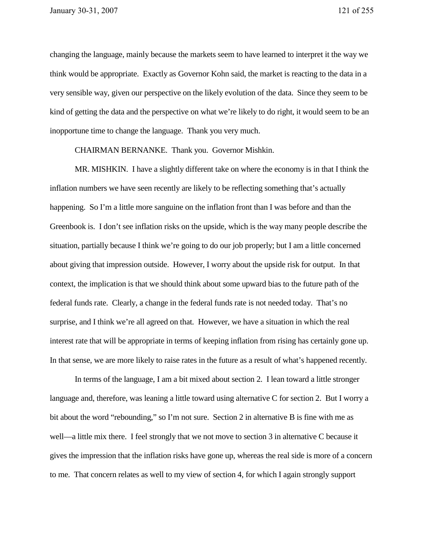changing the language, mainly because the markets seem to have learned to interpret it the way we think would be appropriate. Exactly as Governor Kohn said, the market is reacting to the data in a very sensible way, given our perspective on the likely evolution of the data. Since they seem to be kind of getting the data and the perspective on what we're likely to do right, it would seem to be an inopportune time to change the language. Thank you very much.

CHAIRMAN BERNANKE. Thank you. Governor Mishkin.

MR. MISHKIN. I have a slightly different take on where the economy is in that I think the inflation numbers we have seen recently are likely to be reflecting something that's actually happening. So I'm a little more sanguine on the inflation front than I was before and than the Greenbook is. I don't see inflation risks on the upside, which is the way many people describe the situation, partially because I think we're going to do our job properly; but I am a little concerned about giving that impression outside. However, I worry about the upside risk for output. In that context, the implication is that we should think about some upward bias to the future path of the federal funds rate. Clearly, a change in the federal funds rate is not needed today. That's no surprise, and I think we're all agreed on that. However, we have a situation in which the real interest rate that will be appropriate in terms of keeping inflation from rising has certainly gone up. In that sense, we are more likely to raise rates in the future as a result of what's happened recently.

In terms of the language, I am a bit mixed about section 2. I lean toward a little stronger language and, therefore, was leaning a little toward using alternative C for section 2. But I worry a bit about the word "rebounding," so I'm not sure. Section 2 in alternative B is fine with me as well—a little mix there. I feel strongly that we not move to section 3 in alternative C because it gives the impression that the inflation risks have gone up, whereas the real side is more of a concern to me. That concern relates as well to my view of section 4, for which I again strongly support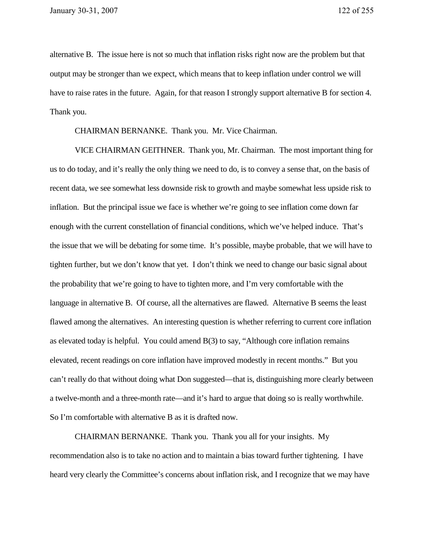alternative B. The issue here is not so much that inflation risks right now are the problem but that output may be stronger than we expect, which means that to keep inflation under control we will have to raise rates in the future. Again, for that reason I strongly support alternative B for section 4. Thank you.

CHAIRMAN BERNANKE. Thank you. Mr. Vice Chairman.

VICE CHAIRMAN GEITHNER. Thank you, Mr. Chairman. The most important thing for us to do today, and it's really the only thing we need to do, is to convey a sense that, on the basis of recent data, we see somewhat less downside risk to growth and maybe somewhat less upside risk to inflation. But the principal issue we face is whether we're going to see inflation come down far enough with the current constellation of financial conditions, which we've helped induce. That's the issue that we will be debating for some time. It's possible, maybe probable, that we will have to tighten further, but we don't know that yet. I don't think we need to change our basic signal about the probability that we're going to have to tighten more, and I'm very comfortable with the language in alternative B. Of course, all the alternatives are flawed. Alternative B seems the least flawed among the alternatives. An interesting question is whether referring to current core inflation as elevated today is helpful. You could amend B(3) to say, "Although core inflation remains elevated, recent readings on core inflation have improved modestly in recent months." But you can't really do that without doing what Don suggested—that is, distinguishing more clearly between a twelve-month and a three-month rate—and it's hard to argue that doing so is really worthwhile. So I'm comfortable with alternative B as it is drafted now.

CHAIRMAN BERNANKE. Thank you. Thank you all for your insights. My recommendation also is to take no action and to maintain a bias toward further tightening. I have heard very clearly the Committee's concerns about inflation risk, and I recognize that we may have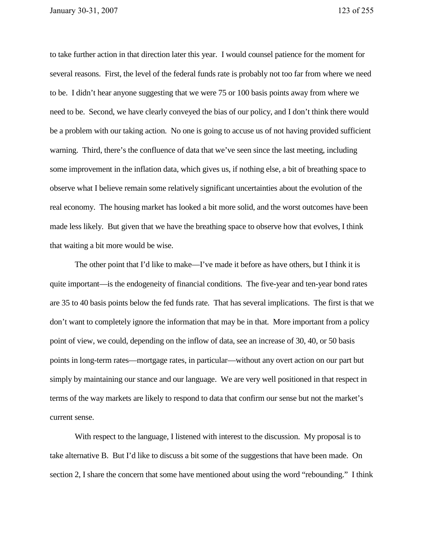to take further action in that direction later this year. I would counsel patience for the moment for several reasons. First, the level of the federal funds rate is probably not too far from where we need to be. I didn't hear anyone suggesting that we were 75 or 100 basis points away from where we need to be. Second, we have clearly conveyed the bias of our policy, and I don't think there would be a problem with our taking action. No one is going to accuse us of not having provided sufficient warning. Third, there's the confluence of data that we've seen since the last meeting, including some improvement in the inflation data, which gives us, if nothing else, a bit of breathing space to observe what I believe remain some relatively significant uncertainties about the evolution of the real economy. The housing market has looked a bit more solid, and the worst outcomes have been made less likely. But given that we have the breathing space to observe how that evolves, I think that waiting a bit more would be wise.

The other point that I'd like to make—I've made it before as have others, but I think it is quite important—is the endogeneity of financial conditions. The five-year and ten-year bond rates are 35 to 40 basis points below the fed funds rate. That has several implications. The first is that we don't want to completely ignore the information that may be in that. More important from a policy point of view, we could, depending on the inflow of data, see an increase of 30, 40, or 50 basis points in long-term rates—mortgage rates, in particular—without any overt action on our part but simply by maintaining our stance and our language. We are very well positioned in that respect in terms of the way markets are likely to respond to data that confirm our sense but not the market's current sense.

With respect to the language, I listened with interest to the discussion. My proposal is to take alternative B. But I'd like to discuss a bit some of the suggestions that have been made. On section 2, I share the concern that some have mentioned about using the word "rebounding." I think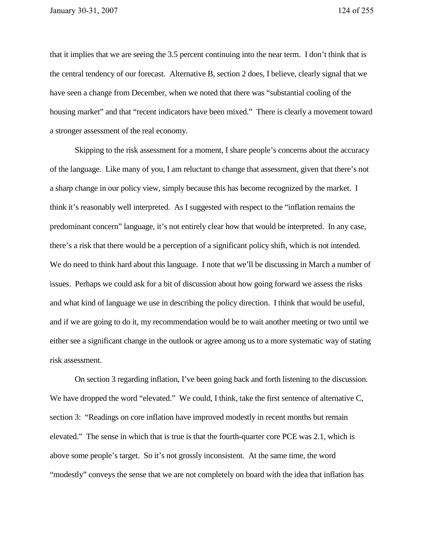that it implies that we are seeing the 3.5 percent continuing into the near term. I don't think that is the central tendency of our forecast. Alternative B, section 2 does, I believe, clearly signal that we have seen a change from December, when we noted that there was "substantial cooling of the housing market" and that "recent indicators have been mixed." There is clearly a movement toward a stronger assessment of the real economy.

Skipping to the risk assessment for a moment, I share people's concerns about the accuracy of the language. Like many of you, I am reluctant to change that assessment, given that there's not a sharp change in our policy view, simply because this has become recognized by the market. I think it's reasonably well interpreted. As I suggested with respect to the "inflation remains the predominant concern" language, it's not entirely clear how that would be interpreted. In any case, there's a risk that there would be a perception of a significant policy shift, which is not intended. We do need to think hard about this language. I note that we'll be discussing in March a number of issues. Perhaps we could ask for a bit of discussion about how going forward we assess the risks and what kind of language we use in describing the policy direction. I think that would be useful, and if we are going to do it, my recommendation would be to wait another meeting or two until we either see a significant change in the outlook or agree among us to a more systematic way of stating risk assessment.

On section 3 regarding inflation, I've been going back and forth listening to the discussion. We have dropped the word "elevated." We could, I think, take the first sentence of alternative C, section 3: "Readings on core inflation have improved modestly in recent months but remain elevated." The sense in which that is true is that the fourth-quarter core PCE was 2.1, which is above some people's target. So it's not grossly inconsistent. At the same time, the word "modestly" conveys the sense that we are not completely on board with the idea that inflation has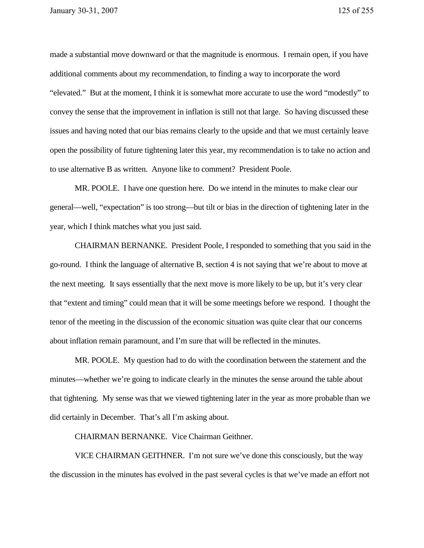made a substantial move downward or that the magnitude is enormous. I remain open, if you have additional comments about my recommendation, to finding a way to incorporate the word "elevated." But at the moment, I think it is somewhat more accurate to use the word "modestly" to convey the sense that the improvement in inflation is still not that large. So having discussed these issues and having noted that our bias remains clearly to the upside and that we must certainly leave open the possibility of future tightening later this year, my recommendation is to take no action and to use alternative B as written. Anyone like to comment? President Poole.

MR. POOLE. I have one question here. Do we intend in the minutes to make clear our general—well, "expectation" is too strong—but tilt or bias in the direction of tightening later in the year, which I think matches what you just said.

CHAIRMAN BERNANKE. President Poole, I responded to something that you said in the go-round. I think the language of alternative B, section 4 is not saying that we're about to move at the next meeting. It says essentially that the next move is more likely to be up, but it's very clear that "extent and timing" could mean that it will be some meetings before we respond. I thought the tenor of the meeting in the discussion of the economic situation was quite clear that our concerns about inflation remain paramount, and I'm sure that will be reflected in the minutes.

MR. POOLE. My question had to do with the coordination between the statement and the minutes—whether we're going to indicate clearly in the minutes the sense around the table about that tightening. My sense was that we viewed tightening later in the year as more probable than we did certainly in December. That's all I'm asking about.

CHAIRMAN BERNANKE. Vice Chairman Geithner.

VICE CHAIRMAN GEITHNER. I'm not sure we've done this consciously, but the way the discussion in the minutes has evolved in the past several cycles is that we've made an effort not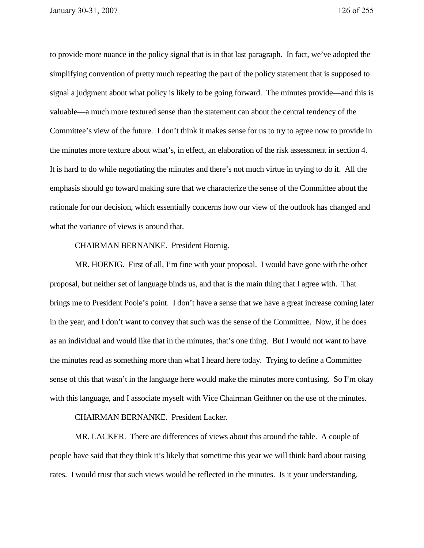to provide more nuance in the policy signal that is in that last paragraph. In fact, we've adopted the simplifying convention of pretty much repeating the part of the policy statement that is supposed to signal a judgment about what policy is likely to be going forward. The minutes provide—and this is valuable—a much more textured sense than the statement can about the central tendency of the Committee's view of the future. I don't think it makes sense for us to try to agree now to provide in the minutes more texture about what's, in effect, an elaboration of the risk assessment in section 4. It is hard to do while negotiating the minutes and there's not much virtue in trying to do it. All the emphasis should go toward making sure that we characterize the sense of the Committee about the rationale for our decision, which essentially concerns how our view of the outlook has changed and what the variance of views is around that.

## CHAIRMAN BERNANKE. President Hoenig.

MR. HOENIG. First of all, I'm fine with your proposal. I would have gone with the other proposal, but neither set of language binds us, and that is the main thing that I agree with. That brings me to President Poole's point. I don't have a sense that we have a great increase coming later in the year, and I don't want to convey that such was the sense of the Committee. Now, if he does as an individual and would like that in the minutes, that's one thing. But I would not want to have the minutes read as something more than what I heard here today. Trying to define a Committee sense of this that wasn't in the language here would make the minutes more confusing. So I'm okay with this language, and I associate myself with Vice Chairman Geithner on the use of the minutes.

## CHAIRMAN BERNANKE. President Lacker.

MR. LACKER. There are differences of views about this around the table. A couple of people have said that they think it's likely that sometime this year we will think hard about raising rates. I would trust that such views would be reflected in the minutes. Is it your understanding,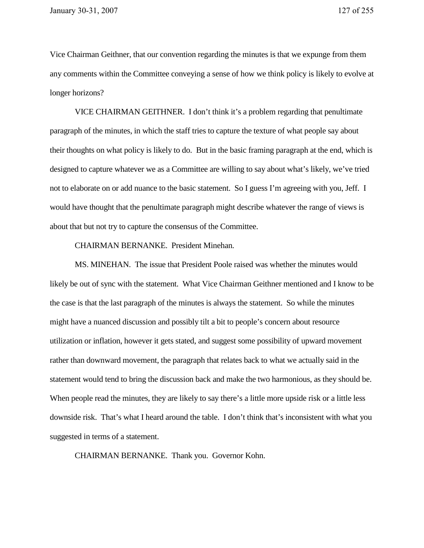Vice Chairman Geithner, that our convention regarding the minutes is that we expunge from them any comments within the Committee conveying a sense of how we think policy is likely to evolve at longer horizons?

VICE CHAIRMAN GEITHNER. I don't think it's a problem regarding that penultimate paragraph of the minutes, in which the staff tries to capture the texture of what people say about their thoughts on what policy is likely to do. But in the basic framing paragraph at the end, which is designed to capture whatever we as a Committee are willing to say about what's likely, we've tried not to elaborate on or add nuance to the basic statement. So I guess I'm agreeing with you, Jeff. I would have thought that the penultimate paragraph might describe whatever the range of views is about that but not try to capture the consensus of the Committee.

CHAIRMAN BERNANKE. President Minehan.

MS. MINEHAN. The issue that President Poole raised was whether the minutes would likely be out of sync with the statement. What Vice Chairman Geithner mentioned and I know to be the case is that the last paragraph of the minutes is always the statement. So while the minutes might have a nuanced discussion and possibly tilt a bit to people's concern about resource utilization or inflation, however it gets stated, and suggest some possibility of upward movement rather than downward movement, the paragraph that relates back to what we actually said in the statement would tend to bring the discussion back and make the two harmonious, as they should be. When people read the minutes, they are likely to say there's a little more upside risk or a little less downside risk. That's what I heard around the table. I don't think that's inconsistent with what you suggested in terms of a statement.

CHAIRMAN BERNANKE. Thank you. Governor Kohn.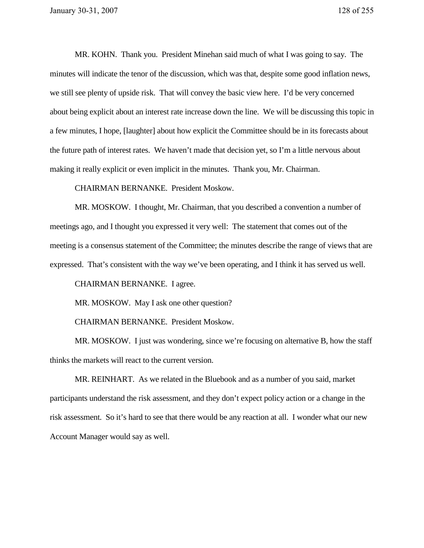MR. KOHN. Thank you. President Minehan said much of what I was going to say. The minutes will indicate the tenor of the discussion, which was that, despite some good inflation news, we still see plenty of upside risk. That will convey the basic view here. I'd be very concerned about being explicit about an interest rate increase down the line. We will be discussing this topic in a few minutes, I hope, [laughter] about how explicit the Committee should be in its forecasts about the future path of interest rates. We haven't made that decision yet, so I'm a little nervous about making it really explicit or even implicit in the minutes. Thank you, Mr. Chairman.

CHAIRMAN BERNANKE. President Moskow.

MR. MOSKOW. I thought, Mr. Chairman, that you described a convention a number of meetings ago, and I thought you expressed it very well: The statement that comes out of the meeting is a consensus statement of the Committee; the minutes describe the range of views that are expressed. That's consistent with the way we've been operating, and I think it has served us well.

CHAIRMAN BERNANKE. I agree.

MR. MOSKOW. May I ask one other question?

CHAIRMAN BERNANKE. President Moskow.

MR. MOSKOW. I just was wondering, since we're focusing on alternative B, how the staff thinks the markets will react to the current version.

MR. REINHART. As we related in the Bluebook and as a number of you said, market participants understand the risk assessment, and they don't expect policy action or a change in the risk assessment. So it's hard to see that there would be any reaction at all. I wonder what our new Account Manager would say as well.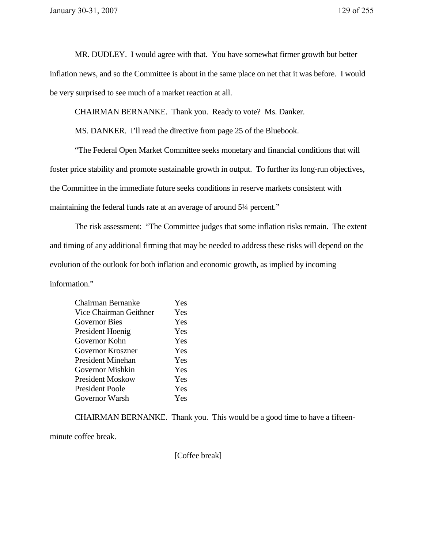MR. DUDLEY. I would agree with that. You have somewhat firmer growth but better inflation news, and so the Committee is about in the same place on net that it was before. I would be very surprised to see much of a market reaction at all.

CHAIRMAN BERNANKE. Thank you. Ready to vote? Ms. Danker.

MS. DANKER. I'll read the directive from page 25 of the Bluebook.

"The Federal Open Market Committee seeks monetary and financial conditions that will foster price stability and promote sustainable growth in output. To further its long-run objectives, the Committee in the immediate future seeks conditions in reserve markets consistent with maintaining the federal funds rate at an average of around 5¼ percent."

The risk assessment: "The Committee judges that some inflation risks remain. The extent and timing of any additional firming that may be needed to address these risks will depend on the evolution of the outlook for both inflation and economic growth, as implied by incoming information."

| Chairman Bernanke      | Yes |
|------------------------|-----|
| Vice Chairman Geithner | Yes |
| <b>Governor Bies</b>   | Yes |
| President Hoenig       | Yes |
| Governor Kohn          | Yes |
| Governor Kroszner      | Yes |
| President Minehan      | Yes |
| Governor Mishkin       | Yes |
| President Moskow       | Yes |
| President Poole        | Yes |
| Governor Warsh         | Yes |
|                        |     |

CHAIRMAN BERNANKE. Thank you. This would be a good time to have a fifteen-

minute coffee break.

[Coffee break]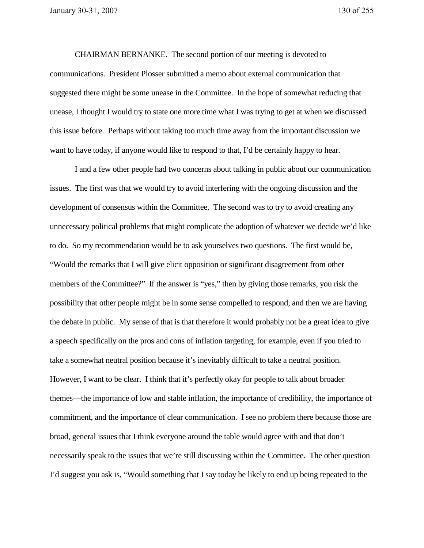CHAIRMAN BERNANKE. The second portion of our meeting is devoted to communications. President Plosser submitted a memo about external communication that suggested there might be some unease in the Committee. In the hope of somewhat reducing that unease, I thought I would try to state one more time what I was trying to get at when we discussed this issue before. Perhaps without taking too much time away from the important discussion we want to have today, if anyone would like to respond to that, I'd be certainly happy to hear.

I and a few other people had two concerns about talking in public about our communication issues. The first was that we would try to avoid interfering with the ongoing discussion and the development of consensus within the Committee. The second was to try to avoid creating any unnecessary political problems that might complicate the adoption of whatever we decide we'd like to do. So my recommendation would be to ask yourselves two questions. The first would be, "Would the remarks that I will give elicit opposition or significant disagreement from other members of the Committee?" If the answer is "yes," then by giving those remarks, you risk the possibility that other people might be in some sense compelled to respond, and then we are having the debate in public. My sense of that is that therefore it would probably not be a great idea to give a speech specifically on the pros and cons of inflation targeting, for example, even if you tried to take a somewhat neutral position because it's inevitably difficult to take a neutral position. However, I want to be clear. I think that it's perfectly okay for people to talk about broader themes—the importance of low and stable inflation, the importance of credibility, the importance of commitment, and the importance of clear communication. I see no problem there because those are broad, general issues that I think everyone around the table would agree with and that don't necessarily speak to the issues that we're still discussing within the Committee. The other question I'd suggest you ask is, "Would something that I say today be likely to end up being repeated to the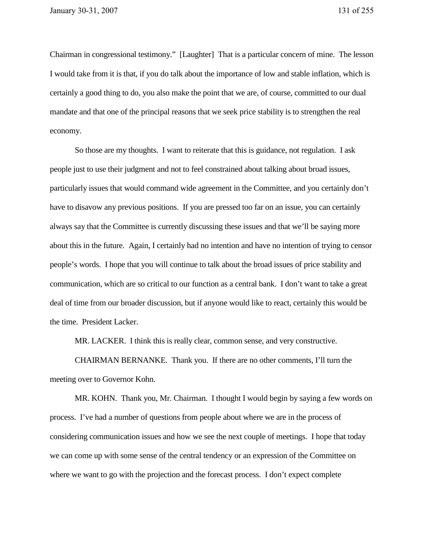Chairman in congressional testimony." [Laughter] That is a particular concern of mine. The lesson I would take from it is that, if you do talk about the importance of low and stable inflation, which is certainly a good thing to do, you also make the point that we are, of course, committed to our dual mandate and that one of the principal reasons that we seek price stability is to strengthen the real economy.

So those are my thoughts. I want to reiterate that this is guidance, not regulation. I ask people just to use their judgment and not to feel constrained about talking about broad issues, particularly issues that would command wide agreement in the Committee, and you certainly don't have to disavow any previous positions. If you are pressed too far on an issue, you can certainly always say that the Committee is currently discussing these issues and that we'll be saying more about this in the future. Again, I certainly had no intention and have no intention of trying to censor people's words. I hope that you will continue to talk about the broad issues of price stability and communication, which are so critical to our function as a central bank. I don't want to take a great deal of time from our broader discussion, but if anyone would like to react, certainly this would be the time. President Lacker.

MR. LACKER. I think this is really clear, common sense, and very constructive.

CHAIRMAN BERNANKE. Thank you. If there are no other comments, I'll turn the meeting over to Governor Kohn.

MR. KOHN. Thank you, Mr. Chairman. I thought I would begin by saying a few words on process. I've had a number of questions from people about where we are in the process of considering communication issues and how we see the next couple of meetings. I hope that today we can come up with some sense of the central tendency or an expression of the Committee on where we want to go with the projection and the forecast process. I don't expect complete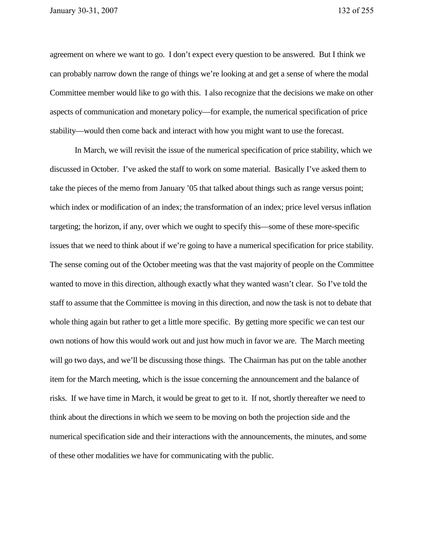agreement on where we want to go. I don't expect every question to be answered. But I think we can probably narrow down the range of things we're looking at and get a sense of where the modal Committee member would like to go with this. I also recognize that the decisions we make on other aspects of communication and monetary policy—for example, the numerical specification of price stability—would then come back and interact with how you might want to use the forecast.

In March, we will revisit the issue of the numerical specification of price stability, which we discussed in October. I've asked the staff to work on some material. Basically I've asked them to take the pieces of the memo from January '05 that talked about things such as range versus point; which index or modification of an index; the transformation of an index; price level versus inflation targeting; the horizon, if any, over which we ought to specify this—some of these more-specific issues that we need to think about if we're going to have a numerical specification for price stability. The sense coming out of the October meeting was that the vast majority of people on the Committee wanted to move in this direction, although exactly what they wanted wasn't clear. So I've told the staff to assume that the Committee is moving in this direction, and now the task is not to debate that whole thing again but rather to get a little more specific. By getting more specific we can test our own notions of how this would work out and just how much in favor we are. The March meeting will go two days, and we'll be discussing those things. The Chairman has put on the table another item for the March meeting, which is the issue concerning the announcement and the balance of risks. If we have time in March, it would be great to get to it. If not, shortly thereafter we need to think about the directions in which we seem to be moving on both the projection side and the numerical specification side and their interactions with the announcements, the minutes, and some of these other modalities we have for communicating with the public.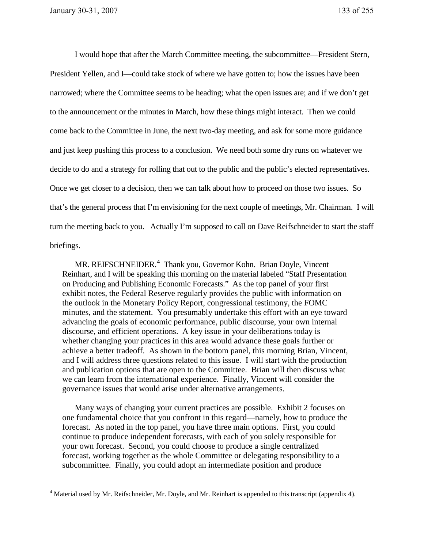$\overline{a}$ 

I would hope that after the March Committee meeting, the subcommittee—President Stern, President Yellen, and I—could take stock of where we have gotten to; how the issues have been narrowed; where the Committee seems to be heading; what the open issues are; and if we don't get to the announcement or the minutes in March, how these things might interact. Then we could come back to the Committee in June, the next two-day meeting, and ask for some more guidance and just keep pushing this process to a conclusion. We need both some dry runs on whatever we decide to do and a strategy for rolling that out to the public and the public's elected representatives. Once we get closer to a decision, then we can talk about how to proceed on those two issues. So that's the general process that I'm envisioning for the next couple of meetings, Mr. Chairman. I will turn the meeting back to you. Actually I'm supposed to call on Dave Reifschneider to start the staff briefings.

MR. REIFSCHNEIDER.<sup>4</sup> Thank you, Governor Kohn. Brian Doyle, Vincent Reinhart, and I will be speaking this morning on the material labeled "Staff Presentation on Producing and Publishing Economic Forecasts." As the top panel of your first exhibit notes, the Federal Reserve regularly provides the public with information on the outlook in the Monetary Policy Report, congressional testimony, the FOMC minutes, and the statement. You presumably undertake this effort with an eye toward advancing the goals of economic performance, public discourse, your own internal discourse, and efficient operations. A key issue in your deliberations today is whether changing your practices in this area would advance these goals further or achieve a better tradeoff. As shown in the bottom panel, this morning Brian, Vincent, and I will address three questions related to this issue. I will start with the production and publication options that are open to the Committee. Brian will then discuss what we can learn from the international experience. Finally, Vincent will consider the governance issues that would arise under alternative arrangements.

Many ways of changing your current practices are possible. Exhibit 2 focuses on one fundamental choice that you confront in this regard—namely, how to produce the forecast. As noted in the top panel, you have three main options. First, you could continue to produce independent forecasts, with each of you solely responsible for your own forecast. Second, you could choose to produce a single centralized forecast, working together as the whole Committee or delegating responsibility to a subcommittee. Finally, you could adopt an intermediate position and produce

<sup>&</sup>lt;sup>4</sup> Material used by Mr. Reifschneider, Mr. Doyle, and Mr. Reinhart is appended to this transcript (appendix 4).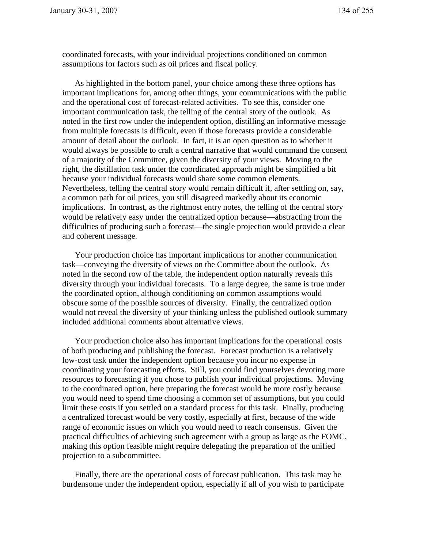coordinated forecasts, with your individual projections conditioned on common assumptions for factors such as oil prices and fiscal policy.

As highlighted in the bottom panel, your choice among these three options has important implications for, among other things, your communications with the public and the operational cost of forecast-related activities. To see this, consider one important communication task, the telling of the central story of the outlook. As noted in the first row under the independent option, distilling an informative message from multiple forecasts is difficult, even if those forecasts provide a considerable amount of detail about the outlook. In fact, it is an open question as to whether it would always be possible to craft a central narrative that would command the consent of a majority of the Committee, given the diversity of your views. Moving to the right, the distillation task under the coordinated approach might be simplified a bit because your individual forecasts would share some common elements. Nevertheless, telling the central story would remain difficult if, after settling on, say, a common path for oil prices, you still disagreed markedly about its economic implications. In contrast, as the rightmost entry notes, the telling of the central story would be relatively easy under the centralized option because—abstracting from the difficulties of producing such a forecast—the single projection would provide a clear and coherent message.

Your production choice has important implications for another communication task—conveying the diversity of views on the Committee about the outlook. As noted in the second row of the table, the independent option naturally reveals this diversity through your individual forecasts. To a large degree, the same is true under the coordinated option, although conditioning on common assumptions would obscure some of the possible sources of diversity. Finally, the centralized option would not reveal the diversity of your thinking unless the published outlook summary included additional comments about alternative views.

Your production choice also has important implications for the operational costs of both producing and publishing the forecast. Forecast production is a relatively low-cost task under the independent option because you incur no expense in coordinating your forecasting efforts. Still, you could find yourselves devoting more resources to forecasting if you chose to publish your individual projections. Moving to the coordinated option, here preparing the forecast would be more costly because you would need to spend time choosing a common set of assumptions, but you could limit these costs if you settled on a standard process for this task. Finally, producing a centralized forecast would be very costly, especially at first, because of the wide range of economic issues on which you would need to reach consensus. Given the practical difficulties of achieving such agreement with a group as large as the FOMC, making this option feasible might require delegating the preparation of the unified projection to a subcommittee.

Finally, there are the operational costs of forecast publication. This task may be burdensome under the independent option, especially if all of you wish to participate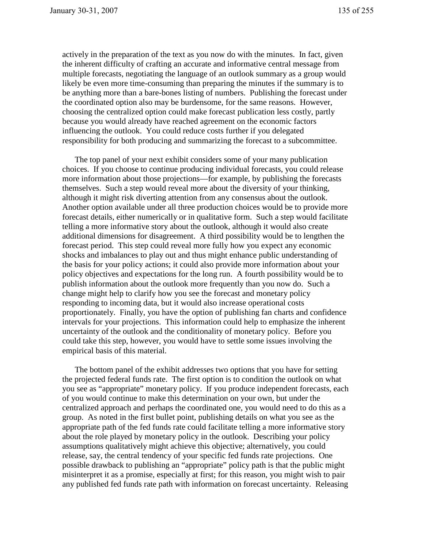actively in the preparation of the text as you now do with the minutes. In fact, given the inherent difficulty of crafting an accurate and informative central message from multiple forecasts, negotiating the language of an outlook summary as a group would likely be even more time-consuming than preparing the minutes if the summary is to be anything more than a bare-bones listing of numbers. Publishing the forecast under the coordinated option also may be burdensome, for the same reasons. However, choosing the centralized option could make forecast publication less costly, partly because you would already have reached agreement on the economic factors influencing the outlook. You could reduce costs further if you delegated responsibility for both producing and summarizing the forecast to a subcommittee.

The top panel of your next exhibit considers some of your many publication choices. If you choose to continue producing individual forecasts, you could release more information about those projections—for example, by publishing the forecasts themselves. Such a step would reveal more about the diversity of your thinking, although it might risk diverting attention from any consensus about the outlook. Another option available under all three production choices would be to provide more forecast details, either numerically or in qualitative form. Such a step would facilitate telling a more informative story about the outlook, although it would also create additional dimensions for disagreement. A third possibility would be to lengthen the forecast period. This step could reveal more fully how you expect any economic shocks and imbalances to play out and thus might enhance public understanding of the basis for your policy actions; it could also provide more information about your policy objectives and expectations for the long run. A fourth possibility would be to publish information about the outlook more frequently than you now do. Such a change might help to clarify how you see the forecast and monetary policy responding to incoming data, but it would also increase operational costs proportionately. Finally, you have the option of publishing fan charts and confidence intervals for your projections. This information could help to emphasize the inherent uncertainty of the outlook and the conditionality of monetary policy. Before you could take this step, however, you would have to settle some issues involving the empirical basis of this material.

The bottom panel of the exhibit addresses two options that you have for setting the projected federal funds rate. The first option is to condition the outlook on what you see as "appropriate" monetary policy. If you produce independent forecasts, each of you would continue to make this determination on your own, but under the centralized approach and perhaps the coordinated one, you would need to do this as a group. As noted in the first bullet point, publishing details on what you see as the appropriate path of the fed funds rate could facilitate telling a more informative story about the role played by monetary policy in the outlook. Describing your policy assumptions qualitatively might achieve this objective; alternatively, you could release, say, the central tendency of your specific fed funds rate projections. One possible drawback to publishing an "appropriate" policy path is that the public might misinterpret it as a promise, especially at first; for this reason, you might wish to pair any published fed funds rate path with information on forecast uncertainty. Releasing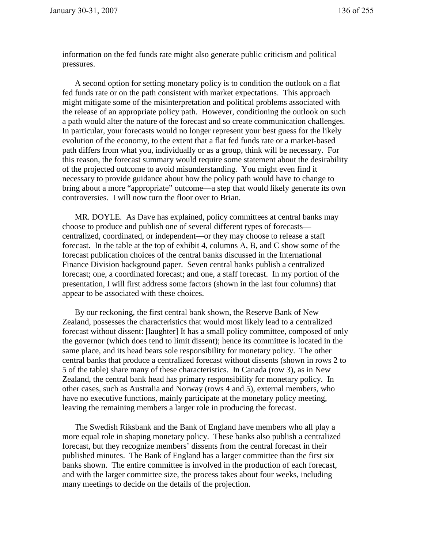information on the fed funds rate might also generate public criticism and political pressures.

A second option for setting monetary policy is to condition the outlook on a flat fed funds rate or on the path consistent with market expectations. This approach might mitigate some of the misinterpretation and political problems associated with the release of an appropriate policy path. However, conditioning the outlook on such a path would alter the nature of the forecast and so create communication challenges. In particular, your forecasts would no longer represent your best guess for the likely evolution of the economy, to the extent that a flat fed funds rate or a market-based path differs from what you, individually or as a group, think will be necessary. For this reason, the forecast summary would require some statement about the desirability of the projected outcome to avoid misunderstanding. You might even find it necessary to provide guidance about how the policy path would have to change to bring about a more "appropriate" outcome—a step that would likely generate its own controversies. I will now turn the floor over to Brian.

MR. DOYLE. As Dave has explained, policy committees at central banks may choose to produce and publish one of several different types of forecasts centralized, coordinated, or independent—or they may choose to release a staff forecast. In the table at the top of exhibit 4, columns A, B, and C show some of the forecast publication choices of the central banks discussed in the International Finance Division background paper. Seven central banks publish a centralized forecast; one, a coordinated forecast; and one, a staff forecast. In my portion of the presentation, I will first address some factors (shown in the last four columns) that appear to be associated with these choices.

By our reckoning, the first central bank shown, the Reserve Bank of New Zealand, possesses the characteristics that would most likely lead to a centralized forecast without dissent: [laughter] It has a small policy committee, composed of only the governor (which does tend to limit dissent); hence its committee is located in the same place, and its head bears sole responsibility for monetary policy. The other central banks that produce a centralized forecast without dissents (shown in rows 2 to 5 of the table) share many of these characteristics. In Canada (row 3), as in New Zealand, the central bank head has primary responsibility for monetary policy. In other cases, such as Australia and Norway (rows 4 and 5), external members, who have no executive functions, mainly participate at the monetary policy meeting, leaving the remaining members a larger role in producing the forecast.

The Swedish Riksbank and the Bank of England have members who all play a more equal role in shaping monetary policy. These banks also publish a centralized forecast, but they recognize members' dissents from the central forecast in their published minutes. The Bank of England has a larger committee than the first six banks shown. The entire committee is involved in the production of each forecast, and with the larger committee size, the process takes about four weeks, including many meetings to decide on the details of the projection.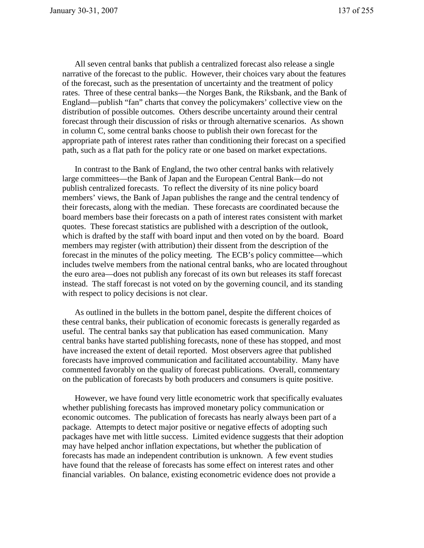All seven central banks that publish a centralized forecast also release a single narrative of the forecast to the public. However, their choices vary about the features of the forecast, such as the presentation of uncertainty and the treatment of policy rates. Three of these central banks—the Norges Bank, the Riksbank, and the Bank of England—publish "fan" charts that convey the policymakers' collective view on the distribution of possible outcomes. Others describe uncertainty around their central forecast through their discussion of risks or through alternative scenarios. As shown in column C, some central banks choose to publish their own forecast for the appropriate path of interest rates rather than conditioning their forecast on a specified path, such as a flat path for the policy rate or one based on market expectations.

In contrast to the Bank of England, the two other central banks with relatively large committees—the Bank of Japan and the European Central Bank—do not publish centralized forecasts. To reflect the diversity of its nine policy board members' views, the Bank of Japan publishes the range and the central tendency of their forecasts, along with the median. These forecasts are coordinated because the board members base their forecasts on a path of interest rates consistent with market quotes. These forecast statistics are published with a description of the outlook, which is drafted by the staff with board input and then voted on by the board. Board members may register (with attribution) their dissent from the description of the forecast in the minutes of the policy meeting. The ECB's policy committee—which includes twelve members from the national central banks, who are located throughout the euro area—does not publish any forecast of its own but releases its staff forecast instead. The staff forecast is not voted on by the governing council, and its standing with respect to policy decisions is not clear.

As outlined in the bullets in the bottom panel, despite the different choices of these central banks, their publication of economic forecasts is generally regarded as useful. The central banks say that publication has eased communication. Many central banks have started publishing forecasts, none of these has stopped, and most have increased the extent of detail reported. Most observers agree that published forecasts have improved communication and facilitated accountability. Many have commented favorably on the quality of forecast publications. Overall, commentary on the publication of forecasts by both producers and consumers is quite positive.

However, we have found very little econometric work that specifically evaluates whether publishing forecasts has improved monetary policy communication or economic outcomes. The publication of forecasts has nearly always been part of a package. Attempts to detect major positive or negative effects of adopting such packages have met with little success. Limited evidence suggests that their adoption may have helped anchor inflation expectations, but whether the publication of forecasts has made an independent contribution is unknown. A few event studies have found that the release of forecasts has some effect on interest rates and other financial variables. On balance, existing econometric evidence does not provide a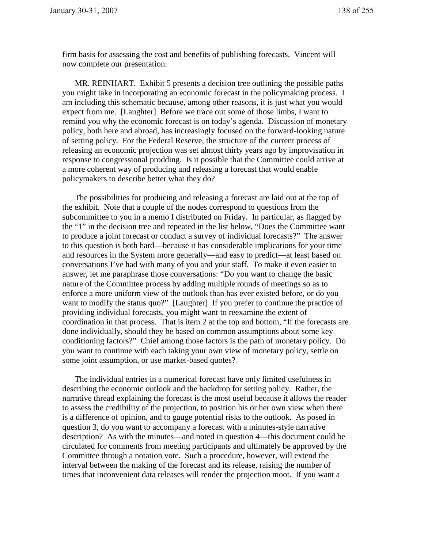firm basis for assessing the cost and benefits of publishing forecasts. Vincent will now complete our presentation.

MR. REINHART. Exhibit 5 presents a decision tree outlining the possible paths you might take in incorporating an economic forecast in the policymaking process. I am including this schematic because, among other reasons, it is just what you would expect from me. [Laughter] Before we trace out some of those limbs, I want to remind you why the economic forecast is on today's agenda. Discussion of monetary policy, both here and abroad, has increasingly focused on the forward-looking nature of setting policy. For the Federal Reserve, the structure of the current process of releasing an economic projection was set almost thirty years ago by improvisation in response to congressional prodding. Is it possible that the Committee could arrive at a more coherent way of producing and releasing a forecast that would enable policymakers to describe better what they do?

The possibilities for producing and releasing a forecast are laid out at the top of the exhibit. Note that a couple of the nodes correspond to questions from the subcommittee to you in a memo I distributed on Friday. In particular, as flagged by the "1" in the decision tree and repeated in the list below, "Does the Committee want to produce a joint forecast or conduct a survey of individual forecasts?" The answer to this question is both hard—because it has considerable implications for your time and resources in the System more generally—and easy to predict—at least based on conversations I've had with many of you and your staff. To make it even easier to answer, let me paraphrase those conversations: "Do you want to change the basic nature of the Committee process by adding multiple rounds of meetings so as to enforce a more uniform view of the outlook than has ever existed before, or do you want to modify the status quo?" [Laughter] If you prefer to continue the practice of providing individual forecasts, you might want to reexamine the extent of coordination in that process. That is item 2 at the top and bottom, "If the forecasts are done individually, should they be based on common assumptions about some key conditioning factors?" Chief among those factors is the path of monetary policy. Do you want to continue with each taking your own view of monetary policy, settle on some joint assumption, or use market-based quotes?

The individual entries in a numerical forecast have only limited usefulness in describing the economic outlook and the backdrop for setting policy. Rather, the narrative thread explaining the forecast is the most useful because it allows the reader to assess the credibility of the projection, to position his or her own view when there is a difference of opinion, and to gauge potential risks to the outlook. As posed in question 3, do you want to accompany a forecast with a minutes-style narrative description? As with the minutes—and noted in question 4—this document could be circulated for comments from meeting participants and ultimately be approved by the Committee through a notation vote. Such a procedure, however, will extend the interval between the making of the forecast and its release, raising the number of times that inconvenient data releases will render the projection moot. If you want a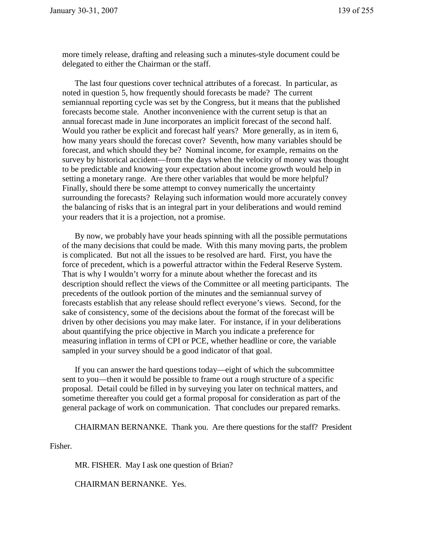more timely release, drafting and releasing such a minutes-style document could be delegated to either the Chairman or the staff.

The last four questions cover technical attributes of a forecast. In particular, as noted in question 5, how frequently should forecasts be made? The current semiannual reporting cycle was set by the Congress, but it means that the published forecasts become stale. Another inconvenience with the current setup is that an annual forecast made in June incorporates an implicit forecast of the second half. Would you rather be explicit and forecast half years? More generally, as in item 6, how many years should the forecast cover? Seventh, how many variables should be forecast, and which should they be? Nominal income, for example, remains on the survey by historical accident—from the days when the velocity of money was thought to be predictable and knowing your expectation about income growth would help in setting a monetary range. Are there other variables that would be more helpful? Finally, should there be some attempt to convey numerically the uncertainty surrounding the forecasts? Relaying such information would more accurately convey the balancing of risks that is an integral part in your deliberations and would remind your readers that it is a projection, not a promise.

By now, we probably have your heads spinning with all the possible permutations of the many decisions that could be made. With this many moving parts, the problem is complicated. But not all the issues to be resolved are hard. First, you have the force of precedent, which is a powerful attractor within the Federal Reserve System. That is why I wouldn't worry for a minute about whether the forecast and its description should reflect the views of the Committee or all meeting participants. The precedents of the outlook portion of the minutes and the semiannual survey of forecasts establish that any release should reflect everyone's views. Second, for the sake of consistency, some of the decisions about the format of the forecast will be driven by other decisions you may make later. For instance, if in your deliberations about quantifying the price objective in March you indicate a preference for measuring inflation in terms of CPI or PCE, whether headline or core, the variable sampled in your survey should be a good indicator of that goal.

If you can answer the hard questions today—eight of which the subcommittee sent to you—then it would be possible to frame out a rough structure of a specific proposal. Detail could be filled in by surveying you later on technical matters, and sometime thereafter you could get a formal proposal for consideration as part of the general package of work on communication. That concludes our prepared remarks.

CHAIRMAN BERNANKE. Thank you. Are there questions for the staff? President

Fisher.

MR. FISHER. May I ask one question of Brian?

CHAIRMAN BERNANKE. Yes.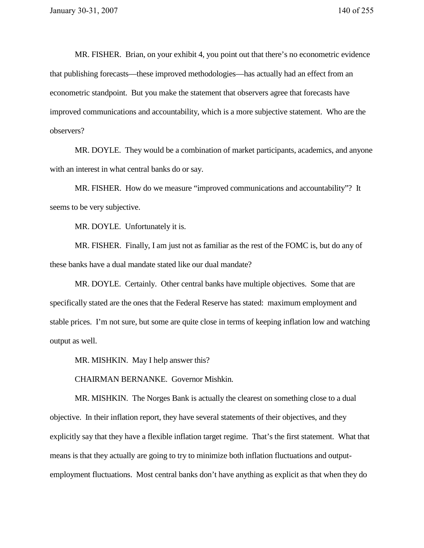MR. FISHER. Brian, on your exhibit 4, you point out that there's no econometric evidence that publishing forecasts—these improved methodologies—has actually had an effect from an econometric standpoint. But you make the statement that observers agree that forecasts have improved communications and accountability, which is a more subjective statement. Who are the observers?

MR. DOYLE. They would be a combination of market participants, academics, and anyone with an interest in what central banks do or say.

MR. FISHER. How do we measure "improved communications and accountability"? It seems to be very subjective.

MR. DOYLE. Unfortunately it is.

MR. FISHER. Finally, I am just not as familiar as the rest of the FOMC is, but do any of these banks have a dual mandate stated like our dual mandate?

MR. DOYLE. Certainly. Other central banks have multiple objectives. Some that are specifically stated are the ones that the Federal Reserve has stated: maximum employment and stable prices. I'm not sure, but some are quite close in terms of keeping inflation low and watching output as well.

MR. MISHKIN. May I help answer this?

CHAIRMAN BERNANKE. Governor Mishkin.

MR. MISHKIN. The Norges Bank is actually the clearest on something close to a dual objective. In their inflation report, they have several statements of their objectives, and they explicitly say that they have a flexible inflation target regime. That's the first statement. What that means is that they actually are going to try to minimize both inflation fluctuations and outputemployment fluctuations. Most central banks don't have anything as explicit as that when they do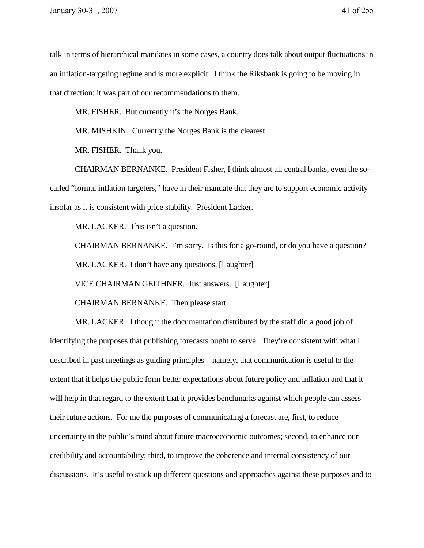talk in terms of hierarchical mandates in some cases, a country does talk about output fluctuations in an inflation-targeting regime and is more explicit. I think the Riksbank is going to be moving in that direction; it was part of our recommendations to them.

MR. FISHER. But currently it's the Norges Bank.

MR. MISHKIN. Currently the Norges Bank is the clearest.

MR. FISHER. Thank you.

CHAIRMAN BERNANKE. President Fisher, I think almost all central banks, even the socalled "formal inflation targeters," have in their mandate that they are to support economic activity insofar as it is consistent with price stability. President Lacker.

MR. LACKER. This isn't a question.

CHAIRMAN BERNANKE. I'm sorry. Is this for a go-round, or do you have a question?

MR. LACKER. I don't have any questions. [Laughter]

VICE CHAIRMAN GEITHNER. Just answers. [Laughter]

CHAIRMAN BERNANKE. Then please start.

MR. LACKER. I thought the documentation distributed by the staff did a good job of identifying the purposes that publishing forecasts ought to serve. They're consistent with what I described in past meetings as guiding principles—namely, that communication is useful to the extent that it helps the public form better expectations about future policy and inflation and that it will help in that regard to the extent that it provides benchmarks against which people can assess their future actions. For me the purposes of communicating a forecast are, first, to reduce uncertainty in the public's mind about future macroeconomic outcomes; second, to enhance our credibility and accountability; third, to improve the coherence and internal consistency of our discussions. It's useful to stack up different questions and approaches against these purposes and to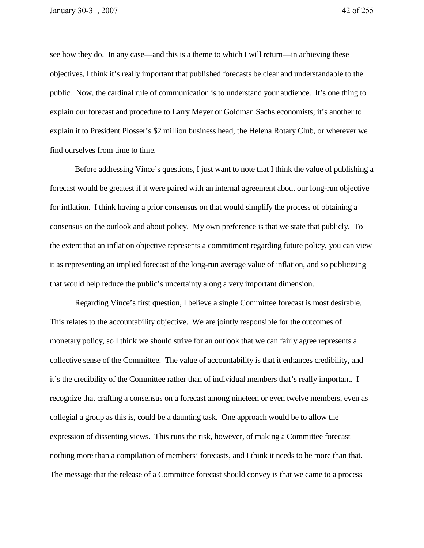see how they do. In any case—and this is a theme to which I will return—in achieving these objectives, I think it's really important that published forecasts be clear and understandable to the public. Now, the cardinal rule of communication is to understand your audience. It's one thing to explain our forecast and procedure to Larry Meyer or Goldman Sachs economists; it's another to explain it to President Plosser's \$2 million business head, the Helena Rotary Club, or wherever we find ourselves from time to time.

Before addressing Vince's questions, I just want to note that I think the value of publishing a forecast would be greatest if it were paired with an internal agreement about our long-run objective for inflation. I think having a prior consensus on that would simplify the process of obtaining a consensus on the outlook and about policy. My own preference is that we state that publicly. To the extent that an inflation objective represents a commitment regarding future policy, you can view it as representing an implied forecast of the long-run average value of inflation, and so publicizing that would help reduce the public's uncertainty along a very important dimension.

Regarding Vince's first question, I believe a single Committee forecast is most desirable. This relates to the accountability objective. We are jointly responsible for the outcomes of monetary policy, so I think we should strive for an outlook that we can fairly agree represents a collective sense of the Committee. The value of accountability is that it enhances credibility, and it's the credibility of the Committee rather than of individual members that's really important. I recognize that crafting a consensus on a forecast among nineteen or even twelve members, even as collegial a group as this is, could be a daunting task. One approach would be to allow the expression of dissenting views. This runs the risk, however, of making a Committee forecast nothing more than a compilation of members' forecasts, and I think it needs to be more than that. The message that the release of a Committee forecast should convey is that we came to a process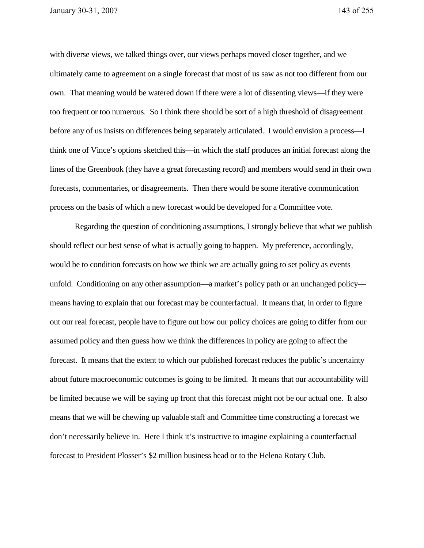with diverse views, we talked things over, our views perhaps moved closer together, and we ultimately came to agreement on a single forecast that most of us saw as not too different from our own. That meaning would be watered down if there were a lot of dissenting views—if they were too frequent or too numerous. So I think there should be sort of a high threshold of disagreement before any of us insists on differences being separately articulated. I would envision a process—I think one of Vince's options sketched this—in which the staff produces an initial forecast along the lines of the Greenbook (they have a great forecasting record) and members would send in their own forecasts, commentaries, or disagreements. Then there would be some iterative communication process on the basis of which a new forecast would be developed for a Committee vote.

Regarding the question of conditioning assumptions, I strongly believe that what we publish should reflect our best sense of what is actually going to happen. My preference, accordingly, would be to condition forecasts on how we think we are actually going to set policy as events unfold. Conditioning on any other assumption—a market's policy path or an unchanged policy means having to explain that our forecast may be counterfactual. It means that, in order to figure out our real forecast, people have to figure out how our policy choices are going to differ from our assumed policy and then guess how we think the differences in policy are going to affect the forecast. It means that the extent to which our published forecast reduces the public's uncertainty about future macroeconomic outcomes is going to be limited. It means that our accountability will be limited because we will be saying up front that this forecast might not be our actual one. It also means that we will be chewing up valuable staff and Committee time constructing a forecast we don't necessarily believe in. Here I think it's instructive to imagine explaining a counterfactual forecast to President Plosser's \$2 million business head or to the Helena Rotary Club.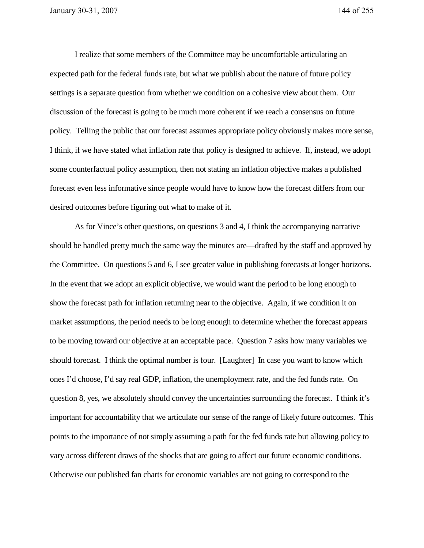I realize that some members of the Committee may be uncomfortable articulating an expected path for the federal funds rate, but what we publish about the nature of future policy settings is a separate question from whether we condition on a cohesive view about them. Our discussion of the forecast is going to be much more coherent if we reach a consensus on future policy. Telling the public that our forecast assumes appropriate policy obviously makes more sense, I think, if we have stated what inflation rate that policy is designed to achieve. If, instead, we adopt some counterfactual policy assumption, then not stating an inflation objective makes a published forecast even less informative since people would have to know how the forecast differs from our desired outcomes before figuring out what to make of it.

As for Vince's other questions, on questions 3 and 4, I think the accompanying narrative should be handled pretty much the same way the minutes are—drafted by the staff and approved by the Committee. On questions 5 and 6, I see greater value in publishing forecasts at longer horizons. In the event that we adopt an explicit objective, we would want the period to be long enough to show the forecast path for inflation returning near to the objective. Again, if we condition it on market assumptions, the period needs to be long enough to determine whether the forecast appears to be moving toward our objective at an acceptable pace. Question 7 asks how many variables we should forecast. I think the optimal number is four. [Laughter] In case you want to know which ones I'd choose, I'd say real GDP, inflation, the unemployment rate, and the fed funds rate. On question 8, yes, we absolutely should convey the uncertainties surrounding the forecast. I think it's important for accountability that we articulate our sense of the range of likely future outcomes. This points to the importance of not simply assuming a path for the fed funds rate but allowing policy to vary across different draws of the shocks that are going to affect our future economic conditions. Otherwise our published fan charts for economic variables are not going to correspond to the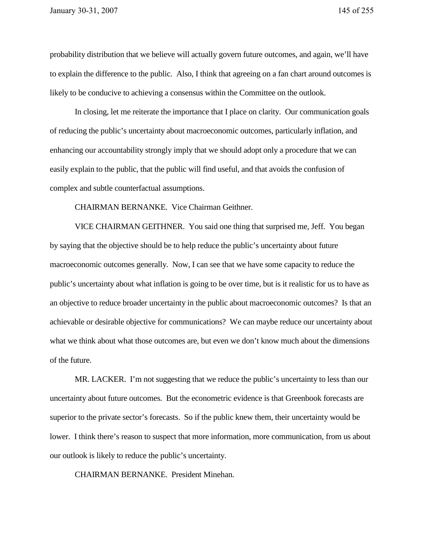probability distribution that we believe will actually govern future outcomes, and again, we'll have to explain the difference to the public. Also, I think that agreeing on a fan chart around outcomes is likely to be conducive to achieving a consensus within the Committee on the outlook.

In closing, let me reiterate the importance that I place on clarity. Our communication goals of reducing the public's uncertainty about macroeconomic outcomes, particularly inflation, and enhancing our accountability strongly imply that we should adopt only a procedure that we can easily explain to the public, that the public will find useful, and that avoids the confusion of complex and subtle counterfactual assumptions.

CHAIRMAN BERNANKE. Vice Chairman Geithner.

VICE CHAIRMAN GEITHNER. You said one thing that surprised me, Jeff. You began by saying that the objective should be to help reduce the public's uncertainty about future macroeconomic outcomes generally. Now, I can see that we have some capacity to reduce the public's uncertainty about what inflation is going to be over time, but is it realistic for us to have as an objective to reduce broader uncertainty in the public about macroeconomic outcomes? Is that an achievable or desirable objective for communications? We can maybe reduce our uncertainty about what we think about what those outcomes are, but even we don't know much about the dimensions of the future.

MR. LACKER. I'm not suggesting that we reduce the public's uncertainty to less than our uncertainty about future outcomes. But the econometric evidence is that Greenbook forecasts are superior to the private sector's forecasts. So if the public knew them, their uncertainty would be lower. I think there's reason to suspect that more information, more communication, from us about our outlook is likely to reduce the public's uncertainty.

CHAIRMAN BERNANKE. President Minehan.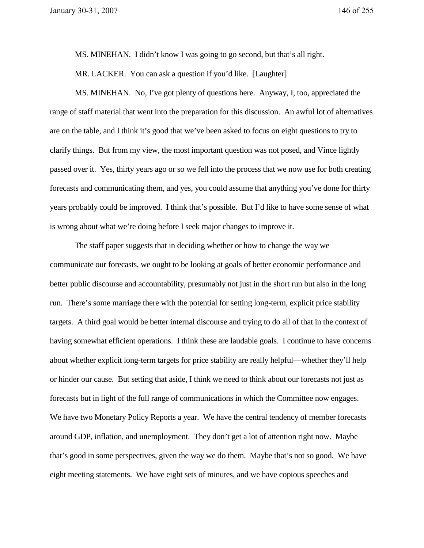MS. MINEHAN. I didn't know I was going to go second, but that's all right.

MR. LACKER. You can ask a question if you'd like. [Laughter]

MS. MINEHAN. No, I've got plenty of questions here. Anyway, I, too, appreciated the range of staff material that went into the preparation for this discussion. An awful lot of alternatives are on the table, and I think it's good that we've been asked to focus on eight questions to try to clarify things. But from my view, the most important question was not posed, and Vince lightly passed over it. Yes, thirty years ago or so we fell into the process that we now use for both creating forecasts and communicating them, and yes, you could assume that anything you've done for thirty years probably could be improved. I think that's possible. But I'd like to have some sense of what is wrong about what we're doing before I seek major changes to improve it.

The staff paper suggests that in deciding whether or how to change the way we communicate our forecasts, we ought to be looking at goals of better economic performance and better public discourse and accountability, presumably not just in the short run but also in the long run. There's some marriage there with the potential for setting long-term, explicit price stability targets. A third goal would be better internal discourse and trying to do all of that in the context of having somewhat efficient operations. I think these are laudable goals. I continue to have concerns about whether explicit long-term targets for price stability are really helpful—whether they'll help or hinder our cause. But setting that aside, I think we need to think about our forecasts not just as forecasts but in light of the full range of communications in which the Committee now engages. We have two Monetary Policy Reports a year. We have the central tendency of member forecasts around GDP, inflation, and unemployment. They don't get a lot of attention right now. Maybe that's good in some perspectives, given the way we do them. Maybe that's not so good. We have eight meeting statements. We have eight sets of minutes, and we have copious speeches and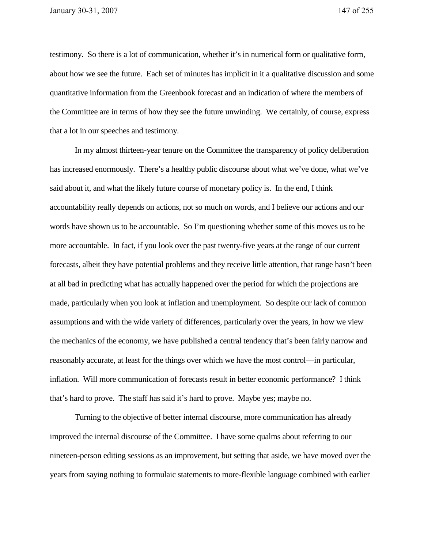testimony. So there is a lot of communication, whether it's in numerical form or qualitative form, about how we see the future. Each set of minutes has implicit in it a qualitative discussion and some quantitative information from the Greenbook forecast and an indication of where the members of the Committee are in terms of how they see the future unwinding. We certainly, of course, express that a lot in our speeches and testimony.

In my almost thirteen-year tenure on the Committee the transparency of policy deliberation has increased enormously. There's a healthy public discourse about what we've done, what we've said about it, and what the likely future course of monetary policy is. In the end, I think accountability really depends on actions, not so much on words, and I believe our actions and our words have shown us to be accountable. So I'm questioning whether some of this moves us to be more accountable. In fact, if you look over the past twenty-five years at the range of our current forecasts, albeit they have potential problems and they receive little attention, that range hasn't been at all bad in predicting what has actually happened over the period for which the projections are made, particularly when you look at inflation and unemployment. So despite our lack of common assumptions and with the wide variety of differences, particularly over the years, in how we view the mechanics of the economy, we have published a central tendency that's been fairly narrow and reasonably accurate, at least for the things over which we have the most control—in particular, inflation. Will more communication of forecasts result in better economic performance? I think that's hard to prove. The staff has said it's hard to prove. Maybe yes; maybe no.

Turning to the objective of better internal discourse, more communication has already improved the internal discourse of the Committee. I have some qualms about referring to our nineteen-person editing sessions as an improvement, but setting that aside, we have moved over the years from saying nothing to formulaic statements to more-flexible language combined with earlier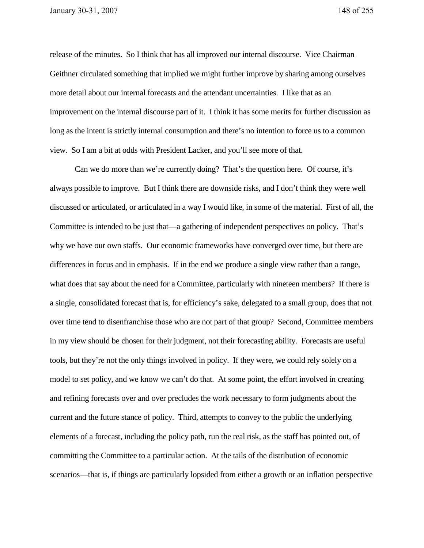release of the minutes. So I think that has all improved our internal discourse. Vice Chairman Geithner circulated something that implied we might further improve by sharing among ourselves more detail about our internal forecasts and the attendant uncertainties. I like that as an improvement on the internal discourse part of it. I think it has some merits for further discussion as long as the intent is strictly internal consumption and there's no intention to force us to a common view. So I am a bit at odds with President Lacker, and you'll see more of that.

Can we do more than we're currently doing? That's the question here. Of course, it's always possible to improve. But I think there are downside risks, and I don't think they were well discussed or articulated, or articulated in a way I would like, in some of the material. First of all, the Committee is intended to be just that—a gathering of independent perspectives on policy. That's why we have our own staffs. Our economic frameworks have converged over time, but there are differences in focus and in emphasis. If in the end we produce a single view rather than a range, what does that say about the need for a Committee, particularly with nineteen members? If there is a single, consolidated forecast that is, for efficiency's sake, delegated to a small group, does that not over time tend to disenfranchise those who are not part of that group? Second, Committee members in my view should be chosen for their judgment, not their forecasting ability. Forecasts are useful tools, but they're not the only things involved in policy. If they were, we could rely solely on a model to set policy, and we know we can't do that. At some point, the effort involved in creating and refining forecasts over and over precludes the work necessary to form judgments about the current and the future stance of policy. Third, attempts to convey to the public the underlying elements of a forecast, including the policy path, run the real risk, as the staff has pointed out, of committing the Committee to a particular action. At the tails of the distribution of economic scenarios—that is, if things are particularly lopsided from either a growth or an inflation perspective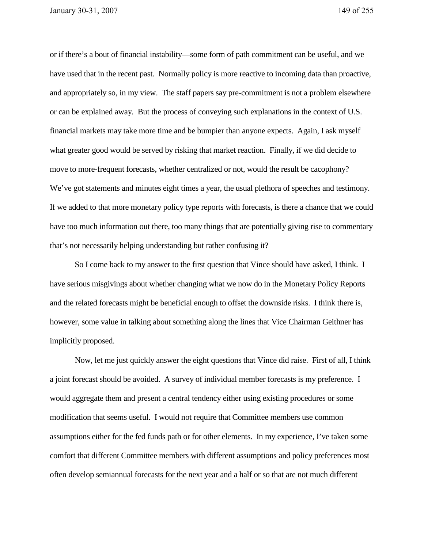or if there's a bout of financial instability—some form of path commitment can be useful, and we have used that in the recent past. Normally policy is more reactive to incoming data than proactive, and appropriately so, in my view. The staff papers say pre-commitment is not a problem elsewhere or can be explained away. But the process of conveying such explanations in the context of U.S. financial markets may take more time and be bumpier than anyone expects. Again, I ask myself what greater good would be served by risking that market reaction. Finally, if we did decide to move to more-frequent forecasts, whether centralized or not, would the result be cacophony? We've got statements and minutes eight times a year, the usual plethora of speeches and testimony. If we added to that more monetary policy type reports with forecasts, is there a chance that we could have too much information out there, too many things that are potentially giving rise to commentary that's not necessarily helping understanding but rather confusing it?

So I come back to my answer to the first question that Vince should have asked, I think. I have serious misgivings about whether changing what we now do in the Monetary Policy Reports and the related forecasts might be beneficial enough to offset the downside risks. I think there is, however, some value in talking about something along the lines that Vice Chairman Geithner has implicitly proposed.

Now, let me just quickly answer the eight questions that Vince did raise. First of all, I think a joint forecast should be avoided. A survey of individual member forecasts is my preference. I would aggregate them and present a central tendency either using existing procedures or some modification that seems useful. I would not require that Committee members use common assumptions either for the fed funds path or for other elements. In my experience, I've taken some comfort that different Committee members with different assumptions and policy preferences most often develop semiannual forecasts for the next year and a half or so that are not much different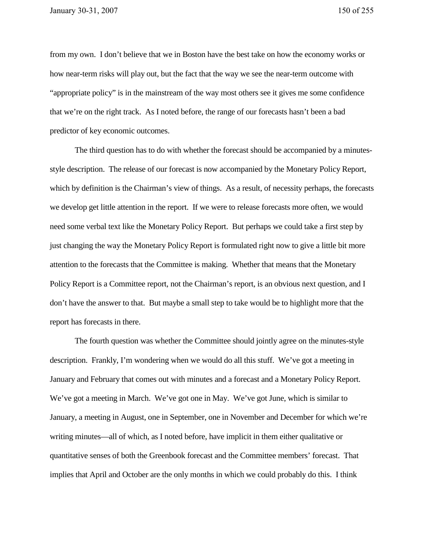from my own. I don't believe that we in Boston have the best take on how the economy works or how near-term risks will play out, but the fact that the way we see the near-term outcome with "appropriate policy" is in the mainstream of the way most others see it gives me some confidence that we're on the right track. As I noted before, the range of our forecasts hasn't been a bad predictor of key economic outcomes.

The third question has to do with whether the forecast should be accompanied by a minutesstyle description. The release of our forecast is now accompanied by the Monetary Policy Report, which by definition is the Chairman's view of things. As a result, of necessity perhaps, the forecasts we develop get little attention in the report. If we were to release forecasts more often, we would need some verbal text like the Monetary Policy Report. But perhaps we could take a first step by just changing the way the Monetary Policy Report is formulated right now to give a little bit more attention to the forecasts that the Committee is making. Whether that means that the Monetary Policy Report is a Committee report, not the Chairman's report, is an obvious next question, and I don't have the answer to that. But maybe a small step to take would be to highlight more that the report has forecasts in there.

The fourth question was whether the Committee should jointly agree on the minutes-style description. Frankly, I'm wondering when we would do all this stuff. We've got a meeting in January and February that comes out with minutes and a forecast and a Monetary Policy Report. We've got a meeting in March. We've got one in May. We've got June, which is similar to January, a meeting in August, one in September, one in November and December for which we're writing minutes—all of which, as I noted before, have implicit in them either qualitative or quantitative senses of both the Greenbook forecast and the Committee members' forecast. That implies that April and October are the only months in which we could probably do this. I think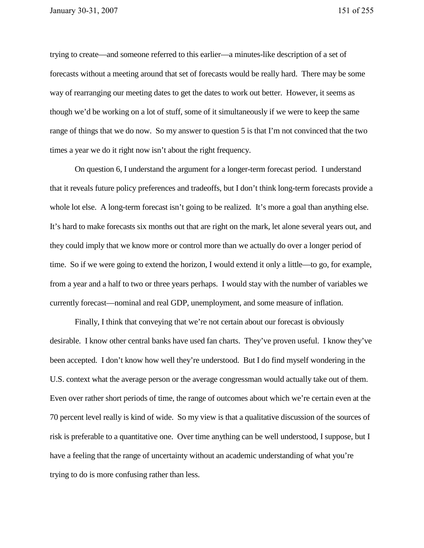trying to create—and someone referred to this earlier—a minutes-like description of a set of forecasts without a meeting around that set of forecasts would be really hard. There may be some way of rearranging our meeting dates to get the dates to work out better. However, it seems as though we'd be working on a lot of stuff, some of it simultaneously if we were to keep the same range of things that we do now. So my answer to question 5 is that I'm not convinced that the two times a year we do it right now isn't about the right frequency.

On question 6, I understand the argument for a longer-term forecast period. I understand that it reveals future policy preferences and tradeoffs, but I don't think long-term forecasts provide a whole lot else. A long-term forecast isn't going to be realized. It's more a goal than anything else. It's hard to make forecasts six months out that are right on the mark, let alone several years out, and they could imply that we know more or control more than we actually do over a longer period of time. So if we were going to extend the horizon, I would extend it only a little—to go, for example, from a year and a half to two or three years perhaps. I would stay with the number of variables we currently forecast—nominal and real GDP, unemployment, and some measure of inflation.

Finally, I think that conveying that we're not certain about our forecast is obviously desirable. I know other central banks have used fan charts. They've proven useful. I know they've been accepted. I don't know how well they're understood. But I do find myself wondering in the U.S. context what the average person or the average congressman would actually take out of them. Even over rather short periods of time, the range of outcomes about which we're certain even at the 70 percent level really is kind of wide. So my view is that a qualitative discussion of the sources of risk is preferable to a quantitative one. Over time anything can be well understood, I suppose, but I have a feeling that the range of uncertainty without an academic understanding of what you're trying to do is more confusing rather than less.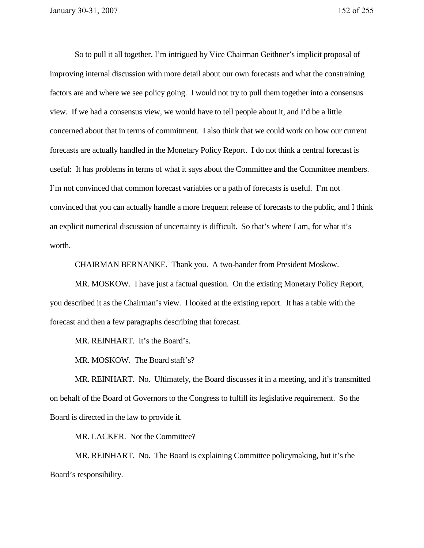So to pull it all together, I'm intrigued by Vice Chairman Geithner's implicit proposal of improving internal discussion with more detail about our own forecasts and what the constraining factors are and where we see policy going. I would not try to pull them together into a consensus view. If we had a consensus view, we would have to tell people about it, and I'd be a little concerned about that in terms of commitment. I also think that we could work on how our current forecasts are actually handled in the Monetary Policy Report. I do not think a central forecast is useful: It has problems in terms of what it says about the Committee and the Committee members. I'm not convinced that common forecast variables or a path of forecasts is useful. I'm not convinced that you can actually handle a more frequent release of forecasts to the public, and I think an explicit numerical discussion of uncertainty is difficult. So that's where I am, for what it's worth.

CHAIRMAN BERNANKE. Thank you. A two-hander from President Moskow.

MR. MOSKOW. I have just a factual question. On the existing Monetary Policy Report, you described it as the Chairman's view. I looked at the existing report. It has a table with the forecast and then a few paragraphs describing that forecast.

MR. REINHART. It's the Board's.

MR. MOSKOW. The Board staff's?

MR. REINHART. No. Ultimately, the Board discusses it in a meeting, and it's transmitted on behalf of the Board of Governors to the Congress to fulfill its legislative requirement. So the Board is directed in the law to provide it.

MR. LACKER. Not the Committee?

MR. REINHART. No. The Board is explaining Committee policymaking, but it's the Board's responsibility.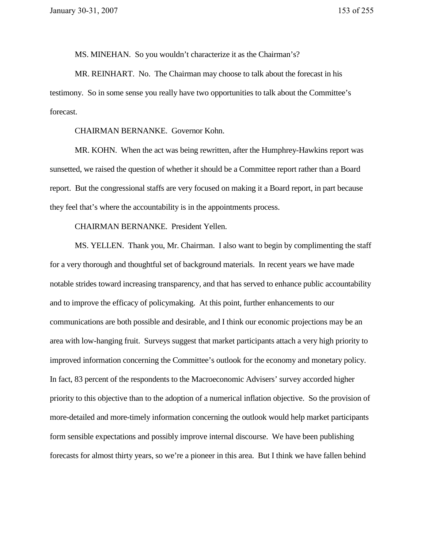MS. MINEHAN. So you wouldn't characterize it as the Chairman's?

MR. REINHART. No. The Chairman may choose to talk about the forecast in his testimony. So in some sense you really have two opportunities to talk about the Committee's forecast.

CHAIRMAN BERNANKE. Governor Kohn.

MR. KOHN. When the act was being rewritten, after the Humphrey-Hawkins report was sunsetted, we raised the question of whether it should be a Committee report rather than a Board report. But the congressional staffs are very focused on making it a Board report, in part because they feel that's where the accountability is in the appointments process.

CHAIRMAN BERNANKE. President Yellen.

MS. YELLEN. Thank you, Mr. Chairman. I also want to begin by complimenting the staff for a very thorough and thoughtful set of background materials. In recent years we have made notable strides toward increasing transparency, and that has served to enhance public accountability and to improve the efficacy of policymaking. At this point, further enhancements to our communications are both possible and desirable, and I think our economic projections may be an area with low-hanging fruit. Surveys suggest that market participants attach a very high priority to improved information concerning the Committee's outlook for the economy and monetary policy. In fact, 83 percent of the respondents to the Macroeconomic Advisers' survey accorded higher priority to this objective than to the adoption of a numerical inflation objective. So the provision of more-detailed and more-timely information concerning the outlook would help market participants form sensible expectations and possibly improve internal discourse. We have been publishing forecasts for almost thirty years, so we're a pioneer in this area. But I think we have fallen behind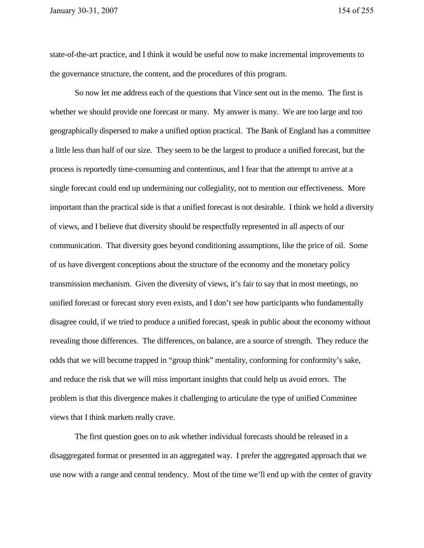state-of-the-art practice, and I think it would be useful now to make incremental improvements to the governance structure, the content, and the procedures of this program.

So now let me address each of the questions that Vince sent out in the memo. The first is whether we should provide one forecast or many. My answer is many. We are too large and too geographically dispersed to make a unified option practical. The Bank of England has a committee a little less than half of our size. They seem to be the largest to produce a unified forecast, but the process is reportedly time-consuming and contentious, and I fear that the attempt to arrive at a single forecast could end up undermining our collegiality, not to mention our effectiveness. More important than the practical side is that a unified forecast is not desirable. I think we hold a diversity of views, and I believe that diversity should be respectfully represented in all aspects of our communication. That diversity goes beyond conditioning assumptions, like the price of oil. Some of us have divergent conceptions about the structure of the economy and the monetary policy transmission mechanism. Given the diversity of views, it's fair to say that in most meetings, no unified forecast or forecast story even exists, and I don't see how participants who fundamentally disagree could, if we tried to produce a unified forecast, speak in public about the economy without revealing those differences. The differences, on balance, are a source of strength. They reduce the odds that we will become trapped in "group think" mentality, conforming for conformity's sake, and reduce the risk that we will miss important insights that could help us avoid errors. The problem is that this divergence makes it challenging to articulate the type of unified Committee views that I think markets really crave.

The first question goes on to ask whether individual forecasts should be released in a disaggregated format or presented in an aggregated way. I prefer the aggregated approach that we use now with a range and central tendency. Most of the time we'll end up with the center of gravity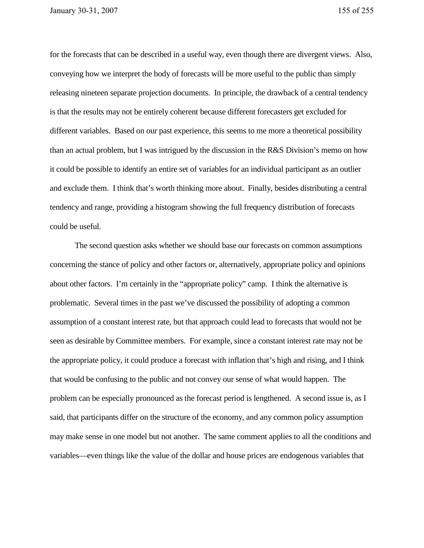for the forecasts that can be described in a useful way, even though there are divergent views. Also, conveying how we interpret the body of forecasts will be more useful to the public than simply releasing nineteen separate projection documents. In principle, the drawback of a central tendency is that the results may not be entirely coherent because different forecasters get excluded for different variables. Based on our past experience, this seems to me more a theoretical possibility than an actual problem, but I was intrigued by the discussion in the R&S Division's memo on how it could be possible to identify an entire set of variables for an individual participant as an outlier and exclude them. I think that's worth thinking more about. Finally, besides distributing a central tendency and range, providing a histogram showing the full frequency distribution of forecasts could be useful.

The second question asks whether we should base our forecasts on common assumptions concerning the stance of policy and other factors or, alternatively, appropriate policy and opinions about other factors. I'm certainly in the "appropriate policy" camp. I think the alternative is problematic. Several times in the past we've discussed the possibility of adopting a common assumption of a constant interest rate, but that approach could lead to forecasts that would not be seen as desirable by Committee members. For example, since a constant interest rate may not be the appropriate policy, it could produce a forecast with inflation that's high and rising, and I think that would be confusing to the public and not convey our sense of what would happen. The problem can be especially pronounced as the forecast period is lengthened. A second issue is, as I said, that participants differ on the structure of the economy, and any common policy assumption may make sense in one model but not another. The same comment applies to all the conditions and variables—even things like the value of the dollar and house prices are endogenous variables that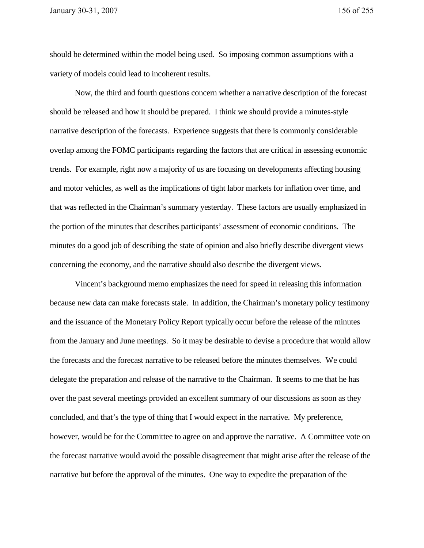should be determined within the model being used. So imposing common assumptions with a variety of models could lead to incoherent results.

Now, the third and fourth questions concern whether a narrative description of the forecast should be released and how it should be prepared. I think we should provide a minutes-style narrative description of the forecasts. Experience suggests that there is commonly considerable overlap among the FOMC participants regarding the factors that are critical in assessing economic trends. For example, right now a majority of us are focusing on developments affecting housing and motor vehicles, as well as the implications of tight labor markets for inflation over time, and that was reflected in the Chairman's summary yesterday. These factors are usually emphasized in the portion of the minutes that describes participants' assessment of economic conditions. The minutes do a good job of describing the state of opinion and also briefly describe divergent views concerning the economy, and the narrative should also describe the divergent views.

Vincent's background memo emphasizes the need for speed in releasing this information because new data can make forecasts stale. In addition, the Chairman's monetary policy testimony and the issuance of the Monetary Policy Report typically occur before the release of the minutes from the January and June meetings. So it may be desirable to devise a procedure that would allow the forecasts and the forecast narrative to be released before the minutes themselves. We could delegate the preparation and release of the narrative to the Chairman. It seems to me that he has over the past several meetings provided an excellent summary of our discussions as soon as they concluded, and that's the type of thing that I would expect in the narrative. My preference, however, would be for the Committee to agree on and approve the narrative. A Committee vote on the forecast narrative would avoid the possible disagreement that might arise after the release of the narrative but before the approval of the minutes. One way to expedite the preparation of the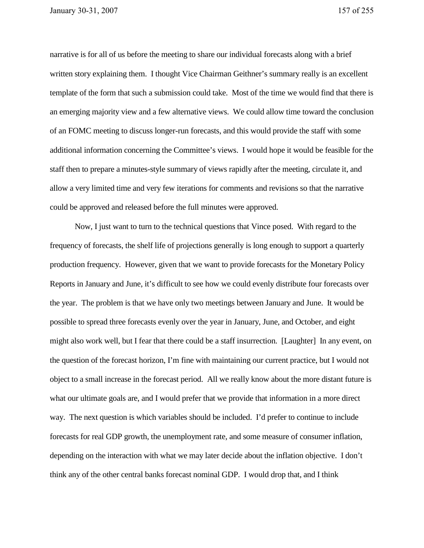narrative is for all of us before the meeting to share our individual forecasts along with a brief written story explaining them. I thought Vice Chairman Geithner's summary really is an excellent template of the form that such a submission could take. Most of the time we would find that there is an emerging majority view and a few alternative views. We could allow time toward the conclusion of an FOMC meeting to discuss longer-run forecasts, and this would provide the staff with some additional information concerning the Committee's views. I would hope it would be feasible for the staff then to prepare a minutes-style summary of views rapidly after the meeting, circulate it, and allow a very limited time and very few iterations for comments and revisions so that the narrative could be approved and released before the full minutes were approved.

Now, I just want to turn to the technical questions that Vince posed. With regard to the frequency of forecasts, the shelf life of projections generally is long enough to support a quarterly production frequency. However, given that we want to provide forecasts for the Monetary Policy Reports in January and June, it's difficult to see how we could evenly distribute four forecasts over the year. The problem is that we have only two meetings between January and June. It would be possible to spread three forecasts evenly over the year in January, June, and October, and eight might also work well, but I fear that there could be a staff insurrection. [Laughter] In any event, on the question of the forecast horizon, I'm fine with maintaining our current practice, but I would not object to a small increase in the forecast period. All we really know about the more distant future is what our ultimate goals are, and I would prefer that we provide that information in a more direct way. The next question is which variables should be included. I'd prefer to continue to include forecasts for real GDP growth, the unemployment rate, and some measure of consumer inflation, depending on the interaction with what we may later decide about the inflation objective. I don't think any of the other central banks forecast nominal GDP. I would drop that, and I think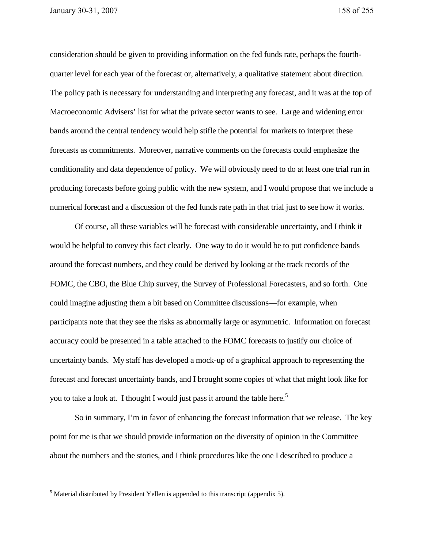consideration should be given to providing information on the fed funds rate, perhaps the fourthquarter level for each year of the forecast or, alternatively, a qualitative statement about direction. The policy path is necessary for understanding and interpreting any forecast, and it was at the top of Macroeconomic Advisers' list for what the private sector wants to see. Large and widening error bands around the central tendency would help stifle the potential for markets to interpret these forecasts as commitments. Moreover, narrative comments on the forecasts could emphasize the conditionality and data dependence of policy. We will obviously need to do at least one trial run in producing forecasts before going public with the new system, and I would propose that we include a numerical forecast and a discussion of the fed funds rate path in that trial just to see how it works.

Of course, all these variables will be forecast with considerable uncertainty, and I think it would be helpful to convey this fact clearly. One way to do it would be to put confidence bands around the forecast numbers, and they could be derived by looking at the track records of the FOMC, the CBO, the Blue Chip survey, the Survey of Professional Forecasters, and so forth. One could imagine adjusting them a bit based on Committee discussions—for example, when participants note that they see the risks as abnormally large or asymmetric. Information on forecast accuracy could be presented in a table attached to the FOMC forecasts to justify our choice of uncertainty bands. My staff has developed a mock-up of a graphical approach to representing the forecast and forecast uncertainty bands, and I brought some copies of what that might look like for you to take a look at. I thought I would just pass it around the table here.<sup>5</sup>

So in summary, I'm in favor of enhancing the forecast information that we release. The key point for me is that we should provide information on the diversity of opinion in the Committee about the numbers and the stories, and I think procedures like the one I described to produce a

 $\overline{a}$ 

 $<sup>5</sup>$  Material distributed by President Yellen is appended to this transcript (appendix 5).</sup>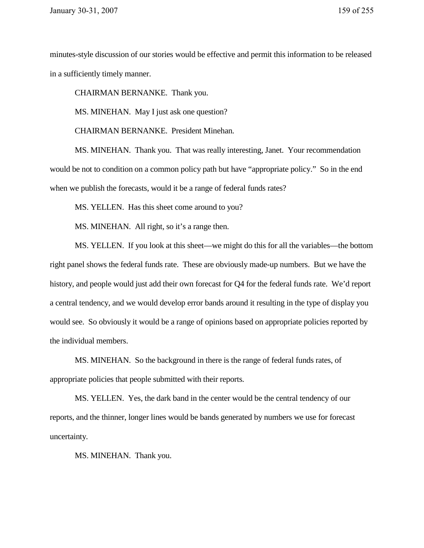minutes-style discussion of our stories would be effective and permit this information to be released in a sufficiently timely manner.

CHAIRMAN BERNANKE. Thank you.

MS. MINEHAN. May I just ask one question?

CHAIRMAN BERNANKE. President Minehan.

MS. MINEHAN. Thank you. That was really interesting, Janet. Your recommendation would be not to condition on a common policy path but have "appropriate policy." So in the end when we publish the forecasts, would it be a range of federal funds rates?

MS. YELLEN. Has this sheet come around to you?

MS. MINEHAN. All right, so it's a range then.

MS. YELLEN. If you look at this sheet—we might do this for all the variables—the bottom right panel shows the federal funds rate. These are obviously made-up numbers. But we have the history, and people would just add their own forecast for Q4 for the federal funds rate. We'd report a central tendency, and we would develop error bands around it resulting in the type of display you would see. So obviously it would be a range of opinions based on appropriate policies reported by the individual members.

MS. MINEHAN. So the background in there is the range of federal funds rates, of appropriate policies that people submitted with their reports.

MS. YELLEN. Yes, the dark band in the center would be the central tendency of our reports, and the thinner, longer lines would be bands generated by numbers we use for forecast uncertainty.

MS. MINEHAN. Thank you.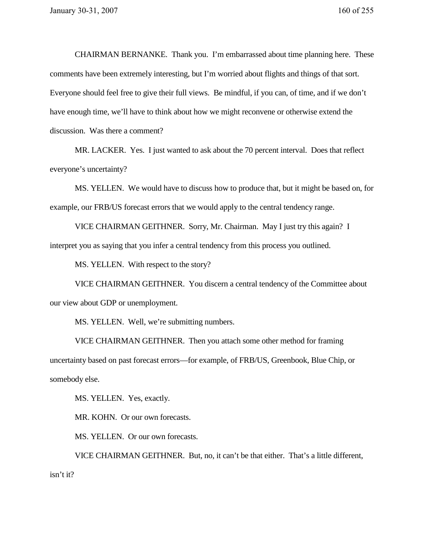CHAIRMAN BERNANKE. Thank you. I'm embarrassed about time planning here. These comments have been extremely interesting, but I'm worried about flights and things of that sort. Everyone should feel free to give their full views. Be mindful, if you can, of time, and if we don't have enough time, we'll have to think about how we might reconvene or otherwise extend the discussion. Was there a comment?

MR. LACKER. Yes. I just wanted to ask about the 70 percent interval. Does that reflect everyone's uncertainty?

MS. YELLEN. We would have to discuss how to produce that, but it might be based on, for example, our FRB/US forecast errors that we would apply to the central tendency range.

VICE CHAIRMAN GEITHNER. Sorry, Mr. Chairman. May I just try this again? I interpret you as saying that you infer a central tendency from this process you outlined.

MS. YELLEN. With respect to the story?

VICE CHAIRMAN GEITHNER. You discern a central tendency of the Committee about our view about GDP or unemployment.

MS. YELLEN. Well, we're submitting numbers.

VICE CHAIRMAN GEITHNER. Then you attach some other method for framing uncertainty based on past forecast errors—for example, of FRB/US, Greenbook, Blue Chip, or somebody else.

MS. YELLEN. Yes, exactly.

MR. KOHN. Or our own forecasts.

MS. YELLEN. Or our own forecasts.

VICE CHAIRMAN GEITHNER. But, no, it can't be that either. That's a little different, isn't it?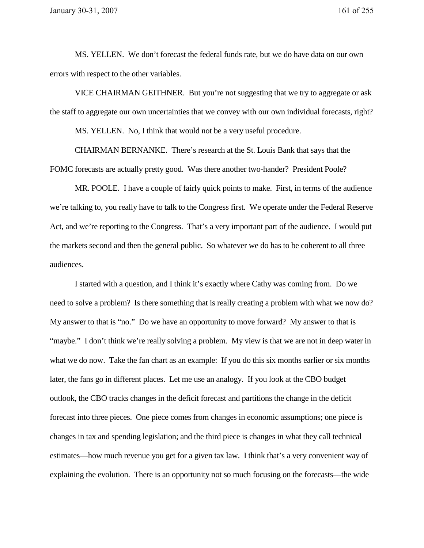MS. YELLEN. We don't forecast the federal funds rate, but we do have data on our own errors with respect to the other variables.

VICE CHAIRMAN GEITHNER. But you're not suggesting that we try to aggregate or ask the staff to aggregate our own uncertainties that we convey with our own individual forecasts, right?

MS. YELLEN. No, I think that would not be a very useful procedure.

CHAIRMAN BERNANKE. There's research at the St. Louis Bank that says that the FOMC forecasts are actually pretty good. Was there another two-hander? President Poole?

MR. POOLE. I have a couple of fairly quick points to make. First, in terms of the audience we're talking to, you really have to talk to the Congress first. We operate under the Federal Reserve Act, and we're reporting to the Congress. That's a very important part of the audience. I would put the markets second and then the general public. So whatever we do has to be coherent to all three audiences.

I started with a question, and I think it's exactly where Cathy was coming from. Do we need to solve a problem? Is there something that is really creating a problem with what we now do? My answer to that is "no." Do we have an opportunity to move forward? My answer to that is "maybe." I don't think we're really solving a problem. My view is that we are not in deep water in what we do now. Take the fan chart as an example: If you do this six months earlier or six months later, the fans go in different places. Let me use an analogy. If you look at the CBO budget outlook, the CBO tracks changes in the deficit forecast and partitions the change in the deficit forecast into three pieces. One piece comes from changes in economic assumptions; one piece is changes in tax and spending legislation; and the third piece is changes in what they call technical estimates—how much revenue you get for a given tax law. I think that's a very convenient way of explaining the evolution. There is an opportunity not so much focusing on the forecasts—the wide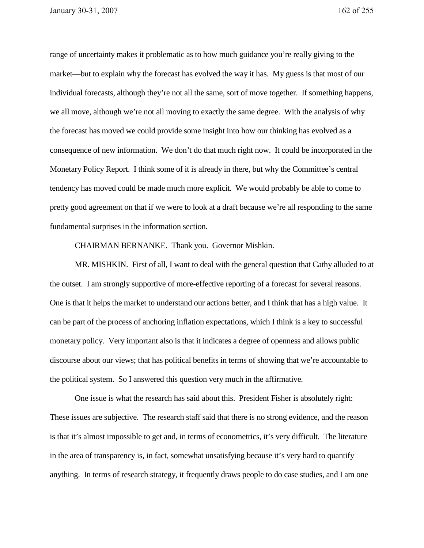range of uncertainty makes it problematic as to how much guidance you're really giving to the market—but to explain why the forecast has evolved the way it has. My guess is that most of our individual forecasts, although they're not all the same, sort of move together. If something happens, we all move, although we're not all moving to exactly the same degree. With the analysis of why the forecast has moved we could provide some insight into how our thinking has evolved as a consequence of new information. We don't do that much right now. It could be incorporated in the Monetary Policy Report. I think some of it is already in there, but why the Committee's central tendency has moved could be made much more explicit. We would probably be able to come to pretty good agreement on that if we were to look at a draft because we're all responding to the same fundamental surprises in the information section.

CHAIRMAN BERNANKE. Thank you. Governor Mishkin.

MR. MISHKIN. First of all, I want to deal with the general question that Cathy alluded to at the outset. I am strongly supportive of more-effective reporting of a forecast for several reasons. One is that it helps the market to understand our actions better, and I think that has a high value. It can be part of the process of anchoring inflation expectations, which I think is a key to successful monetary policy. Very important also is that it indicates a degree of openness and allows public discourse about our views; that has political benefits in terms of showing that we're accountable to the political system. So I answered this question very much in the affirmative.

One issue is what the research has said about this. President Fisher is absolutely right: These issues are subjective. The research staff said that there is no strong evidence, and the reason is that it's almost impossible to get and, in terms of econometrics, it's very difficult. The literature in the area of transparency is, in fact, somewhat unsatisfying because it's very hard to quantify anything. In terms of research strategy, it frequently draws people to do case studies, and I am one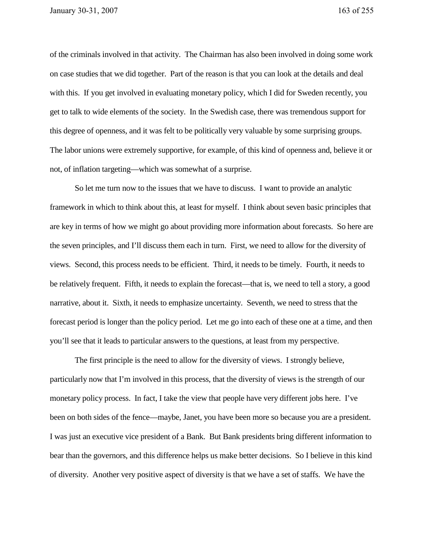of the criminals involved in that activity. The Chairman has also been involved in doing some work on case studies that we did together. Part of the reason is that you can look at the details and deal with this. If you get involved in evaluating monetary policy, which I did for Sweden recently, you get to talk to wide elements of the society. In the Swedish case, there was tremendous support for this degree of openness, and it was felt to be politically very valuable by some surprising groups. The labor unions were extremely supportive, for example, of this kind of openness and, believe it or not, of inflation targeting—which was somewhat of a surprise.

So let me turn now to the issues that we have to discuss. I want to provide an analytic framework in which to think about this, at least for myself. I think about seven basic principles that are key in terms of how we might go about providing more information about forecasts. So here are the seven principles, and I'll discuss them each in turn. First, we need to allow for the diversity of views. Second, this process needs to be efficient. Third, it needs to be timely. Fourth, it needs to be relatively frequent. Fifth, it needs to explain the forecast—that is, we need to tell a story, a good narrative, about it. Sixth, it needs to emphasize uncertainty. Seventh, we need to stress that the forecast period is longer than the policy period. Let me go into each of these one at a time, and then you'll see that it leads to particular answers to the questions, at least from my perspective.

The first principle is the need to allow for the diversity of views. I strongly believe, particularly now that I'm involved in this process, that the diversity of views is the strength of our monetary policy process. In fact, I take the view that people have very different jobs here. I've been on both sides of the fence—maybe, Janet, you have been more so because you are a president. I was just an executive vice president of a Bank. But Bank presidents bring different information to bear than the governors, and this difference helps us make better decisions. So I believe in this kind of diversity. Another very positive aspect of diversity is that we have a set of staffs. We have the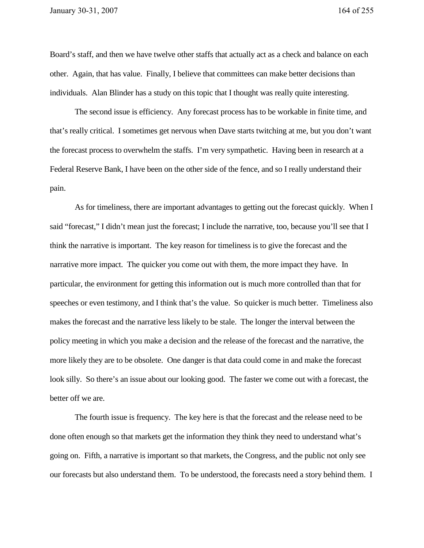Board's staff, and then we have twelve other staffs that actually act as a check and balance on each other. Again, that has value. Finally, I believe that committees can make better decisions than individuals. Alan Blinder has a study on this topic that I thought was really quite interesting.

The second issue is efficiency. Any forecast process has to be workable in finite time, and that's really critical. I sometimes get nervous when Dave starts twitching at me, but you don't want the forecast process to overwhelm the staffs. I'm very sympathetic. Having been in research at a Federal Reserve Bank, I have been on the other side of the fence, and so I really understand their pain.

As for timeliness, there are important advantages to getting out the forecast quickly. When I said "forecast," I didn't mean just the forecast; I include the narrative, too, because you'll see that I think the narrative is important. The key reason for timeliness is to give the forecast and the narrative more impact. The quicker you come out with them, the more impact they have. In particular, the environment for getting this information out is much more controlled than that for speeches or even testimony, and I think that's the value. So quicker is much better. Timeliness also makes the forecast and the narrative less likely to be stale. The longer the interval between the policy meeting in which you make a decision and the release of the forecast and the narrative, the more likely they are to be obsolete. One danger is that data could come in and make the forecast look silly. So there's an issue about our looking good. The faster we come out with a forecast, the better off we are.

The fourth issue is frequency. The key here is that the forecast and the release need to be done often enough so that markets get the information they think they need to understand what's going on. Fifth, a narrative is important so that markets, the Congress, and the public not only see our forecasts but also understand them. To be understood, the forecasts need a story behind them. I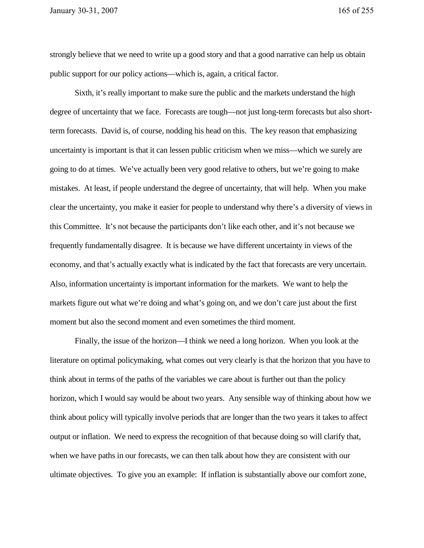strongly believe that we need to write up a good story and that a good narrative can help us obtain public support for our policy actions—which is, again, a critical factor.

Sixth, it's really important to make sure the public and the markets understand the high degree of uncertainty that we face. Forecasts are tough—not just long-term forecasts but also shortterm forecasts. David is, of course, nodding his head on this. The key reason that emphasizing uncertainty is important is that it can lessen public criticism when we miss—which we surely are going to do at times. We've actually been very good relative to others, but we're going to make mistakes. At least, if people understand the degree of uncertainty, that will help. When you make clear the uncertainty, you make it easier for people to understand why there's a diversity of views in this Committee. It's not because the participants don't like each other, and it's not because we frequently fundamentally disagree. It is because we have different uncertainty in views of the economy, and that's actually exactly what is indicated by the fact that forecasts are very uncertain. Also, information uncertainty is important information for the markets. We want to help the markets figure out what we're doing and what's going on, and we don't care just about the first moment but also the second moment and even sometimes the third moment.

Finally, the issue of the horizon—I think we need a long horizon. When you look at the literature on optimal policymaking, what comes out very clearly is that the horizon that you have to think about in terms of the paths of the variables we care about is further out than the policy horizon, which I would say would be about two years. Any sensible way of thinking about how we think about policy will typically involve periods that are longer than the two years it takes to affect output or inflation. We need to express the recognition of that because doing so will clarify that, when we have paths in our forecasts, we can then talk about how they are consistent with our ultimate objectives. To give you an example: If inflation is substantially above our comfort zone,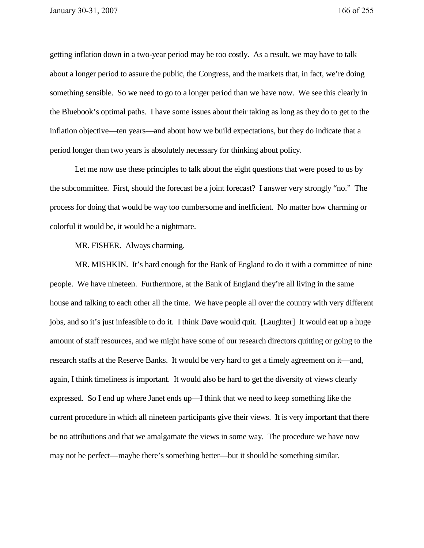getting inflation down in a two-year period may be too costly. As a result, we may have to talk about a longer period to assure the public, the Congress, and the markets that, in fact, we're doing something sensible. So we need to go to a longer period than we have now. We see this clearly in the Bluebook's optimal paths. I have some issues about their taking as long as they do to get to the inflation objective—ten years—and about how we build expectations, but they do indicate that a period longer than two years is absolutely necessary for thinking about policy.

Let me now use these principles to talk about the eight questions that were posed to us by the subcommittee. First, should the forecast be a joint forecast? I answer very strongly "no." The process for doing that would be way too cumbersome and inefficient. No matter how charming or colorful it would be, it would be a nightmare.

MR. FISHER. Always charming.

MR. MISHKIN. It's hard enough for the Bank of England to do it with a committee of nine people. We have nineteen. Furthermore, at the Bank of England they're all living in the same house and talking to each other all the time. We have people all over the country with very different jobs, and so it's just infeasible to do it. I think Dave would quit. [Laughter] It would eat up a huge amount of staff resources, and we might have some of our research directors quitting or going to the research staffs at the Reserve Banks. It would be very hard to get a timely agreement on it—and, again, I think timeliness is important. It would also be hard to get the diversity of views clearly expressed. So I end up where Janet ends up—I think that we need to keep something like the current procedure in which all nineteen participants give their views. It is very important that there be no attributions and that we amalgamate the views in some way. The procedure we have now may not be perfect—maybe there's something better—but it should be something similar.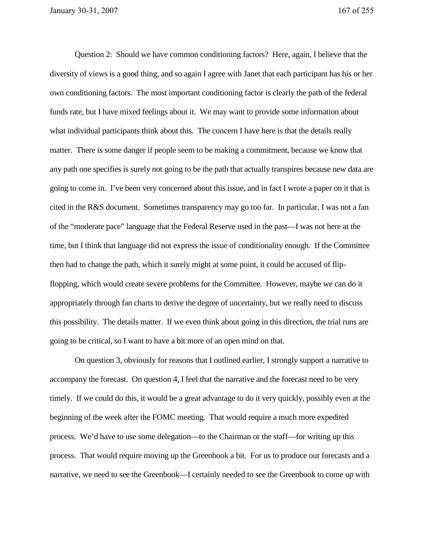Question 2: Should we have common conditioning factors? Here, again, I believe that the diversity of views is a good thing, and so again I agree with Janet that each participant has his or her own conditioning factors. The most important conditioning factor is clearly the path of the federal funds rate, but I have mixed feelings about it. We may want to provide some information about what individual participants think about this. The concern I have here is that the details really matter. There is some danger if people seem to be making a commitment, because we know that any path one specifies is surely not going to be the path that actually transpires because new data are going to come in. I've been very concerned about this issue, and in fact I wrote a paper on it that is cited in the R&S document. Sometimes transparency may go too far. In particular, I was not a fan of the "moderate pace" language that the Federal Reserve used in the past—I was not here at the time, but I think that language did not express the issue of conditionality enough. If the Committee then had to change the path, which it surely might at some point, it could be accused of flipflopping, which would create severe problems for the Committee. However, maybe we can do it appropriately through fan charts to derive the degree of uncertainty, but we really need to discuss this possibility. The details matter. If we even think about going in this direction, the trial runs are going to be critical, so I want to have a bit more of an open mind on that.

On question 3, obviously for reasons that I outlined earlier, I strongly support a narrative to accompany the forecast. On question 4, I feel that the narrative and the forecast need to be very timely. If we could do this, it would be a great advantage to do it very quickly, possibly even at the beginning of the week after the FOMC meeting. That would require a much more expedited process. We'd have to use some delegation—to the Chairman or the staff—for writing up this process. That would require moving up the Greenbook a bit. For us to produce our forecasts and a narrative, we need to see the Greenbook—I certainly needed to see the Greenbook to come up with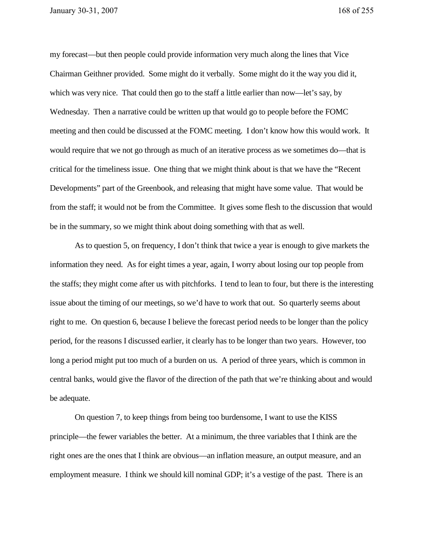my forecast—but then people could provide information very much along the lines that Vice Chairman Geithner provided. Some might do it verbally. Some might do it the way you did it, which was very nice. That could then go to the staff a little earlier than now—let's say, by Wednesday. Then a narrative could be written up that would go to people before the FOMC meeting and then could be discussed at the FOMC meeting. I don't know how this would work. It would require that we not go through as much of an iterative process as we sometimes do—that is critical for the timeliness issue. One thing that we might think about is that we have the "Recent Developments" part of the Greenbook, and releasing that might have some value. That would be from the staff; it would not be from the Committee. It gives some flesh to the discussion that would be in the summary, so we might think about doing something with that as well.

As to question 5, on frequency, I don't think that twice a year is enough to give markets the information they need. As for eight times a year, again, I worry about losing our top people from the staffs; they might come after us with pitchforks. I tend to lean to four, but there is the interesting issue about the timing of our meetings, so we'd have to work that out. So quarterly seems about right to me. On question 6, because I believe the forecast period needs to be longer than the policy period, for the reasons I discussed earlier, it clearly has to be longer than two years. However, too long a period might put too much of a burden on us. A period of three years, which is common in central banks, would give the flavor of the direction of the path that we're thinking about and would be adequate.

On question 7, to keep things from being too burdensome, I want to use the KISS principle—the fewer variables the better. At a minimum, the three variables that I think are the right ones are the ones that I think are obvious—an inflation measure, an output measure, and an employment measure. I think we should kill nominal GDP; it's a vestige of the past. There is an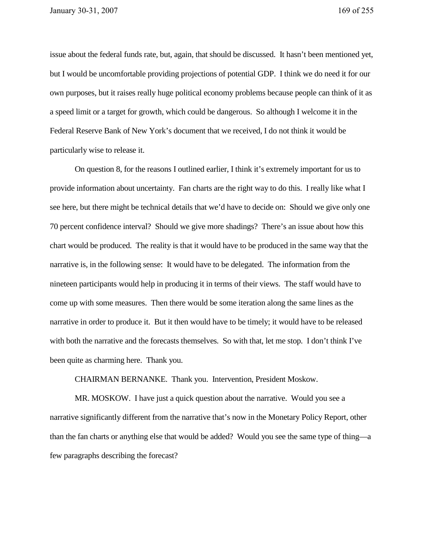issue about the federal funds rate, but, again, that should be discussed. It hasn't been mentioned yet, but I would be uncomfortable providing projections of potential GDP. I think we do need it for our own purposes, but it raises really huge political economy problems because people can think of it as a speed limit or a target for growth, which could be dangerous. So although I welcome it in the Federal Reserve Bank of New York's document that we received, I do not think it would be particularly wise to release it.

On question 8, for the reasons I outlined earlier, I think it's extremely important for us to provide information about uncertainty. Fan charts are the right way to do this. I really like what I see here, but there might be technical details that we'd have to decide on: Should we give only one 70 percent confidence interval? Should we give more shadings? There's an issue about how this chart would be produced. The reality is that it would have to be produced in the same way that the narrative is, in the following sense: It would have to be delegated. The information from the nineteen participants would help in producing it in terms of their views. The staff would have to come up with some measures. Then there would be some iteration along the same lines as the narrative in order to produce it. But it then would have to be timely; it would have to be released with both the narrative and the forecasts themselves. So with that, let me stop. I don't think I've been quite as charming here. Thank you.

CHAIRMAN BERNANKE. Thank you. Intervention, President Moskow.

MR. MOSKOW. I have just a quick question about the narrative. Would you see a narrative significantly different from the narrative that's now in the Monetary Policy Report, other than the fan charts or anything else that would be added? Would you see the same type of thing—a few paragraphs describing the forecast?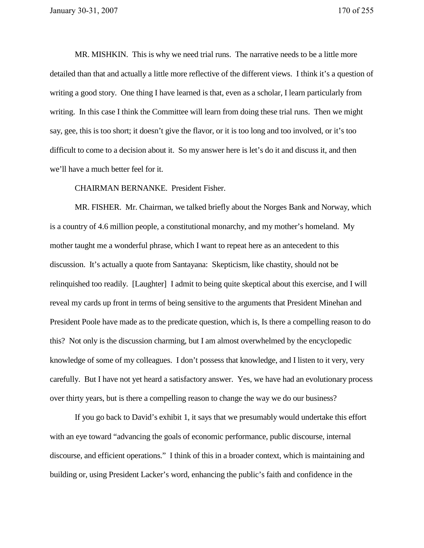MR. MISHKIN. This is why we need trial runs. The narrative needs to be a little more detailed than that and actually a little more reflective of the different views. I think it's a question of writing a good story. One thing I have learned is that, even as a scholar, I learn particularly from writing. In this case I think the Committee will learn from doing these trial runs. Then we might say, gee, this is too short; it doesn't give the flavor, or it is too long and too involved, or it's too difficult to come to a decision about it. So my answer here is let's do it and discuss it, and then we'll have a much better feel for it.

CHAIRMAN BERNANKE. President Fisher.

MR. FISHER. Mr. Chairman, we talked briefly about the Norges Bank and Norway, which is a country of 4.6 million people, a constitutional monarchy, and my mother's homeland. My mother taught me a wonderful phrase, which I want to repeat here as an antecedent to this discussion. It's actually a quote from Santayana: Skepticism, like chastity, should not be relinquished too readily. [Laughter] I admit to being quite skeptical about this exercise, and I will reveal my cards up front in terms of being sensitive to the arguments that President Minehan and President Poole have made as to the predicate question, which is, Is there a compelling reason to do this? Not only is the discussion charming, but I am almost overwhelmed by the encyclopedic knowledge of some of my colleagues. I don't possess that knowledge, and I listen to it very, very carefully. But I have not yet heard a satisfactory answer. Yes, we have had an evolutionary process over thirty years, but is there a compelling reason to change the way we do our business?

If you go back to David's exhibit 1, it says that we presumably would undertake this effort with an eye toward "advancing the goals of economic performance, public discourse, internal discourse, and efficient operations." I think of this in a broader context, which is maintaining and building or, using President Lacker's word, enhancing the public's faith and confidence in the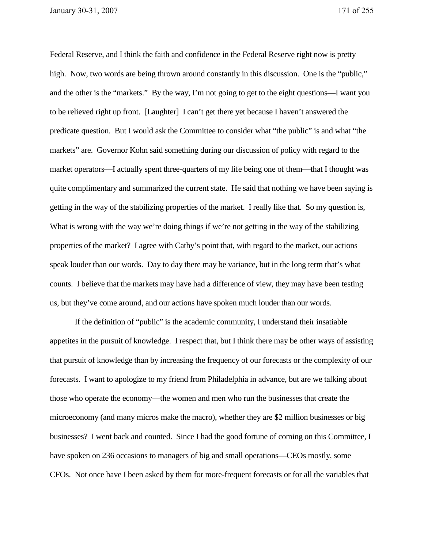Federal Reserve, and I think the faith and confidence in the Federal Reserve right now is pretty high. Now, two words are being thrown around constantly in this discussion. One is the "public," and the other is the "markets." By the way, I'm not going to get to the eight questions—I want you to be relieved right up front. [Laughter] I can't get there yet because I haven't answered the predicate question. But I would ask the Committee to consider what "the public" is and what "the markets" are. Governor Kohn said something during our discussion of policy with regard to the market operators—I actually spent three-quarters of my life being one of them—that I thought was quite complimentary and summarized the current state. He said that nothing we have been saying is getting in the way of the stabilizing properties of the market. I really like that. So my question is, What is wrong with the way we're doing things if we're not getting in the way of the stabilizing properties of the market? I agree with Cathy's point that, with regard to the market, our actions speak louder than our words. Day to day there may be variance, but in the long term that's what counts. I believe that the markets may have had a difference of view, they may have been testing us, but they've come around, and our actions have spoken much louder than our words.

If the definition of "public" is the academic community, I understand their insatiable appetites in the pursuit of knowledge. I respect that, but I think there may be other ways of assisting that pursuit of knowledge than by increasing the frequency of our forecasts or the complexity of our forecasts. I want to apologize to my friend from Philadelphia in advance, but are we talking about those who operate the economy—the women and men who run the businesses that create the microeconomy (and many micros make the macro), whether they are \$2 million businesses or big businesses? I went back and counted. Since I had the good fortune of coming on this Committee, I have spoken on 236 occasions to managers of big and small operations—CEOs mostly, some CFOs. Not once have I been asked by them for more-frequent forecasts or for all the variables that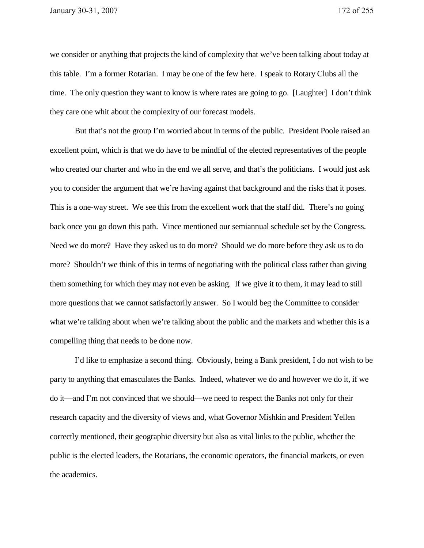we consider or anything that projects the kind of complexity that we've been talking about today at this table. I'm a former Rotarian. I may be one of the few here. I speak to Rotary Clubs all the time. The only question they want to know is where rates are going to go. [Laughter] I don't think they care one whit about the complexity of our forecast models.

But that's not the group I'm worried about in terms of the public. President Poole raised an excellent point, which is that we do have to be mindful of the elected representatives of the people who created our charter and who in the end we all serve, and that's the politicians. I would just ask you to consider the argument that we're having against that background and the risks that it poses. This is a one-way street. We see this from the excellent work that the staff did. There's no going back once you go down this path. Vince mentioned our semiannual schedule set by the Congress. Need we do more? Have they asked us to do more? Should we do more before they ask us to do more? Shouldn't we think of this in terms of negotiating with the political class rather than giving them something for which they may not even be asking. If we give it to them, it may lead to still more questions that we cannot satisfactorily answer. So I would beg the Committee to consider what we're talking about when we're talking about the public and the markets and whether this is a compelling thing that needs to be done now.

I'd like to emphasize a second thing. Obviously, being a Bank president, I do not wish to be party to anything that emasculates the Banks. Indeed, whatever we do and however we do it, if we do it—and I'm not convinced that we should—we need to respect the Banks not only for their research capacity and the diversity of views and, what Governor Mishkin and President Yellen correctly mentioned, their geographic diversity but also as vital links to the public, whether the public is the elected leaders, the Rotarians, the economic operators, the financial markets, or even the academics.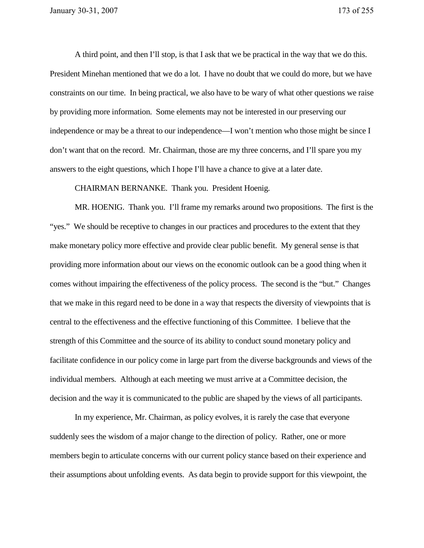A third point, and then I'll stop, is that I ask that we be practical in the way that we do this. President Minehan mentioned that we do a lot. I have no doubt that we could do more, but we have constraints on our time. In being practical, we also have to be wary of what other questions we raise by providing more information. Some elements may not be interested in our preserving our independence or may be a threat to our independence—I won't mention who those might be since I don't want that on the record. Mr. Chairman, those are my three concerns, and I'll spare you my answers to the eight questions, which I hope I'll have a chance to give at a later date.

CHAIRMAN BERNANKE. Thank you. President Hoenig.

MR. HOENIG. Thank you. I'll frame my remarks around two propositions. The first is the "yes." We should be receptive to changes in our practices and procedures to the extent that they make monetary policy more effective and provide clear public benefit. My general sense is that providing more information about our views on the economic outlook can be a good thing when it comes without impairing the effectiveness of the policy process. The second is the "but." Changes that we make in this regard need to be done in a way that respects the diversity of viewpoints that is central to the effectiveness and the effective functioning of this Committee. I believe that the strength of this Committee and the source of its ability to conduct sound monetary policy and facilitate confidence in our policy come in large part from the diverse backgrounds and views of the individual members. Although at each meeting we must arrive at a Committee decision, the decision and the way it is communicated to the public are shaped by the views of all participants.

In my experience, Mr. Chairman, as policy evolves, it is rarely the case that everyone suddenly sees the wisdom of a major change to the direction of policy. Rather, one or more members begin to articulate concerns with our current policy stance based on their experience and their assumptions about unfolding events. As data begin to provide support for this viewpoint, the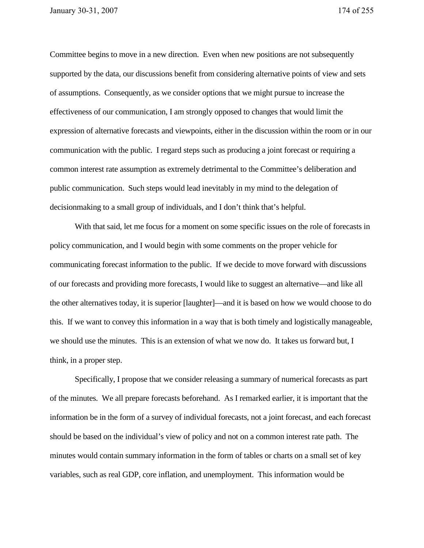Committee begins to move in a new direction. Even when new positions are not subsequently supported by the data, our discussions benefit from considering alternative points of view and sets of assumptions. Consequently, as we consider options that we might pursue to increase the effectiveness of our communication, I am strongly opposed to changes that would limit the expression of alternative forecasts and viewpoints, either in the discussion within the room or in our communication with the public. I regard steps such as producing a joint forecast or requiring a common interest rate assumption as extremely detrimental to the Committee's deliberation and public communication. Such steps would lead inevitably in my mind to the delegation of decisionmaking to a small group of individuals, and I don't think that's helpful.

With that said, let me focus for a moment on some specific issues on the role of forecasts in policy communication, and I would begin with some comments on the proper vehicle for communicating forecast information to the public. If we decide to move forward with discussions of our forecasts and providing more forecasts, I would like to suggest an alternative—and like all the other alternatives today, it is superior [laughter]—and it is based on how we would choose to do this. If we want to convey this information in a way that is both timely and logistically manageable, we should use the minutes. This is an extension of what we now do. It takes us forward but, I think, in a proper step.

Specifically, I propose that we consider releasing a summary of numerical forecasts as part of the minutes. We all prepare forecasts beforehand. As I remarked earlier, it is important that the information be in the form of a survey of individual forecasts, not a joint forecast, and each forecast should be based on the individual's view of policy and not on a common interest rate path. The minutes would contain summary information in the form of tables or charts on a small set of key variables, such as real GDP, core inflation, and unemployment. This information would be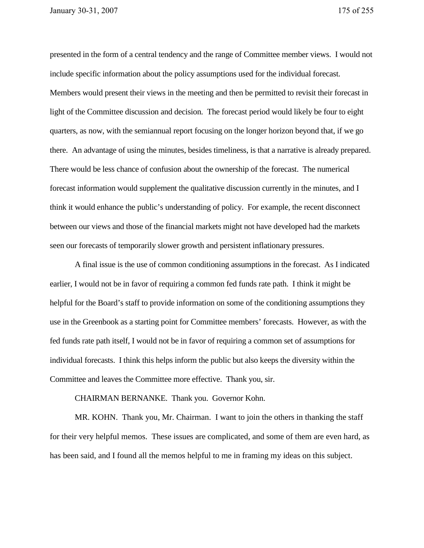presented in the form of a central tendency and the range of Committee member views. I would not include specific information about the policy assumptions used for the individual forecast. Members would present their views in the meeting and then be permitted to revisit their forecast in light of the Committee discussion and decision. The forecast period would likely be four to eight quarters, as now, with the semiannual report focusing on the longer horizon beyond that, if we go there. An advantage of using the minutes, besides timeliness, is that a narrative is already prepared. There would be less chance of confusion about the ownership of the forecast. The numerical forecast information would supplement the qualitative discussion currently in the minutes, and I think it would enhance the public's understanding of policy. For example, the recent disconnect between our views and those of the financial markets might not have developed had the markets seen our forecasts of temporarily slower growth and persistent inflationary pressures.

A final issue is the use of common conditioning assumptions in the forecast. As I indicated earlier, I would not be in favor of requiring a common fed funds rate path. I think it might be helpful for the Board's staff to provide information on some of the conditioning assumptions they use in the Greenbook as a starting point for Committee members' forecasts. However, as with the fed funds rate path itself, I would not be in favor of requiring a common set of assumptions for individual forecasts. I think this helps inform the public but also keeps the diversity within the Committee and leaves the Committee more effective. Thank you, sir.

CHAIRMAN BERNANKE. Thank you. Governor Kohn.

 MR. KOHN. Thank you, Mr. Chairman. I want to join the others in thanking the staff for their very helpful memos. These issues are complicated, and some of them are even hard, as has been said, and I found all the memos helpful to me in framing my ideas on this subject.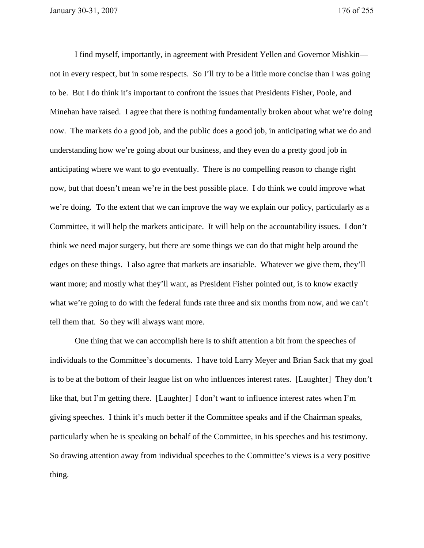I find myself, importantly, in agreement with President Yellen and Governor Mishkin not in every respect, but in some respects. So I'll try to be a little more concise than I was going to be. But I do think it's important to confront the issues that Presidents Fisher, Poole, and Minehan have raised. I agree that there is nothing fundamentally broken about what we're doing now. The markets do a good job, and the public does a good job, in anticipating what we do and understanding how we're going about our business, and they even do a pretty good job in anticipating where we want to go eventually. There is no compelling reason to change right now, but that doesn't mean we're in the best possible place. I do think we could improve what we're doing. To the extent that we can improve the way we explain our policy, particularly as a Committee, it will help the markets anticipate. It will help on the accountability issues. I don't think we need major surgery, but there are some things we can do that might help around the edges on these things. I also agree that markets are insatiable. Whatever we give them, they'll want more; and mostly what they'll want, as President Fisher pointed out, is to know exactly what we're going to do with the federal funds rate three and six months from now, and we can't tell them that. So they will always want more.

 One thing that we can accomplish here is to shift attention a bit from the speeches of individuals to the Committee's documents. I have told Larry Meyer and Brian Sack that my goal is to be at the bottom of their league list on who influences interest rates. [Laughter] They don't like that, but I'm getting there. [Laughter] I don't want to influence interest rates when I'm giving speeches. I think it's much better if the Committee speaks and if the Chairman speaks, particularly when he is speaking on behalf of the Committee, in his speeches and his testimony. So drawing attention away from individual speeches to the Committee's views is a very positive thing.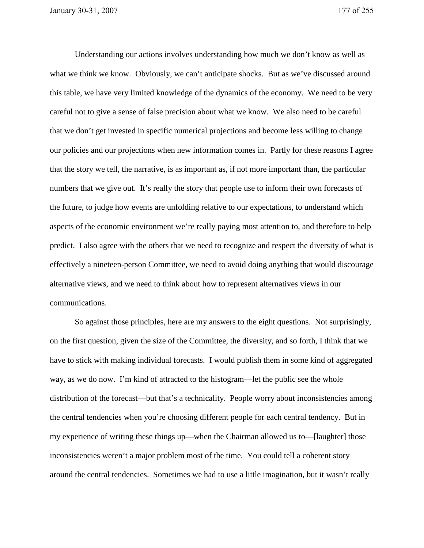Understanding our actions involves understanding how much we don't know as well as what we think we know. Obviously, we can't anticipate shocks. But as we've discussed around this table, we have very limited knowledge of the dynamics of the economy. We need to be very careful not to give a sense of false precision about what we know. We also need to be careful that we don't get invested in specific numerical projections and become less willing to change our policies and our projections when new information comes in. Partly for these reasons I agree that the story we tell, the narrative, is as important as, if not more important than, the particular numbers that we give out. It's really the story that people use to inform their own forecasts of the future, to judge how events are unfolding relative to our expectations, to understand which aspects of the economic environment we're really paying most attention to, and therefore to help predict. I also agree with the others that we need to recognize and respect the diversity of what is effectively a nineteen-person Committee, we need to avoid doing anything that would discourage alternative views, and we need to think about how to represent alternatives views in our communications.

 So against those principles, here are my answers to the eight questions. Not surprisingly, on the first question, given the size of the Committee, the diversity, and so forth, I think that we have to stick with making individual forecasts. I would publish them in some kind of aggregated way, as we do now. I'm kind of attracted to the histogram—let the public see the whole distribution of the forecast—but that's a technicality. People worry about inconsistencies among the central tendencies when you're choosing different people for each central tendency. But in my experience of writing these things up—when the Chairman allowed us to—[laughter] those inconsistencies weren't a major problem most of the time. You could tell a coherent story around the central tendencies. Sometimes we had to use a little imagination, but it wasn't really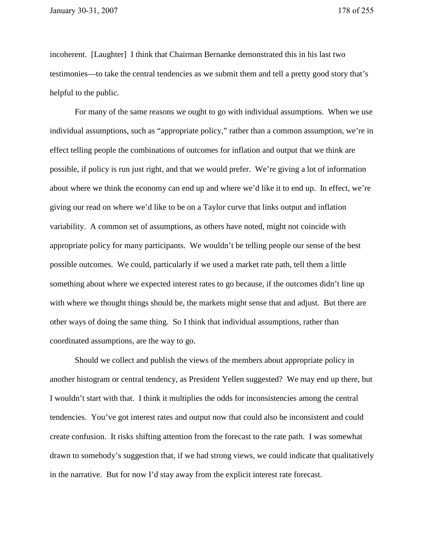incoherent. [Laughter] I think that Chairman Bernanke demonstrated this in his last two testimonies—to take the central tendencies as we submit them and tell a pretty good story that's helpful to the public.

 For many of the same reasons we ought to go with individual assumptions. When we use individual assumptions, such as "appropriate policy," rather than a common assumption, we're in effect telling people the combinations of outcomes for inflation and output that we think are possible, if policy is run just right, and that we would prefer. We're giving a lot of information about where we think the economy can end up and where we'd like it to end up. In effect, we're giving our read on where we'd like to be on a Taylor curve that links output and inflation variability. A common set of assumptions, as others have noted, might not coincide with appropriate policy for many participants. We wouldn't be telling people our sense of the best possible outcomes. We could, particularly if we used a market rate path, tell them a little something about where we expected interest rates to go because, if the outcomes didn't line up with where we thought things should be, the markets might sense that and adjust. But there are other ways of doing the same thing. So I think that individual assumptions, rather than coordinated assumptions, are the way to go.

 Should we collect and publish the views of the members about appropriate policy in another histogram or central tendency, as President Yellen suggested? We may end up there, but I wouldn't start with that. I think it multiplies the odds for inconsistencies among the central tendencies. You've got interest rates and output now that could also be inconsistent and could create confusion. It risks shifting attention from the forecast to the rate path. I was somewhat drawn to somebody's suggestion that, if we had strong views, we could indicate that qualitatively in the narrative. But for now I'd stay away from the explicit interest rate forecast.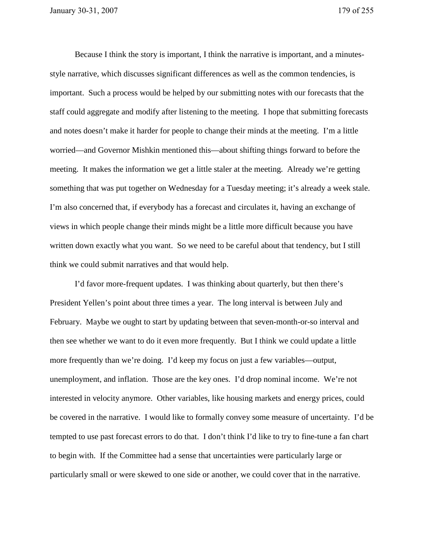Because I think the story is important, I think the narrative is important, and a minutesstyle narrative, which discusses significant differences as well as the common tendencies, is important. Such a process would be helped by our submitting notes with our forecasts that the staff could aggregate and modify after listening to the meeting. I hope that submitting forecasts and notes doesn't make it harder for people to change their minds at the meeting. I'm a little worried—and Governor Mishkin mentioned this—about shifting things forward to before the meeting. It makes the information we get a little staler at the meeting. Already we're getting something that was put together on Wednesday for a Tuesday meeting; it's already a week stale. I'm also concerned that, if everybody has a forecast and circulates it, having an exchange of views in which people change their minds might be a little more difficult because you have written down exactly what you want. So we need to be careful about that tendency, but I still think we could submit narratives and that would help.

I'd favor more-frequent updates. I was thinking about quarterly, but then there's President Yellen's point about three times a year. The long interval is between July and February. Maybe we ought to start by updating between that seven-month-or-so interval and then see whether we want to do it even more frequently. But I think we could update a little more frequently than we're doing. I'd keep my focus on just a few variables—output, unemployment, and inflation. Those are the key ones. I'd drop nominal income. We're not interested in velocity anymore. Other variables, like housing markets and energy prices, could be covered in the narrative. I would like to formally convey some measure of uncertainty. I'd be tempted to use past forecast errors to do that. I don't think I'd like to try to fine-tune a fan chart to begin with. If the Committee had a sense that uncertainties were particularly large or particularly small or were skewed to one side or another, we could cover that in the narrative.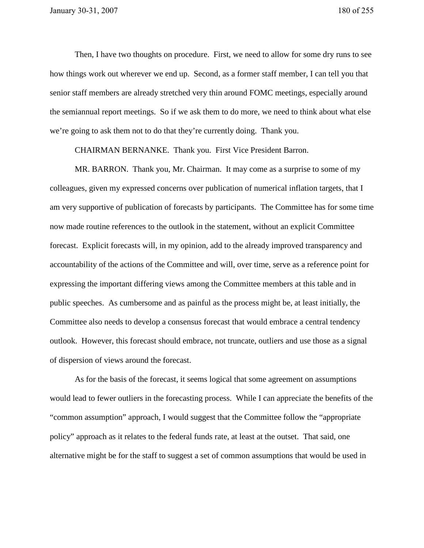Then, I have two thoughts on procedure. First, we need to allow for some dry runs to see how things work out wherever we end up. Second, as a former staff member, I can tell you that senior staff members are already stretched very thin around FOMC meetings, especially around the semiannual report meetings. So if we ask them to do more, we need to think about what else we're going to ask them not to do that they're currently doing. Thank you.

CHAIRMAN BERNANKE. Thank you. First Vice President Barron.

 MR. BARRON. Thank you, Mr. Chairman. It may come as a surprise to some of my colleagues, given my expressed concerns over publication of numerical inflation targets, that I am very supportive of publication of forecasts by participants. The Committee has for some time now made routine references to the outlook in the statement, without an explicit Committee forecast. Explicit forecasts will, in my opinion, add to the already improved transparency and accountability of the actions of the Committee and will, over time, serve as a reference point for expressing the important differing views among the Committee members at this table and in public speeches. As cumbersome and as painful as the process might be, at least initially, the Committee also needs to develop a consensus forecast that would embrace a central tendency outlook. However, this forecast should embrace, not truncate, outliers and use those as a signal of dispersion of views around the forecast.

 As for the basis of the forecast, it seems logical that some agreement on assumptions would lead to fewer outliers in the forecasting process. While I can appreciate the benefits of the "common assumption" approach, I would suggest that the Committee follow the "appropriate policy" approach as it relates to the federal funds rate, at least at the outset. That said, one alternative might be for the staff to suggest a set of common assumptions that would be used in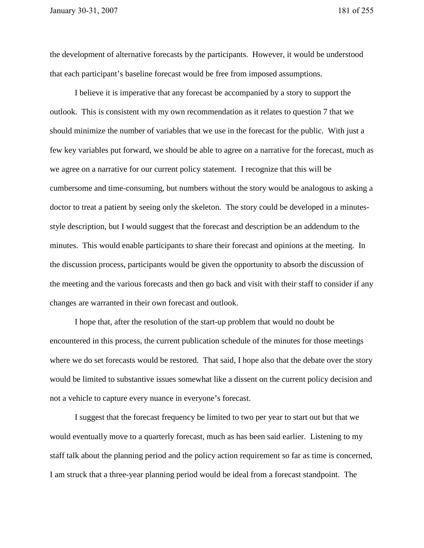the development of alternative forecasts by the participants. However, it would be understood that each participant's baseline forecast would be free from imposed assumptions.

I believe it is imperative that any forecast be accompanied by a story to support the outlook. This is consistent with my own recommendation as it relates to question 7 that we should minimize the number of variables that we use in the forecast for the public. With just a few key variables put forward, we should be able to agree on a narrative for the forecast, much as we agree on a narrative for our current policy statement. I recognize that this will be cumbersome and time-consuming, but numbers without the story would be analogous to asking a doctor to treat a patient by seeing only the skeleton. The story could be developed in a minutesstyle description, but I would suggest that the forecast and description be an addendum to the minutes. This would enable participants to share their forecast and opinions at the meeting. In the discussion process, participants would be given the opportunity to absorb the discussion of the meeting and the various forecasts and then go back and visit with their staff to consider if any changes are warranted in their own forecast and outlook.

 I hope that, after the resolution of the start-up problem that would no doubt be encountered in this process, the current publication schedule of the minutes for those meetings where we do set forecasts would be restored. That said, I hope also that the debate over the story would be limited to substantive issues somewhat like a dissent on the current policy decision and not a vehicle to capture every nuance in everyone's forecast.

I suggest that the forecast frequency be limited to two per year to start out but that we would eventually move to a quarterly forecast, much as has been said earlier. Listening to my staff talk about the planning period and the policy action requirement so far as time is concerned, I am struck that a three-year planning period would be ideal from a forecast standpoint. The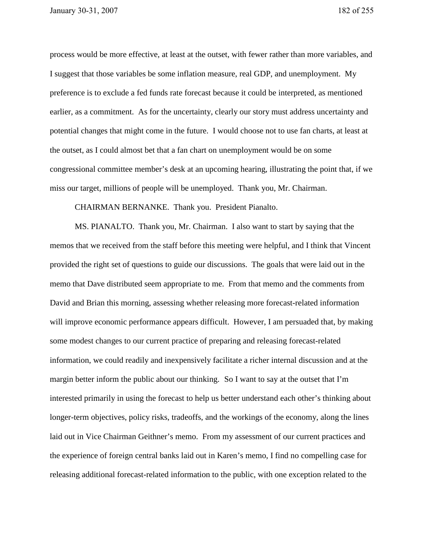process would be more effective, at least at the outset, with fewer rather than more variables, and I suggest that those variables be some inflation measure, real GDP, and unemployment. My preference is to exclude a fed funds rate forecast because it could be interpreted, as mentioned earlier, as a commitment. As for the uncertainty, clearly our story must address uncertainty and potential changes that might come in the future. I would choose not to use fan charts, at least at the outset, as I could almost bet that a fan chart on unemployment would be on some congressional committee member's desk at an upcoming hearing, illustrating the point that, if we miss our target, millions of people will be unemployed. Thank you, Mr. Chairman.

## CHAIRMAN BERNANKE. Thank you. President Pianalto.

 MS. PIANALTO. Thank you, Mr. Chairman. I also want to start by saying that the memos that we received from the staff before this meeting were helpful, and I think that Vincent provided the right set of questions to guide our discussions. The goals that were laid out in the memo that Dave distributed seem appropriate to me. From that memo and the comments from David and Brian this morning, assessing whether releasing more forecast-related information will improve economic performance appears difficult. However, I am persuaded that, by making some modest changes to our current practice of preparing and releasing forecast-related information, we could readily and inexpensively facilitate a richer internal discussion and at the margin better inform the public about our thinking. So I want to say at the outset that I'm interested primarily in using the forecast to help us better understand each other's thinking about longer-term objectives, policy risks, tradeoffs, and the workings of the economy, along the lines laid out in Vice Chairman Geithner's memo. From my assessment of our current practices and the experience of foreign central banks laid out in Karen's memo, I find no compelling case for releasing additional forecast-related information to the public, with one exception related to the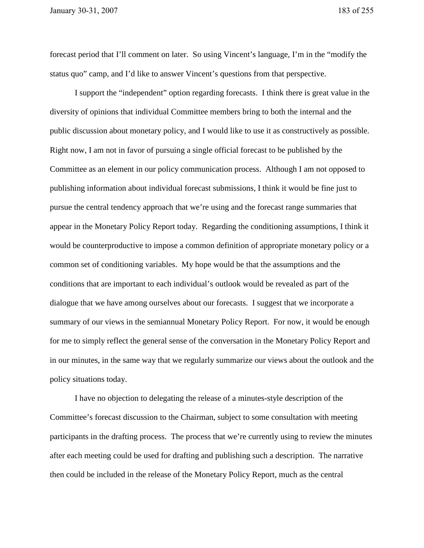forecast period that I'll comment on later. So using Vincent's language, I'm in the "modify the status quo" camp, and I'd like to answer Vincent's questions from that perspective.

 I support the "independent" option regarding forecasts. I think there is great value in the diversity of opinions that individual Committee members bring to both the internal and the public discussion about monetary policy, and I would like to use it as constructively as possible. Right now, I am not in favor of pursuing a single official forecast to be published by the Committee as an element in our policy communication process. Although I am not opposed to publishing information about individual forecast submissions, I think it would be fine just to pursue the central tendency approach that we're using and the forecast range summaries that appear in the Monetary Policy Report today. Regarding the conditioning assumptions, I think it would be counterproductive to impose a common definition of appropriate monetary policy or a common set of conditioning variables. My hope would be that the assumptions and the conditions that are important to each individual's outlook would be revealed as part of the dialogue that we have among ourselves about our forecasts. I suggest that we incorporate a summary of our views in the semiannual Monetary Policy Report. For now, it would be enough for me to simply reflect the general sense of the conversation in the Monetary Policy Report and in our minutes, in the same way that we regularly summarize our views about the outlook and the policy situations today.

 I have no objection to delegating the release of a minutes-style description of the Committee's forecast discussion to the Chairman, subject to some consultation with meeting participants in the drafting process. The process that we're currently using to review the minutes after each meeting could be used for drafting and publishing such a description. The narrative then could be included in the release of the Monetary Policy Report, much as the central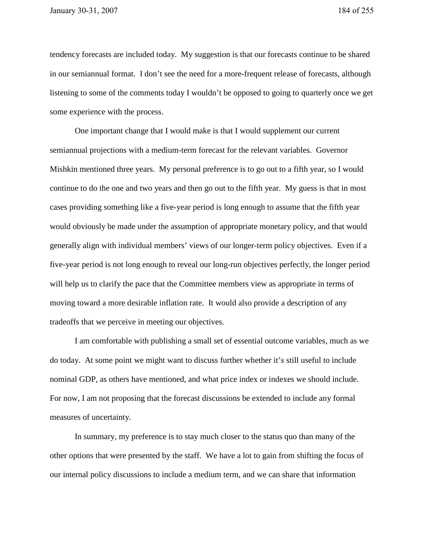tendency forecasts are included today. My suggestion is that our forecasts continue to be shared in our semiannual format. I don't see the need for a more-frequent release of forecasts, although listening to some of the comments today I wouldn't be opposed to going to quarterly once we get some experience with the process.

 One important change that I would make is that I would supplement our current semiannual projections with a medium-term forecast for the relevant variables. Governor Mishkin mentioned three years. My personal preference is to go out to a fifth year, so I would continue to do the one and two years and then go out to the fifth year. My guess is that in most cases providing something like a five-year period is long enough to assume that the fifth year would obviously be made under the assumption of appropriate monetary policy, and that would generally align with individual members' views of our longer-term policy objectives. Even if a five-year period is not long enough to reveal our long-run objectives perfectly, the longer period will help us to clarify the pace that the Committee members view as appropriate in terms of moving toward a more desirable inflation rate. It would also provide a description of any tradeoffs that we perceive in meeting our objectives.

I am comfortable with publishing a small set of essential outcome variables, much as we do today. At some point we might want to discuss further whether it's still useful to include nominal GDP, as others have mentioned, and what price index or indexes we should include. For now, I am not proposing that the forecast discussions be extended to include any formal measures of uncertainty.

 In summary, my preference is to stay much closer to the status quo than many of the other options that were presented by the staff. We have a lot to gain from shifting the focus of our internal policy discussions to include a medium term, and we can share that information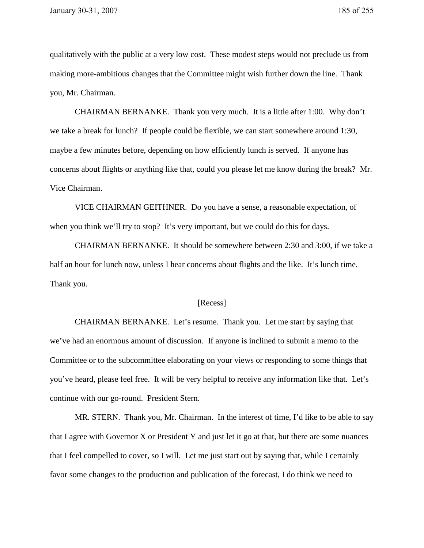qualitatively with the public at a very low cost. These modest steps would not preclude us from making more-ambitious changes that the Committee might wish further down the line. Thank you, Mr. Chairman.

 CHAIRMAN BERNANKE. Thank you very much. It is a little after 1:00. Why don't we take a break for lunch? If people could be flexible, we can start somewhere around 1:30, maybe a few minutes before, depending on how efficiently lunch is served. If anyone has concerns about flights or anything like that, could you please let me know during the break? Mr. Vice Chairman.

VICE CHAIRMAN GEITHNER. Do you have a sense, a reasonable expectation, of when you think we'll try to stop? It's very important, but we could do this for days.

CHAIRMAN BERNANKE. It should be somewhere between 2:30 and 3:00, if we take a half an hour for lunch now, unless I hear concerns about flights and the like. It's lunch time. Thank you.

## [Recess]

CHAIRMAN BERNANKE. Let's resume. Thank you. Let me start by saying that we've had an enormous amount of discussion. If anyone is inclined to submit a memo to the Committee or to the subcommittee elaborating on your views or responding to some things that you've heard, please feel free. It will be very helpful to receive any information like that. Let's continue with our go-round. President Stern.

 MR. STERN. Thank you, Mr. Chairman. In the interest of time, I'd like to be able to say that I agree with Governor X or President Y and just let it go at that, but there are some nuances that I feel compelled to cover, so I will. Let me just start out by saying that, while I certainly favor some changes to the production and publication of the forecast, I do think we need to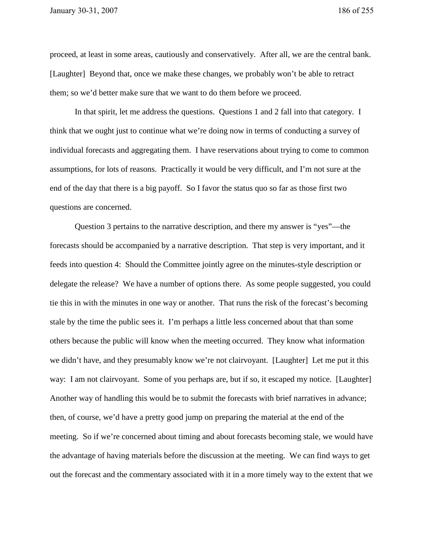proceed, at least in some areas, cautiously and conservatively. After all, we are the central bank. [Laughter] Beyond that, once we make these changes, we probably won't be able to retract them; so we'd better make sure that we want to do them before we proceed.

 In that spirit, let me address the questions. Questions 1 and 2 fall into that category. I think that we ought just to continue what we're doing now in terms of conducting a survey of individual forecasts and aggregating them. I have reservations about trying to come to common assumptions, for lots of reasons. Practically it would be very difficult, and I'm not sure at the end of the day that there is a big payoff. So I favor the status quo so far as those first two questions are concerned.

 Question 3 pertains to the narrative description, and there my answer is "yes"—the forecasts should be accompanied by a narrative description. That step is very important, and it feeds into question 4: Should the Committee jointly agree on the minutes-style description or delegate the release? We have a number of options there. As some people suggested, you could tie this in with the minutes in one way or another. That runs the risk of the forecast's becoming stale by the time the public sees it. I'm perhaps a little less concerned about that than some others because the public will know when the meeting occurred. They know what information we didn't have, and they presumably know we're not clairvoyant. [Laughter] Let me put it this way: I am not clairvoyant. Some of you perhaps are, but if so, it escaped my notice. [Laughter] Another way of handling this would be to submit the forecasts with brief narratives in advance; then, of course, we'd have a pretty good jump on preparing the material at the end of the meeting. So if we're concerned about timing and about forecasts becoming stale, we would have the advantage of having materials before the discussion at the meeting. We can find ways to get out the forecast and the commentary associated with it in a more timely way to the extent that we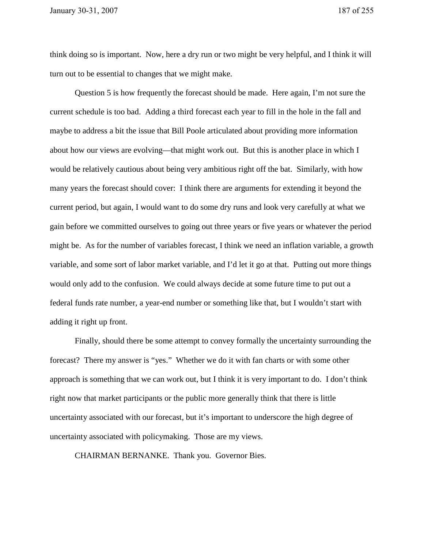think doing so is important. Now, here a dry run or two might be very helpful, and I think it will turn out to be essential to changes that we might make.

 Question 5 is how frequently the forecast should be made. Here again, I'm not sure the current schedule is too bad. Adding a third forecast each year to fill in the hole in the fall and maybe to address a bit the issue that Bill Poole articulated about providing more information about how our views are evolving—that might work out. But this is another place in which I would be relatively cautious about being very ambitious right off the bat. Similarly, with how many years the forecast should cover: I think there are arguments for extending it beyond the current period, but again, I would want to do some dry runs and look very carefully at what we gain before we committed ourselves to going out three years or five years or whatever the period might be. As for the number of variables forecast, I think we need an inflation variable, a growth variable, and some sort of labor market variable, and I'd let it go at that. Putting out more things would only add to the confusion. We could always decide at some future time to put out a federal funds rate number, a year-end number or something like that, but I wouldn't start with adding it right up front.

 Finally, should there be some attempt to convey formally the uncertainty surrounding the forecast? There my answer is "yes." Whether we do it with fan charts or with some other approach is something that we can work out, but I think it is very important to do. I don't think right now that market participants or the public more generally think that there is little uncertainty associated with our forecast, but it's important to underscore the high degree of uncertainty associated with policymaking. Those are my views.

CHAIRMAN BERNANKE. Thank you. Governor Bies.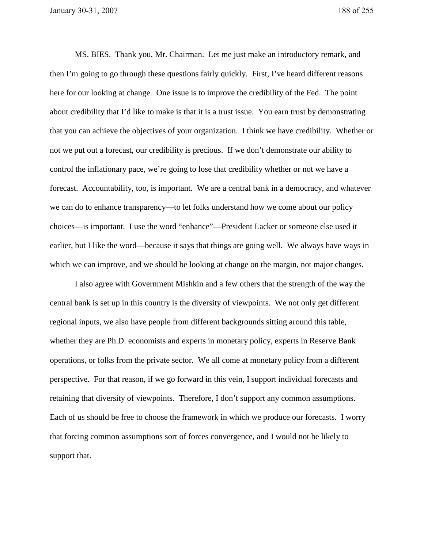MS. BIES. Thank you, Mr. Chairman. Let me just make an introductory remark, and then I'm going to go through these questions fairly quickly. First, I've heard different reasons here for our looking at change. One issue is to improve the credibility of the Fed. The point about credibility that I'd like to make is that it is a trust issue. You earn trust by demonstrating that you can achieve the objectives of your organization. I think we have credibility. Whether or not we put out a forecast, our credibility is precious. If we don't demonstrate our ability to control the inflationary pace, we're going to lose that credibility whether or not we have a forecast. Accountability, too, is important. We are a central bank in a democracy, and whatever we can do to enhance transparency—to let folks understand how we come about our policy choices—is important. I use the word "enhance"—President Lacker or someone else used it earlier, but I like the word—because it says that things are going well. We always have ways in which we can improve, and we should be looking at change on the margin, not major changes.

 I also agree with Government Mishkin and a few others that the strength of the way the central bank is set up in this country is the diversity of viewpoints. We not only get different regional inputs, we also have people from different backgrounds sitting around this table, whether they are Ph.D. economists and experts in monetary policy, experts in Reserve Bank operations, or folks from the private sector. We all come at monetary policy from a different perspective. For that reason, if we go forward in this vein, I support individual forecasts and retaining that diversity of viewpoints. Therefore, I don't support any common assumptions. Each of us should be free to choose the framework in which we produce our forecasts. I worry that forcing common assumptions sort of forces convergence, and I would not be likely to support that.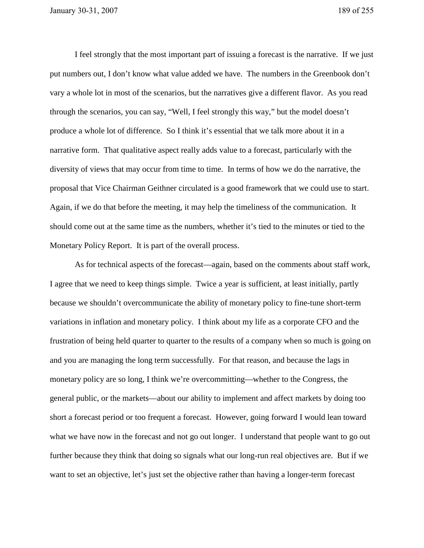I feel strongly that the most important part of issuing a forecast is the narrative. If we just put numbers out, I don't know what value added we have. The numbers in the Greenbook don't vary a whole lot in most of the scenarios, but the narratives give a different flavor. As you read through the scenarios, you can say, "Well, I feel strongly this way," but the model doesn't produce a whole lot of difference. So I think it's essential that we talk more about it in a narrative form. That qualitative aspect really adds value to a forecast, particularly with the diversity of views that may occur from time to time. In terms of how we do the narrative, the proposal that Vice Chairman Geithner circulated is a good framework that we could use to start. Again, if we do that before the meeting, it may help the timeliness of the communication. It should come out at the same time as the numbers, whether it's tied to the minutes or tied to the Monetary Policy Report. It is part of the overall process.

As for technical aspects of the forecast—again, based on the comments about staff work, I agree that we need to keep things simple. Twice a year is sufficient, at least initially, partly because we shouldn't overcommunicate the ability of monetary policy to fine-tune short-term variations in inflation and monetary policy. I think about my life as a corporate CFO and the frustration of being held quarter to quarter to the results of a company when so much is going on and you are managing the long term successfully. For that reason, and because the lags in monetary policy are so long, I think we're overcommitting—whether to the Congress, the general public, or the markets—about our ability to implement and affect markets by doing too short a forecast period or too frequent a forecast. However, going forward I would lean toward what we have now in the forecast and not go out longer. I understand that people want to go out further because they think that doing so signals what our long-run real objectives are. But if we want to set an objective, let's just set the objective rather than having a longer-term forecast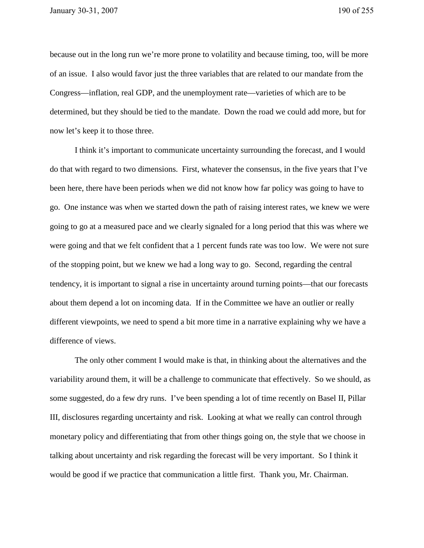because out in the long run we're more prone to volatility and because timing, too, will be more of an issue. I also would favor just the three variables that are related to our mandate from the Congress—inflation, real GDP, and the unemployment rate—varieties of which are to be determined, but they should be tied to the mandate. Down the road we could add more, but for now let's keep it to those three.

 I think it's important to communicate uncertainty surrounding the forecast, and I would do that with regard to two dimensions. First, whatever the consensus, in the five years that I've been here, there have been periods when we did not know how far policy was going to have to go. One instance was when we started down the path of raising interest rates, we knew we were going to go at a measured pace and we clearly signaled for a long period that this was where we were going and that we felt confident that a 1 percent funds rate was too low. We were not sure of the stopping point, but we knew we had a long way to go. Second, regarding the central tendency, it is important to signal a rise in uncertainty around turning points—that our forecasts about them depend a lot on incoming data. If in the Committee we have an outlier or really different viewpoints, we need to spend a bit more time in a narrative explaining why we have a difference of views.

 The only other comment I would make is that, in thinking about the alternatives and the variability around them, it will be a challenge to communicate that effectively. So we should, as some suggested, do a few dry runs. I've been spending a lot of time recently on Basel II, Pillar III, disclosures regarding uncertainty and risk. Looking at what we really can control through monetary policy and differentiating that from other things going on, the style that we choose in talking about uncertainty and risk regarding the forecast will be very important. So I think it would be good if we practice that communication a little first. Thank you, Mr. Chairman.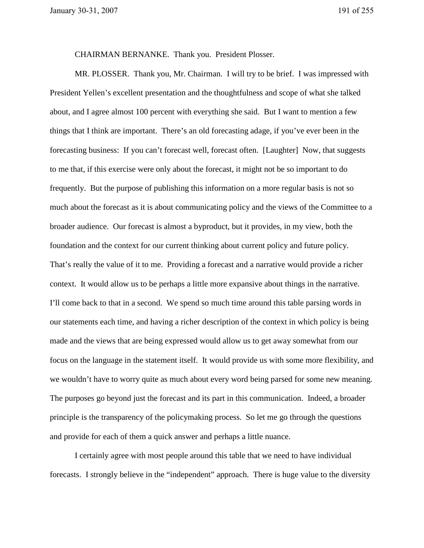CHAIRMAN BERNANKE. Thank you. President Plosser.

 MR. PLOSSER. Thank you, Mr. Chairman. I will try to be brief. I was impressed with President Yellen's excellent presentation and the thoughtfulness and scope of what she talked about, and I agree almost 100 percent with everything she said. But I want to mention a few things that I think are important. There's an old forecasting adage, if you've ever been in the forecasting business: If you can't forecast well, forecast often. [Laughter] Now, that suggests to me that, if this exercise were only about the forecast, it might not be so important to do frequently. But the purpose of publishing this information on a more regular basis is not so much about the forecast as it is about communicating policy and the views of the Committee to a broader audience. Our forecast is almost a byproduct, but it provides, in my view, both the foundation and the context for our current thinking about current policy and future policy. That's really the value of it to me. Providing a forecast and a narrative would provide a richer context. It would allow us to be perhaps a little more expansive about things in the narrative. I'll come back to that in a second. We spend so much time around this table parsing words in our statements each time, and having a richer description of the context in which policy is being made and the views that are being expressed would allow us to get away somewhat from our focus on the language in the statement itself. It would provide us with some more flexibility, and we wouldn't have to worry quite as much about every word being parsed for some new meaning. The purposes go beyond just the forecast and its part in this communication. Indeed, a broader principle is the transparency of the policymaking process. So let me go through the questions and provide for each of them a quick answer and perhaps a little nuance.

 I certainly agree with most people around this table that we need to have individual forecasts. I strongly believe in the "independent" approach. There is huge value to the diversity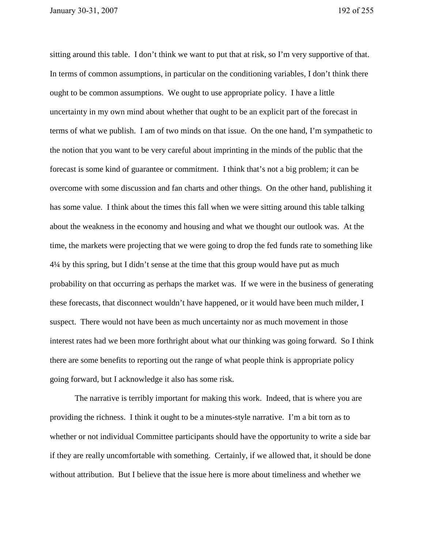sitting around this table. I don't think we want to put that at risk, so I'm very supportive of that. In terms of common assumptions, in particular on the conditioning variables, I don't think there ought to be common assumptions. We ought to use appropriate policy. I have a little uncertainty in my own mind about whether that ought to be an explicit part of the forecast in terms of what we publish. I am of two minds on that issue. On the one hand, I'm sympathetic to the notion that you want to be very careful about imprinting in the minds of the public that the forecast is some kind of guarantee or commitment. I think that's not a big problem; it can be overcome with some discussion and fan charts and other things. On the other hand, publishing it has some value. I think about the times this fall when we were sitting around this table talking about the weakness in the economy and housing and what we thought our outlook was. At the time, the markets were projecting that we were going to drop the fed funds rate to something like 4¼ by this spring, but I didn't sense at the time that this group would have put as much probability on that occurring as perhaps the market was. If we were in the business of generating these forecasts, that disconnect wouldn't have happened, or it would have been much milder, I suspect. There would not have been as much uncertainty nor as much movement in those interest rates had we been more forthright about what our thinking was going forward. So I think there are some benefits to reporting out the range of what people think is appropriate policy going forward, but I acknowledge it also has some risk.

 The narrative is terribly important for making this work. Indeed, that is where you are providing the richness. I think it ought to be a minutes-style narrative. I'm a bit torn as to whether or not individual Committee participants should have the opportunity to write a side bar if they are really uncomfortable with something. Certainly, if we allowed that, it should be done without attribution. But I believe that the issue here is more about timeliness and whether we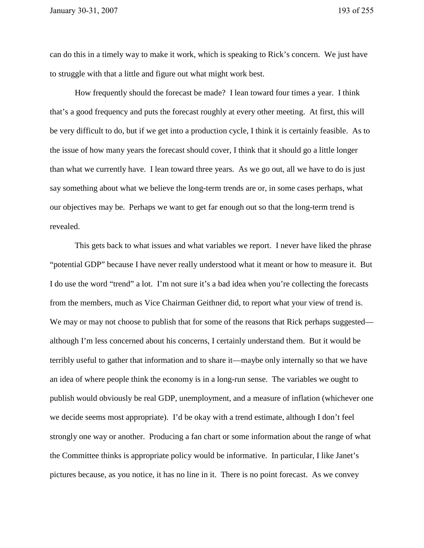can do this in a timely way to make it work, which is speaking to Rick's concern. We just have to struggle with that a little and figure out what might work best.

 How frequently should the forecast be made? I lean toward four times a year. I think that's a good frequency and puts the forecast roughly at every other meeting. At first, this will be very difficult to do, but if we get into a production cycle, I think it is certainly feasible. As to the issue of how many years the forecast should cover, I think that it should go a little longer than what we currently have. I lean toward three years. As we go out, all we have to do is just say something about what we believe the long-term trends are or, in some cases perhaps, what our objectives may be. Perhaps we want to get far enough out so that the long-term trend is revealed.

 This gets back to what issues and what variables we report. I never have liked the phrase "potential GDP" because I have never really understood what it meant or how to measure it. But I do use the word "trend" a lot. I'm not sure it's a bad idea when you're collecting the forecasts from the members, much as Vice Chairman Geithner did, to report what your view of trend is. We may or may not choose to publish that for some of the reasons that Rick perhaps suggested although I'm less concerned about his concerns, I certainly understand them. But it would be terribly useful to gather that information and to share it—maybe only internally so that we have an idea of where people think the economy is in a long-run sense. The variables we ought to publish would obviously be real GDP, unemployment, and a measure of inflation (whichever one we decide seems most appropriate). I'd be okay with a trend estimate, although I don't feel strongly one way or another. Producing a fan chart or some information about the range of what the Committee thinks is appropriate policy would be informative. In particular, I like Janet's pictures because, as you notice, it has no line in it. There is no point forecast. As we convey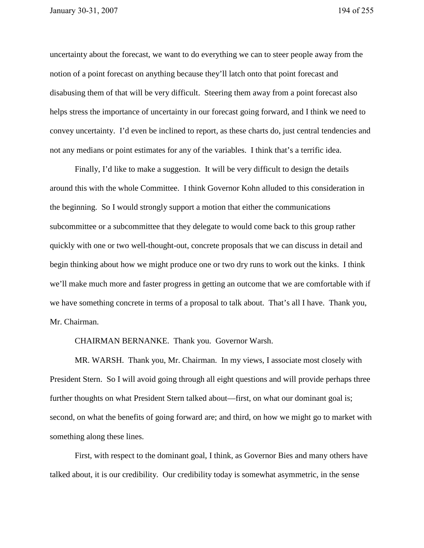uncertainty about the forecast, we want to do everything we can to steer people away from the notion of a point forecast on anything because they'll latch onto that point forecast and disabusing them of that will be very difficult. Steering them away from a point forecast also helps stress the importance of uncertainty in our forecast going forward, and I think we need to convey uncertainty. I'd even be inclined to report, as these charts do, just central tendencies and not any medians or point estimates for any of the variables. I think that's a terrific idea.

 Finally, I'd like to make a suggestion. It will be very difficult to design the details around this with the whole Committee. I think Governor Kohn alluded to this consideration in the beginning. So I would strongly support a motion that either the communications subcommittee or a subcommittee that they delegate to would come back to this group rather quickly with one or two well-thought-out, concrete proposals that we can discuss in detail and begin thinking about how we might produce one or two dry runs to work out the kinks. I think we'll make much more and faster progress in getting an outcome that we are comfortable with if we have something concrete in terms of a proposal to talk about. That's all I have. Thank you, Mr. Chairman.

CHAIRMAN BERNANKE. Thank you. Governor Warsh.

 MR. WARSH. Thank you, Mr. Chairman. In my views, I associate most closely with President Stern. So I will avoid going through all eight questions and will provide perhaps three further thoughts on what President Stern talked about—first, on what our dominant goal is; second, on what the benefits of going forward are; and third, on how we might go to market with something along these lines.

 First, with respect to the dominant goal, I think, as Governor Bies and many others have talked about, it is our credibility. Our credibility today is somewhat asymmetric, in the sense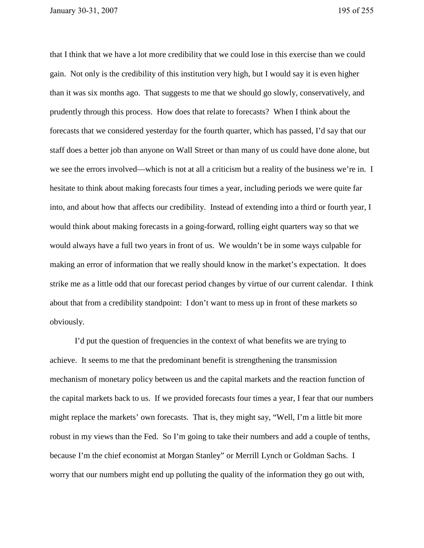that I think that we have a lot more credibility that we could lose in this exercise than we could gain. Not only is the credibility of this institution very high, but I would say it is even higher than it was six months ago. That suggests to me that we should go slowly, conservatively, and prudently through this process. How does that relate to forecasts? When I think about the forecasts that we considered yesterday for the fourth quarter, which has passed, I'd say that our staff does a better job than anyone on Wall Street or than many of us could have done alone, but we see the errors involved—which is not at all a criticism but a reality of the business we're in. I hesitate to think about making forecasts four times a year, including periods we were quite far into, and about how that affects our credibility. Instead of extending into a third or fourth year, I would think about making forecasts in a going-forward, rolling eight quarters way so that we would always have a full two years in front of us. We wouldn't be in some ways culpable for making an error of information that we really should know in the market's expectation. It does strike me as a little odd that our forecast period changes by virtue of our current calendar. I think about that from a credibility standpoint: I don't want to mess up in front of these markets so obviously.

 I'd put the question of frequencies in the context of what benefits we are trying to achieve. It seems to me that the predominant benefit is strengthening the transmission mechanism of monetary policy between us and the capital markets and the reaction function of the capital markets back to us. If we provided forecasts four times a year, I fear that our numbers might replace the markets' own forecasts. That is, they might say, "Well, I'm a little bit more robust in my views than the Fed. So I'm going to take their numbers and add a couple of tenths, because I'm the chief economist at Morgan Stanley" or Merrill Lynch or Goldman Sachs. I worry that our numbers might end up polluting the quality of the information they go out with,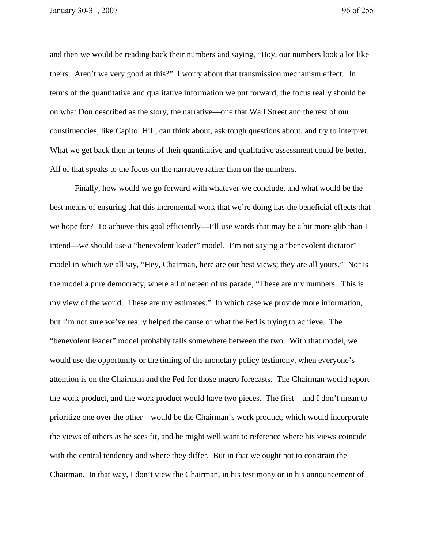and then we would be reading back their numbers and saying, "Boy, our numbers look a lot like theirs. Aren't we very good at this?" I worry about that transmission mechanism effect. In terms of the quantitative and qualitative information we put forward, the focus really should be on what Don described as the story, the narrative—one that Wall Street and the rest of our constituencies, like Capitol Hill, can think about, ask tough questions about, and try to interpret. What we get back then in terms of their quantitative and qualitative assessment could be better. All of that speaks to the focus on the narrative rather than on the numbers.

 Finally, how would we go forward with whatever we conclude, and what would be the best means of ensuring that this incremental work that we're doing has the beneficial effects that we hope for? To achieve this goal efficiently—I'll use words that may be a bit more glib than I intend—we should use a "benevolent leader" model. I'm not saying a "benevolent dictator" model in which we all say, "Hey, Chairman, here are our best views; they are all yours." Nor is the model a pure democracy, where all nineteen of us parade, "These are my numbers. This is my view of the world. These are my estimates." In which case we provide more information, but I'm not sure we've really helped the cause of what the Fed is trying to achieve. The "benevolent leader" model probably falls somewhere between the two. With that model, we would use the opportunity or the timing of the monetary policy testimony, when everyone's attention is on the Chairman and the Fed for those macro forecasts. The Chairman would report the work product, and the work product would have two pieces. The first—and I don't mean to prioritize one over the other—would be the Chairman's work product, which would incorporate the views of others as he sees fit, and he might well want to reference where his views coincide with the central tendency and where they differ. But in that we ought not to constrain the Chairman. In that way, I don't view the Chairman, in his testimony or in his announcement of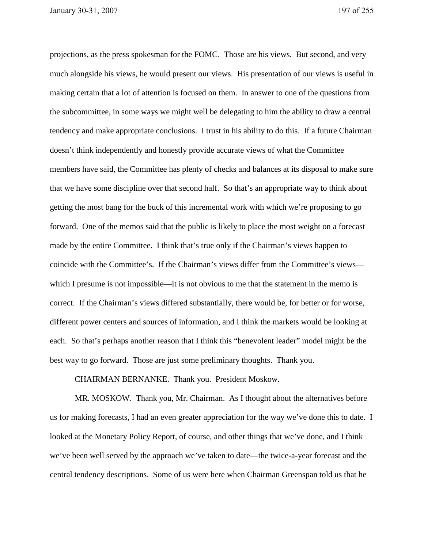projections, as the press spokesman for the FOMC. Those are his views. But second, and very much alongside his views, he would present our views. His presentation of our views is useful in making certain that a lot of attention is focused on them. In answer to one of the questions from the subcommittee, in some ways we might well be delegating to him the ability to draw a central tendency and make appropriate conclusions. I trust in his ability to do this. If a future Chairman doesn't think independently and honestly provide accurate views of what the Committee members have said, the Committee has plenty of checks and balances at its disposal to make sure that we have some discipline over that second half. So that's an appropriate way to think about getting the most bang for the buck of this incremental work with which we're proposing to go forward. One of the memos said that the public is likely to place the most weight on a forecast made by the entire Committee. I think that's true only if the Chairman's views happen to coincide with the Committee's. If the Chairman's views differ from the Committee's views which I presume is not impossible—it is not obvious to me that the statement in the memo is correct. If the Chairman's views differed substantially, there would be, for better or for worse, different power centers and sources of information, and I think the markets would be looking at each. So that's perhaps another reason that I think this "benevolent leader" model might be the best way to go forward. Those are just some preliminary thoughts. Thank you.

CHAIRMAN BERNANKE. Thank you. President Moskow.

 MR. MOSKOW. Thank you, Mr. Chairman. As I thought about the alternatives before us for making forecasts, I had an even greater appreciation for the way we've done this to date. I looked at the Monetary Policy Report, of course, and other things that we've done, and I think we've been well served by the approach we've taken to date—the twice-a-year forecast and the central tendency descriptions. Some of us were here when Chairman Greenspan told us that he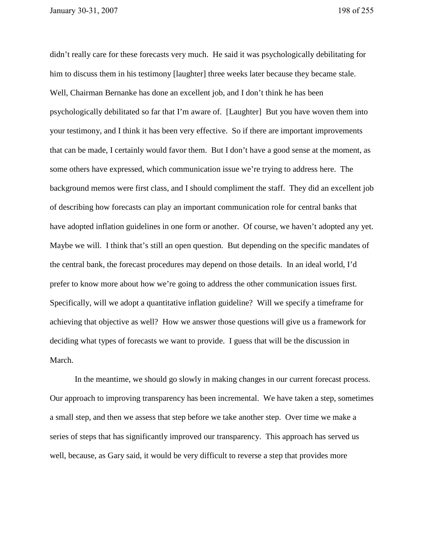didn't really care for these forecasts very much. He said it was psychologically debilitating for him to discuss them in his testimony [laughter] three weeks later because they became stale. Well, Chairman Bernanke has done an excellent job, and I don't think he has been psychologically debilitated so far that I'm aware of. [Laughter] But you have woven them into your testimony, and I think it has been very effective. So if there are important improvements that can be made, I certainly would favor them. But I don't have a good sense at the moment, as some others have expressed, which communication issue we're trying to address here. The background memos were first class, and I should compliment the staff. They did an excellent job of describing how forecasts can play an important communication role for central banks that have adopted inflation guidelines in one form or another. Of course, we haven't adopted any yet. Maybe we will. I think that's still an open question. But depending on the specific mandates of the central bank, the forecast procedures may depend on those details. In an ideal world, I'd prefer to know more about how we're going to address the other communication issues first. Specifically, will we adopt a quantitative inflation guideline? Will we specify a timeframe for achieving that objective as well? How we answer those questions will give us a framework for deciding what types of forecasts we want to provide. I guess that will be the discussion in March.

 In the meantime, we should go slowly in making changes in our current forecast process. Our approach to improving transparency has been incremental. We have taken a step, sometimes a small step, and then we assess that step before we take another step. Over time we make a series of steps that has significantly improved our transparency. This approach has served us well, because, as Gary said, it would be very difficult to reverse a step that provides more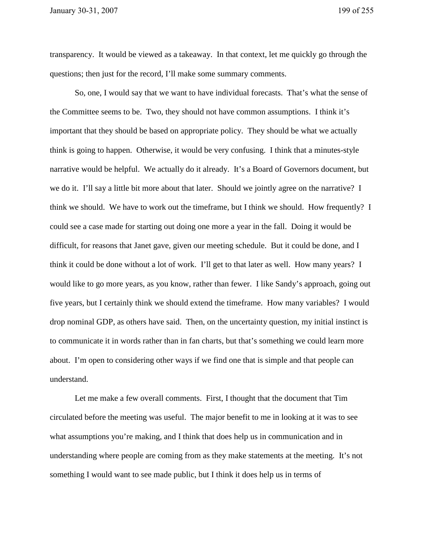transparency. It would be viewed as a takeaway. In that context, let me quickly go through the questions; then just for the record, I'll make some summary comments.

 So, one, I would say that we want to have individual forecasts. That's what the sense of the Committee seems to be. Two, they should not have common assumptions. I think it's important that they should be based on appropriate policy. They should be what we actually think is going to happen. Otherwise, it would be very confusing. I think that a minutes-style narrative would be helpful. We actually do it already. It's a Board of Governors document, but we do it. I'll say a little bit more about that later. Should we jointly agree on the narrative? I think we should. We have to work out the timeframe, but I think we should. How frequently? I could see a case made for starting out doing one more a year in the fall. Doing it would be difficult, for reasons that Janet gave, given our meeting schedule. But it could be done, and I think it could be done without a lot of work. I'll get to that later as well. How many years? I would like to go more years, as you know, rather than fewer. I like Sandy's approach, going out five years, but I certainly think we should extend the timeframe. How many variables? I would drop nominal GDP, as others have said. Then, on the uncertainty question, my initial instinct is to communicate it in words rather than in fan charts, but that's something we could learn more about. I'm open to considering other ways if we find one that is simple and that people can understand.

 Let me make a few overall comments. First, I thought that the document that Tim circulated before the meeting was useful. The major benefit to me in looking at it was to see what assumptions you're making, and I think that does help us in communication and in understanding where people are coming from as they make statements at the meeting. It's not something I would want to see made public, but I think it does help us in terms of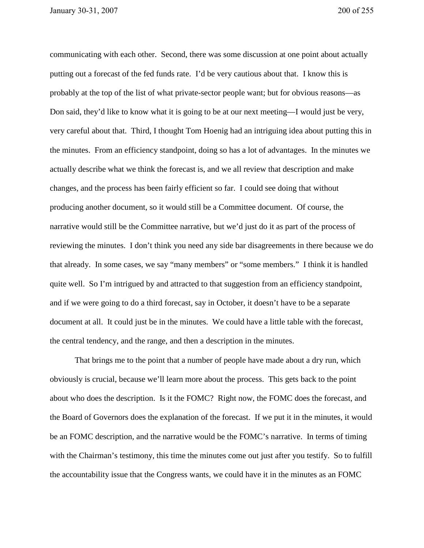communicating with each other. Second, there was some discussion at one point about actually putting out a forecast of the fed funds rate. I'd be very cautious about that. I know this is probably at the top of the list of what private-sector people want; but for obvious reasons—as Don said, they'd like to know what it is going to be at our next meeting—I would just be very, very careful about that. Third, I thought Tom Hoenig had an intriguing idea about putting this in the minutes. From an efficiency standpoint, doing so has a lot of advantages. In the minutes we actually describe what we think the forecast is, and we all review that description and make changes, and the process has been fairly efficient so far. I could see doing that without producing another document, so it would still be a Committee document. Of course, the narrative would still be the Committee narrative, but we'd just do it as part of the process of reviewing the minutes. I don't think you need any side bar disagreements in there because we do that already. In some cases, we say "many members" or "some members." I think it is handled quite well. So I'm intrigued by and attracted to that suggestion from an efficiency standpoint, and if we were going to do a third forecast, say in October, it doesn't have to be a separate document at all. It could just be in the minutes. We could have a little table with the forecast, the central tendency, and the range, and then a description in the minutes.

 That brings me to the point that a number of people have made about a dry run, which obviously is crucial, because we'll learn more about the process. This gets back to the point about who does the description. Is it the FOMC? Right now, the FOMC does the forecast, and the Board of Governors does the explanation of the forecast. If we put it in the minutes, it would be an FOMC description, and the narrative would be the FOMC's narrative. In terms of timing with the Chairman's testimony, this time the minutes come out just after you testify. So to fulfill the accountability issue that the Congress wants, we could have it in the minutes as an FOMC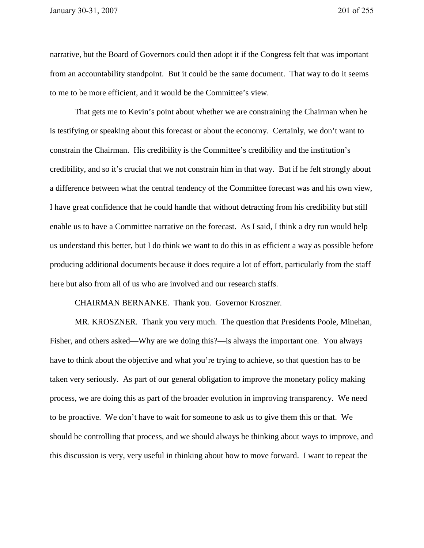narrative, but the Board of Governors could then adopt it if the Congress felt that was important from an accountability standpoint. But it could be the same document. That way to do it seems to me to be more efficient, and it would be the Committee's view.

 That gets me to Kevin's point about whether we are constraining the Chairman when he is testifying or speaking about this forecast or about the economy. Certainly, we don't want to constrain the Chairman. His credibility is the Committee's credibility and the institution's credibility, and so it's crucial that we not constrain him in that way. But if he felt strongly about a difference between what the central tendency of the Committee forecast was and his own view, I have great confidence that he could handle that without detracting from his credibility but still enable us to have a Committee narrative on the forecast. As I said, I think a dry run would help us understand this better, but I do think we want to do this in as efficient a way as possible before producing additional documents because it does require a lot of effort, particularly from the staff here but also from all of us who are involved and our research staffs.

CHAIRMAN BERNANKE. Thank you. Governor Kroszner.

 MR. KROSZNER. Thank you very much. The question that Presidents Poole, Minehan, Fisher, and others asked—Why are we doing this?—is always the important one. You always have to think about the objective and what you're trying to achieve, so that question has to be taken very seriously. As part of our general obligation to improve the monetary policy making process, we are doing this as part of the broader evolution in improving transparency. We need to be proactive. We don't have to wait for someone to ask us to give them this or that. We should be controlling that process, and we should always be thinking about ways to improve, and this discussion is very, very useful in thinking about how to move forward. I want to repeat the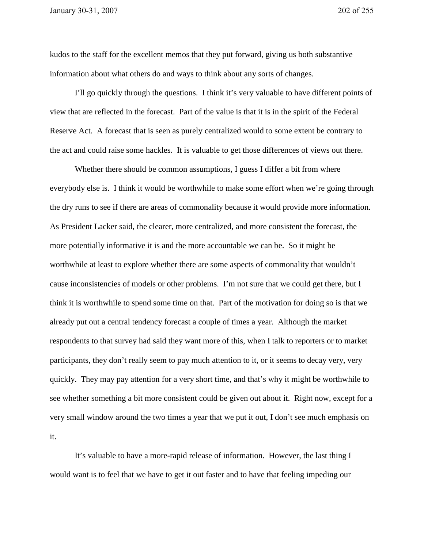kudos to the staff for the excellent memos that they put forward, giving us both substantive information about what others do and ways to think about any sorts of changes.

I'll go quickly through the questions. I think it's very valuable to have different points of view that are reflected in the forecast. Part of the value is that it is in the spirit of the Federal Reserve Act. A forecast that is seen as purely centralized would to some extent be contrary to the act and could raise some hackles. It is valuable to get those differences of views out there.

 Whether there should be common assumptions, I guess I differ a bit from where everybody else is. I think it would be worthwhile to make some effort when we're going through the dry runs to see if there are areas of commonality because it would provide more information. As President Lacker said, the clearer, more centralized, and more consistent the forecast, the more potentially informative it is and the more accountable we can be. So it might be worthwhile at least to explore whether there are some aspects of commonality that wouldn't cause inconsistencies of models or other problems. I'm not sure that we could get there, but I think it is worthwhile to spend some time on that. Part of the motivation for doing so is that we already put out a central tendency forecast a couple of times a year. Although the market respondents to that survey had said they want more of this, when I talk to reporters or to market participants, they don't really seem to pay much attention to it, or it seems to decay very, very quickly. They may pay attention for a very short time, and that's why it might be worthwhile to see whether something a bit more consistent could be given out about it. Right now, except for a very small window around the two times a year that we put it out, I don't see much emphasis on it.

 It's valuable to have a more-rapid release of information. However, the last thing I would want is to feel that we have to get it out faster and to have that feeling impeding our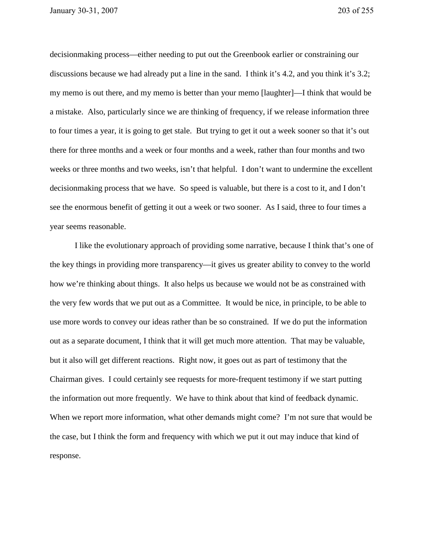decisionmaking process—either needing to put out the Greenbook earlier or constraining our discussions because we had already put a line in the sand. I think it's 4.2, and you think it's 3.2; my memo is out there, and my memo is better than your memo [laughter]—I think that would be a mistake. Also, particularly since we are thinking of frequency, if we release information three to four times a year, it is going to get stale. But trying to get it out a week sooner so that it's out there for three months and a week or four months and a week, rather than four months and two weeks or three months and two weeks, isn't that helpful. I don't want to undermine the excellent decisionmaking process that we have. So speed is valuable, but there is a cost to it, and I don't see the enormous benefit of getting it out a week or two sooner. As I said, three to four times a year seems reasonable.

 I like the evolutionary approach of providing some narrative, because I think that's one of the key things in providing more transparency—it gives us greater ability to convey to the world how we're thinking about things. It also helps us because we would not be as constrained with the very few words that we put out as a Committee. It would be nice, in principle, to be able to use more words to convey our ideas rather than be so constrained. If we do put the information out as a separate document, I think that it will get much more attention. That may be valuable, but it also will get different reactions. Right now, it goes out as part of testimony that the Chairman gives. I could certainly see requests for more-frequent testimony if we start putting the information out more frequently. We have to think about that kind of feedback dynamic. When we report more information, what other demands might come? I'm not sure that would be the case, but I think the form and frequency with which we put it out may induce that kind of response.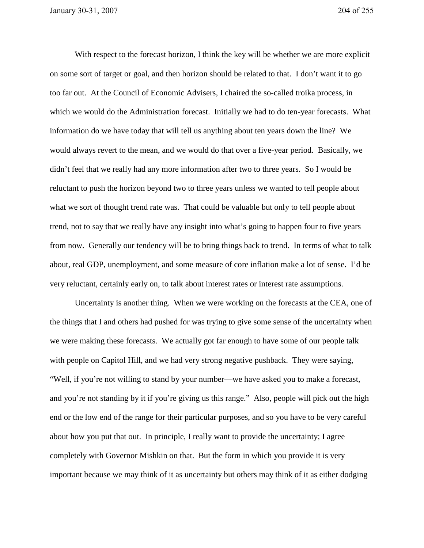With respect to the forecast horizon, I think the key will be whether we are more explicit on some sort of target or goal, and then horizon should be related to that. I don't want it to go too far out. At the Council of Economic Advisers, I chaired the so-called troika process, in which we would do the Administration forecast. Initially we had to do ten-year forecasts. What information do we have today that will tell us anything about ten years down the line? We would always revert to the mean, and we would do that over a five-year period. Basically, we didn't feel that we really had any more information after two to three years. So I would be reluctant to push the horizon beyond two to three years unless we wanted to tell people about what we sort of thought trend rate was. That could be valuable but only to tell people about trend, not to say that we really have any insight into what's going to happen four to five years from now. Generally our tendency will be to bring things back to trend. In terms of what to talk about, real GDP, unemployment, and some measure of core inflation make a lot of sense. I'd be very reluctant, certainly early on, to talk about interest rates or interest rate assumptions.

 Uncertainty is another thing. When we were working on the forecasts at the CEA, one of the things that I and others had pushed for was trying to give some sense of the uncertainty when we were making these forecasts. We actually got far enough to have some of our people talk with people on Capitol Hill, and we had very strong negative pushback. They were saying, "Well, if you're not willing to stand by your number—we have asked you to make a forecast, and you're not standing by it if you're giving us this range." Also, people will pick out the high end or the low end of the range for their particular purposes, and so you have to be very careful about how you put that out. In principle, I really want to provide the uncertainty; I agree completely with Governor Mishkin on that. But the form in which you provide it is very important because we may think of it as uncertainty but others may think of it as either dodging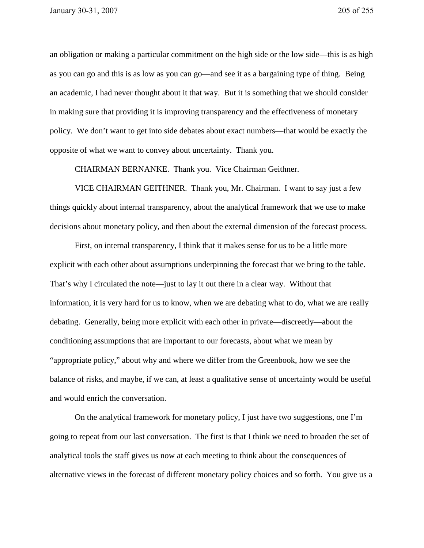an obligation or making a particular commitment on the high side or the low side—this is as high as you can go and this is as low as you can go—and see it as a bargaining type of thing. Being an academic, I had never thought about it that way. But it is something that we should consider in making sure that providing it is improving transparency and the effectiveness of monetary policy. We don't want to get into side debates about exact numbers—that would be exactly the opposite of what we want to convey about uncertainty. Thank you.

CHAIRMAN BERNANKE. Thank you. Vice Chairman Geithner.

 VICE CHAIRMAN GEITHNER. Thank you, Mr. Chairman. I want to say just a few things quickly about internal transparency, about the analytical framework that we use to make decisions about monetary policy, and then about the external dimension of the forecast process.

 First, on internal transparency, I think that it makes sense for us to be a little more explicit with each other about assumptions underpinning the forecast that we bring to the table. That's why I circulated the note—just to lay it out there in a clear way. Without that information, it is very hard for us to know, when we are debating what to do, what we are really debating. Generally, being more explicit with each other in private—discreetly—about the conditioning assumptions that are important to our forecasts, about what we mean by "appropriate policy," about why and where we differ from the Greenbook, how we see the balance of risks, and maybe, if we can, at least a qualitative sense of uncertainty would be useful and would enrich the conversation.

 On the analytical framework for monetary policy, I just have two suggestions, one I'm going to repeat from our last conversation. The first is that I think we need to broaden the set of analytical tools the staff gives us now at each meeting to think about the consequences of alternative views in the forecast of different monetary policy choices and so forth. You give us a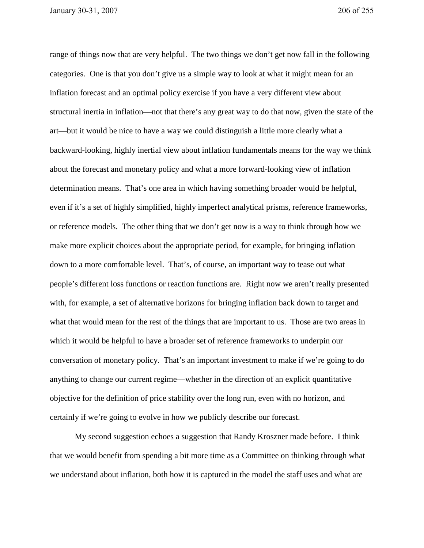range of things now that are very helpful. The two things we don't get now fall in the following categories. One is that you don't give us a simple way to look at what it might mean for an inflation forecast and an optimal policy exercise if you have a very different view about structural inertia in inflation—not that there's any great way to do that now, given the state of the art—but it would be nice to have a way we could distinguish a little more clearly what a backward-looking, highly inertial view about inflation fundamentals means for the way we think about the forecast and monetary policy and what a more forward-looking view of inflation determination means. That's one area in which having something broader would be helpful, even if it's a set of highly simplified, highly imperfect analytical prisms, reference frameworks, or reference models. The other thing that we don't get now is a way to think through how we make more explicit choices about the appropriate period, for example, for bringing inflation down to a more comfortable level. That's, of course, an important way to tease out what people's different loss functions or reaction functions are. Right now we aren't really presented with, for example, a set of alternative horizons for bringing inflation back down to target and what that would mean for the rest of the things that are important to us. Those are two areas in which it would be helpful to have a broader set of reference frameworks to underpin our conversation of monetary policy. That's an important investment to make if we're going to do anything to change our current regime—whether in the direction of an explicit quantitative objective for the definition of price stability over the long run, even with no horizon, and certainly if we're going to evolve in how we publicly describe our forecast.

 My second suggestion echoes a suggestion that Randy Kroszner made before. I think that we would benefit from spending a bit more time as a Committee on thinking through what we understand about inflation, both how it is captured in the model the staff uses and what are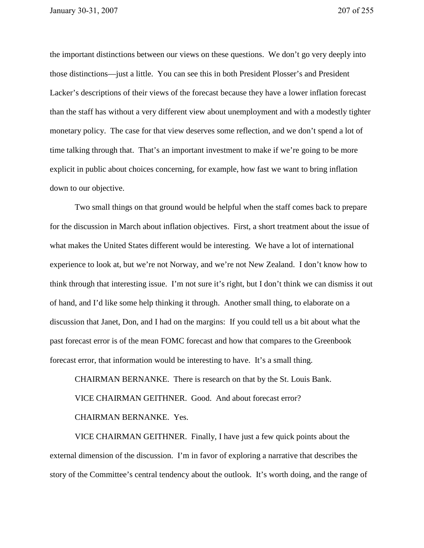the important distinctions between our views on these questions. We don't go very deeply into those distinctions—just a little. You can see this in both President Plosser's and President Lacker's descriptions of their views of the forecast because they have a lower inflation forecast than the staff has without a very different view about unemployment and with a modestly tighter monetary policy. The case for that view deserves some reflection, and we don't spend a lot of time talking through that. That's an important investment to make if we're going to be more explicit in public about choices concerning, for example, how fast we want to bring inflation down to our objective.

 Two small things on that ground would be helpful when the staff comes back to prepare for the discussion in March about inflation objectives. First, a short treatment about the issue of what makes the United States different would be interesting. We have a lot of international experience to look at, but we're not Norway, and we're not New Zealand. I don't know how to think through that interesting issue. I'm not sure it's right, but I don't think we can dismiss it out of hand, and I'd like some help thinking it through. Another small thing, to elaborate on a discussion that Janet, Don, and I had on the margins: If you could tell us a bit about what the past forecast error is of the mean FOMC forecast and how that compares to the Greenbook forecast error, that information would be interesting to have. It's a small thing.

CHAIRMAN BERNANKE. There is research on that by the St. Louis Bank. VICE CHAIRMAN GEITHNER. Good. And about forecast error? CHAIRMAN BERNANKE. Yes.

VICE CHAIRMAN GEITHNER. Finally, I have just a few quick points about the external dimension of the discussion. I'm in favor of exploring a narrative that describes the story of the Committee's central tendency about the outlook. It's worth doing, and the range of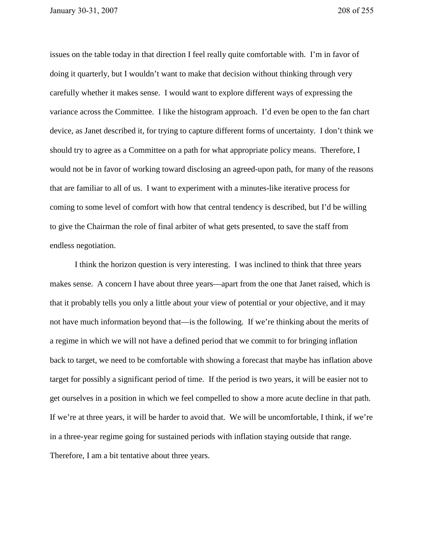issues on the table today in that direction I feel really quite comfortable with. I'm in favor of doing it quarterly, but I wouldn't want to make that decision without thinking through very carefully whether it makes sense. I would want to explore different ways of expressing the variance across the Committee. I like the histogram approach. I'd even be open to the fan chart device, as Janet described it, for trying to capture different forms of uncertainty. I don't think we should try to agree as a Committee on a path for what appropriate policy means. Therefore, I would not be in favor of working toward disclosing an agreed-upon path, for many of the reasons that are familiar to all of us. I want to experiment with a minutes-like iterative process for coming to some level of comfort with how that central tendency is described, but I'd be willing to give the Chairman the role of final arbiter of what gets presented, to save the staff from endless negotiation.

 I think the horizon question is very interesting. I was inclined to think that three years makes sense. A concern I have about three years—apart from the one that Janet raised, which is that it probably tells you only a little about your view of potential or your objective, and it may not have much information beyond that—is the following. If we're thinking about the merits of a regime in which we will not have a defined period that we commit to for bringing inflation back to target, we need to be comfortable with showing a forecast that maybe has inflation above target for possibly a significant period of time. If the period is two years, it will be easier not to get ourselves in a position in which we feel compelled to show a more acute decline in that path. If we're at three years, it will be harder to avoid that. We will be uncomfortable, I think, if we're in a three-year regime going for sustained periods with inflation staying outside that range. Therefore, I am a bit tentative about three years.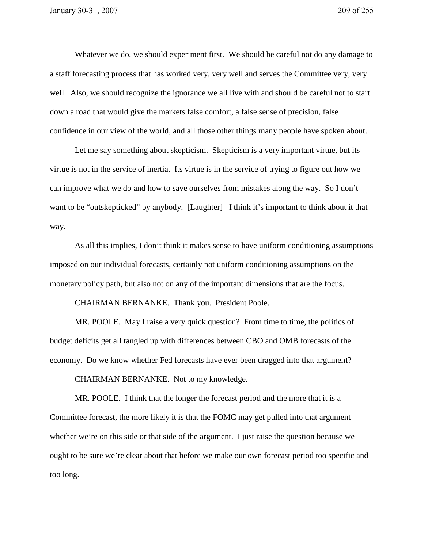Whatever we do, we should experiment first. We should be careful not do any damage to a staff forecasting process that has worked very, very well and serves the Committee very, very well. Also, we should recognize the ignorance we all live with and should be careful not to start down a road that would give the markets false comfort, a false sense of precision, false confidence in our view of the world, and all those other things many people have spoken about.

Let me say something about skepticism. Skepticism is a very important virtue, but its virtue is not in the service of inertia. Its virtue is in the service of trying to figure out how we can improve what we do and how to save ourselves from mistakes along the way. So I don't want to be "outskepticked" by anybody. [Laughter] I think it's important to think about it that way.

 As all this implies, I don't think it makes sense to have uniform conditioning assumptions imposed on our individual forecasts, certainly not uniform conditioning assumptions on the monetary policy path, but also not on any of the important dimensions that are the focus.

CHAIRMAN BERNANKE. Thank you. President Poole.

 MR. POOLE. May I raise a very quick question? From time to time, the politics of budget deficits get all tangled up with differences between CBO and OMB forecasts of the economy. Do we know whether Fed forecasts have ever been dragged into that argument?

CHAIRMAN BERNANKE. Not to my knowledge.

 MR. POOLE. I think that the longer the forecast period and the more that it is a Committee forecast, the more likely it is that the FOMC may get pulled into that argument whether we're on this side or that side of the argument. I just raise the question because we ought to be sure we're clear about that before we make our own forecast period too specific and too long.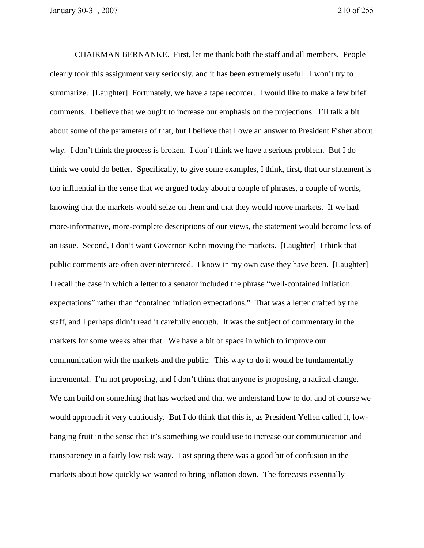CHAIRMAN BERNANKE. First, let me thank both the staff and all members. People clearly took this assignment very seriously, and it has been extremely useful. I won't try to summarize. [Laughter] Fortunately, we have a tape recorder. I would like to make a few brief comments. I believe that we ought to increase our emphasis on the projections. I'll talk a bit about some of the parameters of that, but I believe that I owe an answer to President Fisher about why. I don't think the process is broken. I don't think we have a serious problem. But I do think we could do better. Specifically, to give some examples, I think, first, that our statement is too influential in the sense that we argued today about a couple of phrases, a couple of words, knowing that the markets would seize on them and that they would move markets. If we had more-informative, more-complete descriptions of our views, the statement would become less of an issue. Second, I don't want Governor Kohn moving the markets. [Laughter] I think that public comments are often overinterpreted. I know in my own case they have been. [Laughter] I recall the case in which a letter to a senator included the phrase "well-contained inflation expectations" rather than "contained inflation expectations." That was a letter drafted by the staff, and I perhaps didn't read it carefully enough. It was the subject of commentary in the markets for some weeks after that. We have a bit of space in which to improve our communication with the markets and the public. This way to do it would be fundamentally incremental. I'm not proposing, and I don't think that anyone is proposing, a radical change. We can build on something that has worked and that we understand how to do, and of course we would approach it very cautiously. But I do think that this is, as President Yellen called it, lowhanging fruit in the sense that it's something we could use to increase our communication and transparency in a fairly low risk way. Last spring there was a good bit of confusion in the markets about how quickly we wanted to bring inflation down. The forecasts essentially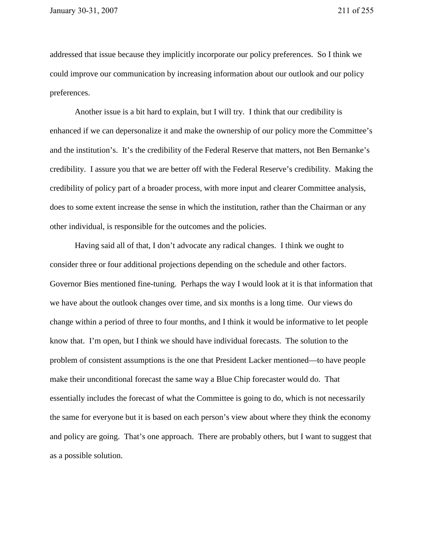addressed that issue because they implicitly incorporate our policy preferences. So I think we could improve our communication by increasing information about our outlook and our policy preferences.

 Another issue is a bit hard to explain, but I will try. I think that our credibility is enhanced if we can depersonalize it and make the ownership of our policy more the Committee's and the institution's. It's the credibility of the Federal Reserve that matters, not Ben Bernanke's credibility. I assure you that we are better off with the Federal Reserve's credibility. Making the credibility of policy part of a broader process, with more input and clearer Committee analysis, does to some extent increase the sense in which the institution, rather than the Chairman or any other individual, is responsible for the outcomes and the policies.

 Having said all of that, I don't advocate any radical changes. I think we ought to consider three or four additional projections depending on the schedule and other factors. Governor Bies mentioned fine-tuning. Perhaps the way I would look at it is that information that we have about the outlook changes over time, and six months is a long time. Our views do change within a period of three to four months, and I think it would be informative to let people know that. I'm open, but I think we should have individual forecasts. The solution to the problem of consistent assumptions is the one that President Lacker mentioned—to have people make their unconditional forecast the same way a Blue Chip forecaster would do. That essentially includes the forecast of what the Committee is going to do, which is not necessarily the same for everyone but it is based on each person's view about where they think the economy and policy are going. That's one approach. There are probably others, but I want to suggest that as a possible solution.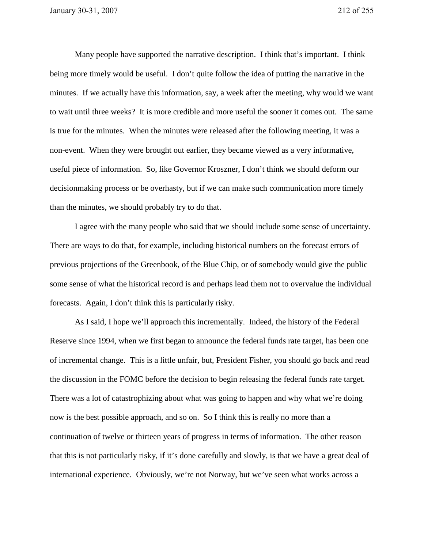Many people have supported the narrative description. I think that's important. I think being more timely would be useful. I don't quite follow the idea of putting the narrative in the minutes. If we actually have this information, say, a week after the meeting, why would we want to wait until three weeks? It is more credible and more useful the sooner it comes out. The same is true for the minutes. When the minutes were released after the following meeting, it was a non-event. When they were brought out earlier, they became viewed as a very informative, useful piece of information. So, like Governor Kroszner, I don't think we should deform our decisionmaking process or be overhasty, but if we can make such communication more timely than the minutes, we should probably try to do that.

I agree with the many people who said that we should include some sense of uncertainty. There are ways to do that, for example, including historical numbers on the forecast errors of previous projections of the Greenbook, of the Blue Chip, or of somebody would give the public some sense of what the historical record is and perhaps lead them not to overvalue the individual forecasts. Again, I don't think this is particularly risky.

 As I said, I hope we'll approach this incrementally. Indeed, the history of the Federal Reserve since 1994, when we first began to announce the federal funds rate target, has been one of incremental change. This is a little unfair, but, President Fisher, you should go back and read the discussion in the FOMC before the decision to begin releasing the federal funds rate target. There was a lot of catastrophizing about what was going to happen and why what we're doing now is the best possible approach, and so on. So I think this is really no more than a continuation of twelve or thirteen years of progress in terms of information. The other reason that this is not particularly risky, if it's done carefully and slowly, is that we have a great deal of international experience. Obviously, we're not Norway, but we've seen what works across a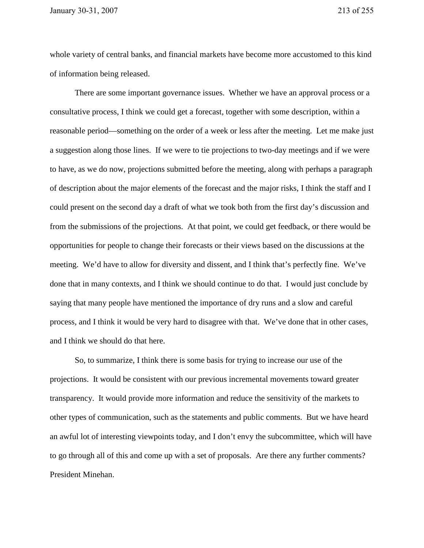whole variety of central banks, and financial markets have become more accustomed to this kind of information being released.

There are some important governance issues. Whether we have an approval process or a consultative process, I think we could get a forecast, together with some description, within a reasonable period—something on the order of a week or less after the meeting. Let me make just a suggestion along those lines. If we were to tie projections to two-day meetings and if we were to have, as we do now, projections submitted before the meeting, along with perhaps a paragraph of description about the major elements of the forecast and the major risks, I think the staff and I could present on the second day a draft of what we took both from the first day's discussion and from the submissions of the projections. At that point, we could get feedback, or there would be opportunities for people to change their forecasts or their views based on the discussions at the meeting. We'd have to allow for diversity and dissent, and I think that's perfectly fine. We've done that in many contexts, and I think we should continue to do that. I would just conclude by saying that many people have mentioned the importance of dry runs and a slow and careful process, and I think it would be very hard to disagree with that. We've done that in other cases, and I think we should do that here.

 So, to summarize, I think there is some basis for trying to increase our use of the projections. It would be consistent with our previous incremental movements toward greater transparency. It would provide more information and reduce the sensitivity of the markets to other types of communication, such as the statements and public comments. But we have heard an awful lot of interesting viewpoints today, and I don't envy the subcommittee, which will have to go through all of this and come up with a set of proposals. Are there any further comments? President Minehan.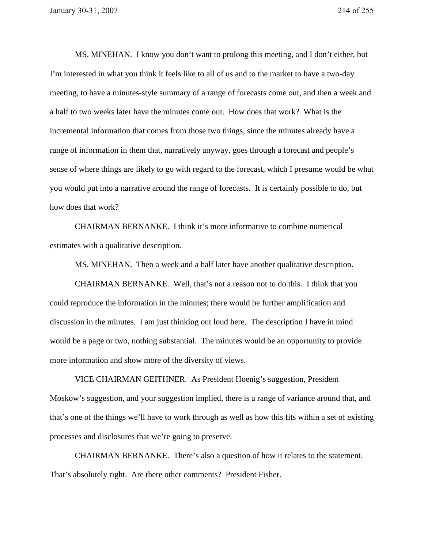MS. MINEHAN. I know you don't want to prolong this meeting, and I don't either, but I'm interested in what you think it feels like to all of us and to the market to have a two-day meeting, to have a minutes-style summary of a range of forecasts come out, and then a week and a half to two weeks later have the minutes come out. How does that work? What is the incremental information that comes from those two things, since the minutes already have a range of information in them that, narratively anyway, goes through a forecast and people's sense of where things are likely to go with regard to the forecast, which I presume would be what you would put into a narrative around the range of forecasts. It is certainly possible to do, but how does that work?

 CHAIRMAN BERNANKE. I think it's more informative to combine numerical estimates with a qualitative description.

MS. MINEHAN. Then a week and a half later have another qualitative description.

CHAIRMAN BERNANKE. Well, that's not a reason not to do this. I think that you could reproduce the information in the minutes; there would be further amplification and discussion in the minutes. I am just thinking out loud here. The description I have in mind would be a page or two, nothing substantial. The minutes would be an opportunity to provide more information and show more of the diversity of views.

VICE CHAIRMAN GEITHNER. As President Hoenig's suggestion, President Moskow's suggestion, and your suggestion implied, there is a range of variance around that, and that's one of the things we'll have to work through as well as how this fits within a set of existing processes and disclosures that we're going to preserve.

CHAIRMAN BERNANKE. There's also a question of how it relates to the statement. That's absolutely right. Are there other comments? President Fisher.